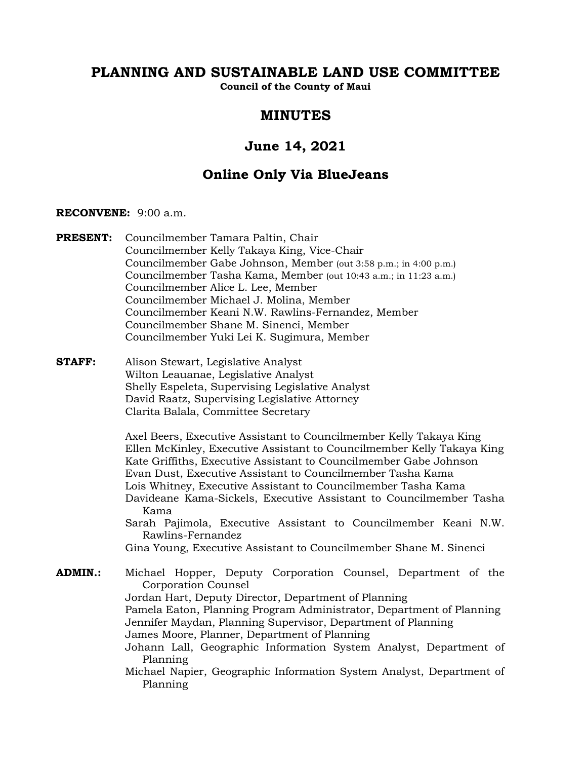# **PLANNING AND SUSTAINABLE LAND USE COMMITTEE**

**Council of the County of Maui**

# **MINUTES**

# **June 14, 2021**

# **Online Only Via BlueJeans**

## **RECONVENE:** 9:00 a.m.

- **PRESENT:** Councilmember Tamara Paltin, Chair Councilmember Kelly Takaya King, Vice-Chair Councilmember Gabe Johnson, Member (out 3:58 p.m.; in 4:00 p.m.) Councilmember Tasha Kama, Member (out 10:43 a.m.; in 11:23 a.m.) Councilmember Alice L. Lee, Member Councilmember Michael J. Molina, Member Councilmember Keani N.W. Rawlins-Fernandez, Member Councilmember Shane M. Sinenci, Member Councilmember Yuki Lei K. Sugimura, Member
- **STAFF:** Alison Stewart, Legislative Analyst Wilton Leauanae, Legislative Analyst Shelly Espeleta, Supervising Legislative Analyst David Raatz, Supervising Legislative Attorney Clarita Balala, Committee Secretary

Axel Beers, Executive Assistant to Councilmember Kelly Takaya King Ellen McKinley, Executive Assistant to Councilmember Kelly Takaya King Kate Griffiths, Executive Assistant to Councilmember Gabe Johnson Evan Dust, Executive Assistant to Councilmember Tasha Kama Lois Whitney, Executive Assistant to Councilmember Tasha Kama Davideane Kama-Sickels, Executive Assistant to Councilmember Tasha Kama

- Sarah Pajimola, Executive Assistant to Councilmember Keani N.W. Rawlins-Fernandez
- Gina Young, Executive Assistant to Councilmember Shane M. Sinenci

## **ADMIN.:** Michael Hopper, Deputy Corporation Counsel, Department of the Corporation Counsel

Jordan Hart, Deputy Director, Department of Planning Pamela Eaton, Planning Program Administrator, Department of Planning Jennifer Maydan, Planning Supervisor, Department of Planning James Moore, Planner, Department of Planning

Johann Lall, Geographic Information System Analyst, Department of Planning

Michael Napier, Geographic Information System Analyst, Department of Planning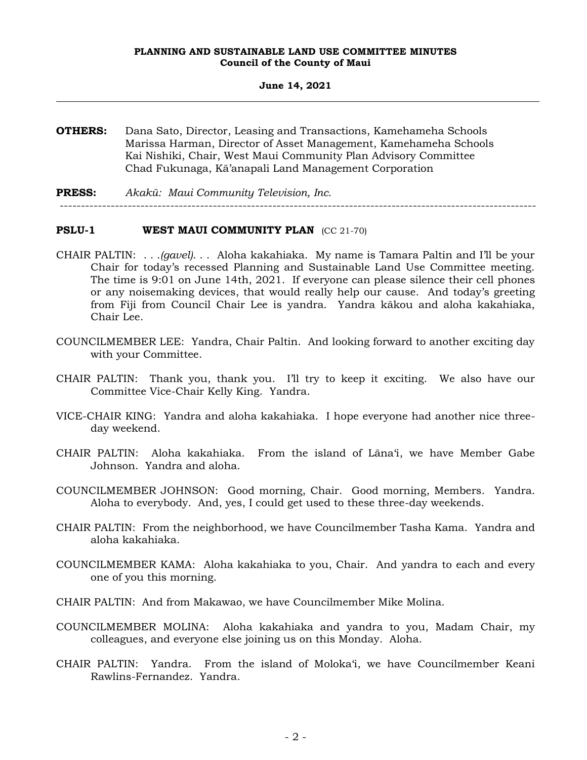#### **June 14, 2021**

- **OTHERS:** Dana Sato, Director, Leasing and Transactions, Kamehameha Schools Marissa Harman, Director of Asset Management, Kamehameha Schools Kai Nishiki, Chair, West Maui Community Plan Advisory Committee Chad Fukunaga, Kā'anapali Land Management Corporation
- **PRESS:** *Akakū: Maui Community Television, Inc.* ----------------------------------------------------------------------------------------------------------------

## **PSLU-1 WEST MAUI COMMUNITY PLAN** (CC 21-70)

- CHAIR PALTIN: . . .*(gavel)*. . . Aloha kakahiaka. My name is Tamara Paltin and I'll be your Chair for today's recessed Planning and Sustainable Land Use Committee meeting. The time is 9:01 on June 14th, 2021. If everyone can please silence their cell phones or any noisemaking devices, that would really help our cause. And today's greeting from Fiji from Council Chair Lee is yandra. Yandra kākou and aloha kakahiaka, Chair Lee.
- COUNCILMEMBER LEE: Yandra, Chair Paltin. And looking forward to another exciting day with your Committee.
- CHAIR PALTIN: Thank you, thank you. I'll try to keep it exciting. We also have our Committee Vice-Chair Kelly King. Yandra.
- VICE-CHAIR KING: Yandra and aloha kakahiaka. I hope everyone had another nice threeday weekend.
- CHAIR PALTIN: Aloha kakahiaka. From the island of Lāna'i, we have Member Gabe Johnson. Yandra and aloha.
- COUNCILMEMBER JOHNSON: Good morning, Chair. Good morning, Members. Yandra. Aloha to everybody. And, yes, I could get used to these three-day weekends.
- CHAIR PALTIN: From the neighborhood, we have Councilmember Tasha Kama. Yandra and aloha kakahiaka.
- COUNCILMEMBER KAMA: Aloha kakahiaka to you, Chair. And yandra to each and every one of you this morning.
- CHAIR PALTIN: And from Makawao, we have Councilmember Mike Molina.
- COUNCILMEMBER MOLINA: Aloha kakahiaka and yandra to you, Madam Chair, my colleagues, and everyone else joining us on this Monday. Aloha.
- CHAIR PALTIN: Yandra. From the island of Moloka'i, we have Councilmember Keani Rawlins-Fernandez. Yandra.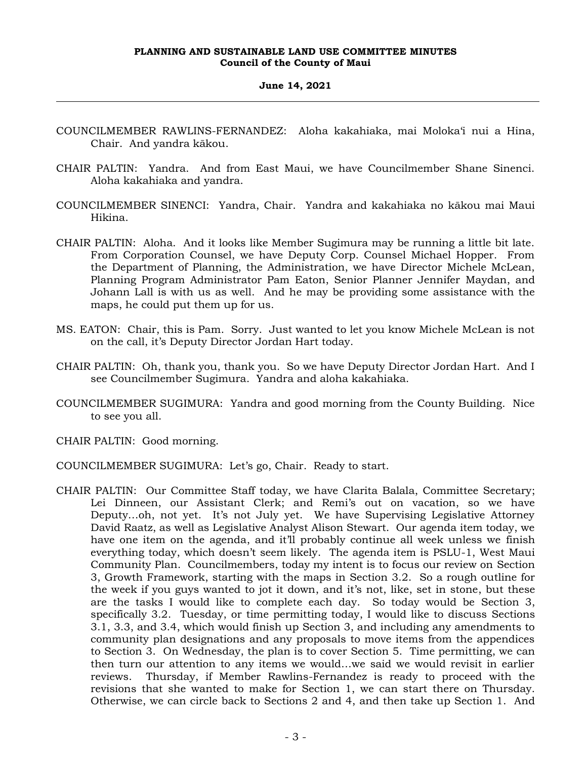#### **June 14, 2021**

- COUNCILMEMBER RAWLINS-FERNANDEZ: Aloha kakahiaka, mai Moloka'i nui a Hina, Chair. And yandra kākou.
- CHAIR PALTIN: Yandra. And from East Maui, we have Councilmember Shane Sinenci. Aloha kakahiaka and yandra.
- COUNCILMEMBER SINENCI: Yandra, Chair. Yandra and kakahiaka no kākou mai Maui Hikina.
- CHAIR PALTIN: Aloha. And it looks like Member Sugimura may be running a little bit late. From Corporation Counsel, we have Deputy Corp. Counsel Michael Hopper. From the Department of Planning, the Administration, we have Director Michele McLean, Planning Program Administrator Pam Eaton, Senior Planner Jennifer Maydan, and Johann Lall is with us as well. And he may be providing some assistance with the maps, he could put them up for us.
- MS. EATON: Chair, this is Pam. Sorry. Just wanted to let you know Michele McLean is not on the call, it's Deputy Director Jordan Hart today.
- CHAIR PALTIN: Oh, thank you, thank you. So we have Deputy Director Jordan Hart. And I see Councilmember Sugimura. Yandra and aloha kakahiaka.
- COUNCILMEMBER SUGIMURA: Yandra and good morning from the County Building. Nice to see you all.
- CHAIR PALTIN: Good morning.
- COUNCILMEMBER SUGIMURA: Let's go, Chair. Ready to start.
- CHAIR PALTIN: Our Committee Staff today, we have Clarita Balala, Committee Secretary; Lei Dinneen, our Assistant Clerk; and Remi's out on vacation, so we have Deputy…oh, not yet. It's not July yet. We have Supervising Legislative Attorney David Raatz, as well as Legislative Analyst Alison Stewart. Our agenda item today, we have one item on the agenda, and it'll probably continue all week unless we finish everything today, which doesn't seem likely. The agenda item is PSLU-1, West Maui Community Plan. Councilmembers, today my intent is to focus our review on Section 3, Growth Framework, starting with the maps in Section 3.2. So a rough outline for the week if you guys wanted to jot it down, and it's not, like, set in stone, but these are the tasks I would like to complete each day. So today would be Section 3, specifically 3.2. Tuesday, or time permitting today, I would like to discuss Sections 3.1, 3.3, and 3.4, which would finish up Section 3, and including any amendments to community plan designations and any proposals to move items from the appendices to Section 3. On Wednesday, the plan is to cover Section 5. Time permitting, we can then turn our attention to any items we would…we said we would revisit in earlier reviews. Thursday, if Member Rawlins-Fernandez is ready to proceed with the revisions that she wanted to make for Section 1, we can start there on Thursday. Otherwise, we can circle back to Sections 2 and 4, and then take up Section 1. And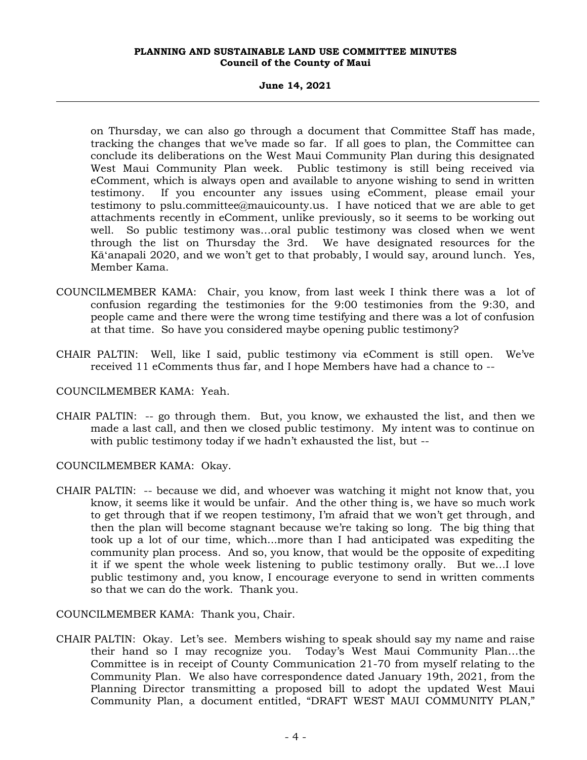#### **June 14, 2021**

on Thursday, we can also go through a document that Committee Staff has made, tracking the changes that we've made so far. If all goes to plan, the Committee can conclude its deliberations on the West Maui Community Plan during this designated West Maui Community Plan week. Public testimony is still being received via eComment, which is always open and available to anyone wishing to send in written testimony. If you encounter any issues using eComment, please email your testimony to pslu.committee@mauicounty.us. I have noticed that we are able to get attachments recently in eComment, unlike previously, so it seems to be working out well. So public testimony was…oral public testimony was closed when we went through the list on Thursday the 3rd. We have designated resources for the Kāʻanapali 2020, and we won't get to that probably, I would say, around lunch. Yes, Member Kama.

- COUNCILMEMBER KAMA: Chair, you know, from last week I think there was a lot of confusion regarding the testimonies for the 9:00 testimonies from the 9:30, and people came and there were the wrong time testifying and there was a lot of confusion at that time. So have you considered maybe opening public testimony?
- CHAIR PALTIN: Well, like I said, public testimony via eComment is still open. We've received 11 eComments thus far, and I hope Members have had a chance to --

## COUNCILMEMBER KAMA: Yeah.

CHAIR PALTIN: -- go through them. But, you know, we exhausted the list, and then we made a last call, and then we closed public testimony. My intent was to continue on with public testimony today if we hadn't exhausted the list, but --

COUNCILMEMBER KAMA: Okay.

CHAIR PALTIN: -- because we did, and whoever was watching it might not know that, you know, it seems like it would be unfair. And the other thing is, we have so much work to get through that if we reopen testimony, I'm afraid that we won't get through, and then the plan will become stagnant because we're taking so long. The big thing that took up a lot of our time, which...more than I had anticipated was expediting the community plan process. And so, you know, that would be the opposite of expediting it if we spent the whole week listening to public testimony orally. But we…I love public testimony and, you know, I encourage everyone to send in written comments so that we can do the work. Thank you.

COUNCILMEMBER KAMA: Thank you, Chair.

CHAIR PALTIN: Okay. Let's see. Members wishing to speak should say my name and raise their hand so I may recognize you. Today's West Maui Community Plan…the Committee is in receipt of County Communication 21-70 from myself relating to the Community Plan. We also have correspondence dated January 19th, 2021, from the Planning Director transmitting a proposed bill to adopt the updated West Maui Community Plan, a document entitled, "DRAFT WEST MAUI COMMUNITY PLAN,"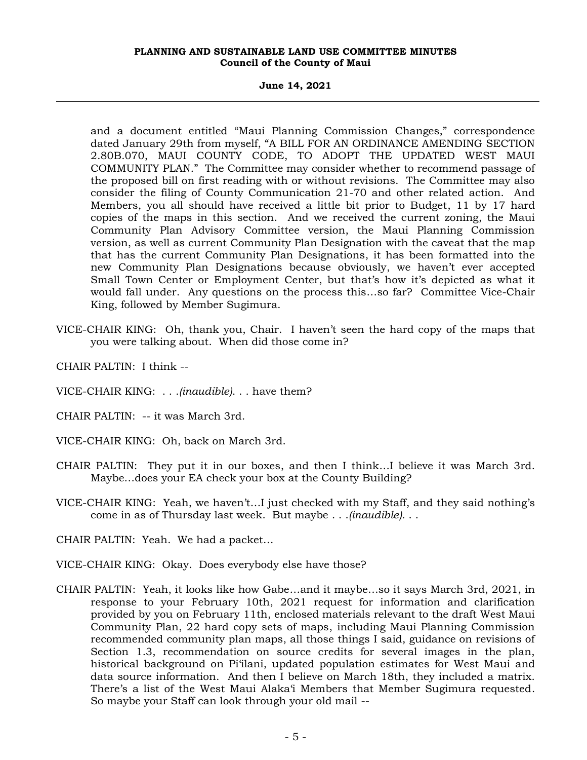**June 14, 2021**

and a document entitled "Maui Planning Commission Changes," correspondence dated January 29th from myself, "A BILL FOR AN ORDINANCE AMENDING SECTION 2.80B.070, MAUI COUNTY CODE, TO ADOPT THE UPDATED WEST MAUI COMMUNITY PLAN." The Committee may consider whether to recommend passage of the proposed bill on first reading with or without revisions. The Committee may also consider the filing of County Communication 21-70 and other related action. And Members, you all should have received a little bit prior to Budget, 11 by 17 hard copies of the maps in this section. And we received the current zoning, the Maui Community Plan Advisory Committee version, the Maui Planning Commission version, as well as current Community Plan Designation with the caveat that the map that has the current Community Plan Designations, it has been formatted into the new Community Plan Designations because obviously, we haven't ever accepted Small Town Center or Employment Center, but that's how it's depicted as what it would fall under. Any questions on the process this…so far? Committee Vice-Chair King, followed by Member Sugimura.

- VICE-CHAIR KING: Oh, thank you, Chair. I haven't seen the hard copy of the maps that you were talking about. When did those come in?
- CHAIR PALTIN: I think --
- VICE-CHAIR KING: . . .*(inaudible)*. . . have them?
- CHAIR PALTIN: -- it was March 3rd.
- VICE-CHAIR KING: Oh, back on March 3rd.
- CHAIR PALTIN: They put it in our boxes, and then I think…I believe it was March 3rd. Maybe…does your EA check your box at the County Building?
- VICE-CHAIR KING: Yeah, we haven't…I just checked with my Staff, and they said nothing's come in as of Thursday last week. But maybe . . .*(inaudible)*. . .
- CHAIR PALTIN: Yeah. We had a packet…
- VICE-CHAIR KING: Okay. Does everybody else have those?
- CHAIR PALTIN: Yeah, it looks like how Gabe…and it maybe…so it says March 3rd, 2021, in response to your February 10th, 2021 request for information and clarification provided by you on February 11th, enclosed materials relevant to the draft West Maui Community Plan, 22 hard copy sets of maps, including Maui Planning Commission recommended community plan maps, all those things I said, guidance on revisions of Section 1.3, recommendation on source credits for several images in the plan, historical background on Pi'ilani, updated population estimates for West Maui and data source information. And then I believe on March 18th, they included a matrix. There's a list of the West Maui Alaka'i Members that Member Sugimura requested. So maybe your Staff can look through your old mail --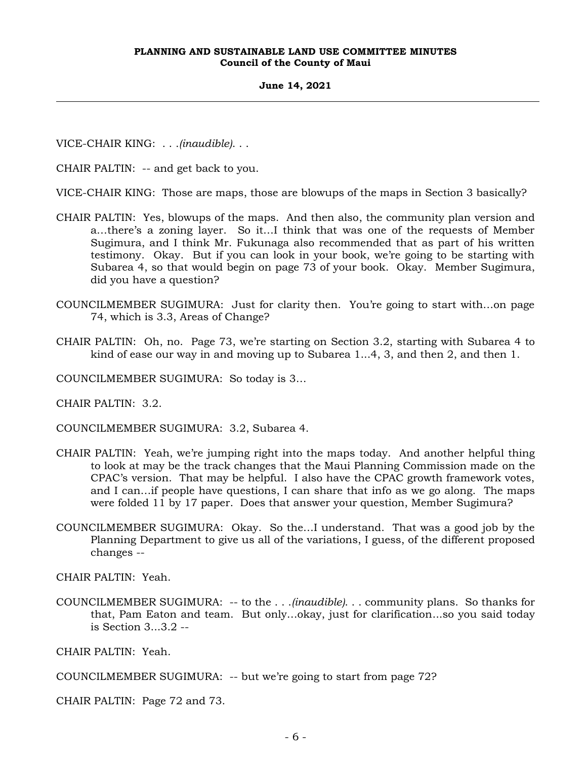#### **June 14, 2021**

VICE-CHAIR KING: . . .*(inaudible)*. . .

CHAIR PALTIN: -- and get back to you.

VICE-CHAIR KING: Those are maps, those are blowups of the maps in Section 3 basically?

- CHAIR PALTIN: Yes, blowups of the maps. And then also, the community plan version and a…there's a zoning layer. So it…I think that was one of the requests of Member Sugimura, and I think Mr. Fukunaga also recommended that as part of his written testimony. Okay. But if you can look in your book, we're going to be starting with Subarea 4, so that would begin on page 73 of your book. Okay. Member Sugimura, did you have a question?
- COUNCILMEMBER SUGIMURA: Just for clarity then. You're going to start with…on page 74, which is 3.3, Areas of Change?
- CHAIR PALTIN: Oh, no. Page 73, we're starting on Section 3.2, starting with Subarea 4 to kind of ease our way in and moving up to Subarea 1...4, 3, and then 2, and then 1.

COUNCILMEMBER SUGIMURA: So today is 3…

CHAIR PALTIN: 3.2.

COUNCILMEMBER SUGIMURA: 3.2, Subarea 4.

- CHAIR PALTIN: Yeah, we're jumping right into the maps today. And another helpful thing to look at may be the track changes that the Maui Planning Commission made on the CPAC's version. That may be helpful. I also have the CPAC growth framework votes, and I can…if people have questions, I can share that info as we go along. The maps were folded 11 by 17 paper. Does that answer your question, Member Sugimura?
- COUNCILMEMBER SUGIMURA: Okay. So the…I understand. That was a good job by the Planning Department to give us all of the variations, I guess, of the different proposed changes --

CHAIR PALTIN: Yeah.

COUNCILMEMBER SUGIMURA: -- to the . . .*(inaudible)*. . . community plans. So thanks for that, Pam Eaton and team. But only…okay, just for clarification...so you said today is Section 3...3.2 --

CHAIR PALTIN: Yeah.

COUNCILMEMBER SUGIMURA: -- but we're going to start from page 72?

CHAIR PALTIN: Page 72 and 73.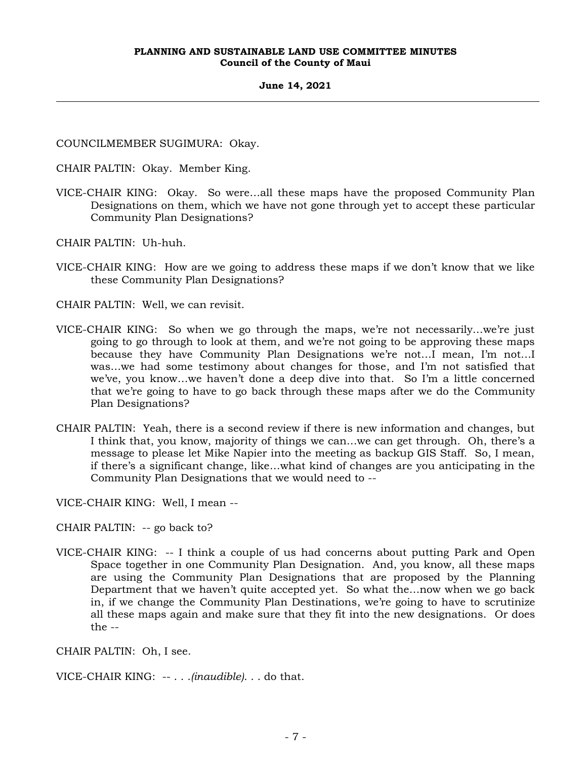#### **June 14, 2021**

COUNCILMEMBER SUGIMURA: Okay.

CHAIR PALTIN: Okay. Member King.

VICE-CHAIR KING: Okay. So were…all these maps have the proposed Community Plan Designations on them, which we have not gone through yet to accept these particular Community Plan Designations?

CHAIR PALTIN: Uh-huh.

VICE-CHAIR KING: How are we going to address these maps if we don't know that we like these Community Plan Designations?

CHAIR PALTIN: Well, we can revisit.

- VICE-CHAIR KING: So when we go through the maps, we're not necessarily…we're just going to go through to look at them, and we're not going to be approving these maps because they have Community Plan Designations we're not…I mean, I'm not…I was…we had some testimony about changes for those, and I'm not satisfied that we've, you know…we haven't done a deep dive into that. So I'm a little concerned that we're going to have to go back through these maps after we do the Community Plan Designations?
- CHAIR PALTIN: Yeah, there is a second review if there is new information and changes, but I think that, you know, majority of things we can…we can get through. Oh, there's a message to please let Mike Napier into the meeting as backup GIS Staff. So, I mean, if there's a significant change, like…what kind of changes are you anticipating in the Community Plan Designations that we would need to --

VICE-CHAIR KING: Well, I mean --

CHAIR PALTIN: -- go back to?

VICE-CHAIR KING: -- I think a couple of us had concerns about putting Park and Open Space together in one Community Plan Designation. And, you know, all these maps are using the Community Plan Designations that are proposed by the Planning Department that we haven't quite accepted yet. So what the…now when we go back in, if we change the Community Plan Destinations, we're going to have to scrutinize all these maps again and make sure that they fit into the new designations. Or does the --

CHAIR PALTIN: Oh, I see.

VICE-CHAIR KING: -- . . .*(inaudible)*. . . do that.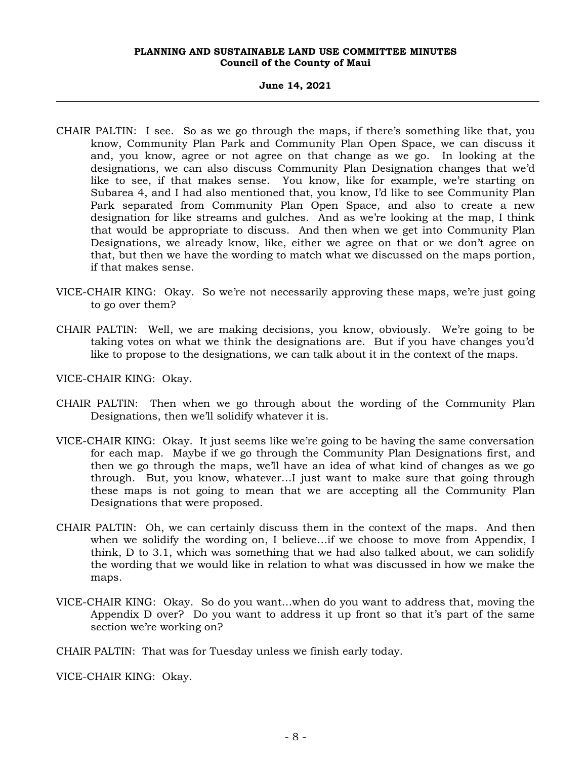#### **June 14, 2021**

- CHAIR PALTIN: I see. So as we go through the maps, if there's something like that, you know, Community Plan Park and Community Plan Open Space, we can discuss it and, you know, agree or not agree on that change as we go. In looking at the designations, we can also discuss Community Plan Designation changes that we'd like to see, if that makes sense. You know, like for example, we're starting on Subarea 4, and I had also mentioned that, you know, I'd like to see Community Plan Park separated from Community Plan Open Space, and also to create a new designation for like streams and gulches. And as we're looking at the map, I think that would be appropriate to discuss. And then when we get into Community Plan Designations, we already know, like, either we agree on that or we don't agree on that, but then we have the wording to match what we discussed on the maps portion, if that makes sense.
- VICE-CHAIR KING: Okay. So we're not necessarily approving these maps, we're just going to go over them?
- CHAIR PALTIN: Well, we are making decisions, you know, obviously. We're going to be taking votes on what we think the designations are. But if you have changes you'd like to propose to the designations, we can talk about it in the context of the maps.
- VICE-CHAIR KING: Okay.
- CHAIR PALTIN: Then when we go through about the wording of the Community Plan Designations, then we'll solidify whatever it is.
- VICE-CHAIR KING: Okay. It just seems like we're going to be having the same conversation for each map. Maybe if we go through the Community Plan Designations first, and then we go through the maps, we'll have an idea of what kind of changes as we go through. But, you know, whatever…I just want to make sure that going through these maps is not going to mean that we are accepting all the Community Plan Designations that were proposed.
- CHAIR PALTIN: Oh, we can certainly discuss them in the context of the maps. And then when we solidify the wording on, I believe…if we choose to move from Appendix, I think, D to 3.1, which was something that we had also talked about, we can solidify the wording that we would like in relation to what was discussed in how we make the maps.
- VICE-CHAIR KING: Okay. So do you want…when do you want to address that, moving the Appendix D over? Do you want to address it up front so that it's part of the same section we're working on?

CHAIR PALTIN: That was for Tuesday unless we finish early today.

VICE-CHAIR KING: Okay.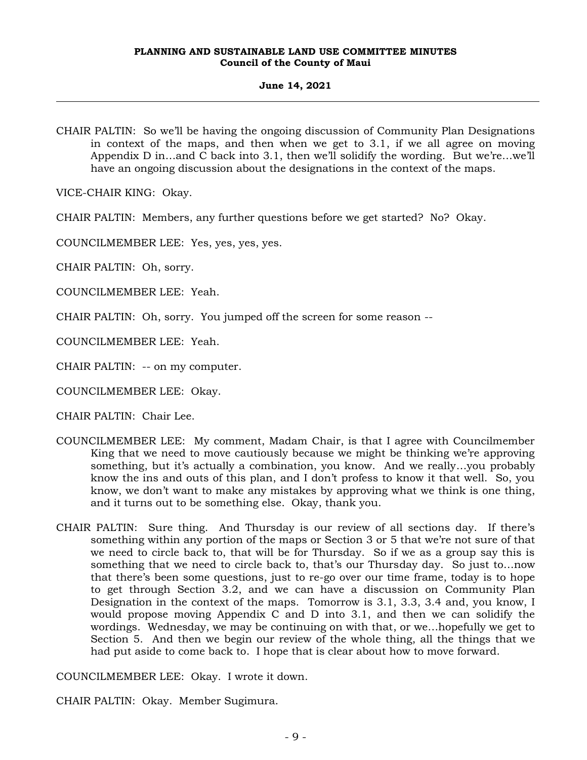## **June 14, 2021**

CHAIR PALTIN: So we'll be having the ongoing discussion of Community Plan Designations in context of the maps, and then when we get to 3.1, if we all agree on moving Appendix D in…and C back into 3.1, then we'll solidify the wording. But we're…we'll have an ongoing discussion about the designations in the context of the maps.

VICE-CHAIR KING: Okay.

CHAIR PALTIN: Members, any further questions before we get started? No? Okay.

COUNCILMEMBER LEE: Yes, yes, yes, yes.

CHAIR PALTIN: Oh, sorry.

COUNCILMEMBER LEE: Yeah.

CHAIR PALTIN: Oh, sorry. You jumped off the screen for some reason --

COUNCILMEMBER LEE: Yeah.

CHAIR PALTIN: -- on my computer.

COUNCILMEMBER LEE: Okay.

CHAIR PALTIN: Chair Lee.

- COUNCILMEMBER LEE: My comment, Madam Chair, is that I agree with Councilmember King that we need to move cautiously because we might be thinking we're approving something, but it's actually a combination, you know. And we really…you probably know the ins and outs of this plan, and I don't profess to know it that well. So, you know, we don't want to make any mistakes by approving what we think is one thing, and it turns out to be something else. Okay, thank you.
- CHAIR PALTIN: Sure thing. And Thursday is our review of all sections day. If there's something within any portion of the maps or Section 3 or 5 that we're not sure of that we need to circle back to, that will be for Thursday. So if we as a group say this is something that we need to circle back to, that's our Thursday day. So just to…now that there's been some questions, just to re-go over our time frame, today is to hope to get through Section 3.2, and we can have a discussion on Community Plan Designation in the context of the maps. Tomorrow is 3.1, 3.3, 3.4 and, you know, I would propose moving Appendix C and D into 3.1, and then we can solidify the wordings. Wednesday, we may be continuing on with that, or we…hopefully we get to Section 5. And then we begin our review of the whole thing, all the things that we had put aside to come back to. I hope that is clear about how to move forward.

COUNCILMEMBER LEE: Okay. I wrote it down.

CHAIR PALTIN: Okay. Member Sugimura.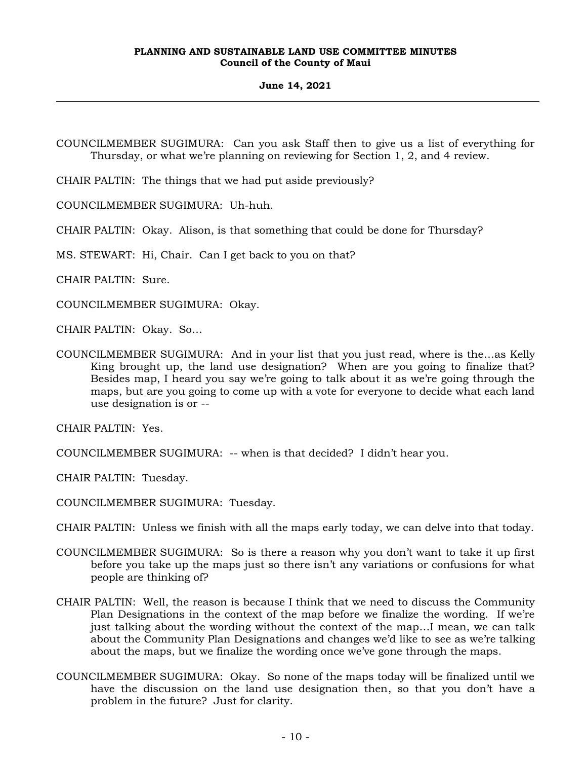## **June 14, 2021**

COUNCILMEMBER SUGIMURA: Can you ask Staff then to give us a list of everything for Thursday, or what we're planning on reviewing for Section 1, 2, and 4 review.

CHAIR PALTIN: The things that we had put aside previously?

COUNCILMEMBER SUGIMURA: Uh-huh.

CHAIR PALTIN: Okay. Alison, is that something that could be done for Thursday?

MS. STEWART: Hi, Chair. Can I get back to you on that?

CHAIR PALTIN: Sure.

COUNCILMEMBER SUGIMURA: Okay.

CHAIR PALTIN: Okay. So…

COUNCILMEMBER SUGIMURA: And in your list that you just read, where is the…as Kelly King brought up, the land use designation? When are you going to finalize that? Besides map, I heard you say we're going to talk about it as we're going through the maps, but are you going to come up with a vote for everyone to decide what each land use designation is or --

CHAIR PALTIN: Yes.

COUNCILMEMBER SUGIMURA: -- when is that decided? I didn't hear you.

CHAIR PALTIN: Tuesday.

COUNCILMEMBER SUGIMURA: Tuesday.

CHAIR PALTIN: Unless we finish with all the maps early today, we can delve into that today.

- COUNCILMEMBER SUGIMURA: So is there a reason why you don't want to take it up first before you take up the maps just so there isn't any variations or confusions for what people are thinking of?
- CHAIR PALTIN: Well, the reason is because I think that we need to discuss the Community Plan Designations in the context of the map before we finalize the wording. If we're just talking about the wording without the context of the map…I mean, we can talk about the Community Plan Designations and changes we'd like to see as we're talking about the maps, but we finalize the wording once we've gone through the maps.
- COUNCILMEMBER SUGIMURA: Okay. So none of the maps today will be finalized until we have the discussion on the land use designation then, so that you don't have a problem in the future? Just for clarity.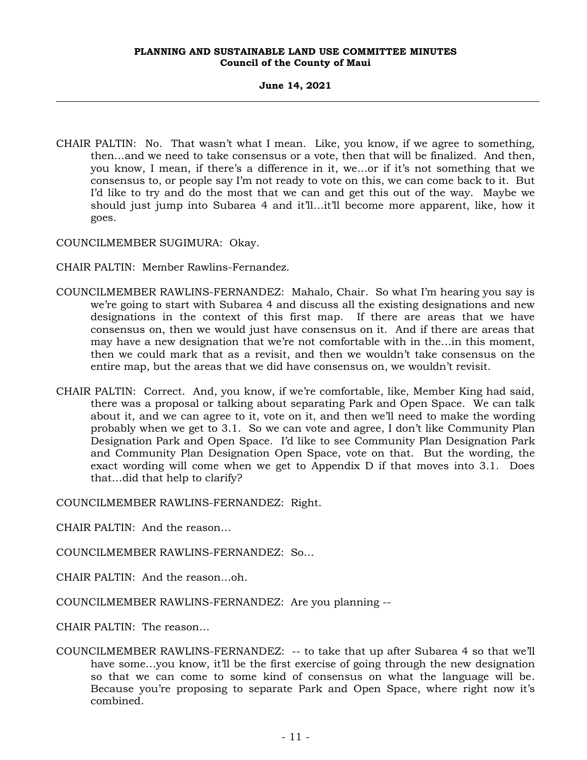## **June 14, 2021**

CHAIR PALTIN: No. That wasn't what I mean. Like, you know, if we agree to something, then…and we need to take consensus or a vote, then that will be finalized. And then, you know, I mean, if there's a difference in it, we…or if it's not something that we consensus to, or people say I'm not ready to vote on this, we can come back to it. But I'd like to try and do the most that we can and get this out of the way. Maybe we should just jump into Subarea 4 and it'll…it'll become more apparent, like, how it goes.

COUNCILMEMBER SUGIMURA: Okay.

CHAIR PALTIN: Member Rawlins-Fernandez.

- COUNCILMEMBER RAWLINS-FERNANDEZ: Mahalo, Chair. So what I'm hearing you say is we're going to start with Subarea 4 and discuss all the existing designations and new designations in the context of this first map. If there are areas that we have consensus on, then we would just have consensus on it. And if there are areas that may have a new designation that we're not comfortable with in the…in this moment, then we could mark that as a revisit, and then we wouldn't take consensus on the entire map, but the areas that we did have consensus on, we wouldn't revisit.
- CHAIR PALTIN: Correct. And, you know, if we're comfortable, like, Member King had said, there was a proposal or talking about separating Park and Open Space. We can talk about it, and we can agree to it, vote on it, and then we'll need to make the wording probably when we get to 3.1. So we can vote and agree, I don't like Community Plan Designation Park and Open Space. I'd like to see Community Plan Designation Park and Community Plan Designation Open Space, vote on that. But the wording, the exact wording will come when we get to Appendix D if that moves into 3.1. Does that…did that help to clarify?

COUNCILMEMBER RAWLINS-FERNANDEZ: Right.

CHAIR PALTIN: And the reason…

COUNCILMEMBER RAWLINS-FERNANDEZ: So…

CHAIR PALTIN: And the reason…oh.

COUNCILMEMBER RAWLINS-FERNANDEZ: Are you planning --

CHAIR PALTIN: The reason…

COUNCILMEMBER RAWLINS-FERNANDEZ: -- to take that up after Subarea 4 so that we'll have some…you know, it'll be the first exercise of going through the new designation so that we can come to some kind of consensus on what the language will be. Because you're proposing to separate Park and Open Space, where right now it's combined.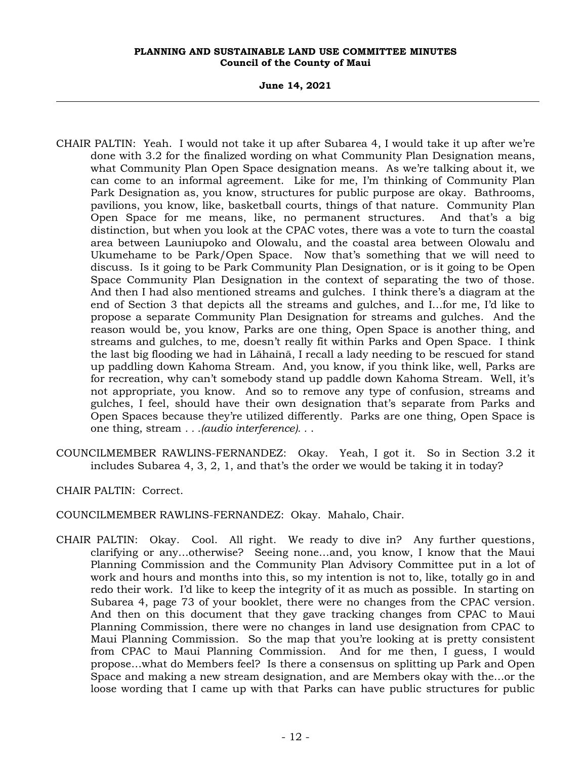**June 14, 2021**

- CHAIR PALTIN: Yeah. I would not take it up after Subarea 4, I would take it up after we're done with 3.2 for the finalized wording on what Community Plan Designation means, what Community Plan Open Space designation means. As we're talking about it, we can come to an informal agreement. Like for me, I'm thinking of Community Plan Park Designation as, you know, structures for public purpose are okay. Bathrooms, pavilions, you know, like, basketball courts, things of that nature. Community Plan Open Space for me means, like, no permanent structures. And that's a big distinction, but when you look at the CPAC votes, there was a vote to turn the coastal area between Launiupoko and Olowalu, and the coastal area between Olowalu and Ukumehame to be Park/Open Space. Now that's something that we will need to discuss. Is it going to be Park Community Plan Designation, or is it going to be Open Space Community Plan Designation in the context of separating the two of those. And then I had also mentioned streams and gulches. I think there's a diagram at the end of Section 3 that depicts all the streams and gulches, and I…for me, I'd like to propose a separate Community Plan Designation for streams and gulches. And the reason would be, you know, Parks are one thing, Open Space is another thing, and streams and gulches, to me, doesn't really fit within Parks and Open Space. I think the last big flooding we had in Lāhainā, I recall a lady needing to be rescued for stand up paddling down Kahoma Stream. And, you know, if you think like, well, Parks are for recreation, why can't somebody stand up paddle down Kahoma Stream. Well, it's not appropriate, you know. And so to remove any type of confusion, streams and gulches, I feel, should have their own designation that's separate from Parks and Open Spaces because they're utilized differently. Parks are one thing, Open Space is one thing, stream *. . .(audio interference). .* .
- COUNCILMEMBER RAWLINS-FERNANDEZ: Okay. Yeah, I got it. So in Section 3.2 it includes Subarea 4, 3, 2, 1, and that's the order we would be taking it in today?

CHAIR PALTIN: Correct.

COUNCILMEMBER RAWLINS-FERNANDEZ: Okay. Mahalo, Chair.

CHAIR PALTIN: Okay. Cool. All right. We ready to dive in? Any further questions, clarifying or any…otherwise? Seeing none…and, you know, I know that the Maui Planning Commission and the Community Plan Advisory Committee put in a lot of work and hours and months into this, so my intention is not to, like, totally go in and redo their work. I'd like to keep the integrity of it as much as possible. In starting on Subarea 4, page 73 of your booklet, there were no changes from the CPAC version. And then on this document that they gave tracking changes from CPAC to Maui Planning Commission, there were no changes in land use designation from CPAC to Maui Planning Commission. So the map that you're looking at is pretty consistent from CPAC to Maui Planning Commission. And for me then, I guess, I would propose…what do Members feel? Is there a consensus on splitting up Park and Open Space and making a new stream designation, and are Members okay with the…or the loose wording that I came up with that Parks can have public structures for public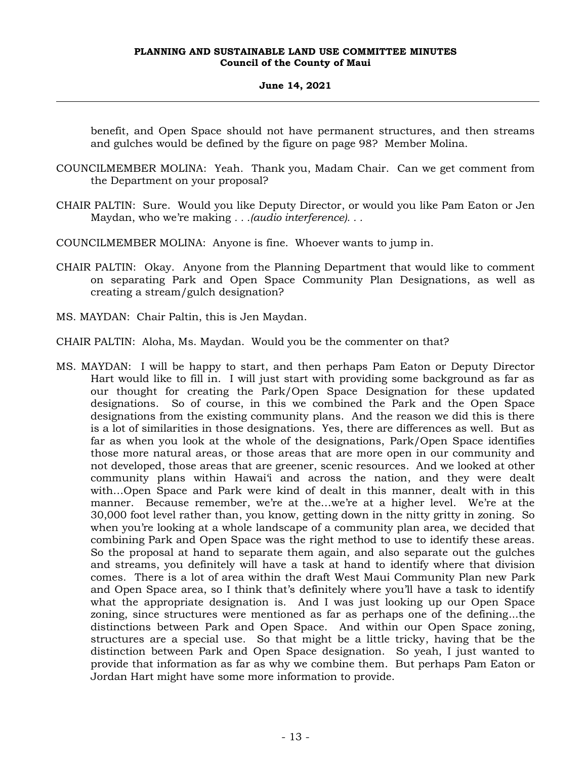## **June 14, 2021**

benefit, and Open Space should not have permanent structures, and then streams and gulches would be defined by the figure on page 98? Member Molina.

- COUNCILMEMBER MOLINA: Yeah. Thank you, Madam Chair. Can we get comment from the Department on your proposal?
- CHAIR PALTIN: Sure. Would you like Deputy Director, or would you like Pam Eaton or Jen Maydan, who we're making *. . .(audio interference). . .*
- COUNCILMEMBER MOLINA: Anyone is fine. Whoever wants to jump in.
- CHAIR PALTIN: Okay. Anyone from the Planning Department that would like to comment on separating Park and Open Space Community Plan Designations, as well as creating a stream/gulch designation?
- MS. MAYDAN: Chair Paltin, this is Jen Maydan.
- CHAIR PALTIN: Aloha, Ms. Maydan. Would you be the commenter on that?
- MS. MAYDAN: I will be happy to start, and then perhaps Pam Eaton or Deputy Director Hart would like to fill in. I will just start with providing some background as far as our thought for creating the Park/Open Space Designation for these updated designations. So of course, in this we combined the Park and the Open Space designations from the existing community plans. And the reason we did this is there is a lot of similarities in those designations. Yes, there are differences as well. But as far as when you look at the whole of the designations, Park/Open Space identifies those more natural areas, or those areas that are more open in our community and not developed, those areas that are greener, scenic resources. And we looked at other community plans within Hawai'i and across the nation, and they were dealt with…Open Space and Park were kind of dealt in this manner, dealt with in this manner. Because remember, we're at the...we're at a higher level. We're at the 30,000 foot level rather than, you know, getting down in the nitty gritty in zoning. So when you're looking at a whole landscape of a community plan area, we decided that combining Park and Open Space was the right method to use to identify these areas. So the proposal at hand to separate them again, and also separate out the gulches and streams, you definitely will have a task at hand to identify where that division comes. There is a lot of area within the draft West Maui Community Plan new Park and Open Space area, so I think that's definitely where you'll have a task to identify what the appropriate designation is. And I was just looking up our Open Space zoning, since structures were mentioned as far as perhaps one of the defining...the distinctions between Park and Open Space. And within our Open Space zoning, structures are a special use. So that might be a little tricky, having that be the distinction between Park and Open Space designation. So yeah, I just wanted to provide that information as far as why we combine them. But perhaps Pam Eaton or Jordan Hart might have some more information to provide.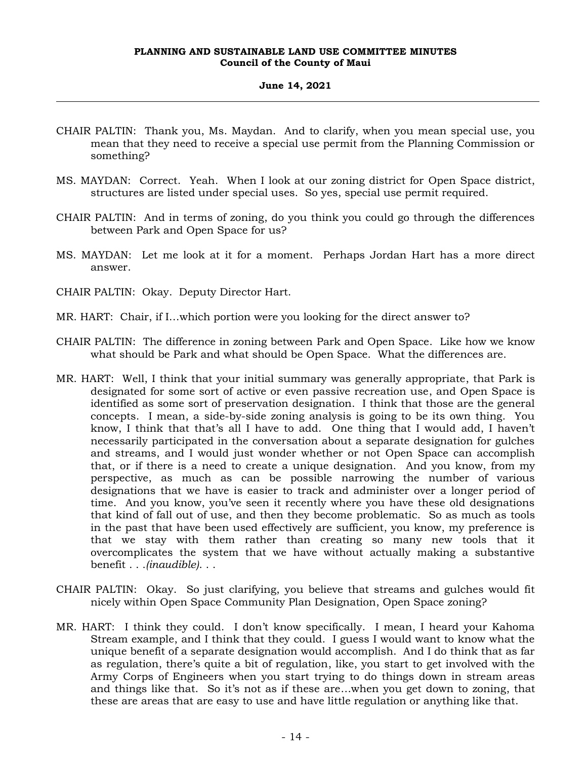## **June 14, 2021**

- CHAIR PALTIN: Thank you, Ms. Maydan. And to clarify, when you mean special use, you mean that they need to receive a special use permit from the Planning Commission or something?
- MS. MAYDAN: Correct. Yeah. When I look at our zoning district for Open Space district, structures are listed under special uses. So yes, special use permit required.
- CHAIR PALTIN: And in terms of zoning, do you think you could go through the differences between Park and Open Space for us?
- MS. MAYDAN: Let me look at it for a moment. Perhaps Jordan Hart has a more direct answer.
- CHAIR PALTIN: Okay. Deputy Director Hart.
- MR. HART: Chair, if I…which portion were you looking for the direct answer to?
- CHAIR PALTIN: The difference in zoning between Park and Open Space. Like how we know what should be Park and what should be Open Space. What the differences are.
- MR. HART: Well, I think that your initial summary was generally appropriate, that Park is designated for some sort of active or even passive recreation use, and Open Space is identified as some sort of preservation designation. I think that those are the general concepts. I mean, a side-by-side zoning analysis is going to be its own thing. You know, I think that that's all I have to add. One thing that I would add, I haven't necessarily participated in the conversation about a separate designation for gulches and streams, and I would just wonder whether or not Open Space can accomplish that, or if there is a need to create a unique designation. And you know, from my perspective, as much as can be possible narrowing the number of various designations that we have is easier to track and administer over a longer period of time. And you know, you've seen it recently where you have these old designations that kind of fall out of use, and then they become problematic. So as much as tools in the past that have been used effectively are sufficient, you know, my preference is that we stay with them rather than creating so many new tools that it overcomplicates the system that we have without actually making a substantive benefit . . .*(inaudible)*. . .
- CHAIR PALTIN: Okay. So just clarifying, you believe that streams and gulches would fit nicely within Open Space Community Plan Designation, Open Space zoning?
- MR. HART: I think they could. I don't know specifically. I mean, I heard your Kahoma Stream example, and I think that they could. I guess I would want to know what the unique benefit of a separate designation would accomplish. And I do think that as far as regulation, there's quite a bit of regulation, like, you start to get involved with the Army Corps of Engineers when you start trying to do things down in stream areas and things like that. So it's not as if these are…when you get down to zoning, that these are areas that are easy to use and have little regulation or anything like that.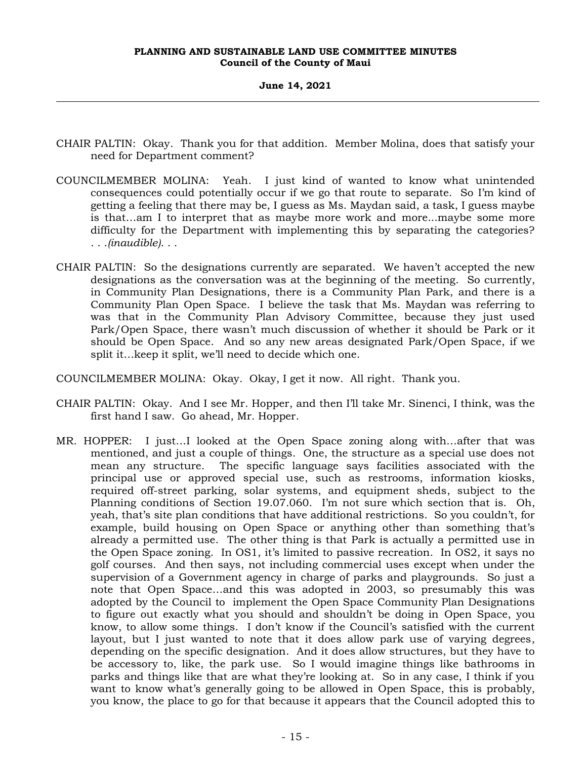**June 14, 2021**

- CHAIR PALTIN: Okay. Thank you for that addition. Member Molina, does that satisfy your need for Department comment?
- COUNCILMEMBER MOLINA: Yeah. I just kind of wanted to know what unintended consequences could potentially occur if we go that route to separate. So I'm kind of getting a feeling that there may be, I guess as Ms. Maydan said, a task, I guess maybe is that…am I to interpret that as maybe more work and more...maybe some more difficulty for the Department with implementing this by separating the categories? . . .*(inaudible)*. . .
- CHAIR PALTIN: So the designations currently are separated. We haven't accepted the new designations as the conversation was at the beginning of the meeting. So currently, in Community Plan Designations, there is a Community Plan Park, and there is a Community Plan Open Space. I believe the task that Ms. Maydan was referring to was that in the Community Plan Advisory Committee, because they just used Park/Open Space, there wasn't much discussion of whether it should be Park or it should be Open Space. And so any new areas designated Park/Open Space, if we split it…keep it split, we'll need to decide which one.

COUNCILMEMBER MOLINA: Okay. Okay, I get it now. All right. Thank you.

- CHAIR PALTIN: Okay. And I see Mr. Hopper, and then I'll take Mr. Sinenci, I think, was the first hand I saw. Go ahead, Mr. Hopper.
- MR. HOPPER: I just…I looked at the Open Space zoning along with…after that was mentioned, and just a couple of things. One, the structure as a special use does not mean any structure. The specific language says facilities associated with the principal use or approved special use, such as restrooms, information kiosks, required off-street parking, solar systems, and equipment sheds, subject to the Planning conditions of Section 19.07.060. I'm not sure which section that is. Oh, yeah, that's site plan conditions that have additional restrictions. So you couldn't, for example, build housing on Open Space or anything other than something that's already a permitted use. The other thing is that Park is actually a permitted use in the Open Space zoning. In OS1, it's limited to passive recreation. In OS2, it says no golf courses. And then says, not including commercial uses except when under the supervision of a Government agency in charge of parks and playgrounds. So just a note that Open Space…and this was adopted in 2003, so presumably this was adopted by the Council to implement the Open Space Community Plan Designations to figure out exactly what you should and shouldn't be doing in Open Space, you know, to allow some things. I don't know if the Council's satisfied with the current layout, but I just wanted to note that it does allow park use of varying degrees, depending on the specific designation. And it does allow structures, but they have to be accessory to, like, the park use. So I would imagine things like bathrooms in parks and things like that are what they're looking at. So in any case, I think if you want to know what's generally going to be allowed in Open Space, this is probably, you know, the place to go for that because it appears that the Council adopted this to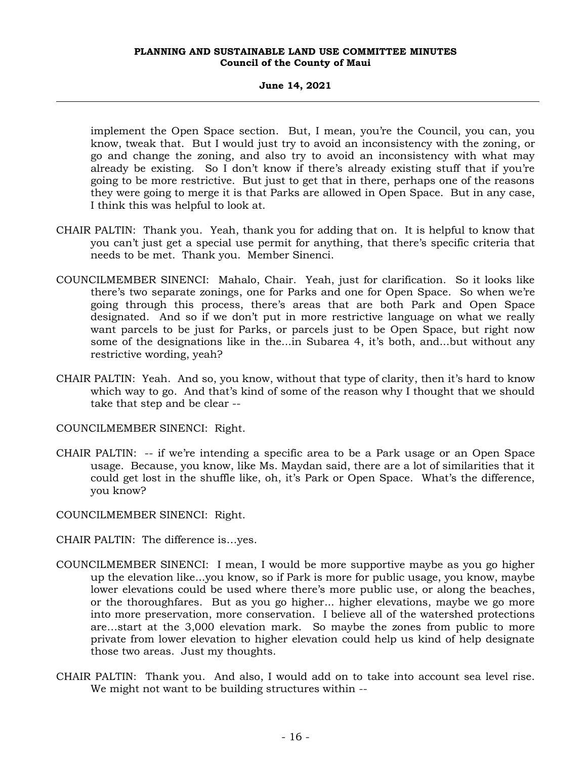**June 14, 2021**

implement the Open Space section. But, I mean, you're the Council, you can, you know, tweak that. But I would just try to avoid an inconsistency with the zoning, or go and change the zoning, and also try to avoid an inconsistency with what may already be existing. So I don't know if there's already existing stuff that if you're going to be more restrictive. But just to get that in there, perhaps one of the reasons they were going to merge it is that Parks are allowed in Open Space. But in any case, I think this was helpful to look at.

- CHAIR PALTIN: Thank you. Yeah, thank you for adding that on. It is helpful to know that you can't just get a special use permit for anything, that there's specific criteria that needs to be met. Thank you. Member Sinenci.
- COUNCILMEMBER SINENCI: Mahalo, Chair. Yeah, just for clarification. So it looks like there's two separate zonings, one for Parks and one for Open Space. So when we're going through this process, there's areas that are both Park and Open Space designated. And so if we don't put in more restrictive language on what we really want parcels to be just for Parks, or parcels just to be Open Space, but right now some of the designations like in the...in Subarea 4, it's both, and...but without any restrictive wording, yeah?
- CHAIR PALTIN: Yeah. And so, you know, without that type of clarity, then it's hard to know which way to go. And that's kind of some of the reason why I thought that we should take that step and be clear --

COUNCILMEMBER SINENCI: Right.

CHAIR PALTIN: -- if we're intending a specific area to be a Park usage or an Open Space usage. Because, you know, like Ms. Maydan said, there are a lot of similarities that it could get lost in the shuffle like, oh, it's Park or Open Space. What's the difference, you know?

COUNCILMEMBER SINENCI: Right.

- CHAIR PALTIN: The difference is…yes.
- COUNCILMEMBER SINENCI: I mean, I would be more supportive maybe as you go higher up the elevation like...you know, so if Park is more for public usage, you know, maybe lower elevations could be used where there's more public use, or along the beaches, or the thoroughfares. But as you go higher... higher elevations, maybe we go more into more preservation, more conservation. I believe all of the watershed protections are…start at the 3,000 elevation mark. So maybe the zones from public to more private from lower elevation to higher elevation could help us kind of help designate those two areas. Just my thoughts.
- CHAIR PALTIN: Thank you. And also, I would add on to take into account sea level rise. We might not want to be building structures within --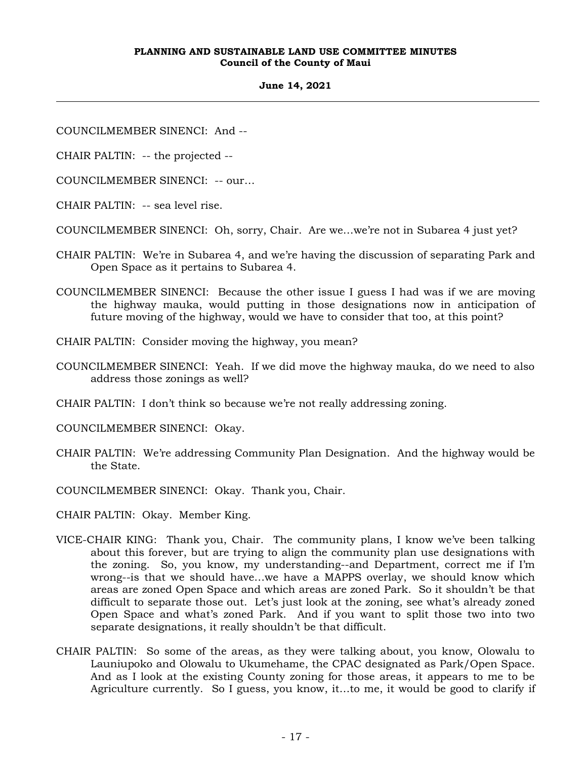#### **June 14, 2021**

COUNCILMEMBER SINENCI: And --

CHAIR PALTIN: -- the projected --

COUNCILMEMBER SINENCI: -- our…

CHAIR PALTIN: -- sea level rise.

COUNCILMEMBER SINENCI: Oh, sorry, Chair. Are we…we're not in Subarea 4 just yet?

- CHAIR PALTIN: We're in Subarea 4, and we're having the discussion of separating Park and Open Space as it pertains to Subarea 4.
- COUNCILMEMBER SINENCI: Because the other issue I guess I had was if we are moving the highway mauka, would putting in those designations now in anticipation of future moving of the highway, would we have to consider that too, at this point?
- CHAIR PALTIN: Consider moving the highway, you mean?
- COUNCILMEMBER SINENCI: Yeah. If we did move the highway mauka, do we need to also address those zonings as well?
- CHAIR PALTIN: I don't think so because we're not really addressing zoning.
- COUNCILMEMBER SINENCI: Okay.
- CHAIR PALTIN: We're addressing Community Plan Designation. And the highway would be the State.
- COUNCILMEMBER SINENCI: Okay. Thank you, Chair.
- CHAIR PALTIN: Okay. Member King.
- VICE-CHAIR KING: Thank you, Chair. The community plans, I know we've been talking about this forever, but are trying to align the community plan use designations with the zoning. So, you know, my understanding--and Department, correct me if I'm wrong--is that we should have…we have a MAPPS overlay, we should know which areas are zoned Open Space and which areas are zoned Park. So it shouldn't be that difficult to separate those out. Let's just look at the zoning, see what's already zoned Open Space and what's zoned Park. And if you want to split those two into two separate designations, it really shouldn't be that difficult.
- CHAIR PALTIN: So some of the areas, as they were talking about, you know, Olowalu to Launiupoko and Olowalu to Ukumehame, the CPAC designated as Park/Open Space. And as I look at the existing County zoning for those areas, it appears to me to be Agriculture currently. So I guess, you know, it…to me, it would be good to clarify if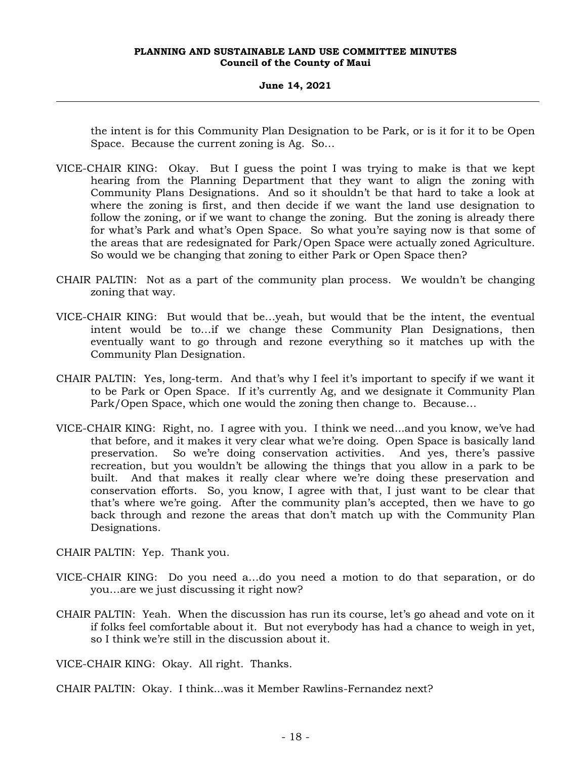the intent is for this Community Plan Designation to be Park, or is it for it to be Open Space. Because the current zoning is Ag. So…

- VICE-CHAIR KING: Okay. But I guess the point I was trying to make is that we kept hearing from the Planning Department that they want to align the zoning with Community Plans Designations. And so it shouldn't be that hard to take a look at where the zoning is first, and then decide if we want the land use designation to follow the zoning, or if we want to change the zoning. But the zoning is already there for what's Park and what's Open Space. So what you're saying now is that some of the areas that are redesignated for Park/Open Space were actually zoned Agriculture. So would we be changing that zoning to either Park or Open Space then?
- CHAIR PALTIN: Not as a part of the community plan process. We wouldn't be changing zoning that way.
- VICE-CHAIR KING: But would that be…yeah, but would that be the intent, the eventual intent would be to…if we change these Community Plan Designations, then eventually want to go through and rezone everything so it matches up with the Community Plan Designation.
- CHAIR PALTIN: Yes, long-term. And that's why I feel it's important to specify if we want it to be Park or Open Space. If it's currently Ag, and we designate it Community Plan Park/Open Space, which one would the zoning then change to. Because…
- VICE-CHAIR KING: Right, no. I agree with you. I think we need...and you know, we've had that before, and it makes it very clear what we're doing. Open Space is basically land preservation. So we're doing conservation activities. And yes, there's passive recreation, but you wouldn't be allowing the things that you allow in a park to be built. And that makes it really clear where we're doing these preservation and conservation efforts. So, you know, I agree with that, I just want to be clear that that's where we're going. After the community plan's accepted, then we have to go back through and rezone the areas that don't match up with the Community Plan Designations.

CHAIR PALTIN: Yep. Thank you.

- VICE-CHAIR KING: Do you need a…do you need a motion to do that separation, or do you…are we just discussing it right now?
- CHAIR PALTIN: Yeah. When the discussion has run its course, let's go ahead and vote on it if folks feel comfortable about it. But not everybody has had a chance to weigh in yet, so I think we're still in the discussion about it.

VICE-CHAIR KING: Okay. All right. Thanks.

CHAIR PALTIN: Okay. I think...was it Member Rawlins-Fernandez next?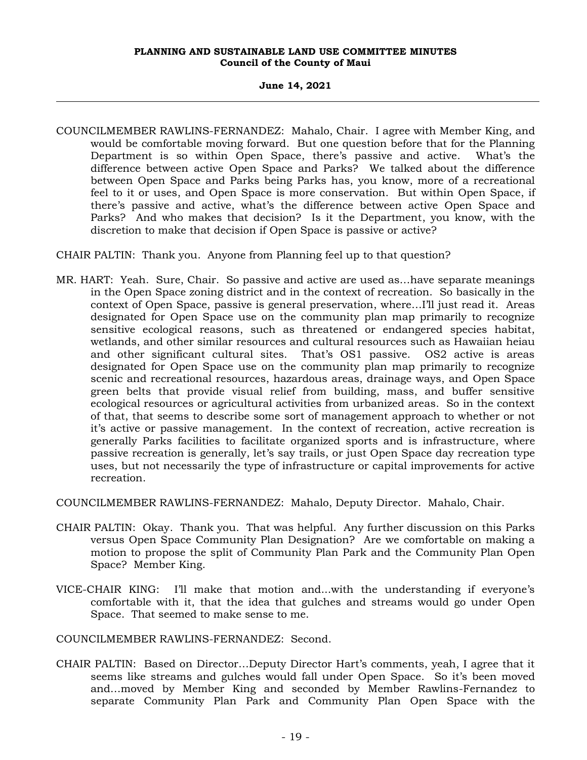## **June 14, 2021**

COUNCILMEMBER RAWLINS-FERNANDEZ: Mahalo, Chair. I agree with Member King, and would be comfortable moving forward. But one question before that for the Planning Department is so within Open Space, there's passive and active. What's the difference between active Open Space and Parks? We talked about the difference between Open Space and Parks being Parks has, you know, more of a recreational feel to it or uses, and Open Space is more conservation. But within Open Space, if there's passive and active, what's the difference between active Open Space and Parks? And who makes that decision? Is it the Department, you know, with the discretion to make that decision if Open Space is passive or active?

CHAIR PALTIN: Thank you. Anyone from Planning feel up to that question?

MR. HART: Yeah. Sure, Chair. So passive and active are used as…have separate meanings in the Open Space zoning district and in the context of recreation. So basically in the context of Open Space, passive is general preservation, where…I'll just read it. Areas designated for Open Space use on the community plan map primarily to recognize sensitive ecological reasons, such as threatened or endangered species habitat, wetlands, and other similar resources and cultural resources such as Hawaiian heiau and other significant cultural sites. That's OS1 passive. OS2 active is areas designated for Open Space use on the community plan map primarily to recognize scenic and recreational resources, hazardous areas, drainage ways, and Open Space green belts that provide visual relief from building, mass, and buffer sensitive ecological resources or agricultural activities from urbanized areas. So in the context of that, that seems to describe some sort of management approach to whether or not it's active or passive management. In the context of recreation, active recreation is generally Parks facilities to facilitate organized sports and is infrastructure, where passive recreation is generally, let's say trails, or just Open Space day recreation type uses, but not necessarily the type of infrastructure or capital improvements for active recreation.

COUNCILMEMBER RAWLINS-FERNANDEZ: Mahalo, Deputy Director. Mahalo, Chair.

- CHAIR PALTIN: Okay. Thank you. That was helpful. Any further discussion on this Parks versus Open Space Community Plan Designation? Are we comfortable on making a motion to propose the split of Community Plan Park and the Community Plan Open Space? Member King.
- VICE-CHAIR KING: I'll make that motion and...with the understanding if everyone's comfortable with it, that the idea that gulches and streams would go under Open Space. That seemed to make sense to me.

COUNCILMEMBER RAWLINS-FERNANDEZ: Second.

CHAIR PALTIN: Based on Director…Deputy Director Hart's comments, yeah, I agree that it seems like streams and gulches would fall under Open Space. So it's been moved and…moved by Member King and seconded by Member Rawlins-Fernandez to separate Community Plan Park and Community Plan Open Space with the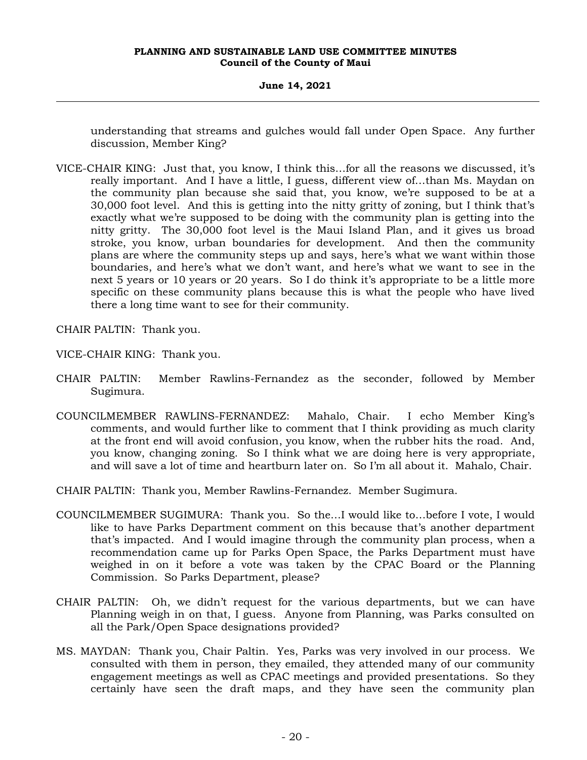**June 14, 2021**

understanding that streams and gulches would fall under Open Space. Any further discussion, Member King?

VICE-CHAIR KING: Just that, you know, I think this…for all the reasons we discussed, it's really important. And I have a little, I guess, different view of…than Ms. Maydan on the community plan because she said that, you know, we're supposed to be at a 30,000 foot level. And this is getting into the nitty gritty of zoning, but I think that's exactly what we're supposed to be doing with the community plan is getting into the nitty gritty. The 30,000 foot level is the Maui Island Plan, and it gives us broad stroke, you know, urban boundaries for development. And then the community plans are where the community steps up and says, here's what we want within those boundaries, and here's what we don't want, and here's what we want to see in the next 5 years or 10 years or 20 years. So I do think it's appropriate to be a little more specific on these community plans because this is what the people who have lived there a long time want to see for their community.

CHAIR PALTIN: Thank you.

VICE-CHAIR KING: Thank you.

- CHAIR PALTIN: Member Rawlins-Fernandez as the seconder, followed by Member Sugimura.
- COUNCILMEMBER RAWLINS-FERNANDEZ: Mahalo, Chair. I echo Member King's comments, and would further like to comment that I think providing as much clarity at the front end will avoid confusion, you know, when the rubber hits the road. And, you know, changing zoning. So I think what we are doing here is very appropriate, and will save a lot of time and heartburn later on. So I'm all about it. Mahalo, Chair.

CHAIR PALTIN: Thank you, Member Rawlins-Fernandez. Member Sugimura.

- COUNCILMEMBER SUGIMURA: Thank you. So the…I would like to…before I vote, I would like to have Parks Department comment on this because that's another department that's impacted. And I would imagine through the community plan process, when a recommendation came up for Parks Open Space, the Parks Department must have weighed in on it before a vote was taken by the CPAC Board or the Planning Commission. So Parks Department, please?
- CHAIR PALTIN: Oh, we didn't request for the various departments, but we can have Planning weigh in on that, I guess. Anyone from Planning, was Parks consulted on all the Park/Open Space designations provided?
- MS. MAYDAN: Thank you, Chair Paltin. Yes, Parks was very involved in our process. We consulted with them in person, they emailed, they attended many of our community engagement meetings as well as CPAC meetings and provided presentations. So they certainly have seen the draft maps, and they have seen the community plan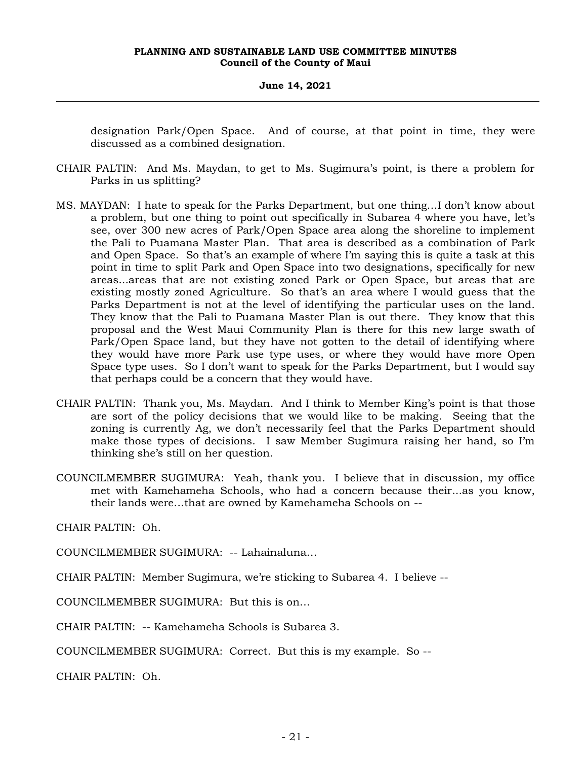## **June 14, 2021**

designation Park/Open Space. And of course, at that point in time, they were discussed as a combined designation.

- CHAIR PALTIN: And Ms. Maydan, to get to Ms. Sugimura's point, is there a problem for Parks in us splitting?
- MS. MAYDAN: I hate to speak for the Parks Department, but one thing…I don't know about a problem, but one thing to point out specifically in Subarea 4 where you have, let's see, over 300 new acres of Park/Open Space area along the shoreline to implement the Pali to Puamana Master Plan. That area is described as a combination of Park and Open Space. So that's an example of where I'm saying this is quite a task at this point in time to split Park and Open Space into two designations, specifically for new areas...areas that are not existing zoned Park or Open Space, but areas that are existing mostly zoned Agriculture. So that's an area where I would guess that the Parks Department is not at the level of identifying the particular uses on the land. They know that the Pali to Puamana Master Plan is out there. They know that this proposal and the West Maui Community Plan is there for this new large swath of Park/Open Space land, but they have not gotten to the detail of identifying where they would have more Park use type uses, or where they would have more Open Space type uses. So I don't want to speak for the Parks Department, but I would say that perhaps could be a concern that they would have.
- CHAIR PALTIN: Thank you, Ms. Maydan. And I think to Member King's point is that those are sort of the policy decisions that we would like to be making. Seeing that the zoning is currently Ag, we don't necessarily feel that the Parks Department should make those types of decisions. I saw Member Sugimura raising her hand, so I'm thinking she's still on her question.
- COUNCILMEMBER SUGIMURA: Yeah, thank you. I believe that in discussion, my office met with Kamehameha Schools, who had a concern because their...as you know, their lands were…that are owned by Kamehameha Schools on --

CHAIR PALTIN: Oh.

COUNCILMEMBER SUGIMURA: -- Lahainaluna…

CHAIR PALTIN: Member Sugimura, we're sticking to Subarea 4. I believe --

COUNCILMEMBER SUGIMURA: But this is on…

CHAIR PALTIN: -- Kamehameha Schools is Subarea 3.

COUNCILMEMBER SUGIMURA: Correct. But this is my example. So --

CHAIR PALTIN: Oh.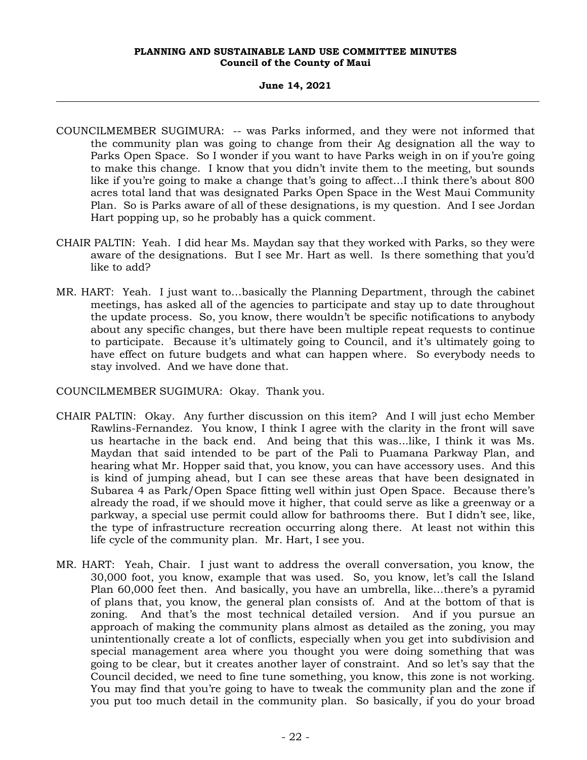## **June 14, 2021**

- COUNCILMEMBER SUGIMURA: -- was Parks informed, and they were not informed that the community plan was going to change from their Ag designation all the way to Parks Open Space. So I wonder if you want to have Parks weigh in on if you're going to make this change. I know that you didn't invite them to the meeting, but sounds like if you're going to make a change that's going to affect...I think there's about 800 acres total land that was designated Parks Open Space in the West Maui Community Plan. So is Parks aware of all of these designations, is my question. And I see Jordan Hart popping up, so he probably has a quick comment.
- CHAIR PALTIN: Yeah. I did hear Ms. Maydan say that they worked with Parks, so they were aware of the designations. But I see Mr. Hart as well. Is there something that you'd like to add?
- MR. HART: Yeah. I just want to…basically the Planning Department, through the cabinet meetings, has asked all of the agencies to participate and stay up to date throughout the update process. So, you know, there wouldn't be specific notifications to anybody about any specific changes, but there have been multiple repeat requests to continue to participate. Because it's ultimately going to Council, and it's ultimately going to have effect on future budgets and what can happen where. So everybody needs to stay involved. And we have done that.

COUNCILMEMBER SUGIMURA: Okay. Thank you.

- CHAIR PALTIN: Okay. Any further discussion on this item? And I will just echo Member Rawlins-Fernandez. You know, I think I agree with the clarity in the front will save us heartache in the back end. And being that this was...like, I think it was Ms. Maydan that said intended to be part of the Pali to Puamana Parkway Plan, and hearing what Mr. Hopper said that, you know, you can have accessory uses. And this is kind of jumping ahead, but I can see these areas that have been designated in Subarea 4 as Park/Open Space fitting well within just Open Space. Because there's already the road, if we should move it higher, that could serve as like a greenway or a parkway, a special use permit could allow for bathrooms there. But I didn't see, like, the type of infrastructure recreation occurring along there. At least not within this life cycle of the community plan. Mr. Hart, I see you.
- MR. HART: Yeah, Chair. I just want to address the overall conversation, you know, the 30,000 foot, you know, example that was used. So, you know, let's call the Island Plan 60,000 feet then. And basically, you have an umbrella, like…there's a pyramid of plans that, you know, the general plan consists of. And at the bottom of that is zoning. And that's the most technical detailed version. And if you pursue an approach of making the community plans almost as detailed as the zoning, you may unintentionally create a lot of conflicts, especially when you get into subdivision and special management area where you thought you were doing something that was going to be clear, but it creates another layer of constraint. And so let's say that the Council decided, we need to fine tune something, you know, this zone is not working. You may find that you're going to have to tweak the community plan and the zone if you put too much detail in the community plan. So basically, if you do your broad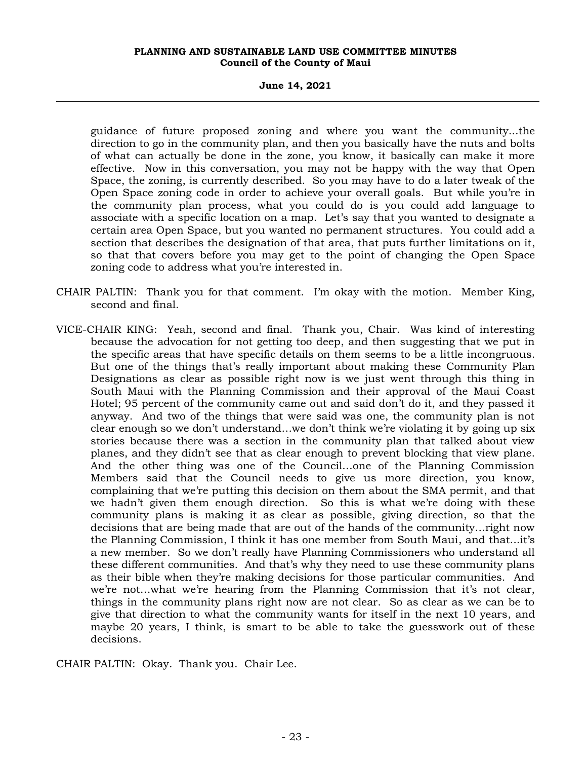**June 14, 2021**

guidance of future proposed zoning and where you want the community...the direction to go in the community plan, and then you basically have the nuts and bolts of what can actually be done in the zone, you know, it basically can make it more effective. Now in this conversation, you may not be happy with the way that Open Space, the zoning, is currently described. So you may have to do a later tweak of the Open Space zoning code in order to achieve your overall goals. But while you're in the community plan process, what you could do is you could add language to associate with a specific location on a map. Let's say that you wanted to designate a certain area Open Space, but you wanted no permanent structures. You could add a section that describes the designation of that area, that puts further limitations on it, so that that covers before you may get to the point of changing the Open Space zoning code to address what you're interested in.

- CHAIR PALTIN: Thank you for that comment. I'm okay with the motion. Member King, second and final.
- VICE-CHAIR KING: Yeah, second and final. Thank you, Chair. Was kind of interesting because the advocation for not getting too deep, and then suggesting that we put in the specific areas that have specific details on them seems to be a little incongruous. But one of the things that's really important about making these Community Plan Designations as clear as possible right now is we just went through this thing in South Maui with the Planning Commission and their approval of the Maui Coast Hotel; 95 percent of the community came out and said don't do it, and they passed it anyway. And two of the things that were said was one, the community plan is not clear enough so we don't understand…we don't think we're violating it by going up six stories because there was a section in the community plan that talked about view planes, and they didn't see that as clear enough to prevent blocking that view plane. And the other thing was one of the Council…one of the Planning Commission Members said that the Council needs to give us more direction, you know, complaining that we're putting this decision on them about the SMA permit, and that we hadn't given them enough direction. So this is what we're doing with these community plans is making it as clear as possible, giving direction, so that the decisions that are being made that are out of the hands of the community…right now the Planning Commission, I think it has one member from South Maui, and that...it's a new member. So we don't really have Planning Commissioners who understand all these different communities. And that's why they need to use these community plans as their bible when they're making decisions for those particular communities. And we're not…what we're hearing from the Planning Commission that it's not clear, things in the community plans right now are not clear. So as clear as we can be to give that direction to what the community wants for itself in the next 10 years, and maybe 20 years, I think, is smart to be able to take the guesswork out of these decisions.

CHAIR PALTIN: Okay. Thank you. Chair Lee.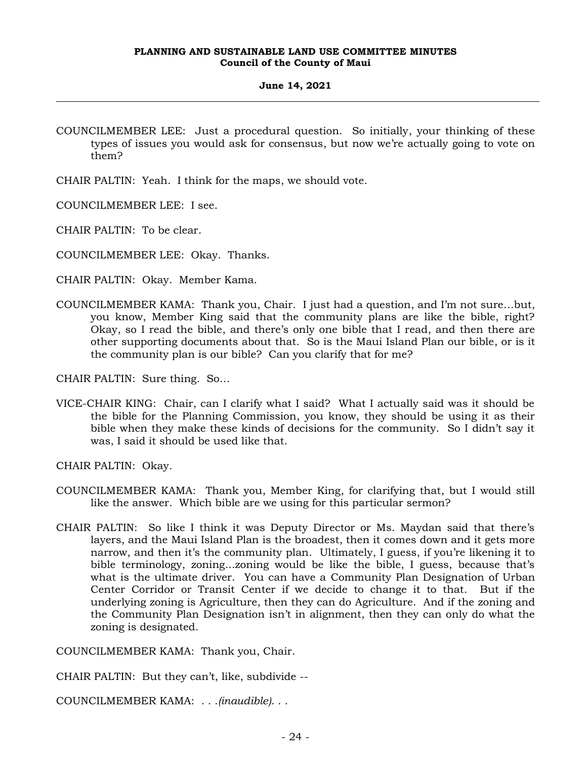- COUNCILMEMBER LEE: Just a procedural question. So initially, your thinking of these types of issues you would ask for consensus, but now we're actually going to vote on them?
- CHAIR PALTIN: Yeah. I think for the maps, we should vote.
- COUNCILMEMBER LEE: I see.
- CHAIR PALTIN: To be clear.
- COUNCILMEMBER LEE: Okay. Thanks.
- CHAIR PALTIN: Okay. Member Kama.
- COUNCILMEMBER KAMA: Thank you, Chair. I just had a question, and I'm not sure…but, you know, Member King said that the community plans are like the bible, right? Okay, so I read the bible, and there's only one bible that I read, and then there are other supporting documents about that. So is the Maui Island Plan our bible, or is it the community plan is our bible? Can you clarify that for me?

CHAIR PALTIN: Sure thing. So…

VICE-CHAIR KING: Chair, can I clarify what I said? What I actually said was it should be the bible for the Planning Commission, you know, they should be using it as their bible when they make these kinds of decisions for the community. So I didn't say it was, I said it should be used like that.

CHAIR PALTIN: Okay.

- COUNCILMEMBER KAMA: Thank you, Member King, for clarifying that, but I would still like the answer. Which bible are we using for this particular sermon?
- CHAIR PALTIN: So like I think it was Deputy Director or Ms. Maydan said that there's layers, and the Maui Island Plan is the broadest, then it comes down and it gets more narrow, and then it's the community plan. Ultimately, I guess, if you're likening it to bible terminology, zoning...zoning would be like the bible, I guess, because that's what is the ultimate driver. You can have a Community Plan Designation of Urban Center Corridor or Transit Center if we decide to change it to that. But if the underlying zoning is Agriculture, then they can do Agriculture. And if the zoning and the Community Plan Designation isn't in alignment, then they can only do what the zoning is designated.

COUNCILMEMBER KAMA: Thank you, Chair.

CHAIR PALTIN: But they can't, like, subdivide --

COUNCILMEMBER KAMA: . . .*(inaudible)*. . .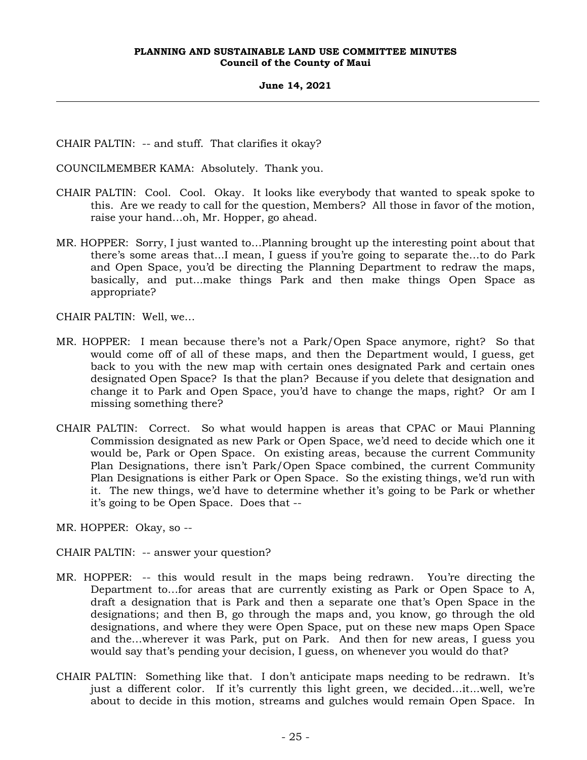CHAIR PALTIN: -- and stuff. That clarifies it okay?

COUNCILMEMBER KAMA: Absolutely. Thank you.

- CHAIR PALTIN: Cool. Cool. Okay. It looks like everybody that wanted to speak spoke to this. Are we ready to call for the question, Members? All those in favor of the motion, raise your hand…oh, Mr. Hopper, go ahead.
- MR. HOPPER: Sorry, I just wanted to…Planning brought up the interesting point about that there's some areas that...I mean, I guess if you're going to separate the…to do Park and Open Space, you'd be directing the Planning Department to redraw the maps, basically, and put...make things Park and then make things Open Space as appropriate?

CHAIR PALTIN: Well, we…

- MR. HOPPER: I mean because there's not a Park/Open Space anymore, right? So that would come off of all of these maps, and then the Department would, I guess, get back to you with the new map with certain ones designated Park and certain ones designated Open Space? Is that the plan? Because if you delete that designation and change it to Park and Open Space, you'd have to change the maps, right? Or am I missing something there?
- CHAIR PALTIN: Correct. So what would happen is areas that CPAC or Maui Planning Commission designated as new Park or Open Space, we'd need to decide which one it would be, Park or Open Space. On existing areas, because the current Community Plan Designations, there isn't Park/Open Space combined, the current Community Plan Designations is either Park or Open Space. So the existing things, we'd run with it. The new things, we'd have to determine whether it's going to be Park or whether it's going to be Open Space. Does that --

MR. HOPPER: Okay, so --

CHAIR PALTIN: -- answer your question?

- MR. HOPPER: -- this would result in the maps being redrawn. You're directing the Department to…for areas that are currently existing as Park or Open Space to A, draft a designation that is Park and then a separate one that's Open Space in the designations; and then B, go through the maps and, you know, go through the old designations, and where they were Open Space, put on these new maps Open Space and the…wherever it was Park, put on Park. And then for new areas, I guess you would say that's pending your decision, I guess, on whenever you would do that?
- CHAIR PALTIN: Something like that. I don't anticipate maps needing to be redrawn. It's just a different color. If it's currently this light green, we decided…it...well, we're about to decide in this motion, streams and gulches would remain Open Space. In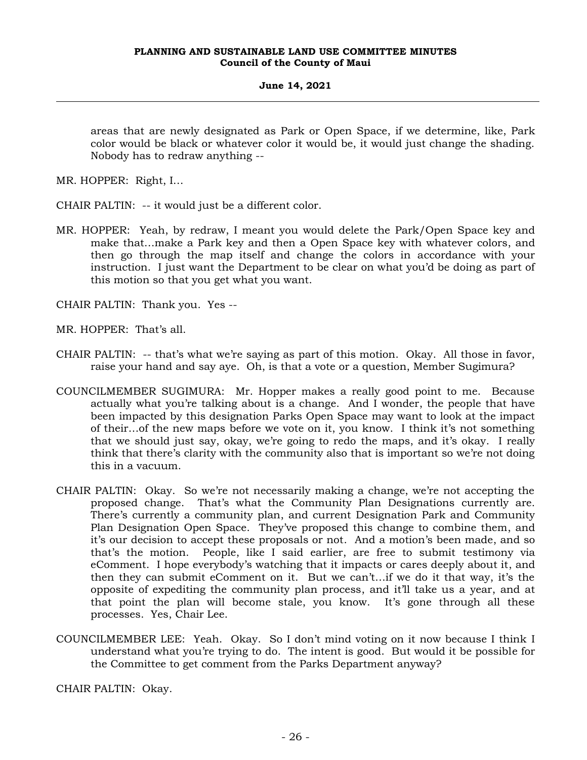areas that are newly designated as Park or Open Space, if we determine, like, Park color would be black or whatever color it would be, it would just change the shading. Nobody has to redraw anything --

MR. HOPPER: Right, I…

CHAIR PALTIN: -- it would just be a different color.

MR. HOPPER: Yeah, by redraw, I meant you would delete the Park/Open Space key and make that…make a Park key and then a Open Space key with whatever colors, and then go through the map itself and change the colors in accordance with your instruction. I just want the Department to be clear on what you'd be doing as part of this motion so that you get what you want.

CHAIR PALTIN: Thank you. Yes --

MR. HOPPER: That's all.

- CHAIR PALTIN: -- that's what we're saying as part of this motion. Okay. All those in favor, raise your hand and say aye. Oh, is that a vote or a question, Member Sugimura?
- COUNCILMEMBER SUGIMURA: Mr. Hopper makes a really good point to me. Because actually what you're talking about is a change. And I wonder, the people that have been impacted by this designation Parks Open Space may want to look at the impact of their…of the new maps before we vote on it, you know. I think it's not something that we should just say, okay, we're going to redo the maps, and it's okay. I really think that there's clarity with the community also that is important so we're not doing this in a vacuum.
- CHAIR PALTIN: Okay. So we're not necessarily making a change, we're not accepting the proposed change. That's what the Community Plan Designations currently are. There's currently a community plan, and current Designation Park and Community Plan Designation Open Space. They've proposed this change to combine them, and it's our decision to accept these proposals or not. And a motion's been made, and so that's the motion. People, like I said earlier, are free to submit testimony via eComment. I hope everybody's watching that it impacts or cares deeply about it, and then they can submit eComment on it. But we can't…if we do it that way, it's the opposite of expediting the community plan process, and it'll take us a year, and at that point the plan will become stale, you know. It's gone through all these processes. Yes, Chair Lee.
- COUNCILMEMBER LEE: Yeah. Okay. So I don't mind voting on it now because I think I understand what you're trying to do. The intent is good. But would it be possible for the Committee to get comment from the Parks Department anyway?

CHAIR PALTIN: Okay.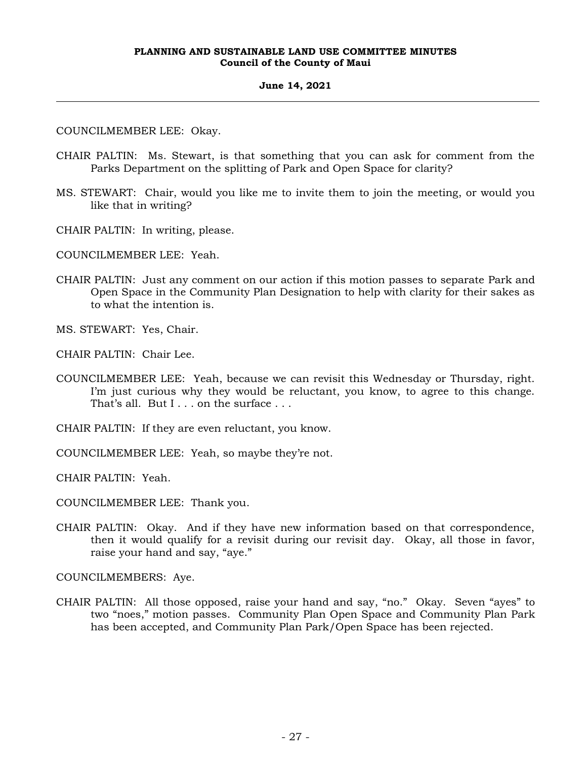#### **June 14, 2021**

COUNCILMEMBER LEE: Okay.

- CHAIR PALTIN: Ms. Stewart, is that something that you can ask for comment from the Parks Department on the splitting of Park and Open Space for clarity?
- MS. STEWART: Chair, would you like me to invite them to join the meeting, or would you like that in writing?
- CHAIR PALTIN: In writing, please.

COUNCILMEMBER LEE: Yeah.

CHAIR PALTIN: Just any comment on our action if this motion passes to separate Park and Open Space in the Community Plan Designation to help with clarity for their sakes as to what the intention is.

MS. STEWART: Yes, Chair.

CHAIR PALTIN: Chair Lee.

COUNCILMEMBER LEE: Yeah, because we can revisit this Wednesday or Thursday, right. I'm just curious why they would be reluctant, you know, to agree to this change. That's all. But I . . . on the surface . . .

CHAIR PALTIN: If they are even reluctant, you know.

COUNCILMEMBER LEE: Yeah, so maybe they're not.

CHAIR PALTIN: Yeah.

COUNCILMEMBER LEE: Thank you.

CHAIR PALTIN: Okay. And if they have new information based on that correspondence, then it would qualify for a revisit during our revisit day. Okay, all those in favor, raise your hand and say, "aye."

COUNCILMEMBERS: Aye.

CHAIR PALTIN: All those opposed, raise your hand and say, "no." Okay. Seven "ayes" to two "noes," motion passes. Community Plan Open Space and Community Plan Park has been accepted, and Community Plan Park/Open Space has been rejected.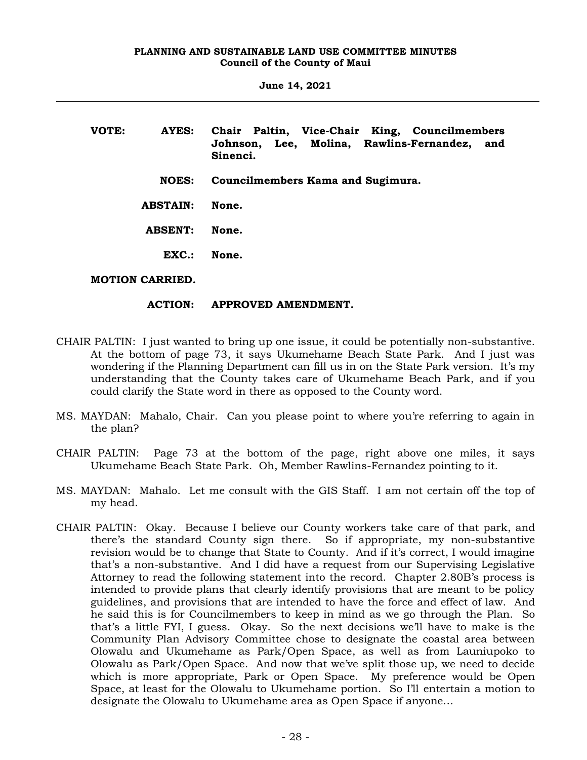| VOTE: | AYES:           | Chair Paltin, Vice-Chair King, Councilmembers<br>Johnson, Lee, Molina, Rawlins-Fernandez,<br>and<br>Sinenci. |
|-------|-----------------|--------------------------------------------------------------------------------------------------------------|
|       | <b>NOES:</b>    | Councilmembers Kama and Sugimura.                                                                            |
|       | <b>ABSTAIN:</b> | None.                                                                                                        |
|       | <b>ABSENT:</b>  | None.                                                                                                        |
|       | EXC.            | None.                                                                                                        |
|       | MOTION CARRIED  |                                                                                                              |

## **MOTION CARRIED.**

## **ACTION: APPROVED AMENDMENT.**

- CHAIR PALTIN: I just wanted to bring up one issue, it could be potentially non-substantive. At the bottom of page 73, it says Ukumehame Beach State Park. And I just was wondering if the Planning Department can fill us in on the State Park version. It's my understanding that the County takes care of Ukumehame Beach Park, and if you could clarify the State word in there as opposed to the County word.
- MS. MAYDAN: Mahalo, Chair. Can you please point to where you're referring to again in the plan?
- CHAIR PALTIN: Page 73 at the bottom of the page, right above one miles, it says Ukumehame Beach State Park. Oh, Member Rawlins-Fernandez pointing to it.
- MS. MAYDAN: Mahalo. Let me consult with the GIS Staff. I am not certain off the top of my head.
- CHAIR PALTIN: Okay. Because I believe our County workers take care of that park, and there's the standard County sign there. So if appropriate, my non-substantive revision would be to change that State to County. And if it's correct, I would imagine that's a non-substantive. And I did have a request from our Supervising Legislative Attorney to read the following statement into the record. Chapter 2.80B's process is intended to provide plans that clearly identify provisions that are meant to be policy guidelines, and provisions that are intended to have the force and effect of law. And he said this is for Councilmembers to keep in mind as we go through the Plan. So that's a little FYI, I guess. Okay. So the next decisions we'll have to make is the Community Plan Advisory Committee chose to designate the coastal area between Olowalu and Ukumehame as Park/Open Space, as well as from Launiupoko to Olowalu as Park/Open Space. And now that we've split those up, we need to decide which is more appropriate, Park or Open Space. My preference would be Open Space, at least for the Olowalu to Ukumehame portion. So I'll entertain a motion to designate the Olowalu to Ukumehame area as Open Space if anyone…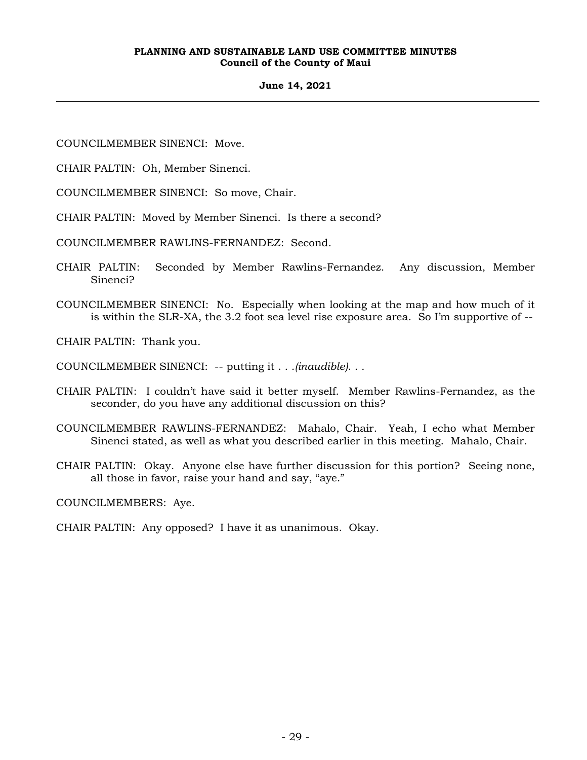## **June 14, 2021**

COUNCILMEMBER SINENCI: Move.

CHAIR PALTIN: Oh, Member Sinenci.

COUNCILMEMBER SINENCI: So move, Chair.

CHAIR PALTIN: Moved by Member Sinenci. Is there a second?

COUNCILMEMBER RAWLINS-FERNANDEZ: Second.

- CHAIR PALTIN: Seconded by Member Rawlins-Fernandez. Any discussion, Member Sinenci?
- COUNCILMEMBER SINENCI: No. Especially when looking at the map and how much of it is within the SLR-XA, the 3.2 foot sea level rise exposure area. So I'm supportive of --

CHAIR PALTIN: Thank you.

COUNCILMEMBER SINENCI: -- putting it . . .*(inaudible)*. . .

- CHAIR PALTIN: I couldn't have said it better myself. Member Rawlins-Fernandez, as the seconder, do you have any additional discussion on this?
- COUNCILMEMBER RAWLINS-FERNANDEZ: Mahalo, Chair. Yeah, I echo what Member Sinenci stated, as well as what you described earlier in this meeting. Mahalo, Chair.
- CHAIR PALTIN: Okay. Anyone else have further discussion for this portion? Seeing none, all those in favor, raise your hand and say, "aye."

COUNCILMEMBERS: Aye.

CHAIR PALTIN: Any opposed? I have it as unanimous. Okay.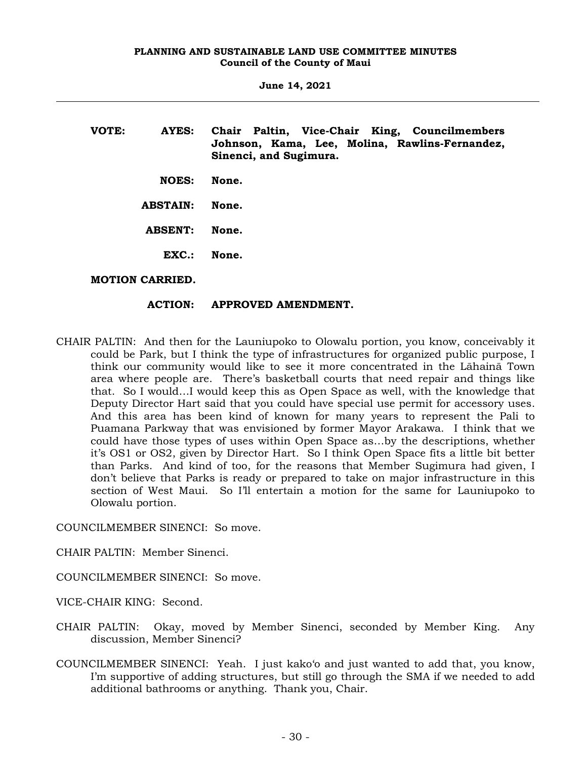| VOTE: | AYES:                  | Chair Paltin, Vice-Chair King, Councilmembers<br>Johnson, Kama, Lee, Molina, Rawlins-Fernandez,<br>Sinenci, and Sugimura. |
|-------|------------------------|---------------------------------------------------------------------------------------------------------------------------|
|       | <b>NOES:</b>           | None.                                                                                                                     |
|       | <b>ABSTAIN:</b>        | None.                                                                                                                     |
|       | <b>ABSENT:</b>         | None.                                                                                                                     |
|       | $\mathbf{EXC}$ .:      | None.                                                                                                                     |
|       | <b>MOTION CARRIED.</b> |                                                                                                                           |

## **ACTION: APPROVED AMENDMENT.**

CHAIR PALTIN: And then for the Launiupoko to Olowalu portion, you know, conceivably it could be Park, but I think the type of infrastructures for organized public purpose, I think our community would like to see it more concentrated in the Lāhainā Town area where people are. There's basketball courts that need repair and things like that. So I would…I would keep this as Open Space as well, with the knowledge that Deputy Director Hart said that you could have special use permit for accessory uses. And this area has been kind of known for many years to represent the Pali to Puamana Parkway that was envisioned by former Mayor Arakawa. I think that we could have those types of uses within Open Space as…by the descriptions, whether it's OS1 or OS2, given by Director Hart. So I think Open Space fits a little bit better than Parks. And kind of too, for the reasons that Member Sugimura had given, I don't believe that Parks is ready or prepared to take on major infrastructure in this section of West Maui. So I'll entertain a motion for the same for Launiupoko to Olowalu portion.

COUNCILMEMBER SINENCI: So move.

CHAIR PALTIN: Member Sinenci.

COUNCILMEMBER SINENCI: So move.

VICE-CHAIR KING: Second.

- CHAIR PALTIN: Okay, moved by Member Sinenci, seconded by Member King. Any discussion, Member Sinenci?
- COUNCILMEMBER SINENCI: Yeah. I just kako'o and just wanted to add that, you know, I'm supportive of adding structures, but still go through the SMA if we needed to add additional bathrooms or anything. Thank you, Chair.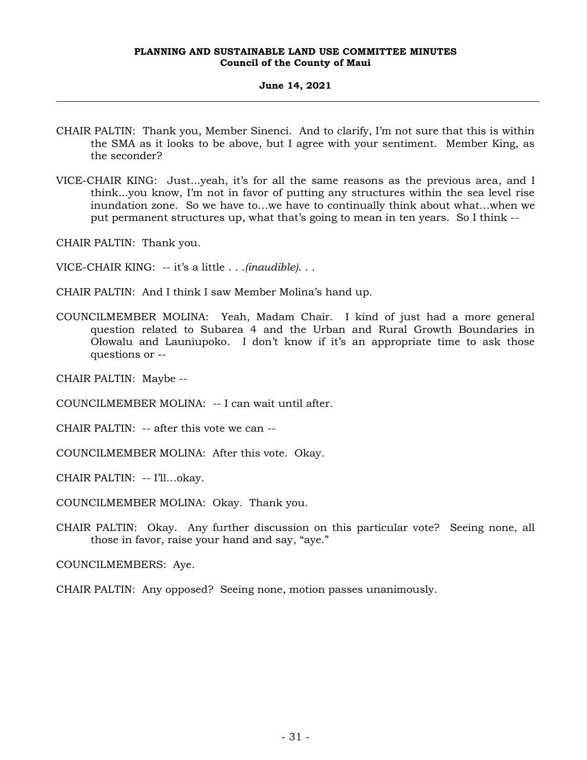## **June 14, 2021**

- CHAIR PALTIN: Thank you, Member Sinenci. And to clarify, I'm not sure that this is within the SMA as it looks to be above, but I agree with your sentiment. Member King, as the seconder?
- VICE-CHAIR KING: Just...yeah, it's for all the same reasons as the previous area, and I think...you know, I'm not in favor of putting any structures within the sea level rise inundation zone. So we have to…we have to continually think about what…when we put permanent structures up, what that's going to mean in ten years. So I think --

CHAIR PALTIN: Thank you.

VICE-CHAIR KING: -- it's a little . . .*(inaudible)*. . .

CHAIR PALTIN: And I think I saw Member Molina's hand up.

COUNCILMEMBER MOLINA: Yeah, Madam Chair. I kind of just had a more general question related to Subarea 4 and the Urban and Rural Growth Boundaries in Olowalu and Launiupoko. I don't know if it's an appropriate time to ask those questions or --

CHAIR PALTIN: Maybe --

COUNCILMEMBER MOLINA: -- I can wait until after.

CHAIR PALTIN: -- after this vote we can --

COUNCILMEMBER MOLINA: After this vote. Okay.

CHAIR PALTIN: -- I'll…okay.

COUNCILMEMBER MOLINA: Okay. Thank you.

CHAIR PALTIN: Okay. Any further discussion on this particular vote? Seeing none, all those in favor, raise your hand and say, "aye."

COUNCILMEMBERS: Aye.

CHAIR PALTIN: Any opposed? Seeing none, motion passes unanimously.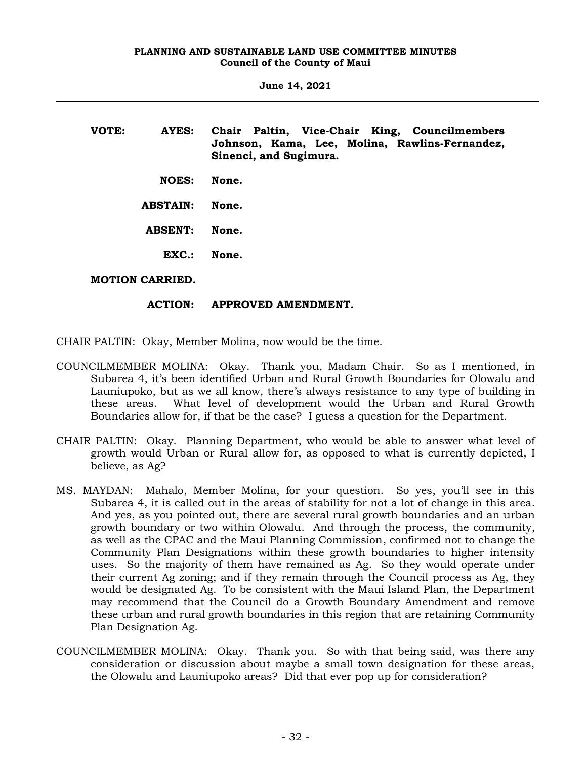| VOTE: | AYES:             | Chair Paltin, Vice-Chair King, Councilmembers<br>Johnson, Kama, Lee, Molina, Rawlins-Fernandez,<br>Sinenci, and Sugimura. |
|-------|-------------------|---------------------------------------------------------------------------------------------------------------------------|
|       | <b>NOES:</b>      | None.                                                                                                                     |
|       | <b>ABSTAIN:</b>   | None.                                                                                                                     |
|       | <b>ABSENT:</b>    | None.                                                                                                                     |
|       | $\mathbf{EXC}$ .: | None.                                                                                                                     |
|       | MARIAM ALBRIBB    |                                                                                                                           |

## **MOTION CARRIED.**

## **ACTION: APPROVED AMENDMENT.**

CHAIR PALTIN: Okay, Member Molina, now would be the time.

- COUNCILMEMBER MOLINA: Okay. Thank you, Madam Chair. So as I mentioned, in Subarea 4, it's been identified Urban and Rural Growth Boundaries for Olowalu and Launiupoko, but as we all know, there's always resistance to any type of building in these areas. What level of development would the Urban and Rural Growth Boundaries allow for, if that be the case? I guess a question for the Department.
- CHAIR PALTIN: Okay. Planning Department, who would be able to answer what level of growth would Urban or Rural allow for, as opposed to what is currently depicted, I believe, as Ag?
- MS. MAYDAN: Mahalo, Member Molina, for your question. So yes, you'll see in this Subarea 4, it is called out in the areas of stability for not a lot of change in this area. And yes, as you pointed out, there are several rural growth boundaries and an urban growth boundary or two within Olowalu. And through the process, the community, as well as the CPAC and the Maui Planning Commission, confirmed not to change the Community Plan Designations within these growth boundaries to higher intensity uses. So the majority of them have remained as Ag. So they would operate under their current Ag zoning; and if they remain through the Council process as Ag, they would be designated Ag. To be consistent with the Maui Island Plan, the Department may recommend that the Council do a Growth Boundary Amendment and remove these urban and rural growth boundaries in this region that are retaining Community Plan Designation Ag.
- COUNCILMEMBER MOLINA: Okay. Thank you. So with that being said, was there any consideration or discussion about maybe a small town designation for these areas, the Olowalu and Launiupoko areas? Did that ever pop up for consideration?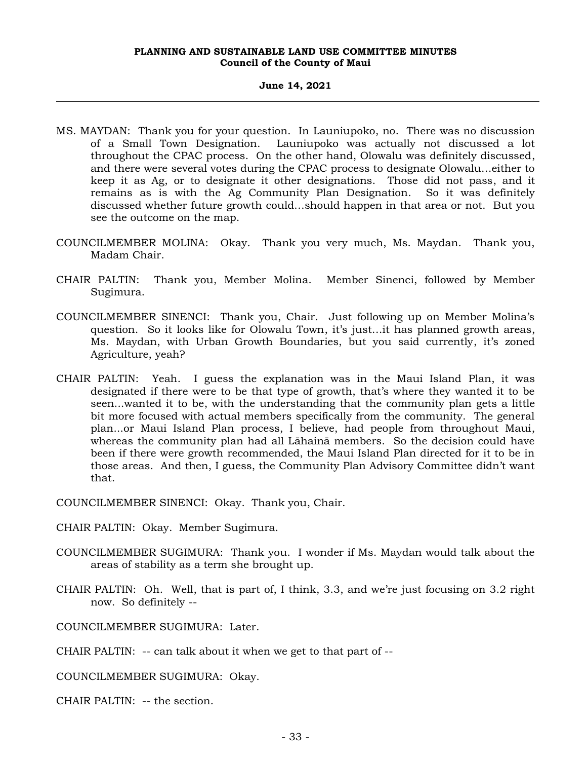#### **June 14, 2021**

- MS. MAYDAN: Thank you for your question. In Launiupoko, no. There was no discussion of a Small Town Designation. Launiupoko was actually not discussed a lot throughout the CPAC process. On the other hand, Olowalu was definitely discussed, and there were several votes during the CPAC process to designate Olowalu…either to keep it as Ag, or to designate it other designations. Those did not pass, and it remains as is with the Ag Community Plan Designation. So it was definitely discussed whether future growth could…should happen in that area or not. But you see the outcome on the map.
- COUNCILMEMBER MOLINA: Okay. Thank you very much, Ms. Maydan. Thank you, Madam Chair.
- CHAIR PALTIN: Thank you, Member Molina. Member Sinenci, followed by Member Sugimura.
- COUNCILMEMBER SINENCI: Thank you, Chair. Just following up on Member Molina's question. So it looks like for Olowalu Town, it's just…it has planned growth areas, Ms. Maydan, with Urban Growth Boundaries, but you said currently, it's zoned Agriculture, yeah?
- CHAIR PALTIN: Yeah. I guess the explanation was in the Maui Island Plan, it was designated if there were to be that type of growth, that's where they wanted it to be seen...wanted it to be, with the understanding that the community plan gets a little bit more focused with actual members specifically from the community. The general plan...or Maui Island Plan process, I believe, had people from throughout Maui, whereas the community plan had all Lāhainā members. So the decision could have been if there were growth recommended, the Maui Island Plan directed for it to be in those areas. And then, I guess, the Community Plan Advisory Committee didn't want that.

COUNCILMEMBER SINENCI: Okay. Thank you, Chair.

CHAIR PALTIN: Okay. Member Sugimura.

- COUNCILMEMBER SUGIMURA: Thank you. I wonder if Ms. Maydan would talk about the areas of stability as a term she brought up.
- CHAIR PALTIN: Oh. Well, that is part of, I think, 3.3, and we're just focusing on 3.2 right now. So definitely --

COUNCILMEMBER SUGIMURA: Later.

CHAIR PALTIN: -- can talk about it when we get to that part of --

COUNCILMEMBER SUGIMURA: Okay.

CHAIR PALTIN: -- the section.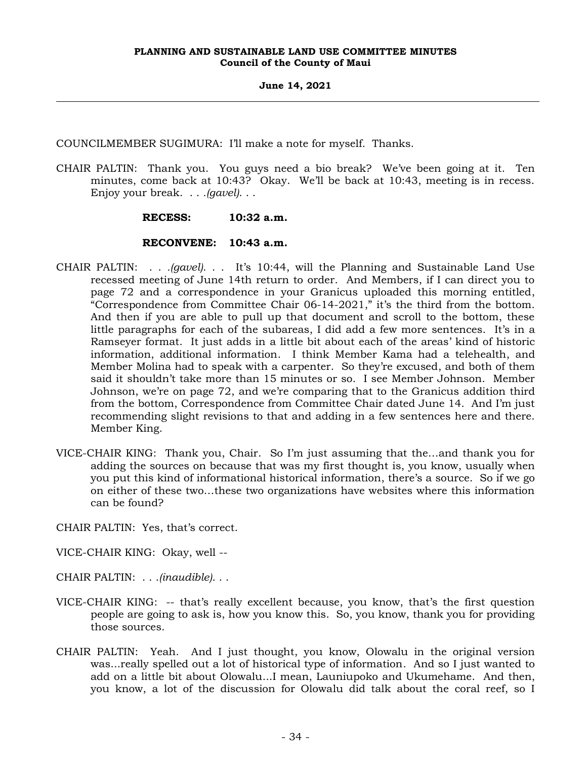COUNCILMEMBER SUGIMURA: I'll make a note for myself. Thanks.

CHAIR PALTIN: Thank you. You guys need a bio break? We've been going at it. Ten minutes, come back at 10:43? Okay. We'll be back at 10:43, meeting is in recess. Enjoy your break. . . *.(gavel)*. . .

## **RECESS: 10:32 a.m.**

## **RECONVENE: 10:43 a.m.**

- CHAIR PALTIN: . . *.(gavel)*. . . It's 10:44, will the Planning and Sustainable Land Use recessed meeting of June 14th return to order. And Members, if I can direct you to page 72 and a correspondence in your Granicus uploaded this morning entitled, "Correspondence from Committee Chair 06-14-2021," it's the third from the bottom. And then if you are able to pull up that document and scroll to the bottom, these little paragraphs for each of the subareas, I did add a few more sentences. It's in a Ramseyer format. It just adds in a little bit about each of the areas' kind of historic information, additional information. I think Member Kama had a telehealth, and Member Molina had to speak with a carpenter. So they're excused, and both of them said it shouldn't take more than 15 minutes or so. I see Member Johnson. Member Johnson, we're on page 72, and we're comparing that to the Granicus addition third from the bottom, Correspondence from Committee Chair dated June 14. And I'm just recommending slight revisions to that and adding in a few sentences here and there. Member King.
- VICE-CHAIR KING: Thank you, Chair. So I'm just assuming that the…and thank you for adding the sources on because that was my first thought is, you know, usually when you put this kind of informational historical information, there's a source. So if we go on either of these two…these two organizations have websites where this information can be found?
- CHAIR PALTIN: Yes, that's correct.
- VICE-CHAIR KING: Okay, well --
- CHAIR PALTIN: . . .*(inaudible)*. . .
- VICE-CHAIR KING: -- that's really excellent because, you know, that's the first question people are going to ask is, how you know this. So, you know, thank you for providing those sources.
- CHAIR PALTIN: Yeah. And I just thought, you know, Olowalu in the original version was...really spelled out a lot of historical type of information. And so I just wanted to add on a little bit about Olowalu...I mean, Launiupoko and Ukumehame. And then, you know, a lot of the discussion for Olowalu did talk about the coral reef, so I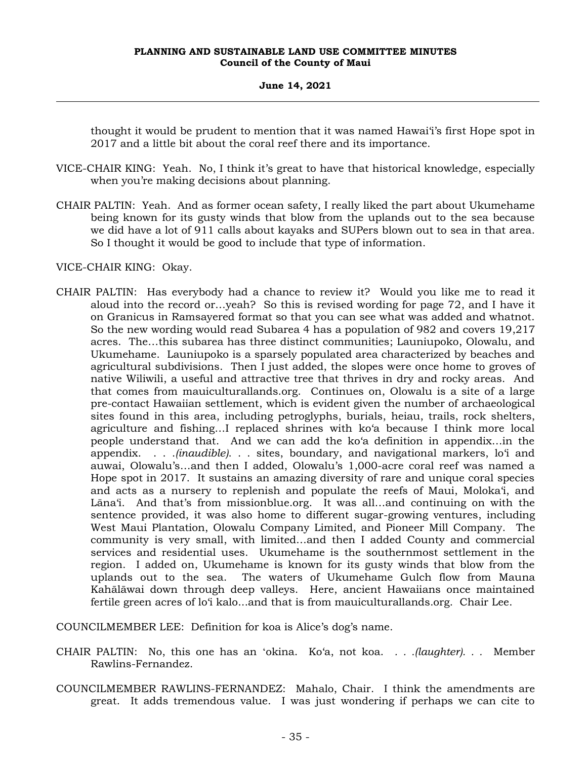thought it would be prudent to mention that it was named Hawai'i's first Hope spot in 2017 and a little bit about the coral reef there and its importance.

- VICE-CHAIR KING: Yeah. No, I think it's great to have that historical knowledge, especially when you're making decisions about planning.
- CHAIR PALTIN: Yeah. And as former ocean safety, I really liked the part about Ukumehame being known for its gusty winds that blow from the uplands out to the sea because we did have a lot of 911 calls about kayaks and SUPers blown out to sea in that area. So I thought it would be good to include that type of information.

VICE-CHAIR KING: Okay.

CHAIR PALTIN: Has everybody had a chance to review it? Would you like me to read it aloud into the record or…yeah? So this is revised wording for page 72, and I have it on Granicus in Ramsayered format so that you can see what was added and whatnot. So the new wording would read Subarea 4 has a population of 982 and covers 19,217 acres. The…this subarea has three distinct communities; Launiupoko, Olowalu, and Ukumehame. Launiupoko is a sparsely populated area characterized by beaches and agricultural subdivisions. Then I just added, the slopes were once home to groves of native Wiliwili, a useful and attractive tree that thrives in dry and rocky areas. And that comes from mauiculturallands.org. Continues on, Olowalu is a site of a large pre-contact Hawaiian settlement, which is evident given the number of archaeological sites found in this area, including petroglyphs, burials, heiau, trails, rock shelters, agriculture and fishing…I replaced shrines with ko'a because I think more local people understand that. And we can add the ko'a definition in appendix…in the appendix. . . .*(inaudible)*. . . sites, boundary, and navigational markers, lo'i and auwai, Olowalu's…and then I added, Olowalu's 1,000-acre coral reef was named a Hope spot in 2017. It sustains an amazing diversity of rare and unique coral species and acts as a nursery to replenish and populate the reefs of Maui, Moloka'i, and Lāna'i. And that's from missionblue.org. It was all…and continuing on with the sentence provided, it was also home to different sugar-growing ventures, including West Maui Plantation, Olowalu Company Limited, and Pioneer Mill Company. The community is very small, with limited…and then I added County and commercial services and residential uses. Ukumehame is the southernmost settlement in the region. I added on, Ukumehame is known for its gusty winds that blow from the uplands out to the sea. The waters of Ukumehame Gulch flow from Mauna Kahālāwai down through deep valleys. Here, ancient Hawaiians once maintained fertile green acres of lo'i kalo...and that is from mauiculturallands.org. Chair Lee.

COUNCILMEMBER LEE: Definition for koa is Alice's dog's name.

- CHAIR PALTIN: No, this one has an ʻokina. Ko'a, not koa. *. . .(laughter). . .* Member Rawlins-Fernandez.
- COUNCILMEMBER RAWLINS-FERNANDEZ: Mahalo, Chair. I think the amendments are great. It adds tremendous value. I was just wondering if perhaps we can cite to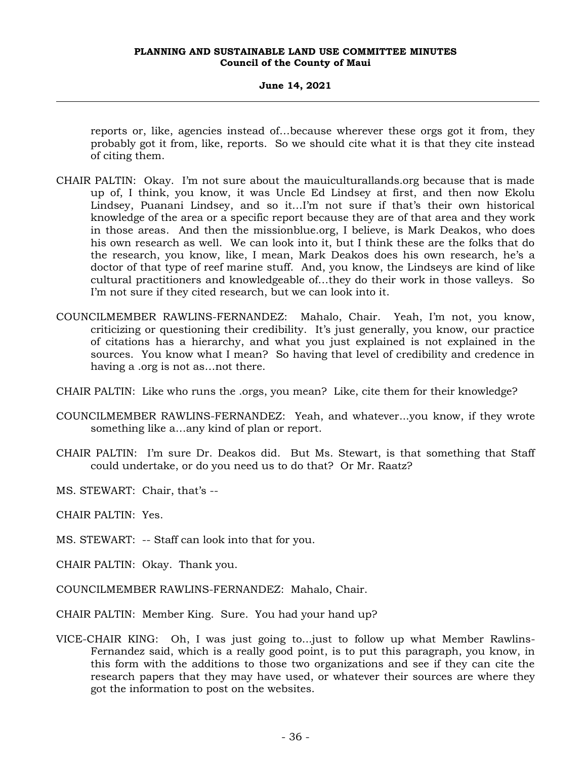reports or, like, agencies instead of…because wherever these orgs got it from, they probably got it from, like, reports. So we should cite what it is that they cite instead of citing them.

- CHAIR PALTIN: Okay. I'm not sure about the mauiculturallands.org because that is made up of, I think, you know, it was Uncle Ed Lindsey at first, and then now Ekolu Lindsey, Puanani Lindsey, and so it…I'm not sure if that's their own historical knowledge of the area or a specific report because they are of that area and they work in those areas. And then the missionblue.org, I believe, is Mark Deakos, who does his own research as well. We can look into it, but I think these are the folks that do the research, you know, like, I mean, Mark Deakos does his own research, he's a doctor of that type of reef marine stuff. And, you know, the Lindseys are kind of like cultural practitioners and knowledgeable of…they do their work in those valleys. So I'm not sure if they cited research, but we can look into it.
- COUNCILMEMBER RAWLINS-FERNANDEZ: Mahalo, Chair. Yeah, I'm not, you know, criticizing or questioning their credibility. It's just generally, you know, our practice of citations has a hierarchy, and what you just explained is not explained in the sources. You know what I mean? So having that level of credibility and credence in having a .org is not as…not there.
- CHAIR PALTIN: Like who runs the .orgs, you mean? Like, cite them for their knowledge?
- COUNCILMEMBER RAWLINS-FERNANDEZ: Yeah, and whatever...you know, if they wrote something like a…any kind of plan or report.
- CHAIR PALTIN: I'm sure Dr. Deakos did. But Ms. Stewart, is that something that Staff could undertake, or do you need us to do that? Or Mr. Raatz?
- MS. STEWART: Chair, that's --
- CHAIR PALTIN: Yes.
- MS. STEWART: -- Staff can look into that for you.
- CHAIR PALTIN: Okay. Thank you.
- COUNCILMEMBER RAWLINS-FERNANDEZ: Mahalo, Chair.
- CHAIR PALTIN: Member King. Sure. You had your hand up?
- VICE-CHAIR KING: Oh, I was just going to...just to follow up what Member Rawlins-Fernandez said, which is a really good point, is to put this paragraph, you know, in this form with the additions to those two organizations and see if they can cite the research papers that they may have used, or whatever their sources are where they got the information to post on the websites.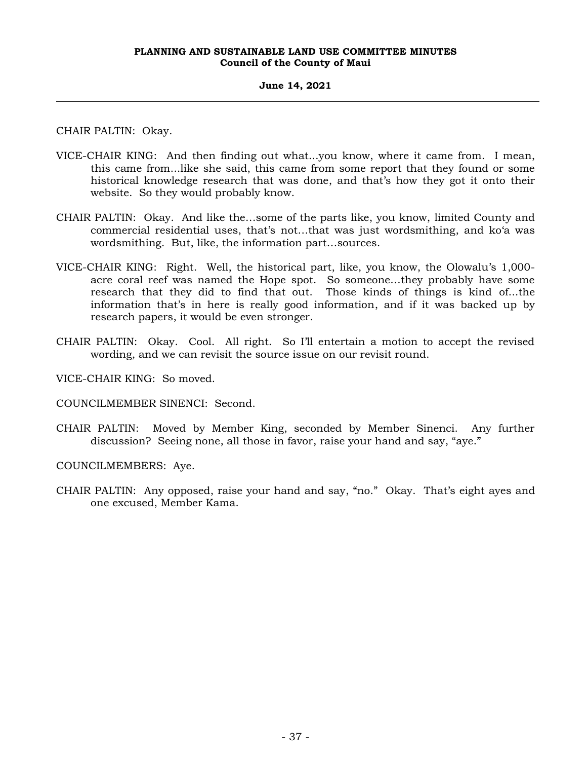## **June 14, 2021**

CHAIR PALTIN: Okay.

- VICE-CHAIR KING: And then finding out what...you know, where it came from. I mean, this came from...like she said, this came from some report that they found or some historical knowledge research that was done, and that's how they got it onto their website. So they would probably know.
- CHAIR PALTIN: Okay. And like the…some of the parts like, you know, limited County and commercial residential uses, that's not…that was just wordsmithing, and ko'a was wordsmithing. But, like, the information part…sources.
- VICE-CHAIR KING: Right. Well, the historical part, like, you know, the Olowalu's 1,000 acre coral reef was named the Hope spot. So someone…they probably have some research that they did to find that out. Those kinds of things is kind of...the information that's in here is really good information, and if it was backed up by research papers, it would be even stronger.
- CHAIR PALTIN: Okay. Cool. All right. So I'll entertain a motion to accept the revised wording, and we can revisit the source issue on our revisit round.

VICE-CHAIR KING: So moved.

COUNCILMEMBER SINENCI: Second.

CHAIR PALTIN: Moved by Member King, seconded by Member Sinenci. Any further discussion? Seeing none, all those in favor, raise your hand and say, "aye."

COUNCILMEMBERS: Aye.

CHAIR PALTIN: Any opposed, raise your hand and say, "no." Okay. That's eight ayes and one excused, Member Kama.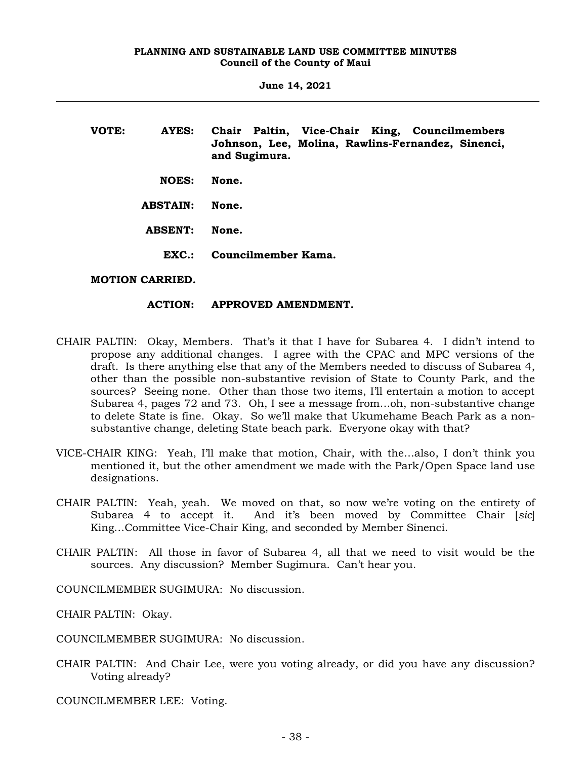| VOTE: | AYES:           | Chair Paltin, Vice-Chair King, Councilmembers<br>Johnson, Lee, Molina, Rawlins-Fernandez, Sinenci,<br>and Sugimura. |
|-------|-----------------|---------------------------------------------------------------------------------------------------------------------|
|       | <b>NOES:</b>    | None.                                                                                                               |
|       | <b>ABSTAIN:</b> | None.                                                                                                               |
|       | <b>ABSENT:</b>  | None.                                                                                                               |
|       | EXC.            | Councilmember Kama.                                                                                                 |
|       |                 |                                                                                                                     |

# **MOTION CARRIED.**

# **ACTION: APPROVED AMENDMENT.**

- CHAIR PALTIN: Okay, Members. That's it that I have for Subarea 4. I didn't intend to propose any additional changes. I agree with the CPAC and MPC versions of the draft. Is there anything else that any of the Members needed to discuss of Subarea 4, other than the possible non-substantive revision of State to County Park, and the sources? Seeing none. Other than those two items, I'll entertain a motion to accept Subarea 4, pages 72 and 73. Oh, I see a message from…oh, non-substantive change to delete State is fine. Okay. So we'll make that Ukumehame Beach Park as a nonsubstantive change, deleting State beach park. Everyone okay with that?
- VICE-CHAIR KING: Yeah, I'll make that motion, Chair, with the…also, I don't think you mentioned it, but the other amendment we made with the Park/Open Space land use designations.
- CHAIR PALTIN: Yeah, yeah. We moved on that, so now we're voting on the entirety of Subarea 4 to accept it. And it's been moved by Committee Chair [*sic*] King…Committee Vice-Chair King, and seconded by Member Sinenci.
- CHAIR PALTIN: All those in favor of Subarea 4, all that we need to visit would be the sources. Any discussion? Member Sugimura. Can't hear you.

COUNCILMEMBER SUGIMURA: No discussion.

CHAIR PALTIN: Okay.

COUNCILMEMBER SUGIMURA: No discussion.

CHAIR PALTIN: And Chair Lee, were you voting already, or did you have any discussion? Voting already?

COUNCILMEMBER LEE: Voting.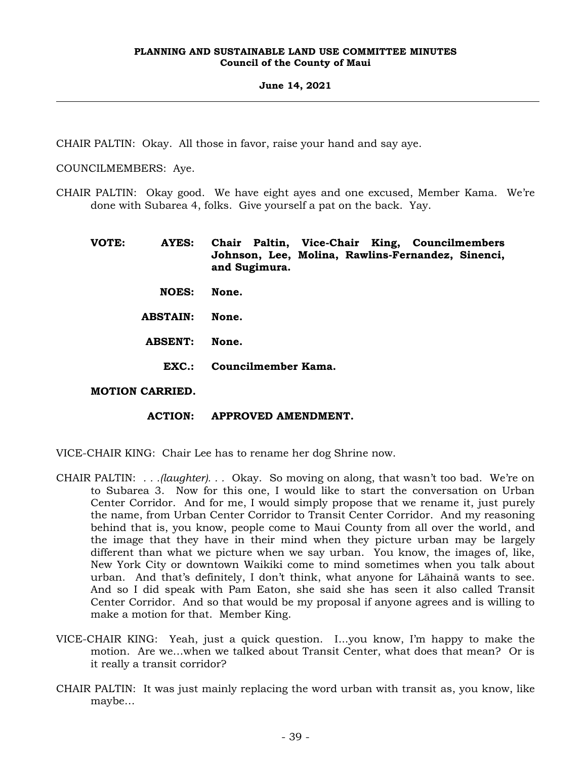## **June 14, 2021**

CHAIR PALTIN: Okay. All those in favor, raise your hand and say aye.

COUNCILMEMBERS: Aye.

CHAIR PALTIN: Okay good. We have eight ayes and one excused, Member Kama. We're done with Subarea 4, folks. Give yourself a pat on the back. Yay.

**VOTE: AYES: Chair Paltin, Vice-Chair King, Councilmembers Johnson, Lee, Molina, Rawlins-Fernandez, Sinenci, and Sugimura. NOES: None. ABSTAIN: None.**

- 
- **ABSENT: None.**
	- **EXC.: Councilmember Kama.**

#### **MOTION CARRIED.**

#### **ACTION: APPROVED AMENDMENT.**

VICE-CHAIR KING: Chair Lee has to rename her dog Shrine now.

- CHAIR PALTIN: *. . .(laughter). . .* Okay. So moving on along, that wasn't too bad. We're on to Subarea 3. Now for this one, I would like to start the conversation on Urban Center Corridor. And for me, I would simply propose that we rename it, just purely the name, from Urban Center Corridor to Transit Center Corridor. And my reasoning behind that is, you know, people come to Maui County from all over the world, and the image that they have in their mind when they picture urban may be largely different than what we picture when we say urban. You know, the images of, like, New York City or downtown Waikiki come to mind sometimes when you talk about urban. And that's definitely, I don't think, what anyone for Lāhainā wants to see. And so I did speak with Pam Eaton, she said she has seen it also called Transit Center Corridor. And so that would be my proposal if anyone agrees and is willing to make a motion for that. Member King.
- VICE-CHAIR KING: Yeah, just a quick question. I...you know, I'm happy to make the motion. Are we…when we talked about Transit Center, what does that mean? Or is it really a transit corridor?
- CHAIR PALTIN: It was just mainly replacing the word urban with transit as, you know, like maybe…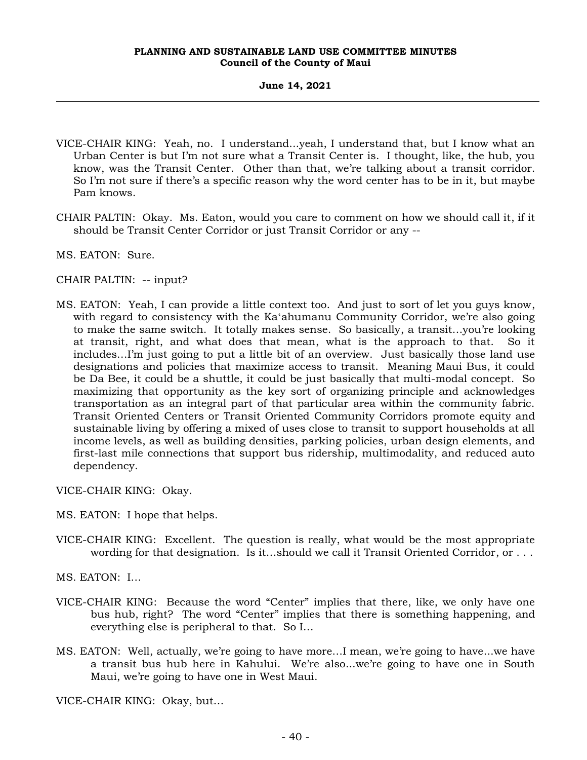- VICE-CHAIR KING: Yeah, no. I understand...yeah, I understand that, but I know what an Urban Center is but I'm not sure what a Transit Center is. I thought, like, the hub, you know, was the Transit Center. Other than that, we're talking about a transit corridor. So I'm not sure if there's a specific reason why the word center has to be in it, but maybe Pam knows.
- CHAIR PALTIN: Okay. Ms. Eaton, would you care to comment on how we should call it, if it should be Transit Center Corridor or just Transit Corridor or any --
- MS. EATON: Sure.
- CHAIR PALTIN: -- input?
- MS. EATON: Yeah, I can provide a little context too. And just to sort of let you guys know, with regard to consistency with the Kaʻahumanu Community Corridor, we're also going to make the same switch. It totally makes sense. So basically, a transit…you're looking at transit, right, and what does that mean, what is the approach to that. So it includes…I'm just going to put a little bit of an overview. Just basically those land use designations and policies that maximize access to transit. Meaning Maui Bus, it could be Da Bee, it could be a shuttle, it could be just basically that multi-modal concept. So maximizing that opportunity as the key sort of organizing principle and acknowledges transportation as an integral part of that particular area within the community fabric. Transit Oriented Centers or Transit Oriented Community Corridors promote equity and sustainable living by offering a mixed of uses close to transit to support households at all income levels, as well as building densities, parking policies, urban design elements, and first-last mile connections that support bus ridership, multimodality, and reduced auto dependency.

VICE-CHAIR KING: Okay.

- MS. EATON: I hope that helps.
- VICE-CHAIR KING: Excellent. The question is really, what would be the most appropriate wording for that designation. Is it...should we call it Transit Oriented Corridor, or . . .

MS. EATON: I…

- VICE-CHAIR KING: Because the word "Center" implies that there, like, we only have one bus hub, right? The word "Center" implies that there is something happening, and everything else is peripheral to that. So I…
- MS. EATON: Well, actually, we're going to have more…I mean, we're going to have...we have a transit bus hub here in Kahului. We're also...we're going to have one in South Maui, we're going to have one in West Maui.

VICE-CHAIR KING: Okay, but…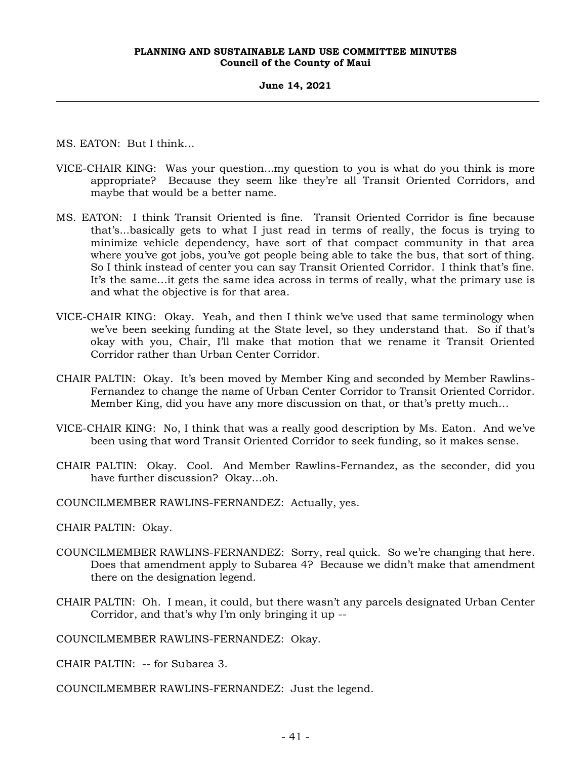#### **June 14, 2021**

MS. EATON: But I think…

- VICE-CHAIR KING: Was your question...my question to you is what do you think is more appropriate? Because they seem like they're all Transit Oriented Corridors, and maybe that would be a better name.
- MS. EATON: I think Transit Oriented is fine. Transit Oriented Corridor is fine because that's...basically gets to what I just read in terms of really, the focus is trying to minimize vehicle dependency, have sort of that compact community in that area where you've got jobs, you've got people being able to take the bus, that sort of thing. So I think instead of center you can say Transit Oriented Corridor. I think that's fine. It's the same…it gets the same idea across in terms of really, what the primary use is and what the objective is for that area.
- VICE-CHAIR KING: Okay. Yeah, and then I think we've used that same terminology when we've been seeking funding at the State level, so they understand that. So if that's okay with you, Chair, I'll make that motion that we rename it Transit Oriented Corridor rather than Urban Center Corridor.
- CHAIR PALTIN: Okay. It's been moved by Member King and seconded by Member Rawlins-Fernandez to change the name of Urban Center Corridor to Transit Oriented Corridor. Member King, did you have any more discussion on that, or that's pretty much…
- VICE-CHAIR KING: No, I think that was a really good description by Ms. Eaton. And we've been using that word Transit Oriented Corridor to seek funding, so it makes sense.
- CHAIR PALTIN: Okay. Cool. And Member Rawlins-Fernandez, as the seconder, did you have further discussion? Okay…oh.
- COUNCILMEMBER RAWLINS-FERNANDEZ: Actually, yes.

CHAIR PALTIN: Okay.

- COUNCILMEMBER RAWLINS-FERNANDEZ: Sorry, real quick. So we're changing that here. Does that amendment apply to Subarea 4? Because we didn't make that amendment there on the designation legend.
- CHAIR PALTIN: Oh. I mean, it could, but there wasn't any parcels designated Urban Center Corridor, and that's why I'm only bringing it up --

COUNCILMEMBER RAWLINS-FERNANDEZ: Okay.

CHAIR PALTIN: -- for Subarea 3.

COUNCILMEMBER RAWLINS-FERNANDEZ: Just the legend.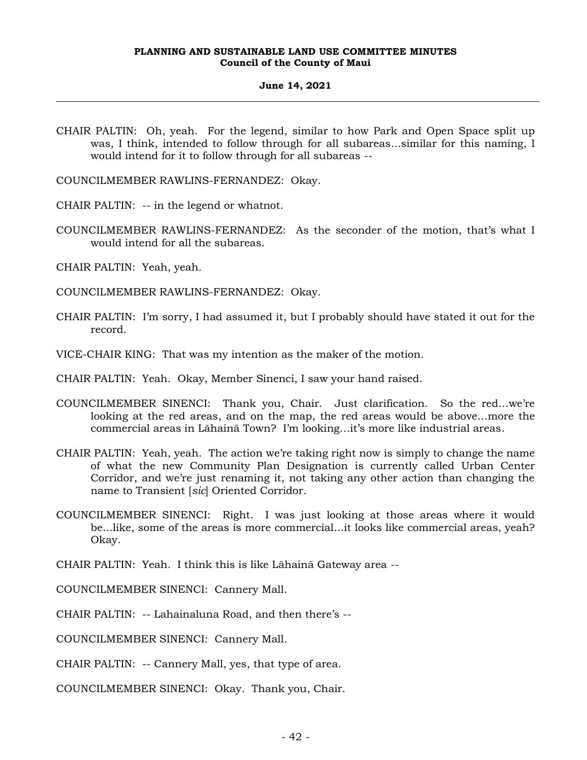#### **June 14, 2021**

CHAIR PALTIN: Oh, yeah. For the legend, similar to how Park and Open Space split up was, I think, intended to follow through for all subareas...similar for this naming, I would intend for it to follow through for all subareas --

COUNCILMEMBER RAWLINS-FERNANDEZ: Okay.

CHAIR PALTIN: -- in the legend or whatnot.

- COUNCILMEMBER RAWLINS-FERNANDEZ: As the seconder of the motion, that's what I would intend for all the subareas.
- CHAIR PALTIN: Yeah, yeah.
- COUNCILMEMBER RAWLINS-FERNANDEZ: Okay.
- CHAIR PALTIN: I'm sorry, I had assumed it, but I probably should have stated it out for the record.
- VICE-CHAIR KING: That was my intention as the maker of the motion.
- CHAIR PALTIN: Yeah. Okay, Member Sinenci, I saw your hand raised.
- COUNCILMEMBER SINENCI: Thank you, Chair. Just clarification. So the red…we're looking at the red areas, and on the map, the red areas would be above…more the commercial areas in Lāhainā Town? I'm looking…it's more like industrial areas.
- CHAIR PALTIN: Yeah, yeah. The action we're taking right now is simply to change the name of what the new Community Plan Designation is currently called Urban Center Corridor, and we're just renaming it, not taking any other action than changing the name to Transient [*sic*] Oriented Corridor.
- COUNCILMEMBER SINENCI: Right. I was just looking at those areas where it would be...like, some of the areas is more commercial...it looks like commercial areas, yeah? Okay.

CHAIR PALTIN: Yeah. I think this is like Lāhainā Gateway area --

COUNCILMEMBER SINENCI: Cannery Mall.

CHAIR PALTIN: -- Lahainaluna Road, and then there's --

COUNCILMEMBER SINENCI: Cannery Mall.

CHAIR PALTIN: -- Cannery Mall, yes, that type of area.

COUNCILMEMBER SINENCI: Okay. Thank you, Chair.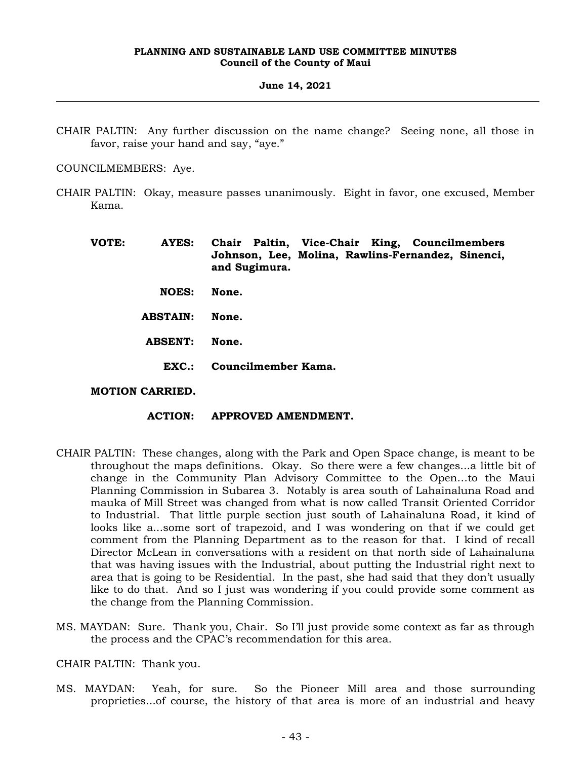#### **June 14, 2021**

CHAIR PALTIN: Any further discussion on the name change? Seeing none, all those in favor, raise your hand and say, "aye."

COUNCILMEMBERS: Aye.

- CHAIR PALTIN: Okay, measure passes unanimously. Eight in favor, one excused, Member Kama.
	- **VOTE: AYES: Chair Paltin, Vice-Chair King, Councilmembers Johnson, Lee, Molina, Rawlins-Fernandez, Sinenci, and Sugimura.**
		- **NOES: None.**
		- **ABSTAIN: None.**
		- **ABSENT: None.**
			- **EXC.: Councilmember Kama.**

#### **MOTION CARRIED.**

- **ACTION: APPROVED AMENDMENT.**
- CHAIR PALTIN: These changes, along with the Park and Open Space change, is meant to be throughout the maps definitions. Okay. So there were a few changes...a little bit of change in the Community Plan Advisory Committee to the Open…to the Maui Planning Commission in Subarea 3. Notably is area south of Lahainaluna Road and mauka of Mill Street was changed from what is now called Transit Oriented Corridor to Industrial. That little purple section just south of Lahainaluna Road, it kind of looks like a...some sort of trapezoid, and I was wondering on that if we could get comment from the Planning Department as to the reason for that. I kind of recall Director McLean in conversations with a resident on that north side of Lahainaluna that was having issues with the Industrial, about putting the Industrial right next to area that is going to be Residential. In the past, she had said that they don't usually like to do that. And so I just was wondering if you could provide some comment as the change from the Planning Commission.
- MS. MAYDAN: Sure. Thank you, Chair. So I'll just provide some context as far as through the process and the CPAC's recommendation for this area.

#### CHAIR PALTIN: Thank you.

MS. MAYDAN: Yeah, for sure. So the Pioneer Mill area and those surrounding proprieties...of course, the history of that area is more of an industrial and heavy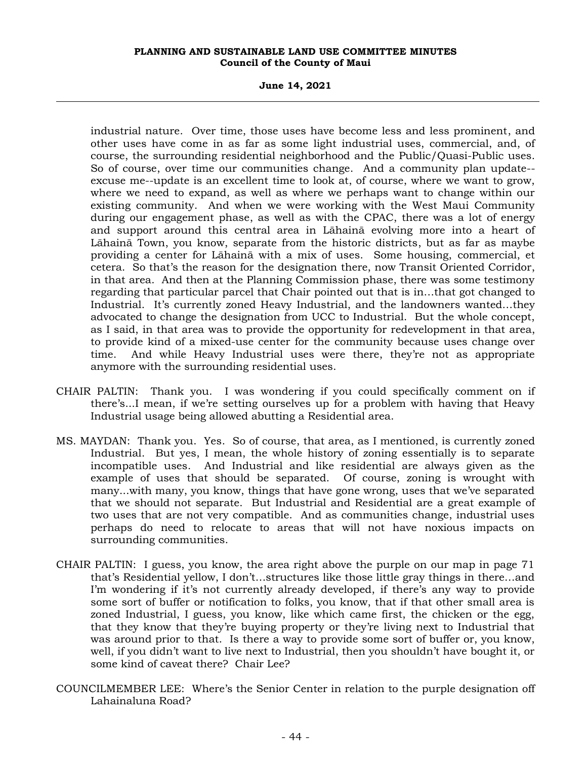**June 14, 2021**

industrial nature. Over time, those uses have become less and less prominent, and other uses have come in as far as some light industrial uses, commercial, and, of course, the surrounding residential neighborhood and the Public/Quasi-Public uses. So of course, over time our communities change. And a community plan update- excuse me--update is an excellent time to look at, of course, where we want to grow, where we need to expand, as well as where we perhaps want to change within our existing community. And when we were working with the West Maui Community during our engagement phase, as well as with the CPAC, there was a lot of energy and support around this central area in Lāhainā evolving more into a heart of Lāhainā Town, you know, separate from the historic districts, but as far as maybe providing a center for Lāhainā with a mix of uses. Some housing, commercial, et cetera. So that's the reason for the designation there, now Transit Oriented Corridor, in that area. And then at the Planning Commission phase, there was some testimony regarding that particular parcel that Chair pointed out that is in…that got changed to Industrial. It's currently zoned Heavy Industrial, and the landowners wanted…they advocated to change the designation from UCC to Industrial. But the whole concept, as I said, in that area was to provide the opportunity for redevelopment in that area, to provide kind of a mixed-use center for the community because uses change over time. And while Heavy Industrial uses were there, they're not as appropriate anymore with the surrounding residential uses.

- CHAIR PALTIN: Thank you. I was wondering if you could specifically comment on if there's...I mean, if we're setting ourselves up for a problem with having that Heavy Industrial usage being allowed abutting a Residential area.
- MS. MAYDAN: Thank you. Yes. So of course, that area, as I mentioned, is currently zoned Industrial. But yes, I mean, the whole history of zoning essentially is to separate incompatible uses. And Industrial and like residential are always given as the example of uses that should be separated. Of course, zoning is wrought with many...with many, you know, things that have gone wrong, uses that we've separated that we should not separate. But Industrial and Residential are a great example of two uses that are not very compatible. And as communities change, industrial uses perhaps do need to relocate to areas that will not have noxious impacts on surrounding communities.
- CHAIR PALTIN: I guess, you know, the area right above the purple on our map in page 71 that's Residential yellow, I don't…structures like those little gray things in there…and I'm wondering if it's not currently already developed, if there's any way to provide some sort of buffer or notification to folks, you know, that if that other small area is zoned Industrial, I guess, you know, like which came first, the chicken or the egg, that they know that they're buying property or they're living next to Industrial that was around prior to that. Is there a way to provide some sort of buffer or, you know, well, if you didn't want to live next to Industrial, then you shouldn't have bought it, or some kind of caveat there? Chair Lee?
- COUNCILMEMBER LEE: Where's the Senior Center in relation to the purple designation off Lahainaluna Road?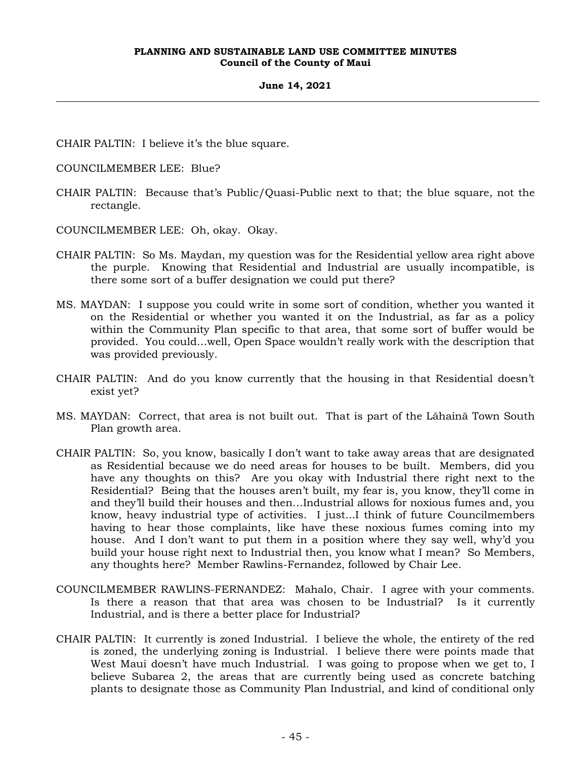#### **June 14, 2021**

CHAIR PALTIN: I believe it's the blue square.

- COUNCILMEMBER LEE: Blue?
- CHAIR PALTIN: Because that's Public/Quasi-Public next to that; the blue square, not the rectangle.
- COUNCILMEMBER LEE: Oh, okay. Okay.
- CHAIR PALTIN: So Ms. Maydan, my question was for the Residential yellow area right above the purple. Knowing that Residential and Industrial are usually incompatible, is there some sort of a buffer designation we could put there?
- MS. MAYDAN: I suppose you could write in some sort of condition, whether you wanted it on the Residential or whether you wanted it on the Industrial, as far as a policy within the Community Plan specific to that area, that some sort of buffer would be provided. You could…well, Open Space wouldn't really work with the description that was provided previously.
- CHAIR PALTIN: And do you know currently that the housing in that Residential doesn't exist yet?
- MS. MAYDAN: Correct, that area is not built out. That is part of the Lāhainā Town South Plan growth area.
- CHAIR PALTIN: So, you know, basically I don't want to take away areas that are designated as Residential because we do need areas for houses to be built. Members, did you have any thoughts on this? Are you okay with Industrial there right next to the Residential? Being that the houses aren't built, my fear is, you know, they'll come in and they'll build their houses and then…Industrial allows for noxious fumes and, you know, heavy industrial type of activities. I just...I think of future Councilmembers having to hear those complaints, like have these noxious fumes coming into my house. And I don't want to put them in a position where they say well, why'd you build your house right next to Industrial then, you know what I mean? So Members, any thoughts here? Member Rawlins-Fernandez, followed by Chair Lee.
- COUNCILMEMBER RAWLINS-FERNANDEZ: Mahalo, Chair. I agree with your comments. Is there a reason that that area was chosen to be Industrial? Is it currently Industrial, and is there a better place for Industrial?
- CHAIR PALTIN: It currently is zoned Industrial. I believe the whole, the entirety of the red is zoned, the underlying zoning is Industrial. I believe there were points made that West Maui doesn't have much Industrial. I was going to propose when we get to, I believe Subarea 2, the areas that are currently being used as concrete batching plants to designate those as Community Plan Industrial, and kind of conditional only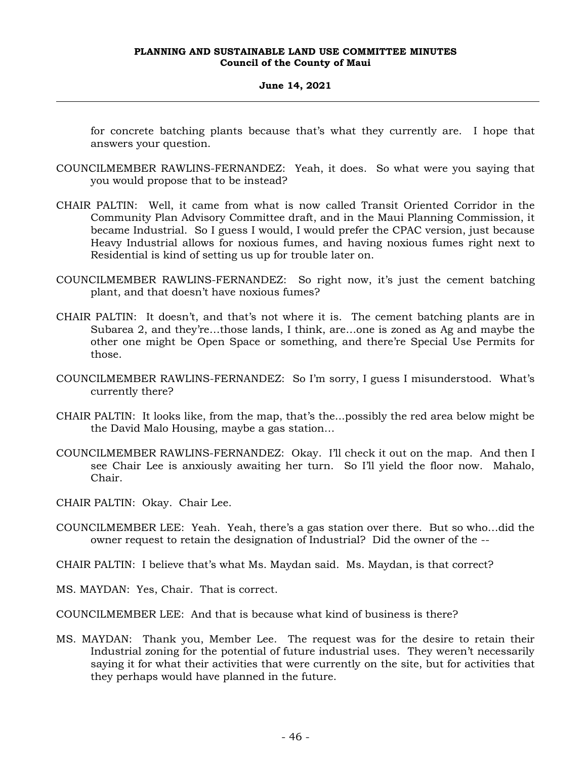# **June 14, 2021**

for concrete batching plants because that's what they currently are. I hope that answers your question.

- COUNCILMEMBER RAWLINS-FERNANDEZ: Yeah, it does. So what were you saying that you would propose that to be instead?
- CHAIR PALTIN: Well, it came from what is now called Transit Oriented Corridor in the Community Plan Advisory Committee draft, and in the Maui Planning Commission, it became Industrial. So I guess I would, I would prefer the CPAC version, just because Heavy Industrial allows for noxious fumes, and having noxious fumes right next to Residential is kind of setting us up for trouble later on.
- COUNCILMEMBER RAWLINS-FERNANDEZ: So right now, it's just the cement batching plant, and that doesn't have noxious fumes?
- CHAIR PALTIN: It doesn't, and that's not where it is. The cement batching plants are in Subarea 2, and they're…those lands, I think, are…one is zoned as Ag and maybe the other one might be Open Space or something, and there're Special Use Permits for those.
- COUNCILMEMBER RAWLINS-FERNANDEZ: So I'm sorry, I guess I misunderstood. What's currently there?
- CHAIR PALTIN: It looks like, from the map, that's the...possibly the red area below might be the David Malo Housing, maybe a gas station…
- COUNCILMEMBER RAWLINS-FERNANDEZ: Okay. I'll check it out on the map. And then I see Chair Lee is anxiously awaiting her turn. So I'll yield the floor now. Mahalo, Chair.
- CHAIR PALTIN: Okay. Chair Lee.
- COUNCILMEMBER LEE: Yeah. Yeah, there's a gas station over there. But so who…did the owner request to retain the designation of Industrial? Did the owner of the --
- CHAIR PALTIN: I believe that's what Ms. Maydan said. Ms. Maydan, is that correct?
- MS. MAYDAN: Yes, Chair. That is correct.
- COUNCILMEMBER LEE: And that is because what kind of business is there?
- MS. MAYDAN: Thank you, Member Lee. The request was for the desire to retain their Industrial zoning for the potential of future industrial uses. They weren't necessarily saying it for what their activities that were currently on the site, but for activities that they perhaps would have planned in the future.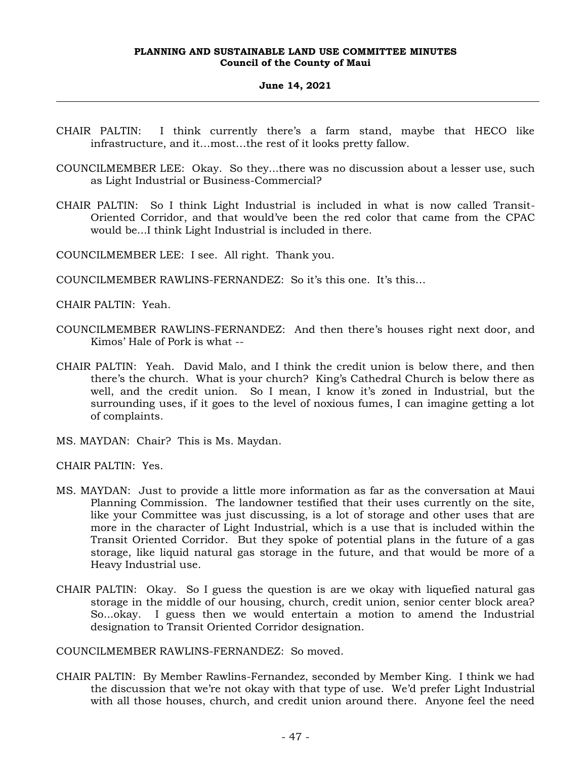## **June 14, 2021**

- CHAIR PALTIN: I think currently there's a farm stand, maybe that HECO like infrastructure, and it…most…the rest of it looks pretty fallow.
- COUNCILMEMBER LEE: Okay. So they...there was no discussion about a lesser use, such as Light Industrial or Business-Commercial?
- CHAIR PALTIN: So I think Light Industrial is included in what is now called Transit-Oriented Corridor, and that would've been the red color that came from the CPAC would be...I think Light Industrial is included in there.

COUNCILMEMBER LEE: I see. All right. Thank you.

COUNCILMEMBER RAWLINS-FERNANDEZ: So it's this one. It's this…

CHAIR PALTIN: Yeah.

- COUNCILMEMBER RAWLINS-FERNANDEZ: And then there's houses right next door, and Kimos' Hale of Pork is what --
- CHAIR PALTIN: Yeah. David Malo, and I think the credit union is below there, and then there's the church. What is your church? King's Cathedral Church is below there as well, and the credit union. So I mean, I know it's zoned in Industrial, but the surrounding uses, if it goes to the level of noxious fumes, I can imagine getting a lot of complaints.
- MS. MAYDAN: Chair? This is Ms. Maydan.

CHAIR PALTIN: Yes.

- MS. MAYDAN: Just to provide a little more information as far as the conversation at Maui Planning Commission. The landowner testified that their uses currently on the site, like your Committee was just discussing, is a lot of storage and other uses that are more in the character of Light Industrial, which is a use that is included within the Transit Oriented Corridor. But they spoke of potential plans in the future of a gas storage, like liquid natural gas storage in the future, and that would be more of a Heavy Industrial use.
- CHAIR PALTIN: Okay. So I guess the question is are we okay with liquefied natural gas storage in the middle of our housing, church, credit union, senior center block area? So...okay. I guess then we would entertain a motion to amend the Industrial designation to Transit Oriented Corridor designation.

COUNCILMEMBER RAWLINS-FERNANDEZ: So moved.

CHAIR PALTIN: By Member Rawlins-Fernandez, seconded by Member King. I think we had the discussion that we're not okay with that type of use. We'd prefer Light Industrial with all those houses, church, and credit union around there. Anyone feel the need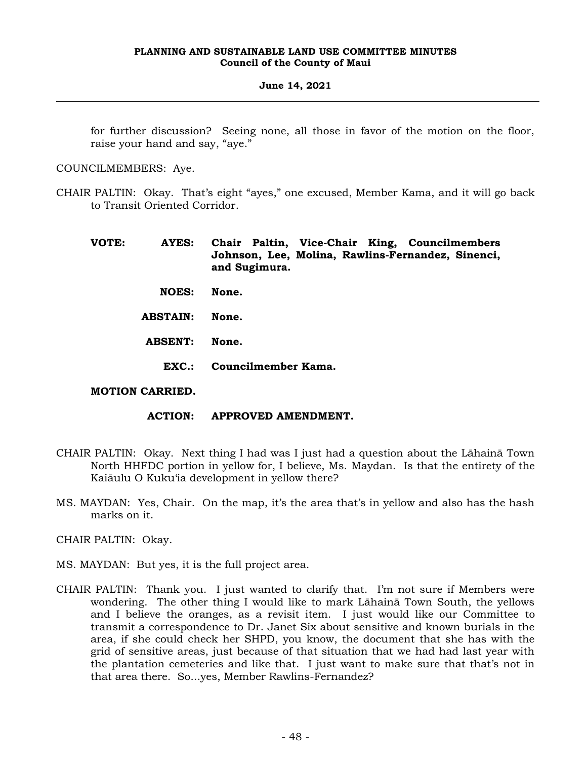## **June 14, 2021**

for further discussion? Seeing none, all those in favor of the motion on the floor, raise your hand and say, "aye."

COUNCILMEMBERS: Aye.

- CHAIR PALTIN: Okay. That's eight "ayes," one excused, Member Kama, and it will go back to Transit Oriented Corridor.
	- **VOTE: AYES: Chair Paltin, Vice-Chair King, Councilmembers Johnson, Lee, Molina, Rawlins-Fernandez, Sinenci, and Sugimura. NOES: None. ABSTAIN: None. ABSENT: None. EXC.: Councilmember Kama.**

# **MOTION CARRIED.**

# **ACTION: APPROVED AMENDMENT.**

- CHAIR PALTIN: Okay. Next thing I had was I just had a question about the Lāhainā Town North HHFDC portion in yellow for, I believe, Ms. Maydan. Is that the entirety of the Kaiāulu O Kuku'ia development in yellow there?
- MS. MAYDAN: Yes, Chair. On the map, it's the area that's in yellow and also has the hash marks on it.

CHAIR PALTIN: Okay.

- MS. MAYDAN: But yes, it is the full project area.
- CHAIR PALTIN: Thank you. I just wanted to clarify that. I'm not sure if Members were wondering. The other thing I would like to mark Lāhainā Town South, the yellows and I believe the oranges, as a revisit item. I just would like our Committee to transmit a correspondence to Dr. Janet Six about sensitive and known burials in the area, if she could check her SHPD, you know, the document that she has with the grid of sensitive areas, just because of that situation that we had had last year with the plantation cemeteries and like that. I just want to make sure that that's not in that area there. So...yes, Member Rawlins-Fernandez?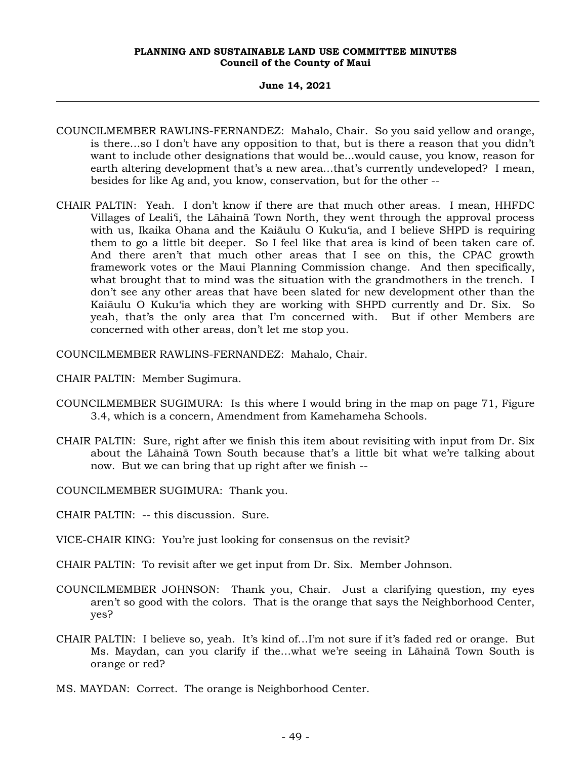#### **June 14, 2021**

- COUNCILMEMBER RAWLINS-FERNANDEZ: Mahalo, Chair. So you said yellow and orange, is there…so I don't have any opposition to that, but is there a reason that you didn't want to include other designations that would be...would cause, you know, reason for earth altering development that's a new area…that's currently undeveloped? I mean, besides for like Ag and, you know, conservation, but for the other --
- CHAIR PALTIN: Yeah. I don't know if there are that much other areas. I mean, HHFDC Villages of Leali'i, the Lāhainā Town North, they went through the approval process with us, Ikaika Ohana and the Kaiāulu O Kuku'ia, and I believe SHPD is requiring them to go a little bit deeper. So I feel like that area is kind of been taken care of. And there aren't that much other areas that I see on this, the CPAC growth framework votes or the Maui Planning Commission change. And then specifically, what brought that to mind was the situation with the grandmothers in the trench. I don't see any other areas that have been slated for new development other than the Kaiāulu O Kuku'ia which they are working with SHPD currently and Dr. Six. So yeah, that's the only area that I'm concerned with. But if other Members are concerned with other areas, don't let me stop you.

COUNCILMEMBER RAWLINS-FERNANDEZ: Mahalo, Chair.

CHAIR PALTIN: Member Sugimura.

- COUNCILMEMBER SUGIMURA: Is this where I would bring in the map on page 71, Figure 3.4, which is a concern, Amendment from Kamehameha Schools.
- CHAIR PALTIN: Sure, right after we finish this item about revisiting with input from Dr. Six about the Lāhainā Town South because that's a little bit what we're talking about now. But we can bring that up right after we finish --

COUNCILMEMBER SUGIMURA: Thank you.

CHAIR PALTIN: -- this discussion. Sure.

VICE-CHAIR KING: You're just looking for consensus on the revisit?

CHAIR PALTIN: To revisit after we get input from Dr. Six. Member Johnson.

- COUNCILMEMBER JOHNSON: Thank you, Chair. Just a clarifying question, my eyes aren't so good with the colors. That is the orange that says the Neighborhood Center, yes?
- CHAIR PALTIN: I believe so, yeah. It's kind of…I'm not sure if it's faded red or orange. But Ms. Maydan, can you clarify if the…what we're seeing in Lāhainā Town South is orange or red?

MS. MAYDAN: Correct. The orange is Neighborhood Center.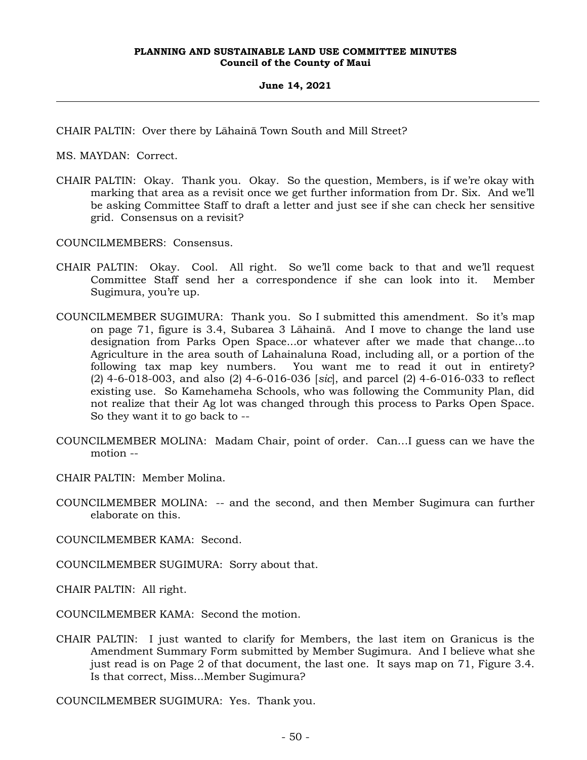CHAIR PALTIN: Over there by Lāhainā Town South and Mill Street?

MS. MAYDAN: Correct.

CHAIR PALTIN: Okay. Thank you. Okay. So the question, Members, is if we're okay with marking that area as a revisit once we get further information from Dr. Six. And we'll be asking Committee Staff to draft a letter and just see if she can check her sensitive grid. Consensus on a revisit?

COUNCILMEMBERS: Consensus.

- CHAIR PALTIN: Okay. Cool. All right. So we'll come back to that and we'll request Committee Staff send her a correspondence if she can look into it. Member Sugimura, you're up.
- COUNCILMEMBER SUGIMURA: Thank you. So I submitted this amendment. So it's map on page 71, figure is 3.4, Subarea 3 Lāhainā. And I move to change the land use designation from Parks Open Space...or whatever after we made that change...to Agriculture in the area south of Lahainaluna Road, including all, or a portion of the following tax map key numbers. You want me to read it out in entirety? (2) 4-6-018-003, and also (2) 4-6-016-036 [*sic*], and parcel (2) 4-6-016-033 to reflect existing use. So Kamehameha Schools, who was following the Community Plan, did not realize that their Ag lot was changed through this process to Parks Open Space. So they want it to go back to --
- COUNCILMEMBER MOLINA: Madam Chair, point of order. Can…I guess can we have the motion --

CHAIR PALTIN: Member Molina.

COUNCILMEMBER MOLINA: -- and the second, and then Member Sugimura can further elaborate on this.

COUNCILMEMBER KAMA: Second.

COUNCILMEMBER SUGIMURA: Sorry about that.

CHAIR PALTIN: All right.

COUNCILMEMBER KAMA: Second the motion.

CHAIR PALTIN: I just wanted to clarify for Members, the last item on Granicus is the Amendment Summary Form submitted by Member Sugimura. And I believe what she just read is on Page 2 of that document, the last one. It says map on 71, Figure 3.4. Is that correct, Miss...Member Sugimura?

COUNCILMEMBER SUGIMURA: Yes. Thank you.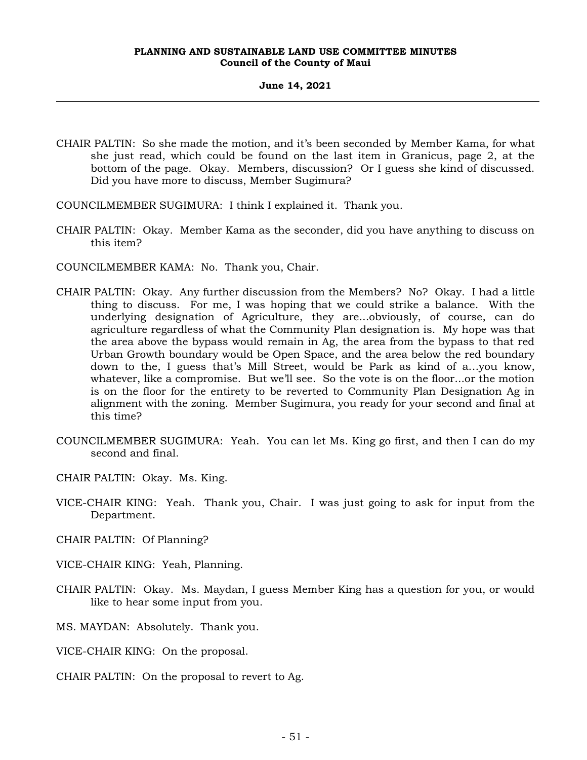- CHAIR PALTIN: So she made the motion, and it's been seconded by Member Kama, for what she just read, which could be found on the last item in Granicus, page 2, at the bottom of the page. Okay. Members, discussion? Or I guess she kind of discussed. Did you have more to discuss, Member Sugimura?
- COUNCILMEMBER SUGIMURA: I think I explained it. Thank you.
- CHAIR PALTIN: Okay. Member Kama as the seconder, did you have anything to discuss on this item?
- COUNCILMEMBER KAMA: No. Thank you, Chair.
- CHAIR PALTIN: Okay. Any further discussion from the Members? No? Okay. I had a little thing to discuss. For me, I was hoping that we could strike a balance. With the underlying designation of Agriculture, they are...obviously, of course, can do agriculture regardless of what the Community Plan designation is. My hope was that the area above the bypass would remain in Ag, the area from the bypass to that red Urban Growth boundary would be Open Space, and the area below the red boundary down to the, I guess that's Mill Street, would be Park as kind of a...you know, whatever, like a compromise. But we'll see. So the vote is on the floor...or the motion is on the floor for the entirety to be reverted to Community Plan Designation Ag in alignment with the zoning. Member Sugimura, you ready for your second and final at this time?
- COUNCILMEMBER SUGIMURA: Yeah. You can let Ms. King go first, and then I can do my second and final.
- CHAIR PALTIN: Okay. Ms. King.
- VICE-CHAIR KING: Yeah. Thank you, Chair. I was just going to ask for input from the Department.
- CHAIR PALTIN: Of Planning?
- VICE-CHAIR KING: Yeah, Planning.
- CHAIR PALTIN: Okay. Ms. Maydan, I guess Member King has a question for you, or would like to hear some input from you.
- MS. MAYDAN: Absolutely. Thank you.
- VICE-CHAIR KING: On the proposal.
- CHAIR PALTIN: On the proposal to revert to Ag.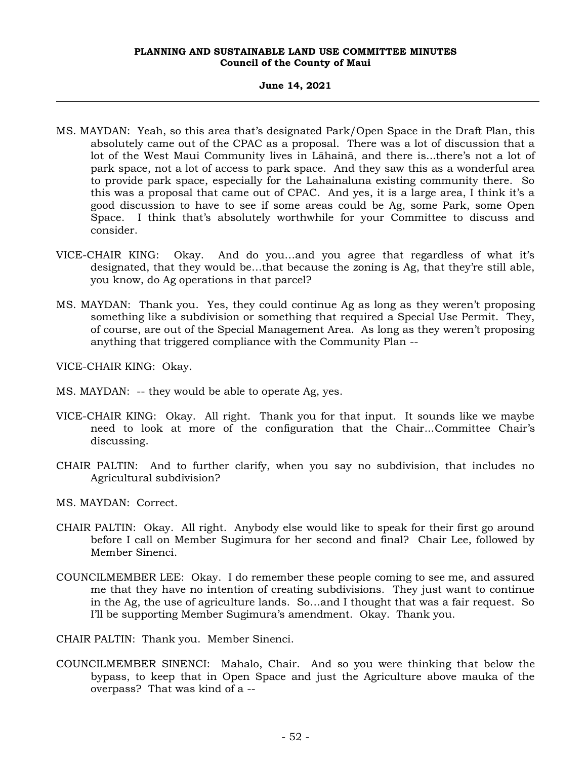#### **June 14, 2021**

- MS. MAYDAN: Yeah, so this area that's designated Park/Open Space in the Draft Plan, this absolutely came out of the CPAC as a proposal. There was a lot of discussion that a lot of the West Maui Community lives in Lāhainā, and there is...there's not a lot of park space, not a lot of access to park space. And they saw this as a wonderful area to provide park space, especially for the Lahainaluna existing community there. So this was a proposal that came out of CPAC. And yes, it is a large area, I think it's a good discussion to have to see if some areas could be Ag, some Park, some Open Space. I think that's absolutely worthwhile for your Committee to discuss and consider.
- VICE-CHAIR KING: Okay. And do you…and you agree that regardless of what it's designated, that they would be…that because the zoning is Ag, that they're still able, you know, do Ag operations in that parcel?
- MS. MAYDAN: Thank you. Yes, they could continue Ag as long as they weren't proposing something like a subdivision or something that required a Special Use Permit. They, of course, are out of the Special Management Area. As long as they weren't proposing anything that triggered compliance with the Community Plan --

VICE-CHAIR KING: Okay.

- MS. MAYDAN: -- they would be able to operate Ag, yes.
- VICE-CHAIR KING: Okay. All right. Thank you for that input. It sounds like we maybe need to look at more of the configuration that the Chair...Committee Chair's discussing.
- CHAIR PALTIN: And to further clarify, when you say no subdivision, that includes no Agricultural subdivision?
- MS. MAYDAN: Correct.
- CHAIR PALTIN: Okay. All right. Anybody else would like to speak for their first go around before I call on Member Sugimura for her second and final? Chair Lee, followed by Member Sinenci.
- COUNCILMEMBER LEE: Okay. I do remember these people coming to see me, and assured me that they have no intention of creating subdivisions. They just want to continue in the Ag, the use of agriculture lands. So…and I thought that was a fair request. So I'll be supporting Member Sugimura's amendment. Okay. Thank you.

CHAIR PALTIN: Thank you. Member Sinenci.

COUNCILMEMBER SINENCI: Mahalo, Chair. And so you were thinking that below the bypass, to keep that in Open Space and just the Agriculture above mauka of the overpass? That was kind of a --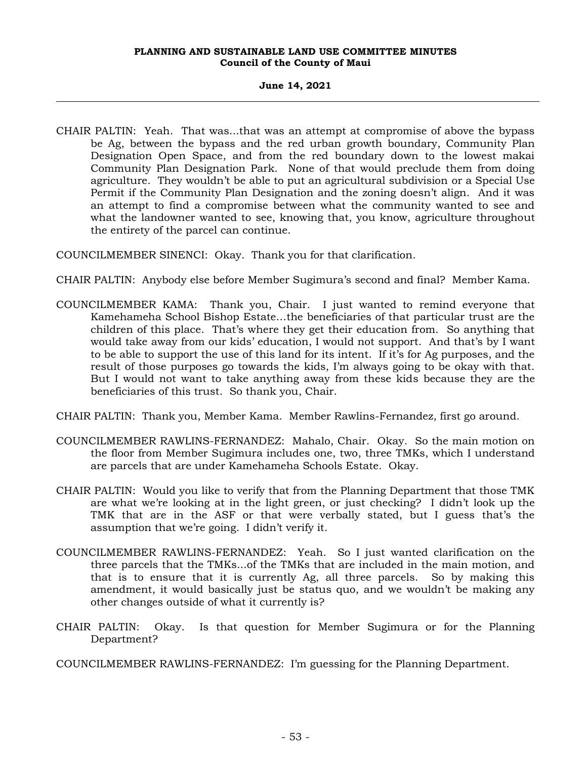## **June 14, 2021**

- CHAIR PALTIN: Yeah. That was...that was an attempt at compromise of above the bypass be Ag, between the bypass and the red urban growth boundary, Community Plan Designation Open Space, and from the red boundary down to the lowest makai Community Plan Designation Park. None of that would preclude them from doing agriculture. They wouldn't be able to put an agricultural subdivision or a Special Use Permit if the Community Plan Designation and the zoning doesn't align. And it was an attempt to find a compromise between what the community wanted to see and what the landowner wanted to see, knowing that, you know, agriculture throughout the entirety of the parcel can continue.
- COUNCILMEMBER SINENCI: Okay. Thank you for that clarification.
- CHAIR PALTIN: Anybody else before Member Sugimura's second and final? Member Kama.
- COUNCILMEMBER KAMA: Thank you, Chair. I just wanted to remind everyone that Kamehameha School Bishop Estate…the beneficiaries of that particular trust are the children of this place. That's where they get their education from. So anything that would take away from our kids' education, I would not support. And that's by I want to be able to support the use of this land for its intent. If it's for Ag purposes, and the result of those purposes go towards the kids, I'm always going to be okay with that. But I would not want to take anything away from these kids because they are the beneficiaries of this trust. So thank you, Chair.
- CHAIR PALTIN: Thank you, Member Kama. Member Rawlins-Fernandez, first go around.
- COUNCILMEMBER RAWLINS-FERNANDEZ: Mahalo, Chair. Okay. So the main motion on the floor from Member Sugimura includes one, two, three TMKs, which I understand are parcels that are under Kamehameha Schools Estate. Okay.
- CHAIR PALTIN: Would you like to verify that from the Planning Department that those TMK are what we're looking at in the light green, or just checking? I didn't look up the TMK that are in the ASF or that were verbally stated, but I guess that's the assumption that we're going. I didn't verify it.
- COUNCILMEMBER RAWLINS-FERNANDEZ: Yeah. So I just wanted clarification on the three parcels that the TMKs...of the TMKs that are included in the main motion, and that is to ensure that it is currently Ag, all three parcels. So by making this amendment, it would basically just be status quo, and we wouldn't be making any other changes outside of what it currently is?
- CHAIR PALTIN: Okay. Is that question for Member Sugimura or for the Planning Department?
- COUNCILMEMBER RAWLINS-FERNANDEZ: I'm guessing for the Planning Department.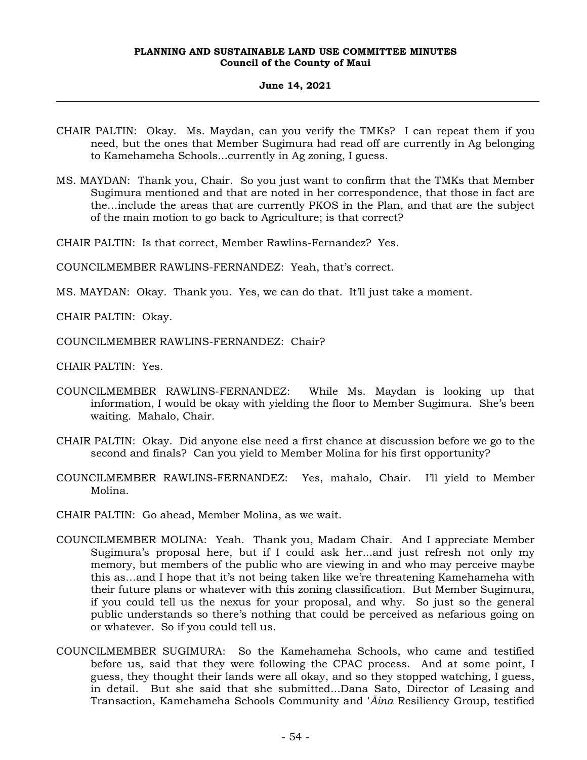# **June 14, 2021**

- CHAIR PALTIN: Okay. Ms. Maydan, can you verify the TMKs? I can repeat them if you need, but the ones that Member Sugimura had read off are currently in Ag belonging to Kamehameha Schools...currently in Ag zoning, I guess.
- MS. MAYDAN: Thank you, Chair. So you just want to confirm that the TMKs that Member Sugimura mentioned and that are noted in her correspondence, that those in fact are the…include the areas that are currently PKOS in the Plan, and that are the subject of the main motion to go back to Agriculture; is that correct?

CHAIR PALTIN: Is that correct, Member Rawlins-Fernandez? Yes.

COUNCILMEMBER RAWLINS-FERNANDEZ: Yeah, that's correct.

MS. MAYDAN: Okay. Thank you. Yes, we can do that. It'll just take a moment.

CHAIR PALTIN: Okay.

COUNCILMEMBER RAWLINS-FERNANDEZ: Chair?

CHAIR PALTIN: Yes.

- COUNCILMEMBER RAWLINS-FERNANDEZ: While Ms. Maydan is looking up that information, I would be okay with yielding the floor to Member Sugimura. She's been waiting. Mahalo, Chair.
- CHAIR PALTIN: Okay. Did anyone else need a first chance at discussion before we go to the second and finals? Can you yield to Member Molina for his first opportunity?
- COUNCILMEMBER RAWLINS-FERNANDEZ: Yes, mahalo, Chair. I'll yield to Member Molina.

CHAIR PALTIN: Go ahead, Member Molina, as we wait.

- COUNCILMEMBER MOLINA: Yeah. Thank you, Madam Chair. And I appreciate Member Sugimura's proposal here, but if I could ask her...and just refresh not only my memory, but members of the public who are viewing in and who may perceive maybe this as…and I hope that it's not being taken like we're threatening Kamehameha with their future plans or whatever with this zoning classification. But Member Sugimura, if you could tell us the nexus for your proposal, and why. So just so the general public understands so there's nothing that could be perceived as nefarious going on or whatever. So if you could tell us.
- COUNCILMEMBER SUGIMURA: So the Kamehameha Schools, who came and testified before us, said that they were following the CPAC process. And at some point, I guess, they thought their lands were all okay, and so they stopped watching, I guess, in detail. But she said that she submitted...Dana Sato, Director of Leasing and Transaction, Kamehameha Schools Community and '*Āina* Resiliency Group, testified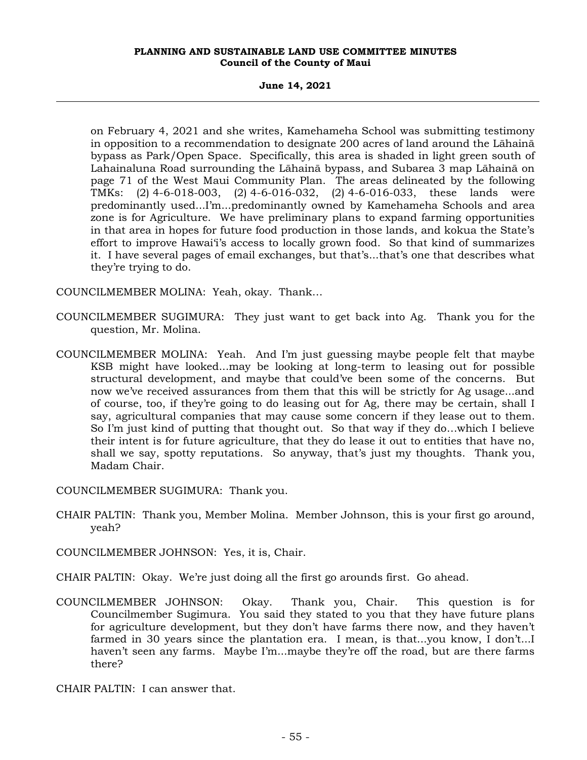**June 14, 2021**

on February 4, 2021 and she writes, Kamehameha School was submitting testimony in opposition to a recommendation to designate 200 acres of land around the Lāhainā bypass as Park/Open Space. Specifically, this area is shaded in light green south of Lahainaluna Road surrounding the Lāhainā bypass, and Subarea 3 map Lāhainā on page 71 of the West Maui Community Plan. The areas delineated by the following TMKs: (2) 4-6-018-003, (2) 4-6-016-032, (2) 4-6-016-033, these lands were predominantly used...I'm...predominantly owned by Kamehameha Schools and area zone is for Agriculture. We have preliminary plans to expand farming opportunities in that area in hopes for future food production in those lands, and kokua the State's effort to improve Hawai'i's access to locally grown food. So that kind of summarizes it. I have several pages of email exchanges, but that's...that's one that describes what they're trying to do.

COUNCILMEMBER MOLINA: Yeah, okay. Thank…

- COUNCILMEMBER SUGIMURA: They just want to get back into Ag. Thank you for the question, Mr. Molina.
- COUNCILMEMBER MOLINA: Yeah. And I'm just guessing maybe people felt that maybe KSB might have looked...may be looking at long-term to leasing out for possible structural development, and maybe that could've been some of the concerns. But now we've received assurances from them that this will be strictly for Ag usage...and of course, too, if they're going to do leasing out for Ag, there may be certain, shall I say, agricultural companies that may cause some concern if they lease out to them. So I'm just kind of putting that thought out. So that way if they do…which I believe their intent is for future agriculture, that they do lease it out to entities that have no, shall we say, spotty reputations. So anyway, that's just my thoughts. Thank you, Madam Chair.

COUNCILMEMBER SUGIMURA: Thank you.

CHAIR PALTIN: Thank you, Member Molina. Member Johnson, this is your first go around, yeah?

COUNCILMEMBER JOHNSON: Yes, it is, Chair.

- CHAIR PALTIN: Okay. We're just doing all the first go arounds first. Go ahead.
- COUNCILMEMBER JOHNSON: Okay. Thank you, Chair. This question is for Councilmember Sugimura. You said they stated to you that they have future plans for agriculture development, but they don't have farms there now, and they haven't farmed in 30 years since the plantation era. I mean, is that...you know, I don't...I haven't seen any farms. Maybe I'm...maybe they're off the road, but are there farms there?

CHAIR PALTIN: I can answer that.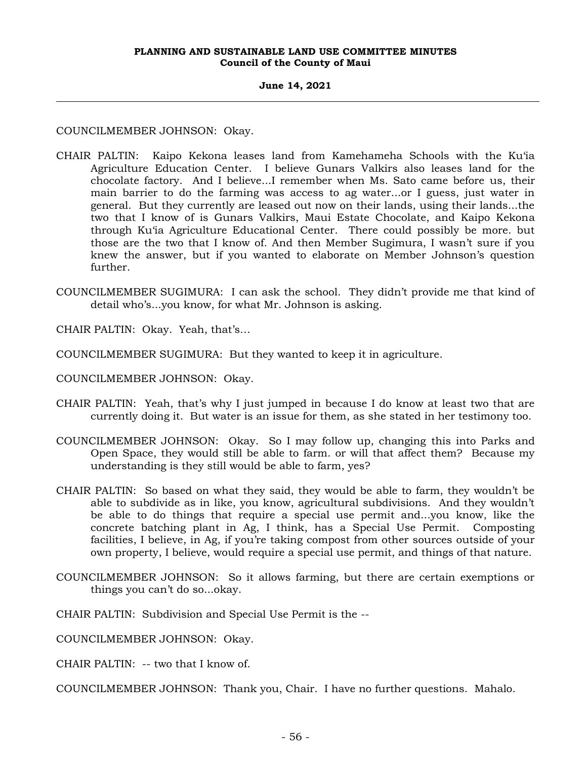#### **June 14, 2021**

COUNCILMEMBER JOHNSON: Okay.

- CHAIR PALTIN: Kaipo Kekona leases land from Kamehameha Schools with the Ku'ia Agriculture Education Center. I believe Gunars Valkirs also leases land for the chocolate factory. And I believe...I remember when Ms. Sato came before us, their main barrier to do the farming was access to ag water...or I guess, just water in general. But they currently are leased out now on their lands, using their lands...the two that I know of is Gunars Valkirs, Maui Estate Chocolate, and Kaipo Kekona through Ku'ia Agriculture Educational Center. There could possibly be more. but those are the two that I know of. And then Member Sugimura, I wasn't sure if you knew the answer, but if you wanted to elaborate on Member Johnson's question further.
- COUNCILMEMBER SUGIMURA: I can ask the school. They didn't provide me that kind of detail who's...you know, for what Mr. Johnson is asking.

CHAIR PALTIN: Okay. Yeah, that's…

- COUNCILMEMBER SUGIMURA: But they wanted to keep it in agriculture.
- COUNCILMEMBER JOHNSON: Okay.
- CHAIR PALTIN: Yeah, that's why I just jumped in because I do know at least two that are currently doing it. But water is an issue for them, as she stated in her testimony too.
- COUNCILMEMBER JOHNSON: Okay. So I may follow up, changing this into Parks and Open Space, they would still be able to farm. or will that affect them? Because my understanding is they still would be able to farm, yes?
- CHAIR PALTIN: So based on what they said, they would be able to farm, they wouldn't be able to subdivide as in like, you know, agricultural subdivisions. And they wouldn't be able to do things that require a special use permit and...you know, like the concrete batching plant in Ag, I think, has a Special Use Permit. Composting facilities, I believe, in Ag, if you're taking compost from other sources outside of your own property, I believe, would require a special use permit, and things of that nature.
- COUNCILMEMBER JOHNSON: So it allows farming, but there are certain exemptions or things you can't do so...okay.
- CHAIR PALTIN: Subdivision and Special Use Permit is the --

COUNCILMEMBER JOHNSON: Okay.

CHAIR PALTIN: -- two that I know of.

COUNCILMEMBER JOHNSON: Thank you, Chair. I have no further questions. Mahalo.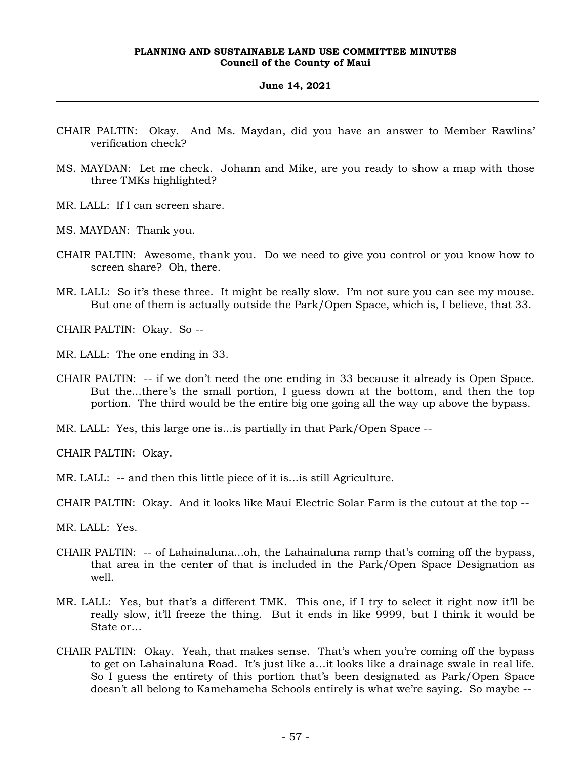#### **June 14, 2021**

- CHAIR PALTIN: Okay. And Ms. Maydan, did you have an answer to Member Rawlins' verification check?
- MS. MAYDAN: Let me check. Johann and Mike, are you ready to show a map with those three TMKs highlighted?
- MR. LALL: If I can screen share.
- MS. MAYDAN: Thank you.
- CHAIR PALTIN: Awesome, thank you. Do we need to give you control or you know how to screen share? Oh, there.
- MR. LALL: So it's these three. It might be really slow. I'm not sure you can see my mouse. But one of them is actually outside the Park/Open Space, which is, I believe, that 33.

CHAIR PALTIN: Okay. So --

- MR. LALL: The one ending in 33.
- CHAIR PALTIN: -- if we don't need the one ending in 33 because it already is Open Space. But the...there's the small portion, I guess down at the bottom, and then the top portion. The third would be the entire big one going all the way up above the bypass.
- MR. LALL: Yes, this large one is...is partially in that Park/Open Space --

CHAIR PALTIN: Okay.

- MR. LALL: -- and then this little piece of it is...is still Agriculture.
- CHAIR PALTIN: Okay. And it looks like Maui Electric Solar Farm is the cutout at the top --
- MR. LALL: Yes.
- CHAIR PALTIN: -- of Lahainaluna...oh, the Lahainaluna ramp that's coming off the bypass, that area in the center of that is included in the Park/Open Space Designation as well.
- MR. LALL: Yes, but that's a different TMK. This one, if I try to select it right now it'll be really slow, it'll freeze the thing. But it ends in like 9999, but I think it would be State or…
- CHAIR PALTIN: Okay. Yeah, that makes sense. That's when you're coming off the bypass to get on Lahainaluna Road. It's just like a…it looks like a drainage swale in real life. So I guess the entirety of this portion that's been designated as Park/Open Space doesn't all belong to Kamehameha Schools entirely is what we're saying. So maybe --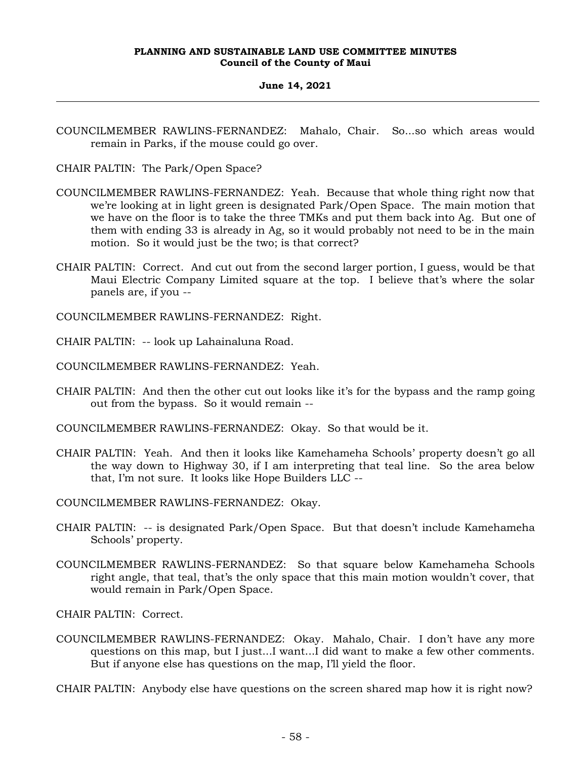# **June 14, 2021**

COUNCILMEMBER RAWLINS-FERNANDEZ: Mahalo, Chair. So...so which areas would remain in Parks, if the mouse could go over.

CHAIR PALTIN: The Park/Open Space?

- COUNCILMEMBER RAWLINS-FERNANDEZ: Yeah. Because that whole thing right now that we're looking at in light green is designated Park/Open Space. The main motion that we have on the floor is to take the three TMKs and put them back into Ag. But one of them with ending 33 is already in Ag, so it would probably not need to be in the main motion. So it would just be the two; is that correct?
- CHAIR PALTIN: Correct. And cut out from the second larger portion, I guess, would be that Maui Electric Company Limited square at the top. I believe that's where the solar panels are, if you --

COUNCILMEMBER RAWLINS-FERNANDEZ: Right.

CHAIR PALTIN: -- look up Lahainaluna Road.

- COUNCILMEMBER RAWLINS-FERNANDEZ: Yeah.
- CHAIR PALTIN: And then the other cut out looks like it's for the bypass and the ramp going out from the bypass. So it would remain --

COUNCILMEMBER RAWLINS-FERNANDEZ: Okay. So that would be it.

CHAIR PALTIN: Yeah. And then it looks like Kamehameha Schools' property doesn't go all the way down to Highway 30, if I am interpreting that teal line. So the area below that, I'm not sure. It looks like Hope Builders LLC --

COUNCILMEMBER RAWLINS-FERNANDEZ: Okay.

- CHAIR PALTIN: -- is designated Park/Open Space. But that doesn't include Kamehameha Schools' property.
- COUNCILMEMBER RAWLINS-FERNANDEZ: So that square below Kamehameha Schools right angle, that teal, that's the only space that this main motion wouldn't cover, that would remain in Park/Open Space.

CHAIR PALTIN: Correct.

COUNCILMEMBER RAWLINS-FERNANDEZ: Okay. Mahalo, Chair. I don't have any more questions on this map, but I just...I want...I did want to make a few other comments. But if anyone else has questions on the map, I'll yield the floor.

CHAIR PALTIN: Anybody else have questions on the screen shared map how it is right now?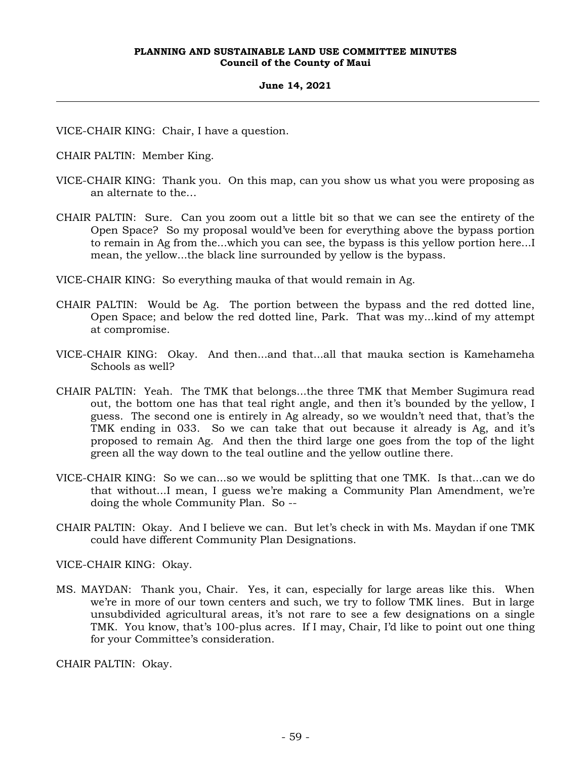#### **June 14, 2021**

VICE-CHAIR KING: Chair, I have a question.

CHAIR PALTIN: Member King.

- VICE-CHAIR KING: Thank you. On this map, can you show us what you were proposing as an alternate to the…
- CHAIR PALTIN: Sure. Can you zoom out a little bit so that we can see the entirety of the Open Space? So my proposal would've been for everything above the bypass portion to remain in Ag from the...which you can see, the bypass is this yellow portion here...I mean, the yellow...the black line surrounded by yellow is the bypass.

VICE-CHAIR KING: So everything mauka of that would remain in Ag.

- CHAIR PALTIN: Would be Ag. The portion between the bypass and the red dotted line, Open Space; and below the red dotted line, Park. That was my...kind of my attempt at compromise.
- VICE-CHAIR KING: Okay. And then...and that...all that mauka section is Kamehameha Schools as well?
- CHAIR PALTIN: Yeah. The TMK that belongs...the three TMK that Member Sugimura read out, the bottom one has that teal right angle, and then it's bounded by the yellow, I guess. The second one is entirely in Ag already, so we wouldn't need that, that's the TMK ending in 033. So we can take that out because it already is Ag, and it's proposed to remain Ag. And then the third large one goes from the top of the light green all the way down to the teal outline and the yellow outline there.
- VICE-CHAIR KING: So we can...so we would be splitting that one TMK. Is that...can we do that without...I mean, I guess we're making a Community Plan Amendment, we're doing the whole Community Plan. So --
- CHAIR PALTIN: Okay. And I believe we can. But let's check in with Ms. Maydan if one TMK could have different Community Plan Designations.

VICE-CHAIR KING: Okay.

MS. MAYDAN: Thank you, Chair. Yes, it can, especially for large areas like this. When we're in more of our town centers and such, we try to follow TMK lines. But in large unsubdivided agricultural areas, it's not rare to see a few designations on a single TMK. You know, that's 100-plus acres. If I may, Chair, I'd like to point out one thing for your Committee's consideration.

CHAIR PALTIN: Okay.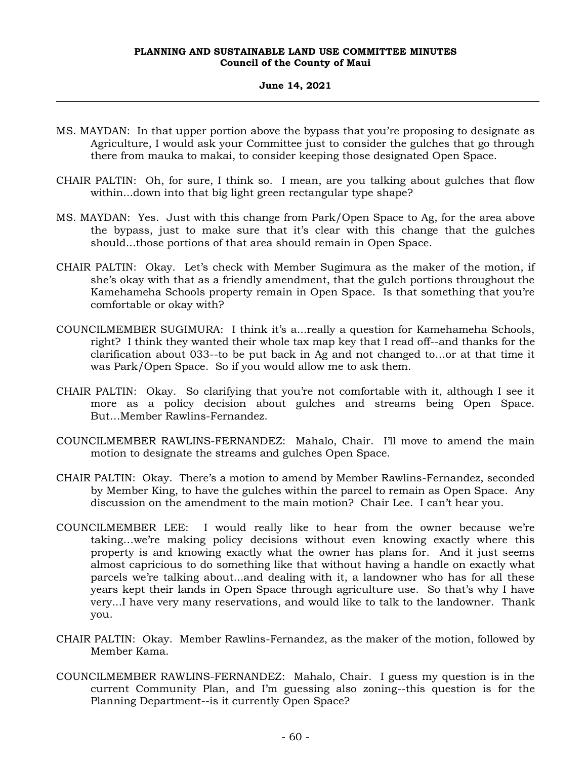# **June 14, 2021**

- MS. MAYDAN: In that upper portion above the bypass that you're proposing to designate as Agriculture, I would ask your Committee just to consider the gulches that go through there from mauka to makai, to consider keeping those designated Open Space.
- CHAIR PALTIN: Oh, for sure, I think so. I mean, are you talking about gulches that flow within...down into that big light green rectangular type shape?
- MS. MAYDAN: Yes. Just with this change from Park/Open Space to Ag, for the area above the bypass, just to make sure that it's clear with this change that the gulches should...those portions of that area should remain in Open Space.
- CHAIR PALTIN: Okay. Let's check with Member Sugimura as the maker of the motion, if she's okay with that as a friendly amendment, that the gulch portions throughout the Kamehameha Schools property remain in Open Space. Is that something that you're comfortable or okay with?
- COUNCILMEMBER SUGIMURA: I think it's a...really a question for Kamehameha Schools, right? I think they wanted their whole tax map key that I read off--and thanks for the clarification about 033--to be put back in Ag and not changed to…or at that time it was Park/Open Space. So if you would allow me to ask them.
- CHAIR PALTIN: Okay. So clarifying that you're not comfortable with it, although I see it more as a policy decision about gulches and streams being Open Space. But…Member Rawlins-Fernandez.
- COUNCILMEMBER RAWLINS-FERNANDEZ: Mahalo, Chair. I'll move to amend the main motion to designate the streams and gulches Open Space.
- CHAIR PALTIN: Okay. There's a motion to amend by Member Rawlins-Fernandez, seconded by Member King, to have the gulches within the parcel to remain as Open Space. Any discussion on the amendment to the main motion? Chair Lee. I can't hear you.
- COUNCILMEMBER LEE: I would really like to hear from the owner because we're taking…we're making policy decisions without even knowing exactly where this property is and knowing exactly what the owner has plans for. And it just seems almost capricious to do something like that without having a handle on exactly what parcels we're talking about...and dealing with it, a landowner who has for all these years kept their lands in Open Space through agriculture use. So that's why I have very...I have very many reservations, and would like to talk to the landowner. Thank you.
- CHAIR PALTIN: Okay. Member Rawlins-Fernandez, as the maker of the motion, followed by Member Kama.
- COUNCILMEMBER RAWLINS-FERNANDEZ: Mahalo, Chair. I guess my question is in the current Community Plan, and I'm guessing also zoning--this question is for the Planning Department--is it currently Open Space?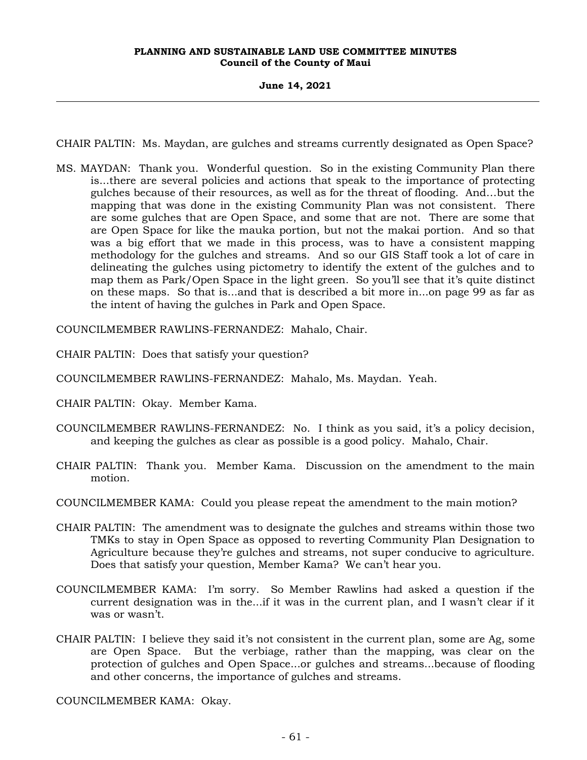# **June 14, 2021**

CHAIR PALTIN: Ms. Maydan, are gulches and streams currently designated as Open Space?

MS. MAYDAN: Thank you. Wonderful question. So in the existing Community Plan there is...there are several policies and actions that speak to the importance of protecting gulches because of their resources, as well as for the threat of flooding. And…but the mapping that was done in the existing Community Plan was not consistent. There are some gulches that are Open Space, and some that are not. There are some that are Open Space for like the mauka portion, but not the makai portion. And so that was a big effort that we made in this process, was to have a consistent mapping methodology for the gulches and streams. And so our GIS Staff took a lot of care in delineating the gulches using pictometry to identify the extent of the gulches and to map them as Park/Open Space in the light green. So you'll see that it's quite distinct on these maps. So that is...and that is described a bit more in...on page 99 as far as the intent of having the gulches in Park and Open Space.

COUNCILMEMBER RAWLINS-FERNANDEZ: Mahalo, Chair.

CHAIR PALTIN: Does that satisfy your question?

COUNCILMEMBER RAWLINS-FERNANDEZ: Mahalo, Ms. Maydan. Yeah.

CHAIR PALTIN: Okay. Member Kama.

- COUNCILMEMBER RAWLINS-FERNANDEZ: No. I think as you said, it's a policy decision, and keeping the gulches as clear as possible is a good policy. Mahalo, Chair.
- CHAIR PALTIN: Thank you. Member Kama. Discussion on the amendment to the main motion.

COUNCILMEMBER KAMA: Could you please repeat the amendment to the main motion?

- CHAIR PALTIN: The amendment was to designate the gulches and streams within those two TMKs to stay in Open Space as opposed to reverting Community Plan Designation to Agriculture because they're gulches and streams, not super conducive to agriculture. Does that satisfy your question, Member Kama? We can't hear you.
- COUNCILMEMBER KAMA: I'm sorry. So Member Rawlins had asked a question if the current designation was in the...if it was in the current plan, and I wasn't clear if it was or wasn't.
- CHAIR PALTIN: I believe they said it's not consistent in the current plan, some are Ag, some are Open Space. But the verbiage, rather than the mapping, was clear on the protection of gulches and Open Space...or gulches and streams...because of flooding and other concerns, the importance of gulches and streams.

COUNCILMEMBER KAMA: Okay.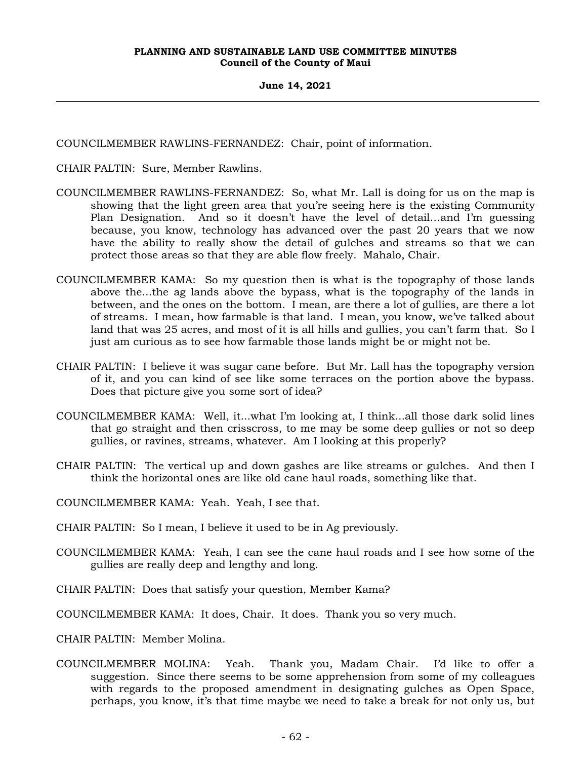**June 14, 2021**

COUNCILMEMBER RAWLINS-FERNANDEZ: Chair, point of information.

CHAIR PALTIN: Sure, Member Rawlins.

- COUNCILMEMBER RAWLINS-FERNANDEZ: So, what Mr. Lall is doing for us on the map is showing that the light green area that you're seeing here is the existing Community Plan Designation. And so it doesn't have the level of detail…and I'm guessing because, you know, technology has advanced over the past 20 years that we now have the ability to really show the detail of gulches and streams so that we can protect those areas so that they are able flow freely. Mahalo, Chair.
- COUNCILMEMBER KAMA: So my question then is what is the topography of those lands above the...the ag lands above the bypass, what is the topography of the lands in between, and the ones on the bottom. I mean, are there a lot of gullies, are there a lot of streams. I mean, how farmable is that land. I mean, you know, we've talked about land that was 25 acres, and most of it is all hills and gullies, you can't farm that. So I just am curious as to see how farmable those lands might be or might not be.
- CHAIR PALTIN: I believe it was sugar cane before. But Mr. Lall has the topography version of it, and you can kind of see like some terraces on the portion above the bypass. Does that picture give you some sort of idea?
- COUNCILMEMBER KAMA: Well, it...what I'm looking at, I think...all those dark solid lines that go straight and then crisscross, to me may be some deep gullies or not so deep gullies, or ravines, streams, whatever. Am I looking at this properly?
- CHAIR PALTIN: The vertical up and down gashes are like streams or gulches. And then I think the horizontal ones are like old cane haul roads, something like that.
- COUNCILMEMBER KAMA: Yeah. Yeah, I see that.
- CHAIR PALTIN: So I mean, I believe it used to be in Ag previously.
- COUNCILMEMBER KAMA: Yeah, I can see the cane haul roads and I see how some of the gullies are really deep and lengthy and long.
- CHAIR PALTIN: Does that satisfy your question, Member Kama?
- COUNCILMEMBER KAMA: It does, Chair. It does. Thank you so very much.
- CHAIR PALTIN: Member Molina.
- COUNCILMEMBER MOLINA: Yeah. Thank you, Madam Chair. I'd like to offer a suggestion. Since there seems to be some apprehension from some of my colleagues with regards to the proposed amendment in designating gulches as Open Space, perhaps, you know, it's that time maybe we need to take a break for not only us, but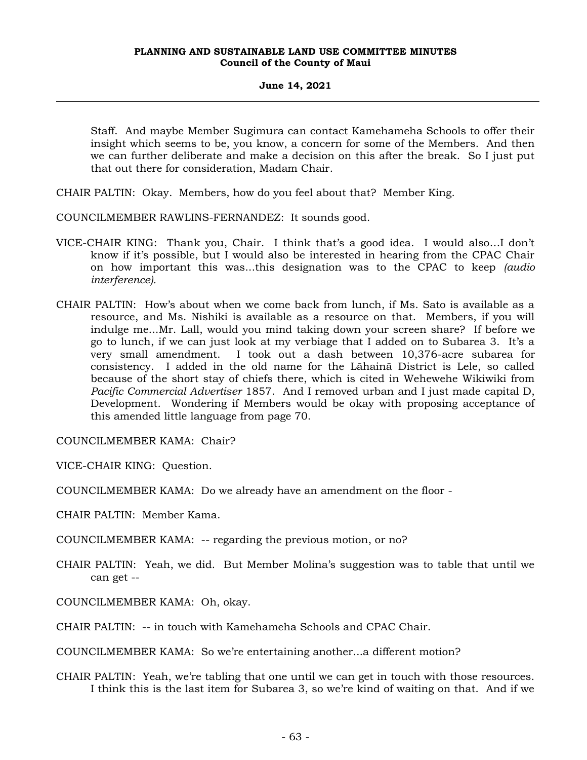# **June 14, 2021**

Staff. And maybe Member Sugimura can contact Kamehameha Schools to offer their insight which seems to be, you know, a concern for some of the Members. And then we can further deliberate and make a decision on this after the break. So I just put that out there for consideration, Madam Chair.

- CHAIR PALTIN: Okay. Members, how do you feel about that? Member King.
- COUNCILMEMBER RAWLINS-FERNANDEZ: It sounds good.
- VICE-CHAIR KING: Thank you, Chair. I think that's a good idea. I would also…I don't know if it's possible, but I would also be interested in hearing from the CPAC Chair on how important this was...this designation was to the CPAC to keep *(audio interference).*
- CHAIR PALTIN: How's about when we come back from lunch, if Ms. Sato is available as a resource, and Ms. Nishiki is available as a resource on that. Members, if you will indulge me...Mr. Lall, would you mind taking down your screen share? If before we go to lunch, if we can just look at my verbiage that I added on to Subarea 3. It's a very small amendment. I took out a dash between 10,376-acre subarea for consistency. I added in the old name for the Lāhainā District is Lele, so called because of the short stay of chiefs there, which is cited in Wehewehe Wikiwiki from *Pacific Commercial Advertiser* 1857. And I removed urban and I just made capital D, Development. Wondering if Members would be okay with proposing acceptance of this amended little language from page 70.

COUNCILMEMBER KAMA: Chair?

VICE-CHAIR KING: Question.

COUNCILMEMBER KAMA: Do we already have an amendment on the floor -

CHAIR PALTIN: Member Kama.

COUNCILMEMBER KAMA: -- regarding the previous motion, or no?

CHAIR PALTIN: Yeah, we did. But Member Molina's suggestion was to table that until we can get --

COUNCILMEMBER KAMA: Oh, okay.

CHAIR PALTIN: -- in touch with Kamehameha Schools and CPAC Chair.

COUNCILMEMBER KAMA: So we're entertaining another...a different motion?

CHAIR PALTIN: Yeah, we're tabling that one until we can get in touch with those resources. I think this is the last item for Subarea 3, so we're kind of waiting on that. And if we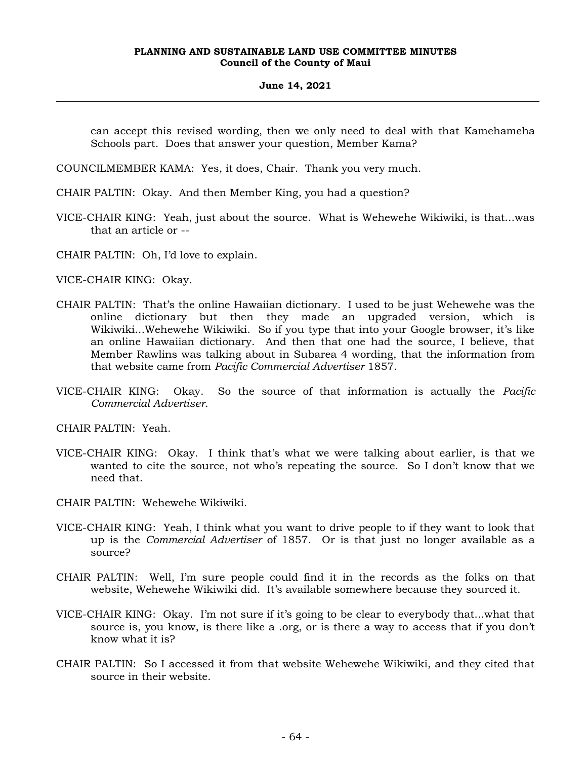#### **June 14, 2021**

can accept this revised wording, then we only need to deal with that Kamehameha Schools part. Does that answer your question, Member Kama?

COUNCILMEMBER KAMA: Yes, it does, Chair. Thank you very much.

- CHAIR PALTIN: Okay. And then Member King, you had a question?
- VICE-CHAIR KING: Yeah, just about the source. What is Wehewehe Wikiwiki, is that...was that an article or --
- CHAIR PALTIN: Oh, I'd love to explain.

VICE-CHAIR KING: Okay.

- CHAIR PALTIN: That's the online Hawaiian dictionary. I used to be just Wehewehe was the online dictionary but then they made an upgraded version, which Wikiwiki...Wehewehe Wikiwiki. So if you type that into your Google browser, it's like an online Hawaiian dictionary. And then that one had the source, I believe, that Member Rawlins was talking about in Subarea 4 wording, that the information from that website came from *Pacific Commercial Advertiser* 1857.
- VICE-CHAIR KING: Okay. So the source of that information is actually the *Pacific Commercial Advertiser*.

CHAIR PALTIN: Yeah.

- VICE-CHAIR KING: Okay. I think that's what we were talking about earlier, is that we wanted to cite the source, not who's repeating the source. So I don't know that we need that.
- CHAIR PALTIN: Wehewehe Wikiwiki.
- VICE-CHAIR KING: Yeah, I think what you want to drive people to if they want to look that up is the *Commercial Advertiser* of 1857. Or is that just no longer available as a source?
- CHAIR PALTIN: Well, I'm sure people could find it in the records as the folks on that website, Wehewehe Wikiwiki did. It's available somewhere because they sourced it.
- VICE-CHAIR KING: Okay. I'm not sure if it's going to be clear to everybody that...what that source is, you know, is there like a .org, or is there a way to access that if you don't know what it is?
- CHAIR PALTIN: So I accessed it from that website Wehewehe Wikiwiki, and they cited that source in their website.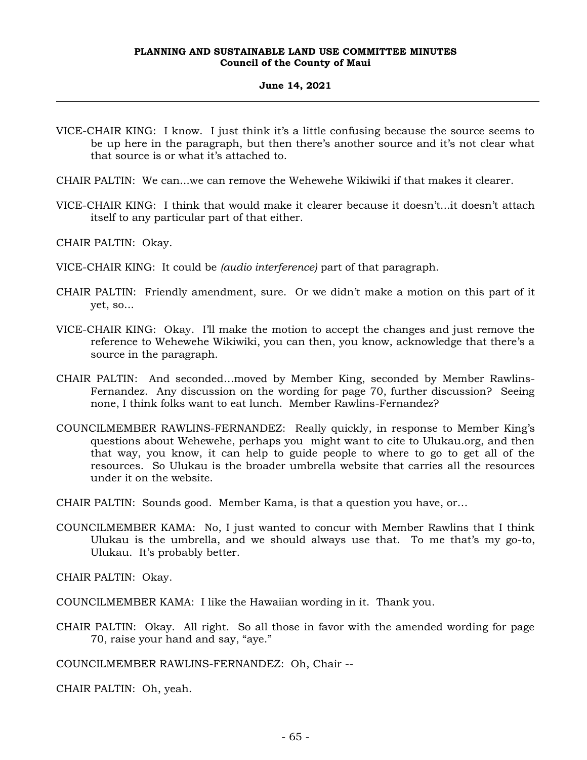#### **June 14, 2021**

- VICE-CHAIR KING: I know. I just think it's a little confusing because the source seems to be up here in the paragraph, but then there's another source and it's not clear what that source is or what it's attached to.
- CHAIR PALTIN: We can...we can remove the Wehewehe Wikiwiki if that makes it clearer.
- VICE-CHAIR KING: I think that would make it clearer because it doesn't...it doesn't attach itself to any particular part of that either.

CHAIR PALTIN: Okay.

- VICE-CHAIR KING: It could be *(audio interference)* part of that paragraph.
- CHAIR PALTIN: Friendly amendment, sure. Or we didn't make a motion on this part of it yet, so...
- VICE-CHAIR KING: Okay. I'll make the motion to accept the changes and just remove the reference to Wehewehe Wikiwiki, you can then, you know, acknowledge that there's a source in the paragraph.
- CHAIR PALTIN: And seconded…moved by Member King, seconded by Member Rawlins-Fernandez. Any discussion on the wording for page 70, further discussion? Seeing none, I think folks want to eat lunch. Member Rawlins-Fernandez?
- COUNCILMEMBER RAWLINS-FERNANDEZ: Really quickly, in response to Member King's questions about Wehewehe, perhaps you might want to cite to Ulukau.org, and then that way, you know, it can help to guide people to where to go to get all of the resources. So Ulukau is the broader umbrella website that carries all the resources under it on the website.

CHAIR PALTIN: Sounds good. Member Kama, is that a question you have, or…

COUNCILMEMBER KAMA: No, I just wanted to concur with Member Rawlins that I think Ulukau is the umbrella, and we should always use that. To me that's my go-to, Ulukau. It's probably better.

CHAIR PALTIN: Okay.

COUNCILMEMBER KAMA: I like the Hawaiian wording in it. Thank you.

CHAIR PALTIN: Okay. All right. So all those in favor with the amended wording for page 70, raise your hand and say, "aye."

COUNCILMEMBER RAWLINS-FERNANDEZ: Oh, Chair --

CHAIR PALTIN: Oh, yeah.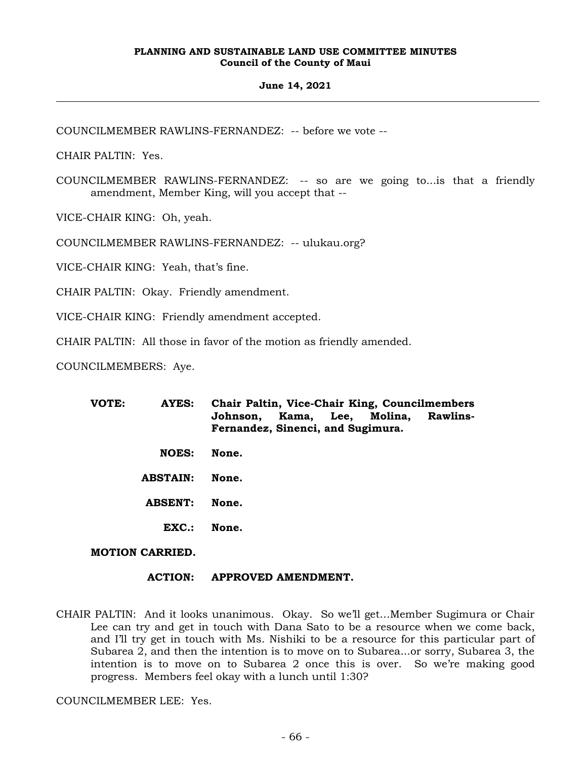#### **June 14, 2021**

COUNCILMEMBER RAWLINS-FERNANDEZ: -- before we vote --

CHAIR PALTIN: Yes.

COUNCILMEMBER RAWLINS-FERNANDEZ: -- so are we going to...is that a friendly amendment, Member King, will you accept that --

VICE-CHAIR KING: Oh, yeah.

COUNCILMEMBER RAWLINS-FERNANDEZ: -- ulukau.org?

VICE-CHAIR KING: Yeah, that's fine.

CHAIR PALTIN: Okay. Friendly amendment.

VICE-CHAIR KING: Friendly amendment accepted.

CHAIR PALTIN: All those in favor of the motion as friendly amended.

COUNCILMEMBERS: Aye.

| VOTE: | AYES:           | Chair Paltin, Vice-Chair King, Councilmembers<br>Kama, Lee, Molina,<br><b>Rawlins-</b><br>Johnson,<br>Fernandez, Sinenci, and Sugimura. |
|-------|-----------------|-----------------------------------------------------------------------------------------------------------------------------------------|
|       | <b>NOES:</b>    | None.                                                                                                                                   |
|       | <b>ABSTAIN:</b> | None.                                                                                                                                   |
|       | <b>ABSENT:</b>  | None.                                                                                                                                   |
|       | EXC.            | None.                                                                                                                                   |

# **MOTION CARRIED.**

# **ACTION: APPROVED AMENDMENT.**

CHAIR PALTIN: And it looks unanimous. Okay. So we'll get…Member Sugimura or Chair Lee can try and get in touch with Dana Sato to be a resource when we come back, and I'll try get in touch with Ms. Nishiki to be a resource for this particular part of Subarea 2, and then the intention is to move on to Subarea...or sorry, Subarea 3, the intention is to move on to Subarea 2 once this is over. So we're making good progress. Members feel okay with a lunch until 1:30?

COUNCILMEMBER LEE: Yes.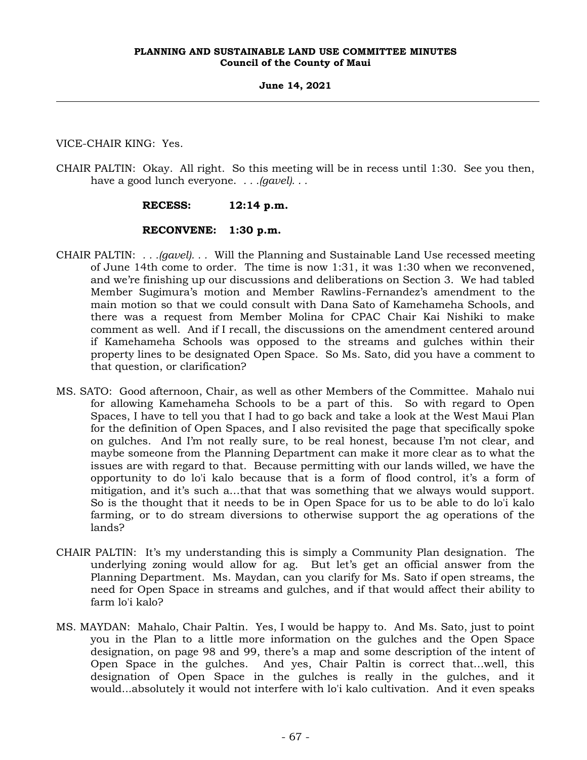VICE-CHAIR KING: Yes.

CHAIR PALTIN: Okay. All right. So this meeting will be in recess until 1:30. See you then, have a good lunch everyone. *. . .(gavel). . .*

# **RECESS: 12:14 p.m.**

# **RECONVENE: 1:30 p.m.**

- CHAIR PALTIN: *. . .(gavel). . .* Will the Planning and Sustainable Land Use recessed meeting of June 14th come to order. The time is now 1:31, it was 1:30 when we reconvened, and we're finishing up our discussions and deliberations on Section 3. We had tabled Member Sugimura's motion and Member Rawlins-Fernandez's amendment to the main motion so that we could consult with Dana Sato of Kamehameha Schools, and there was a request from Member Molina for CPAC Chair Kai Nishiki to make comment as well. And if I recall, the discussions on the amendment centered around if Kamehameha Schools was opposed to the streams and gulches within their property lines to be designated Open Space. So Ms. Sato, did you have a comment to that question, or clarification?
- MS. SATO: Good afternoon, Chair, as well as other Members of the Committee. Mahalo nui for allowing Kamehameha Schools to be a part of this. So with regard to Open Spaces, I have to tell you that I had to go back and take a look at the West Maui Plan for the definition of Open Spaces, and I also revisited the page that specifically spoke on gulches. And I'm not really sure, to be real honest, because I'm not clear, and maybe someone from the Planning Department can make it more clear as to what the issues are with regard to that. Because permitting with our lands willed, we have the opportunity to do lo'i kalo because that is a form of flood control, it's a form of mitigation, and it's such a…that that was something that we always would support. So is the thought that it needs to be in Open Space for us to be able to do lo'i kalo farming, or to do stream diversions to otherwise support the ag operations of the lands?
- CHAIR PALTIN: It's my understanding this is simply a Community Plan designation. The underlying zoning would allow for ag. But let's get an official answer from the Planning Department. Ms. Maydan, can you clarify for Ms. Sato if open streams, the need for Open Space in streams and gulches, and if that would affect their ability to farm lo'i kalo?
- MS. MAYDAN: Mahalo, Chair Paltin. Yes, I would be happy to. And Ms. Sato, just to point you in the Plan to a little more information on the gulches and the Open Space designation, on page 98 and 99, there's a map and some description of the intent of Open Space in the gulches. And yes, Chair Paltin is correct that…well, this designation of Open Space in the gulches is really in the gulches, and it would...absolutely it would not interfere with lo'i kalo cultivation. And it even speaks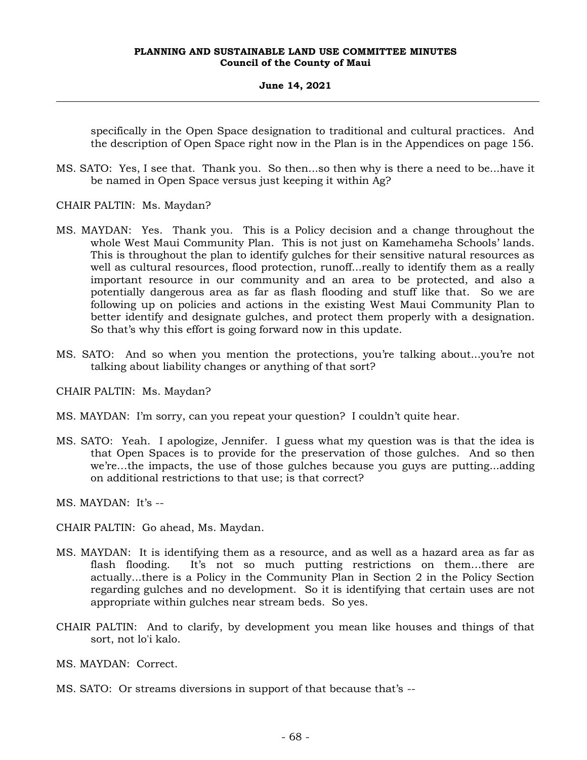## **June 14, 2021**

specifically in the Open Space designation to traditional and cultural practices. And the description of Open Space right now in the Plan is in the Appendices on page 156.

- MS. SATO: Yes, I see that. Thank you. So then...so then why is there a need to be...have it be named in Open Space versus just keeping it within Ag?
- CHAIR PALTIN: Ms. Maydan?
- MS. MAYDAN: Yes. Thank you. This is a Policy decision and a change throughout the whole West Maui Community Plan. This is not just on Kamehameha Schools' lands. This is throughout the plan to identify gulches for their sensitive natural resources as well as cultural resources, flood protection, runoff...really to identify them as a really important resource in our community and an area to be protected, and also a potentially dangerous area as far as flash flooding and stuff like that. So we are following up on policies and actions in the existing West Maui Community Plan to better identify and designate gulches, and protect them properly with a designation. So that's why this effort is going forward now in this update.
- MS. SATO: And so when you mention the protections, you're talking about...you're not talking about liability changes or anything of that sort?

CHAIR PALTIN: Ms. Maydan?

- MS. MAYDAN: I'm sorry, can you repeat your question? I couldn't quite hear.
- MS. SATO: Yeah. I apologize, Jennifer. I guess what my question was is that the idea is that Open Spaces is to provide for the preservation of those gulches. And so then we're…the impacts, the use of those gulches because you guys are putting...adding on additional restrictions to that use; is that correct?

MS. MAYDAN: It's --

- CHAIR PALTIN: Go ahead, Ms. Maydan.
- MS. MAYDAN: It is identifying them as a resource, and as well as a hazard area as far as flash flooding. It's not so much putting restrictions on them…there are actually...there is a Policy in the Community Plan in Section 2 in the Policy Section regarding gulches and no development. So it is identifying that certain uses are not appropriate within gulches near stream beds. So yes.
- CHAIR PALTIN: And to clarify, by development you mean like houses and things of that sort, not lo'i kalo.
- MS. MAYDAN: Correct.
- MS. SATO: Or streams diversions in support of that because that's --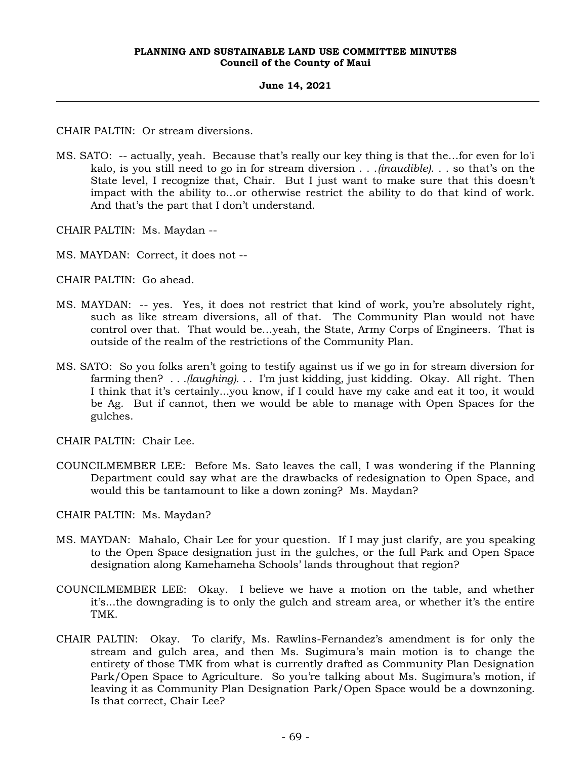CHAIR PALTIN: Or stream diversions.

MS. SATO: -- actually, yeah. Because that's really our key thing is that the…for even for lo'i kalo, is you still need to go in for stream diversion . . .*(inaudible)*. . . so that's on the State level, I recognize that, Chair. But I just want to make sure that this doesn't impact with the ability to...or otherwise restrict the ability to do that kind of work. And that's the part that I don't understand.

CHAIR PALTIN: Ms. Maydan --

MS. MAYDAN: Correct, it does not --

CHAIR PALTIN: Go ahead.

- MS. MAYDAN: -- yes. Yes, it does not restrict that kind of work, you're absolutely right, such as like stream diversions, all of that. The Community Plan would not have control over that. That would be…yeah, the State, Army Corps of Engineers. That is outside of the realm of the restrictions of the Community Plan.
- MS. SATO: So you folks aren't going to testify against us if we go in for stream diversion for farming then? *. . .(laughing). . .* I'm just kidding, just kidding. Okay. All right. Then I think that it's certainly...you know, if I could have my cake and eat it too, it would be Ag. But if cannot, then we would be able to manage with Open Spaces for the gulches.

CHAIR PALTIN: Chair Lee.

COUNCILMEMBER LEE: Before Ms. Sato leaves the call, I was wondering if the Planning Department could say what are the drawbacks of redesignation to Open Space, and would this be tantamount to like a down zoning? Ms. Maydan?

CHAIR PALTIN: Ms. Maydan?

- MS. MAYDAN: Mahalo, Chair Lee for your question. If I may just clarify, are you speaking to the Open Space designation just in the gulches, or the full Park and Open Space designation along Kamehameha Schools' lands throughout that region?
- COUNCILMEMBER LEE: Okay. I believe we have a motion on the table, and whether it's...the downgrading is to only the gulch and stream area, or whether it's the entire TMK.
- CHAIR PALTIN: Okay. To clarify, Ms. Rawlins-Fernandez's amendment is for only the stream and gulch area, and then Ms. Sugimura's main motion is to change the entirety of those TMK from what is currently drafted as Community Plan Designation Park/Open Space to Agriculture. So you're talking about Ms. Sugimura's motion, if leaving it as Community Plan Designation Park/Open Space would be a downzoning. Is that correct, Chair Lee?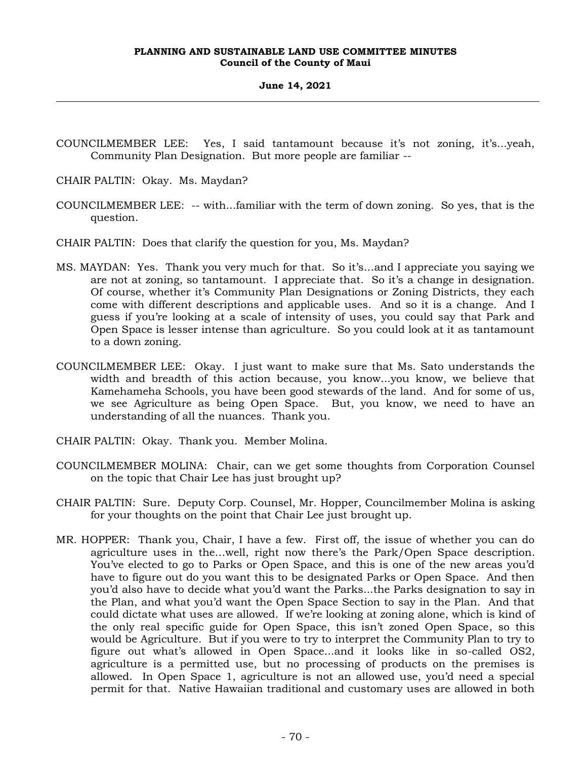- COUNCILMEMBER LEE: Yes, I said tantamount because it's not zoning, it's...yeah, Community Plan Designation. But more people are familiar --
- CHAIR PALTIN: Okay. Ms. Maydan?
- COUNCILMEMBER LEE: -- with...familiar with the term of down zoning. So yes, that is the question.
- CHAIR PALTIN: Does that clarify the question for you, Ms. Maydan?
- MS. MAYDAN: Yes. Thank you very much for that. So it's…and I appreciate you saying we are not at zoning, so tantamount. I appreciate that. So it's a change in designation. Of course, whether it's Community Plan Designations or Zoning Districts, they each come with different descriptions and applicable uses. And so it is a change. And I guess if you're looking at a scale of intensity of uses, you could say that Park and Open Space is lesser intense than agriculture. So you could look at it as tantamount to a down zoning.
- COUNCILMEMBER LEE: Okay. I just want to make sure that Ms. Sato understands the width and breadth of this action because, you know...you know, we believe that Kamehameha Schools, you have been good stewards of the land. And for some of us, we see Agriculture as being Open Space. But, you know, we need to have an understanding of all the nuances. Thank you.
- CHAIR PALTIN: Okay. Thank you. Member Molina.
- COUNCILMEMBER MOLINA: Chair, can we get some thoughts from Corporation Counsel on the topic that Chair Lee has just brought up?
- CHAIR PALTIN: Sure. Deputy Corp. Counsel, Mr. Hopper, Councilmember Molina is asking for your thoughts on the point that Chair Lee just brought up.
- MR. HOPPER: Thank you, Chair, I have a few. First off, the issue of whether you can do agriculture uses in the…well, right now there's the Park/Open Space description. You've elected to go to Parks or Open Space, and this is one of the new areas you'd have to figure out do you want this to be designated Parks or Open Space. And then you'd also have to decide what you'd want the Parks...the Parks designation to say in the Plan, and what you'd want the Open Space Section to say in the Plan. And that could dictate what uses are allowed. If we're looking at zoning alone, which is kind of the only real specific guide for Open Space, this isn't zoned Open Space, so this would be Agriculture. But if you were to try to interpret the Community Plan to try to figure out what's allowed in Open Space...and it looks like in so-called OS2, agriculture is a permitted use, but no processing of products on the premises is allowed. In Open Space 1, agriculture is not an allowed use, you'd need a special permit for that. Native Hawaiian traditional and customary uses are allowed in both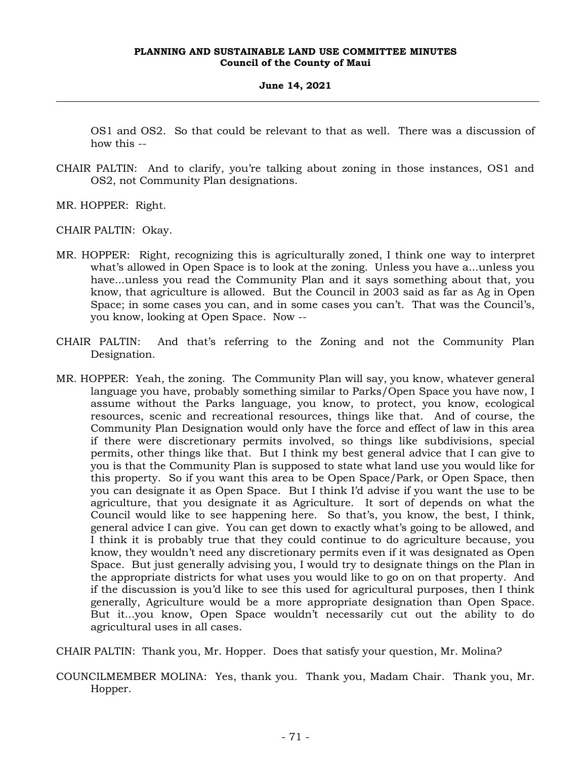OS1 and OS2. So that could be relevant to that as well. There was a discussion of how this --

CHAIR PALTIN: And to clarify, you're talking about zoning in those instances, OS1 and OS2, not Community Plan designations.

MR. HOPPER: Right.

CHAIR PALTIN: Okay.

- MR. HOPPER: Right, recognizing this is agriculturally zoned, I think one way to interpret what's allowed in Open Space is to look at the zoning. Unless you have a...unless you have...unless you read the Community Plan and it says something about that, you know, that agriculture is allowed. But the Council in 2003 said as far as Ag in Open Space; in some cases you can, and in some cases you can't. That was the Council's, you know, looking at Open Space. Now --
- CHAIR PALTIN: And that's referring to the Zoning and not the Community Plan Designation.
- MR. HOPPER: Yeah, the zoning. The Community Plan will say, you know, whatever general language you have, probably something similar to Parks/Open Space you have now, I assume without the Parks language, you know, to protect, you know, ecological resources, scenic and recreational resources, things like that. And of course, the Community Plan Designation would only have the force and effect of law in this area if there were discretionary permits involved, so things like subdivisions, special permits, other things like that. But I think my best general advice that I can give to you is that the Community Plan is supposed to state what land use you would like for this property. So if you want this area to be Open Space/Park, or Open Space, then you can designate it as Open Space. But I think I'd advise if you want the use to be agriculture, that you designate it as Agriculture. It sort of depends on what the Council would like to see happening here. So that's, you know, the best, I think, general advice I can give. You can get down to exactly what's going to be allowed, and I think it is probably true that they could continue to do agriculture because, you know, they wouldn't need any discretionary permits even if it was designated as Open Space. But just generally advising you, I would try to designate things on the Plan in the appropriate districts for what uses you would like to go on on that property. And if the discussion is you'd like to see this used for agricultural purposes, then I think generally, Agriculture would be a more appropriate designation than Open Space. But it...you know, Open Space wouldn't necessarily cut out the ability to do agricultural uses in all cases.

CHAIR PALTIN: Thank you, Mr. Hopper. Does that satisfy your question, Mr. Molina?

COUNCILMEMBER MOLINA: Yes, thank you. Thank you, Madam Chair. Thank you, Mr. Hopper.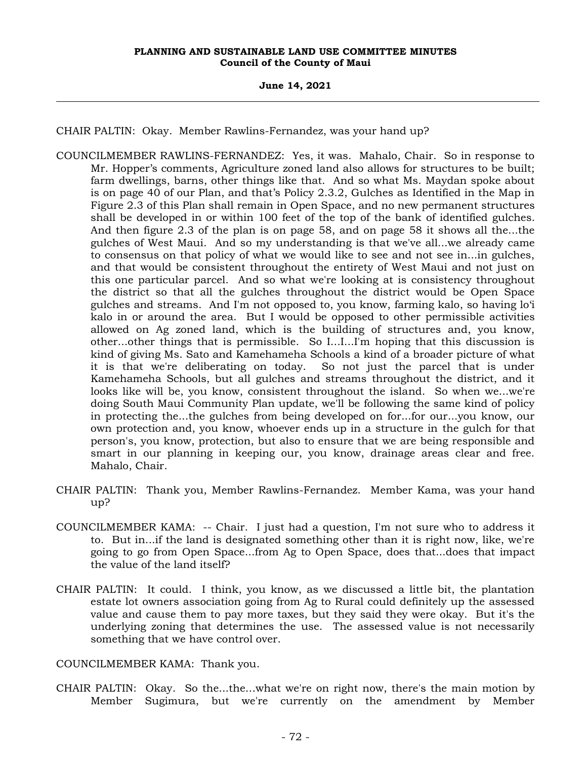**June 14, 2021**

CHAIR PALTIN: Okay. Member Rawlins-Fernandez, was your hand up?

- COUNCILMEMBER RAWLINS-FERNANDEZ: Yes, it was. Mahalo, Chair. So in response to Mr. Hopper's comments, Agriculture zoned land also allows for structures to be built; farm dwellings, barns, other things like that. And so what Ms. Maydan spoke about is on page 40 of our Plan, and that's Policy 2.3.2, Gulches as Identified in the Map in Figure 2.3 of this Plan shall remain in Open Space, and no new permanent structures shall be developed in or within 100 feet of the top of the bank of identified gulches. And then figure 2.3 of the plan is on page 58, and on page 58 it shows all the...the gulches of West Maui. And so my understanding is that we've all...we already came to consensus on that policy of what we would like to see and not see in...in gulches, and that would be consistent throughout the entirety of West Maui and not just on this one particular parcel. And so what we're looking at is consistency throughout the district so that all the gulches throughout the district would be Open Space gulches and streams. And I'm not opposed to, you know, farming kalo, so having lo'i kalo in or around the area. But I would be opposed to other permissible activities allowed on Ag zoned land, which is the building of structures and, you know, other...other things that is permissible. So I...I...I'm hoping that this discussion is kind of giving Ms. Sato and Kamehameha Schools a kind of a broader picture of what it is that we're deliberating on today. So not just the parcel that is under Kamehameha Schools, but all gulches and streams throughout the district, and it looks like will be, you know, consistent throughout the island. So when we...we're doing South Maui Community Plan update, we'll be following the same kind of policy in protecting the...the gulches from being developed on for...for our...you know, our own protection and, you know, whoever ends up in a structure in the gulch for that person's, you know, protection, but also to ensure that we are being responsible and smart in our planning in keeping our, you know, drainage areas clear and free. Mahalo, Chair.
- CHAIR PALTIN: Thank you, Member Rawlins-Fernandez. Member Kama, was your hand up?
- COUNCILMEMBER KAMA: -- Chair. I just had a question, I'm not sure who to address it to. But in...if the land is designated something other than it is right now, like, we're going to go from Open Space...from Ag to Open Space, does that...does that impact the value of the land itself?
- CHAIR PALTIN: It could. I think, you know, as we discussed a little bit, the plantation estate lot owners association going from Ag to Rural could definitely up the assessed value and cause them to pay more taxes, but they said they were okay. But it's the underlying zoning that determines the use. The assessed value is not necessarily something that we have control over.

COUNCILMEMBER KAMA: Thank you.

CHAIR PALTIN: Okay. So the...the...what we're on right now, there's the main motion by Member Sugimura, but we're currently on the amendment by Member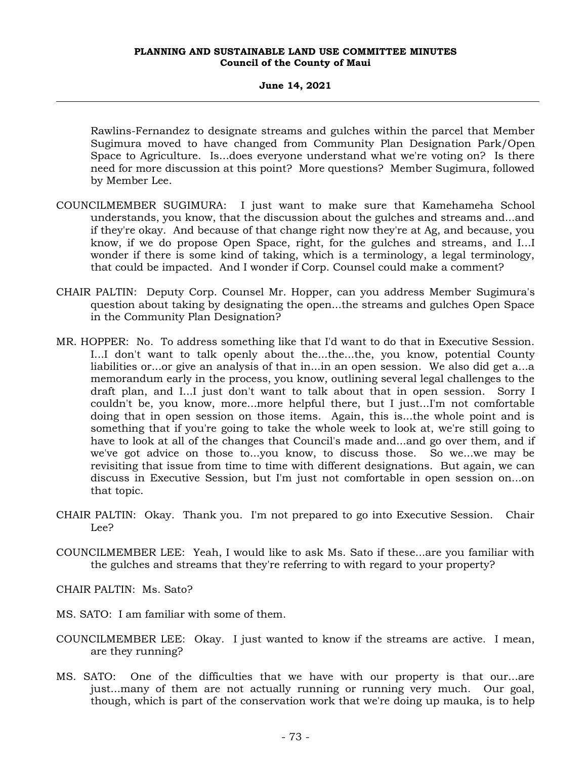# **June 14, 2021**

Rawlins-Fernandez to designate streams and gulches within the parcel that Member Sugimura moved to have changed from Community Plan Designation Park/Open Space to Agriculture. Is...does everyone understand what we're voting on? Is there need for more discussion at this point? More questions? Member Sugimura, followed by Member Lee.

- COUNCILMEMBER SUGIMURA: I just want to make sure that Kamehameha School understands, you know, that the discussion about the gulches and streams and...and if they're okay. And because of that change right now they're at Ag, and because, you know, if we do propose Open Space, right, for the gulches and streams, and I...I wonder if there is some kind of taking, which is a terminology, a legal terminology, that could be impacted. And I wonder if Corp. Counsel could make a comment?
- CHAIR PALTIN: Deputy Corp. Counsel Mr. Hopper, can you address Member Sugimura's question about taking by designating the open...the streams and gulches Open Space in the Community Plan Designation?
- MR. HOPPER: No. To address something like that I'd want to do that in Executive Session. I...I don't want to talk openly about the...the...the, you know, potential County liabilities or...or give an analysis of that in...in an open session. We also did get a...a memorandum early in the process, you know, outlining several legal challenges to the draft plan, and I...I just don't want to talk about that in open session. Sorry I couldn't be, you know, more...more helpful there, but I just...I'm not comfortable doing that in open session on those items. Again, this is...the whole point and is something that if you're going to take the whole week to look at, we're still going to have to look at all of the changes that Council's made and...and go over them, and if we've got advice on those to...you know, to discuss those. So we...we may be revisiting that issue from time to time with different designations. But again, we can discuss in Executive Session, but I'm just not comfortable in open session on...on that topic.
- CHAIR PALTIN: Okay. Thank you. I'm not prepared to go into Executive Session. Chair Lee?
- COUNCILMEMBER LEE: Yeah, I would like to ask Ms. Sato if these...are you familiar with the gulches and streams that they're referring to with regard to your property?

CHAIR PALTIN: Ms. Sato?

- MS. SATO: I am familiar with some of them.
- COUNCILMEMBER LEE: Okay. I just wanted to know if the streams are active. I mean, are they running?
- MS. SATO: One of the difficulties that we have with our property is that our...are just...many of them are not actually running or running very much. Our goal, though, which is part of the conservation work that we're doing up mauka, is to help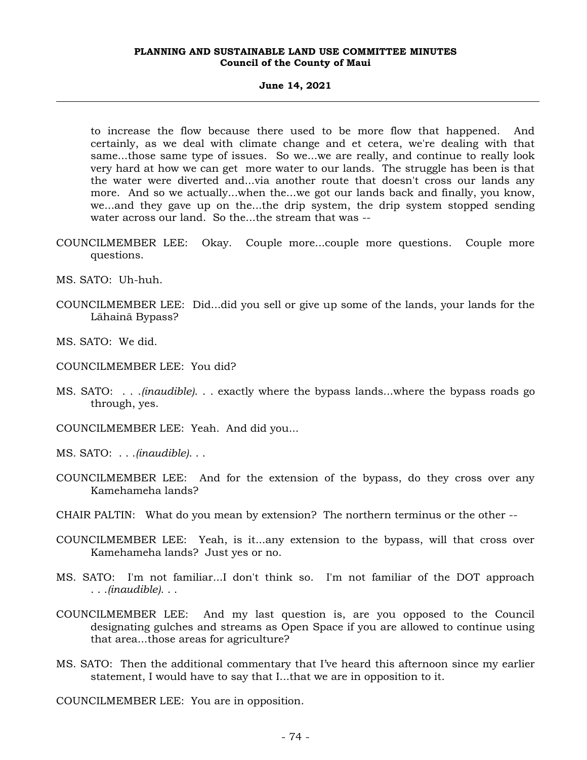#### **June 14, 2021**

to increase the flow because there used to be more flow that happened. And certainly, as we deal with climate change and et cetera, we're dealing with that same...those same type of issues. So we...we are really, and continue to really look very hard at how we can get more water to our lands. The struggle has been is that the water were diverted and...via another route that doesn't cross our lands any more. And so we actually...when the...we got our lands back and finally, you know, we...and they gave up on the...the drip system, the drip system stopped sending water across our land. So the...the stream that was --

- COUNCILMEMBER LEE: Okay. Couple more...couple more questions. Couple more questions.
- MS. SATO: Uh-huh.
- COUNCILMEMBER LEE: Did...did you sell or give up some of the lands, your lands for the Lāhainā Bypass?
- MS. SATO: We did.
- COUNCILMEMBER LEE: You did?
- MS. SATO: . . .*(inaudible)*. . . exactly where the bypass lands...where the bypass roads go through, yes.
- COUNCILMEMBER LEE: Yeah. And did you...
- MS. SATO: . . .*(inaudible)*. . .
- COUNCILMEMBER LEE: And for the extension of the bypass, do they cross over any Kamehameha lands?
- CHAIR PALTIN: What do you mean by extension? The northern terminus or the other --
- COUNCILMEMBER LEE: Yeah, is it...any extension to the bypass, will that cross over Kamehameha lands? Just yes or no.
- MS. SATO: I'm not familiar...I don't think so. I'm not familiar of the DOT approach . . .*(inaudible)*. . .
- COUNCILMEMBER LEE: And my last question is, are you opposed to the Council designating gulches and streams as Open Space if you are allowed to continue using that area...those areas for agriculture?
- MS. SATO: Then the additional commentary that I've heard this afternoon since my earlier statement, I would have to say that I...that we are in opposition to it.

COUNCILMEMBER LEE: You are in opposition.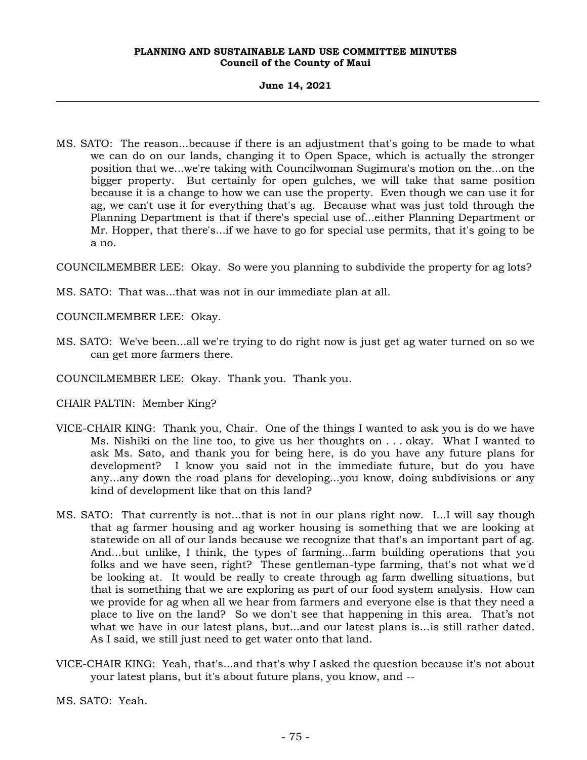# **June 14, 2021**

MS. SATO: The reason...because if there is an adjustment that's going to be made to what we can do on our lands, changing it to Open Space, which is actually the stronger position that we...we're taking with Councilwoman Sugimura's motion on the...on the bigger property. But certainly for open gulches, we will take that same position because it is a change to how we can use the property. Even though we can use it for ag, we can't use it for everything that's ag. Because what was just told through the Planning Department is that if there's special use of...either Planning Department or Mr. Hopper, that there's...if we have to go for special use permits, that it's going to be a no.

COUNCILMEMBER LEE: Okay. So were you planning to subdivide the property for ag lots?

MS. SATO: That was...that was not in our immediate plan at all.

COUNCILMEMBER LEE: Okay.

- MS. SATO: We've been...all we're trying to do right now is just get ag water turned on so we can get more farmers there.
- COUNCILMEMBER LEE: Okay. Thank you. Thank you.
- CHAIR PALTIN: Member King?
- VICE-CHAIR KING: Thank you, Chair. One of the things I wanted to ask you is do we have Ms. Nishiki on the line too, to give us her thoughts on . . . okay. What I wanted to ask Ms. Sato, and thank you for being here, is do you have any future plans for development? I know you said not in the immediate future, but do you have any...any down the road plans for developing...you know, doing subdivisions or any kind of development like that on this land?
- MS. SATO: That currently is not...that is not in our plans right now. I...I will say though that ag farmer housing and ag worker housing is something that we are looking at statewide on all of our lands because we recognize that that's an important part of ag. And...but unlike, I think, the types of farming...farm building operations that you folks and we have seen, right? These gentleman-type farming, that's not what we'd be looking at. It would be really to create through ag farm dwelling situations, but that is something that we are exploring as part of our food system analysis. How can we provide for ag when all we hear from farmers and everyone else is that they need a place to live on the land? So we don't see that happening in this area. That's not what we have in our latest plans, but...and our latest plans is...is still rather dated. As I said, we still just need to get water onto that land.
- VICE-CHAIR KING: Yeah, that's...and that's why I asked the question because it's not about your latest plans, but it's about future plans, you know, and --

MS. SATO: Yeah.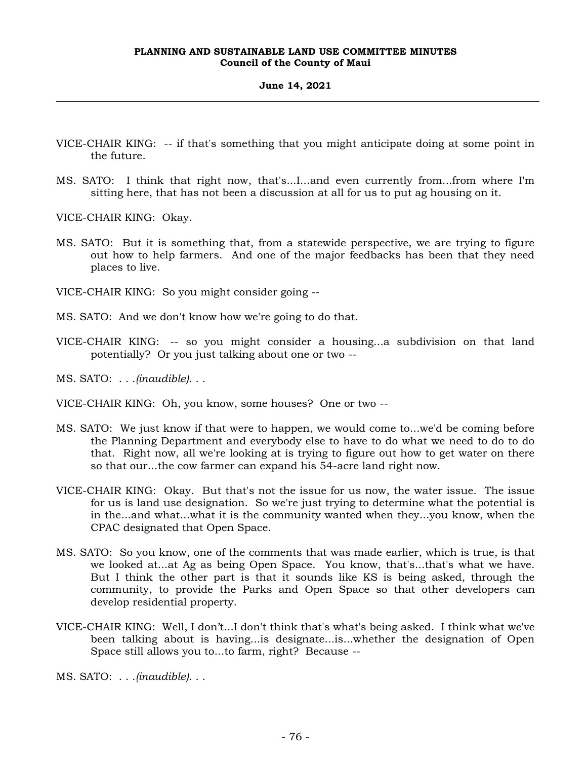# **June 14, 2021**

- VICE-CHAIR KING: -- if that's something that you might anticipate doing at some point in the future.
- MS. SATO: I think that right now, that's...I...and even currently from...from where I'm sitting here, that has not been a discussion at all for us to put ag housing on it.

VICE-CHAIR KING: Okay.

- MS. SATO: But it is something that, from a statewide perspective, we are trying to figure out how to help farmers. And one of the major feedbacks has been that they need places to live.
- VICE-CHAIR KING: So you might consider going --
- MS. SATO: And we don't know how we're going to do that.
- VICE-CHAIR KING: -- so you might consider a housing...a subdivision on that land potentially? Or you just talking about one or two --
- MS. SATO: . . .*(inaudible)*. . .
- VICE-CHAIR KING: Oh, you know, some houses? One or two --
- MS. SATO: We just know if that were to happen, we would come to...we'd be coming before the Planning Department and everybody else to have to do what we need to do to do that. Right now, all we're looking at is trying to figure out how to get water on there so that our...the cow farmer can expand his 54-acre land right now.
- VICE-CHAIR KING: Okay. But that's not the issue for us now, the water issue. The issue for us is land use designation. So we're just trying to determine what the potential is in the...and what...what it is the community wanted when they...you know, when the CPAC designated that Open Space.
- MS. SATO: So you know, one of the comments that was made earlier, which is true, is that we looked at...at Ag as being Open Space. You know, that's...that's what we have. But I think the other part is that it sounds like KS is being asked, through the community, to provide the Parks and Open Space so that other developers can develop residential property.
- VICE-CHAIR KING: Well, I don't...I don't think that's what's being asked. I think what we've been talking about is having...is designate...is...whether the designation of Open Space still allows you to...to farm, right? Because --

MS. SATO: . . .*(inaudible)*. . .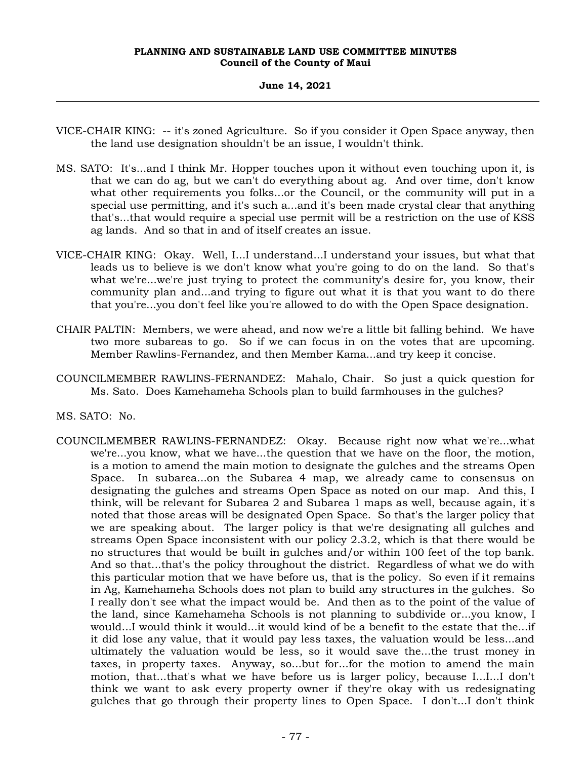# **June 14, 2021**

- VICE-CHAIR KING: -- it's zoned Agriculture. So if you consider it Open Space anyway, then the land use designation shouldn't be an issue, I wouldn't think.
- MS. SATO: It's...and I think Mr. Hopper touches upon it without even touching upon it, is that we can do ag, but we can't do everything about ag. And over time, don't know what other requirements you folks...or the Council, or the community will put in a special use permitting, and it's such a...and it's been made crystal clear that anything that's...that would require a special use permit will be a restriction on the use of KSS ag lands. And so that in and of itself creates an issue.
- VICE-CHAIR KING: Okay. Well, I...I understand...I understand your issues, but what that leads us to believe is we don't know what you're going to do on the land. So that's what we're...we're just trying to protect the community's desire for, you know, their community plan and...and trying to figure out what it is that you want to do there that you're...you don't feel like you're allowed to do with the Open Space designation.
- CHAIR PALTIN: Members, we were ahead, and now we're a little bit falling behind. We have two more subareas to go. So if we can focus in on the votes that are upcoming. Member Rawlins-Fernandez, and then Member Kama...and try keep it concise.
- COUNCILMEMBER RAWLINS-FERNANDEZ: Mahalo, Chair. So just a quick question for Ms. Sato. Does Kamehameha Schools plan to build farmhouses in the gulches?

MS. SATO: No.

COUNCILMEMBER RAWLINS-FERNANDEZ: Okay. Because right now what we're...what we're...you know, what we have...the question that we have on the floor, the motion, is a motion to amend the main motion to designate the gulches and the streams Open Space. In subarea...on the Subarea 4 map, we already came to consensus on designating the gulches and streams Open Space as noted on our map. And this, I think, will be relevant for Subarea 2 and Subarea 1 maps as well, because again, it's noted that those areas will be designated Open Space. So that's the larger policy that we are speaking about. The larger policy is that we're designating all gulches and streams Open Space inconsistent with our policy 2.3.2, which is that there would be no structures that would be built in gulches and/or within 100 feet of the top bank. And so that...that's the policy throughout the district. Regardless of what we do with this particular motion that we have before us, that is the policy. So even if it remains in Ag, Kamehameha Schools does not plan to build any structures in the gulches. So I really don't see what the impact would be. And then as to the point of the value of the land, since Kamehameha Schools is not planning to subdivide or...you know, I would...I would think it would...it would kind of be a benefit to the estate that the...if it did lose any value, that it would pay less taxes, the valuation would be less...and ultimately the valuation would be less, so it would save the...the trust money in taxes, in property taxes. Anyway, so...but for...for the motion to amend the main motion, that...that's what we have before us is larger policy, because I...I...I don't think we want to ask every property owner if they're okay with us redesignating gulches that go through their property lines to Open Space. I don't...I don't think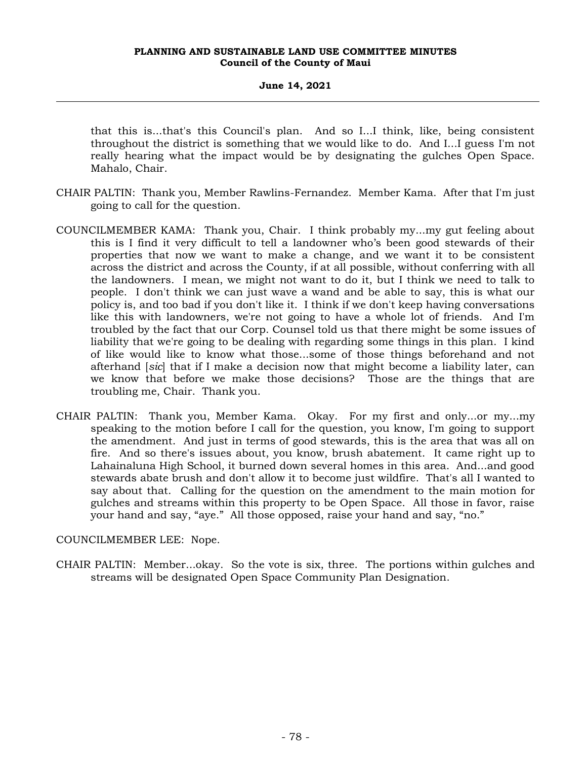# **June 14, 2021**

that this is...that's this Council's plan. And so I...I think, like, being consistent throughout the district is something that we would like to do. And I...I guess I'm not really hearing what the impact would be by designating the gulches Open Space. Mahalo, Chair.

- CHAIR PALTIN: Thank you, Member Rawlins-Fernandez. Member Kama. After that I'm just going to call for the question.
- COUNCILMEMBER KAMA: Thank you, Chair. I think probably my...my gut feeling about this is I find it very difficult to tell a landowner who's been good stewards of their properties that now we want to make a change, and we want it to be consistent across the district and across the County, if at all possible, without conferring with all the landowners. I mean, we might not want to do it, but I think we need to talk to people. I don't think we can just wave a wand and be able to say, this is what our policy is, and too bad if you don't like it. I think if we don't keep having conversations like this with landowners, we're not going to have a whole lot of friends. And I'm troubled by the fact that our Corp. Counsel told us that there might be some issues of liability that we're going to be dealing with regarding some things in this plan. I kind of like would like to know what those...some of those things beforehand and not afterhand [*sic*] that if I make a decision now that might become a liability later, can we know that before we make those decisions? Those are the things that are troubling me, Chair. Thank you.
- CHAIR PALTIN: Thank you, Member Kama. Okay. For my first and only...or my...my speaking to the motion before I call for the question, you know, I'm going to support the amendment. And just in terms of good stewards, this is the area that was all on fire. And so there's issues about, you know, brush abatement. It came right up to Lahainaluna High School, it burned down several homes in this area. And...and good stewards abate brush and don't allow it to become just wildfire. That's all I wanted to say about that. Calling for the question on the amendment to the main motion for gulches and streams within this property to be Open Space. All those in favor, raise your hand and say, "aye." All those opposed, raise your hand and say, "no."

COUNCILMEMBER LEE: Nope.

CHAIR PALTIN: Member...okay. So the vote is six, three. The portions within gulches and streams will be designated Open Space Community Plan Designation.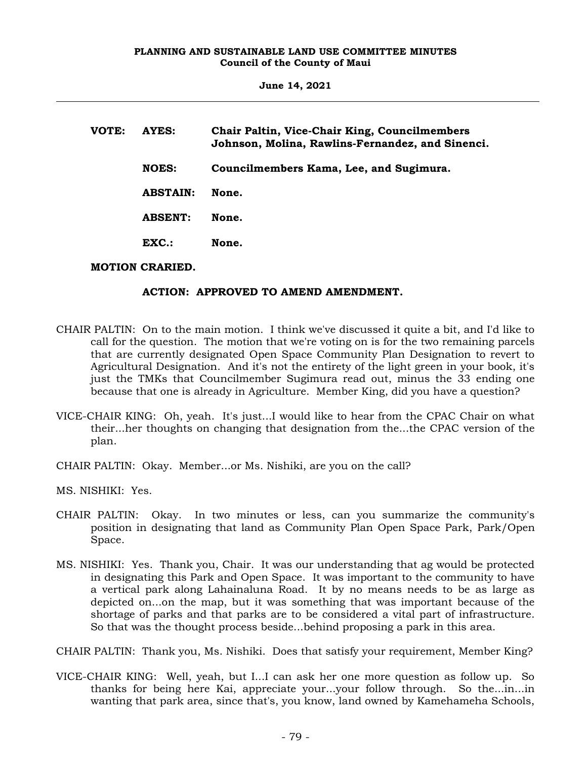**June 14, 2021**

| VOTE: | AYES:           | Chair Paltin, Vice-Chair King, Councilmembers<br>Johnson, Molina, Rawlins-Fernandez, and Sinenci. |
|-------|-----------------|---------------------------------------------------------------------------------------------------|
|       | <b>NOES:</b>    | Councilmembers Kama, Lee, and Sugimura.                                                           |
|       | <b>ABSTAIN:</b> | None.                                                                                             |
|       | <b>ABSENT:</b>  | None.                                                                                             |
|       | $EXC$ .:        | None.                                                                                             |
|       |                 |                                                                                                   |

# **MOTION CRARIED.**

# **ACTION: APPROVED TO AMEND AMENDMENT.**

- CHAIR PALTIN: On to the main motion. I think we've discussed it quite a bit, and I'd like to call for the question. The motion that we're voting on is for the two remaining parcels that are currently designated Open Space Community Plan Designation to revert to Agricultural Designation. And it's not the entirety of the light green in your book, it's just the TMKs that Councilmember Sugimura read out, minus the 33 ending one because that one is already in Agriculture. Member King, did you have a question?
- VICE-CHAIR KING: Oh, yeah. It's just...I would like to hear from the CPAC Chair on what their...her thoughts on changing that designation from the...the CPAC version of the plan.
- CHAIR PALTIN: Okay. Member...or Ms. Nishiki, are you on the call?

MS. NISHIKI: Yes.

- CHAIR PALTIN: Okay. In two minutes or less, can you summarize the community's position in designating that land as Community Plan Open Space Park, Park/Open Space.
- MS. NISHIKI: Yes. Thank you, Chair. It was our understanding that ag would be protected in designating this Park and Open Space. It was important to the community to have a vertical park along Lahainaluna Road. It by no means needs to be as large as depicted on...on the map, but it was something that was important because of the shortage of parks and that parks are to be considered a vital part of infrastructure. So that was the thought process beside...behind proposing a park in this area.

CHAIR PALTIN: Thank you, Ms. Nishiki. Does that satisfy your requirement, Member King?

VICE-CHAIR KING: Well, yeah, but I...I can ask her one more question as follow up. So thanks for being here Kai, appreciate your...your follow through. So the...in...in wanting that park area, since that's, you know, land owned by Kamehameha Schools,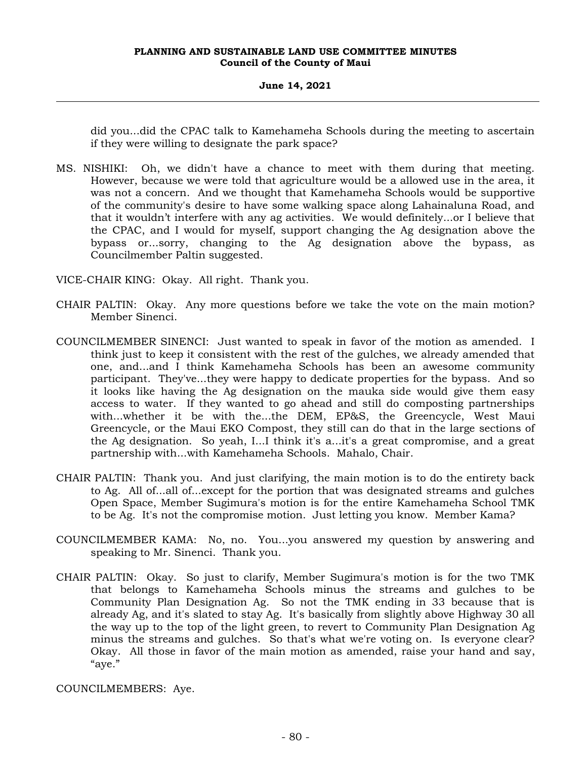# **June 14, 2021**

did you...did the CPAC talk to Kamehameha Schools during the meeting to ascertain if they were willing to designate the park space?

MS. NISHIKI: Oh, we didn't have a chance to meet with them during that meeting. However, because we were told that agriculture would be a allowed use in the area, it was not a concern. And we thought that Kamehameha Schools would be supportive of the community's desire to have some walking space along Lahainaluna Road, and that it wouldn't interfere with any ag activities. We would definitely...or I believe that the CPAC, and I would for myself, support changing the Ag designation above the bypass or...sorry, changing to the Ag designation above the bypass, as Councilmember Paltin suggested.

VICE-CHAIR KING: Okay. All right. Thank you.

- CHAIR PALTIN: Okay. Any more questions before we take the vote on the main motion? Member Sinenci.
- COUNCILMEMBER SINENCI: Just wanted to speak in favor of the motion as amended. I think just to keep it consistent with the rest of the gulches, we already amended that one, and...and I think Kamehameha Schools has been an awesome community participant. They've...they were happy to dedicate properties for the bypass. And so it looks like having the Ag designation on the mauka side would give them easy access to water. If they wanted to go ahead and still do composting partnerships with...whether it be with the...the DEM, EP&S, the Greencycle, West Maui Greencycle, or the Maui EKO Compost, they still can do that in the large sections of the Ag designation. So yeah, I...I think it's a...it's a great compromise, and a great partnership with...with Kamehameha Schools. Mahalo, Chair.
- CHAIR PALTIN: Thank you. And just clarifying, the main motion is to do the entirety back to Ag. All of...all of...except for the portion that was designated streams and gulches Open Space, Member Sugimura's motion is for the entire Kamehameha School TMK to be Ag. It's not the compromise motion. Just letting you know. Member Kama?
- COUNCILMEMBER KAMA: No, no. You...you answered my question by answering and speaking to Mr. Sinenci. Thank you.
- CHAIR PALTIN: Okay. So just to clarify, Member Sugimura's motion is for the two TMK that belongs to Kamehameha Schools minus the streams and gulches to be Community Plan Designation Ag. So not the TMK ending in 33 because that is already Ag, and it's slated to stay Ag. It's basically from slightly above Highway 30 all the way up to the top of the light green, to revert to Community Plan Designation Ag minus the streams and gulches. So that's what we're voting on. Is everyone clear? Okay. All those in favor of the main motion as amended, raise your hand and say, "aye."

COUNCILMEMBERS: Aye.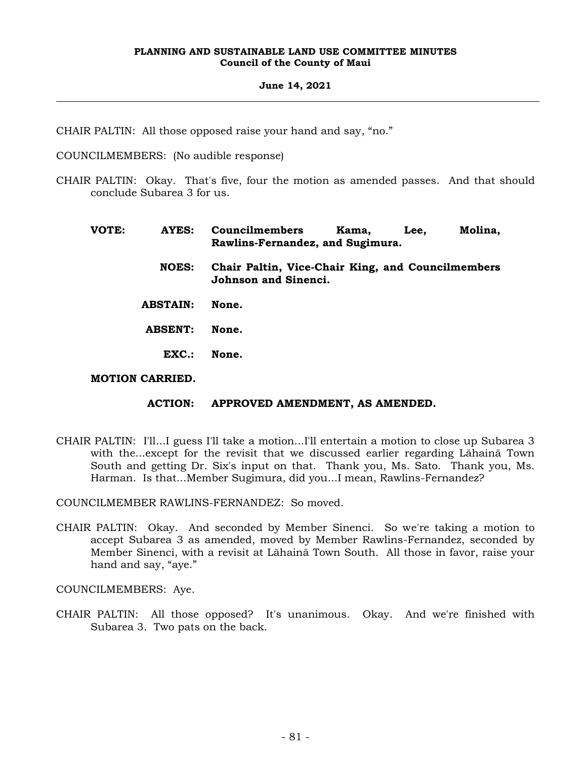# **June 14, 2021**

CHAIR PALTIN: All those opposed raise your hand and say, "no."

COUNCILMEMBERS: (No audible response)

- CHAIR PALTIN: Okay. That's five, four the motion as amended passes. And that should conclude Subarea 3 for us.
	- **VOTE: AYES: Councilmembers Kama, Lee, Molina, Rawlins-Fernandez, and Sugimura. NOES: Chair Paltin, Vice-Chair King, and Councilmembers Johnson and Sinenci. ABSTAIN: None. ABSENT: None. EXC.: None. MOTION CARRIED.**

# **ACTION: APPROVED AMENDMENT, AS AMENDED.**

CHAIR PALTIN: I'll...I guess I'll take a motion...I'll entertain a motion to close up Subarea 3 with the...except for the revisit that we discussed earlier regarding Lāhainā Town South and getting Dr. Six's input on that. Thank you, Ms. Sato. Thank you, Ms. Harman. Is that...Member Sugimura, did you...I mean, Rawlins-Fernandez?

COUNCILMEMBER RAWLINS-FERNANDEZ: So moved.

CHAIR PALTIN: Okay. And seconded by Member Sinenci. So we're taking a motion to accept Subarea 3 as amended, moved by Member Rawlins-Fernandez, seconded by Member Sinenci, with a revisit at Lāhainā Town South. All those in favor, raise your hand and say, "aye."

COUNCILMEMBERS: Aye.

CHAIR PALTIN: All those opposed? It's unanimous. Okay. And we're finished with Subarea 3. Two pats on the back.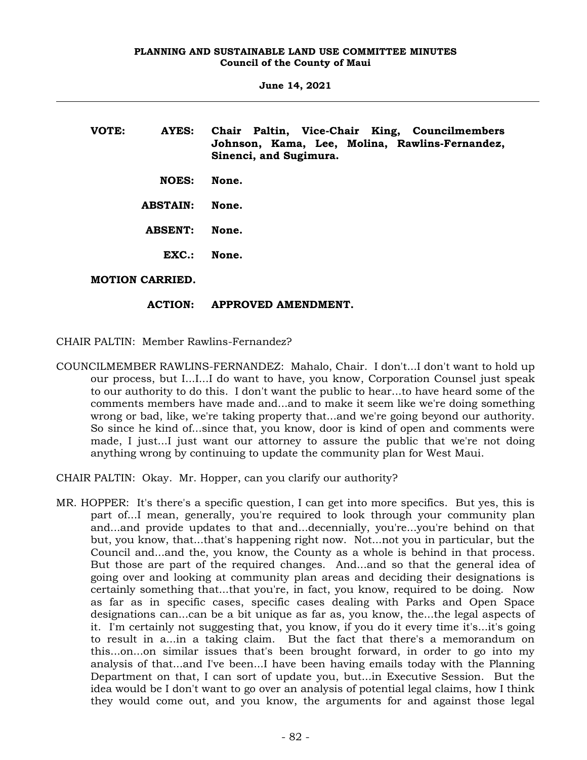**June 14, 2021**

**VOTE: AYES: Chair Paltin, Vice-Chair King, Councilmembers Johnson, Kama, Lee, Molina, Rawlins-Fernandez, Sinenci, and Sugimura. NOES: None. ABSTAIN: None. ABSENT: None. EXC.: None. MOTION CARRIED.**

# **ACTION: APPROVED AMENDMENT.**

CHAIR PALTIN: Member Rawlins-Fernandez?

COUNCILMEMBER RAWLINS-FERNANDEZ: Mahalo, Chair. I don't...I don't want to hold up our process, but I...I...I do want to have, you know, Corporation Counsel just speak to our authority to do this. I don't want the public to hear...to have heard some of the comments members have made and...and to make it seem like we're doing something wrong or bad, like, we're taking property that...and we're going beyond our authority. So since he kind of...since that, you know, door is kind of open and comments were made, I just...I just want our attorney to assure the public that we're not doing anything wrong by continuing to update the community plan for West Maui.

CHAIR PALTIN: Okay. Mr. Hopper, can you clarify our authority?

MR. HOPPER: It's there's a specific question, I can get into more specifics. But yes, this is part of...I mean, generally, you're required to look through your community plan and...and provide updates to that and...decennially, you're...you're behind on that but, you know, that...that's happening right now. Not...not you in particular, but the Council and...and the, you know, the County as a whole is behind in that process. But those are part of the required changes. And...and so that the general idea of going over and looking at community plan areas and deciding their designations is certainly something that...that you're, in fact, you know, required to be doing. Now as far as in specific cases, specific cases dealing with Parks and Open Space designations can...can be a bit unique as far as, you know, the...the legal aspects of it. I'm certainly not suggesting that, you know, if you do it every time it's...it's going to result in a...in a taking claim. But the fact that there's a memorandum on this...on...on similar issues that's been brought forward, in order to go into my analysis of that...and I've been...I have been having emails today with the Planning Department on that, I can sort of update you, but...in Executive Session. But the idea would be I don't want to go over an analysis of potential legal claims, how I think they would come out, and you know, the arguments for and against those legal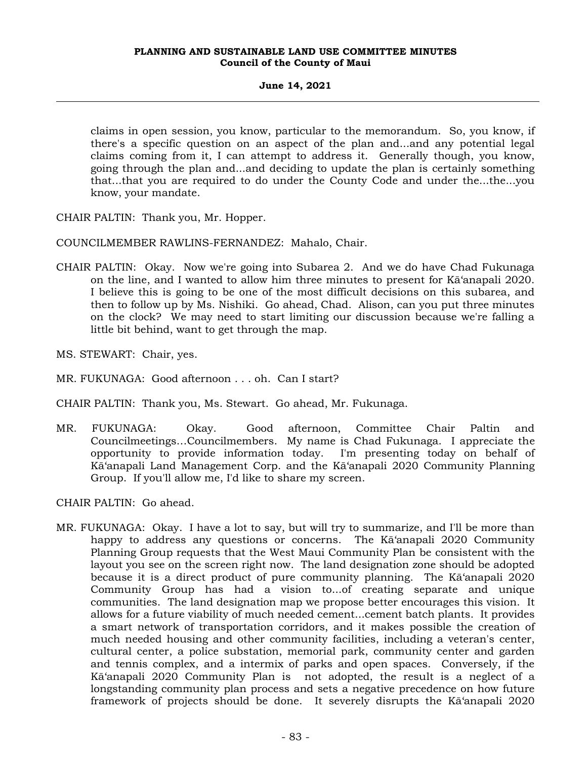# **June 14, 2021**

claims in open session, you know, particular to the memorandum. So, you know, if there's a specific question on an aspect of the plan and...and any potential legal claims coming from it, I can attempt to address it. Generally though, you know, going through the plan and...and deciding to update the plan is certainly something that...that you are required to do under the County Code and under the...the...you know, your mandate.

CHAIR PALTIN: Thank you, Mr. Hopper.

COUNCILMEMBER RAWLINS-FERNANDEZ: Mahalo, Chair.

- CHAIR PALTIN: Okay. Now we're going into Subarea 2. And we do have Chad Fukunaga on the line, and I wanted to allow him three minutes to present for Kā'anapali 2020. I believe this is going to be one of the most difficult decisions on this subarea, and then to follow up by Ms. Nishiki. Go ahead, Chad. Alison, can you put three minutes on the clock? We may need to start limiting our discussion because we're falling a little bit behind, want to get through the map.
- MS. STEWART: Chair, yes.
- MR. FUKUNAGA: Good afternoon . . . oh. Can I start?
- CHAIR PALTIN: Thank you, Ms. Stewart. Go ahead, Mr. Fukunaga.
- MR. FUKUNAGA: Okay. Good afternoon, Committee Chair Paltin and Councilmeetings…Councilmembers. My name is Chad Fukunaga. I appreciate the opportunity to provide information today. I'm presenting today on behalf of Kā'anapali Land Management Corp. and the Kā'anapali 2020 Community Planning Group. If you'll allow me, I'd like to share my screen.

CHAIR PALTIN: Go ahead.

MR. FUKUNAGA: Okay. I have a lot to say, but will try to summarize, and I'll be more than happy to address any questions or concerns. The Kā'anapali 2020 Community Planning Group requests that the West Maui Community Plan be consistent with the layout you see on the screen right now. The land designation zone should be adopted because it is a direct product of pure community planning. The Kā'anapali 2020 Community Group has had a vision to...of creating separate and unique communities. The land designation map we propose better encourages this vision. It allows for a future viability of much needed cement...cement batch plants. It provides a smart network of transportation corridors, and it makes possible the creation of much needed housing and other community facilities, including a veteran's center, cultural center, a police substation, memorial park, community center and garden and tennis complex, and a intermix of parks and open spaces. Conversely, if the Kā'anapali 2020 Community Plan is not adopted, the result is a neglect of a longstanding community plan process and sets a negative precedence on how future framework of projects should be done. It severely disrupts the Kā'anapali 2020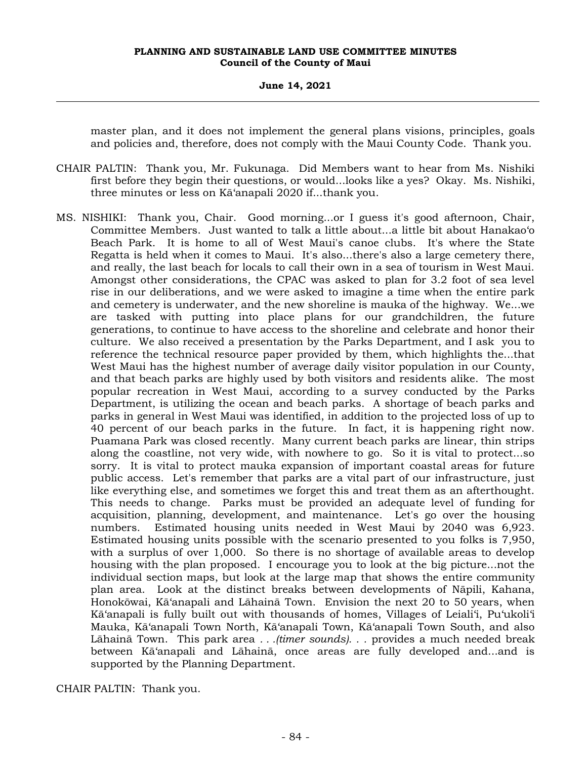#### **June 14, 2021**

master plan, and it does not implement the general plans visions, principles, goals and policies and, therefore, does not comply with the Maui County Code. Thank you.

- CHAIR PALTIN: Thank you, Mr. Fukunaga. Did Members want to hear from Ms. Nishiki first before they begin their questions, or would...looks like a yes? Okay. Ms. Nishiki, three minutes or less on Kā'anapali 2020 if...thank you.
- MS. NISHIKI: Thank you, Chair. Good morning...or I guess it's good afternoon, Chair, Committee Members. Just wanted to talk a little about...a little bit about Hanakao'o Beach Park. It is home to all of West Maui's canoe clubs. It's where the State Regatta is held when it comes to Maui. It's also...there's also a large cemetery there, and really, the last beach for locals to call their own in a sea of tourism in West Maui. Amongst other considerations, the CPAC was asked to plan for 3.2 foot of sea level rise in our deliberations, and we were asked to imagine a time when the entire park and cemetery is underwater, and the new shoreline is mauka of the highway. We...we are tasked with putting into place plans for our grandchildren, the future generations, to continue to have access to the shoreline and celebrate and honor their culture. We also received a presentation by the Parks Department, and I ask you to reference the technical resource paper provided by them, which highlights the...that West Maui has the highest number of average daily visitor population in our County, and that beach parks are highly used by both visitors and residents alike. The most popular recreation in West Maui, according to a survey conducted by the Parks Department, is utilizing the ocean and beach parks. A shortage of beach parks and parks in general in West Maui was identified, in addition to the projected loss of up to 40 percent of our beach parks in the future. In fact, it is happening right now. Puamana Park was closed recently. Many current beach parks are linear, thin strips along the coastline, not very wide, with nowhere to go. So it is vital to protect...so sorry. It is vital to protect mauka expansion of important coastal areas for future public access. Let's remember that parks are a vital part of our infrastructure, just like everything else, and sometimes we forget this and treat them as an afterthought. This needs to change. Parks must be provided an adequate level of funding for acquisition, planning, development, and maintenance. Let's go over the housing numbers. Estimated housing units needed in West Maui by 2040 was 6,923. Estimated housing units possible with the scenario presented to you folks is 7,950, with a surplus of over 1,000. So there is no shortage of available areas to develop housing with the plan proposed. I encourage you to look at the big picture...not the individual section maps, but look at the large map that shows the entire community plan area. Look at the distinct breaks between developments of Nāpili, Kahana, Honokōwai, Kā'anapali and Lāhainā Town. Envision the next 20 to 50 years, when Kā'anapali is fully built out with thousands of homes, Villages of Leiali'i, Pu'ukoli'i Mauka, Kā'anapali Town North, Kā'anapali Town, Kā'anapali Town South, and also Lāhainā Town. This park area *. . .(timer sounds). . .* provides a much needed break between Kā'anapali and Lāhainā, once areas are fully developed and...and is supported by the Planning Department.

CHAIR PALTIN: Thank you.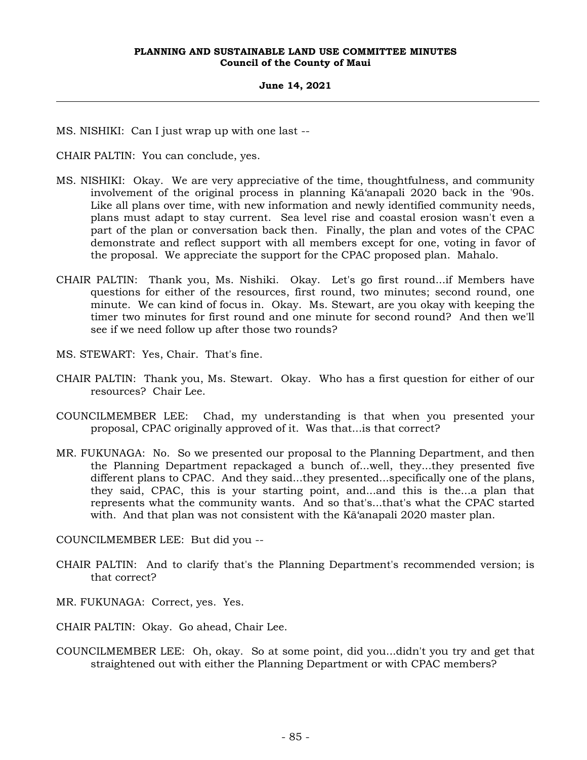#### **June 14, 2021**

MS. NISHIKI: Can I just wrap up with one last --

CHAIR PALTIN: You can conclude, yes.

- MS. NISHIKI: Okay. We are very appreciative of the time, thoughtfulness, and community involvement of the original process in planning Kā'anapali 2020 back in the '90s. Like all plans over time, with new information and newly identified community needs, plans must adapt to stay current. Sea level rise and coastal erosion wasn't even a part of the plan or conversation back then. Finally, the plan and votes of the CPAC demonstrate and reflect support with all members except for one, voting in favor of the proposal. We appreciate the support for the CPAC proposed plan. Mahalo.
- CHAIR PALTIN: Thank you, Ms. Nishiki. Okay. Let's go first round...if Members have questions for either of the resources, first round, two minutes; second round, one minute. We can kind of focus in. Okay. Ms. Stewart, are you okay with keeping the timer two minutes for first round and one minute for second round? And then we'll see if we need follow up after those two rounds?
- MS. STEWART: Yes, Chair. That's fine.
- CHAIR PALTIN: Thank you, Ms. Stewart. Okay. Who has a first question for either of our resources? Chair Lee.
- COUNCILMEMBER LEE: Chad, my understanding is that when you presented your proposal, CPAC originally approved of it. Was that...is that correct?
- MR. FUKUNAGA: No. So we presented our proposal to the Planning Department, and then the Planning Department repackaged a bunch of...well, they...they presented five different plans to CPAC. And they said...they presented...specifically one of the plans, they said, CPAC, this is your starting point, and...and this is the...a plan that represents what the community wants. And so that's...that's what the CPAC started with. And that plan was not consistent with the Kā'anapali 2020 master plan.

COUNCILMEMBER LEE: But did you --

- CHAIR PALTIN: And to clarify that's the Planning Department's recommended version; is that correct?
- MR. FUKUNAGA: Correct, yes. Yes.

CHAIR PALTIN: Okay. Go ahead, Chair Lee.

COUNCILMEMBER LEE: Oh, okay. So at some point, did you...didn't you try and get that straightened out with either the Planning Department or with CPAC members?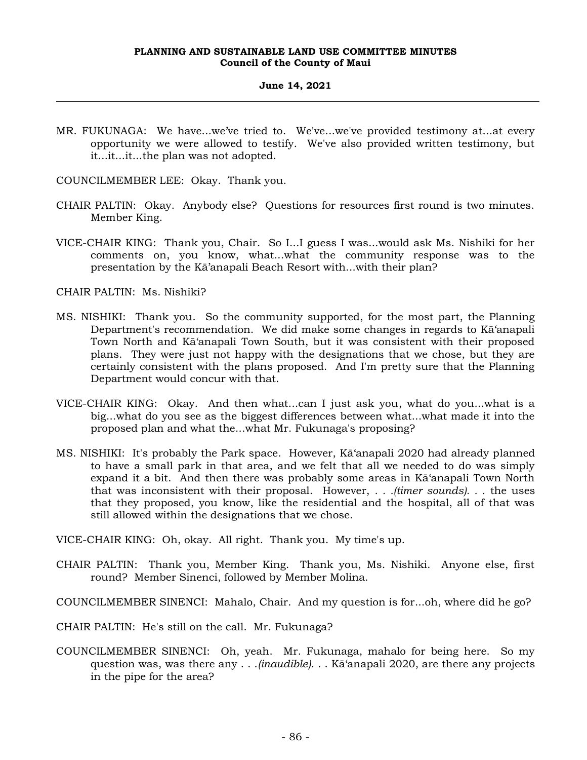#### **June 14, 2021**

MR. FUKUNAGA: We have...we've tried to. We've...we've provided testimony at...at every opportunity we were allowed to testify. We've also provided written testimony, but it...it...it...the plan was not adopted.

COUNCILMEMBER LEE: Okay. Thank you.

- CHAIR PALTIN: Okay. Anybody else? Questions for resources first round is two minutes. Member King.
- VICE-CHAIR KING: Thank you, Chair. So I...I guess I was...would ask Ms. Nishiki for her comments on, you know, what...what the community response was to the presentation by the Kā'anapali Beach Resort with...with their plan?

CHAIR PALTIN: Ms. Nishiki?

- MS. NISHIKI: Thank you. So the community supported, for the most part, the Planning Department's recommendation. We did make some changes in regards to Kā'anapali Town North and Kā'anapali Town South, but it was consistent with their proposed plans. They were just not happy with the designations that we chose, but they are certainly consistent with the plans proposed. And I'm pretty sure that the Planning Department would concur with that.
- VICE-CHAIR KING: Okay. And then what...can I just ask you, what do you...what is a big...what do you see as the biggest differences between what...what made it into the proposed plan and what the...what Mr. Fukunaga's proposing?
- MS. NISHIKI: It's probably the Park space. However, Kā'anapali 2020 had already planned to have a small park in that area, and we felt that all we needed to do was simply expand it a bit. And then there was probably some areas in Kā'anapali Town North that was inconsistent with their proposal. However, *. . .(timer sounds). . .* the uses that they proposed, you know, like the residential and the hospital, all of that was still allowed within the designations that we chose.

VICE-CHAIR KING: Oh, okay. All right. Thank you. My time's up.

- CHAIR PALTIN: Thank you, Member King. Thank you, Ms. Nishiki. Anyone else, first round? Member Sinenci, followed by Member Molina.
- COUNCILMEMBER SINENCI: Mahalo, Chair. And my question is for...oh, where did he go?

CHAIR PALTIN: He's still on the call. Mr. Fukunaga?

COUNCILMEMBER SINENCI: Oh, yeah. Mr. Fukunaga, mahalo for being here. So my question was, was there any . . .*(inaudible)*. . . Kā'anapali 2020, are there any projects in the pipe for the area?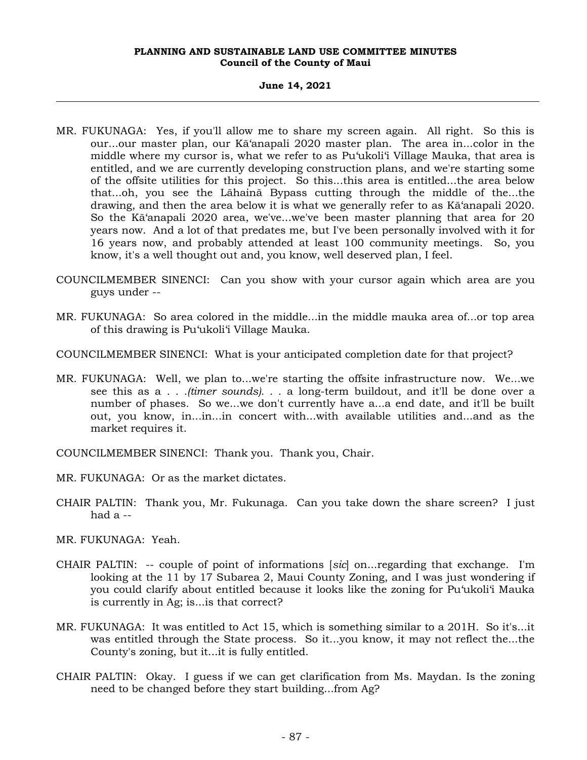#### **June 14, 2021**

- MR. FUKUNAGA: Yes, if you'll allow me to share my screen again. All right. So this is our...our master plan, our Kā'anapali 2020 master plan. The area in...color in the middle where my cursor is, what we refer to as Pu'ukoli'i Village Mauka, that area is entitled, and we are currently developing construction plans, and we're starting some of the offsite utilities for this project. So this...this area is entitled...the area below that...oh, you see the Lāhainā Bypass cutting through the middle of the...the drawing, and then the area below it is what we generally refer to as Kā'anapali 2020. So the Kā'anapali 2020 area, we've...we've been master planning that area for 20 years now. And a lot of that predates me, but I've been personally involved with it for 16 years now, and probably attended at least 100 community meetings. So, you know, it's a well thought out and, you know, well deserved plan, I feel.
- COUNCILMEMBER SINENCI: Can you show with your cursor again which area are you guys under --
- MR. FUKUNAGA: So area colored in the middle...in the middle mauka area of...or top area of this drawing is Pu'ukoli'i Village Mauka.
- COUNCILMEMBER SINENCI: What is your anticipated completion date for that project?
- MR. FUKUNAGA: Well, we plan to...we're starting the offsite infrastructure now. We...we see this as a *. . .(timer sounds). . .* a long-term buildout, and it'll be done over a number of phases. So we...we don't currently have a...a end date, and it'll be built out, you know, in...in...in concert with...with available utilities and...and as the market requires it.
- COUNCILMEMBER SINENCI: Thank you. Thank you, Chair.
- MR. FUKUNAGA: Or as the market dictates.
- CHAIR PALTIN: Thank you, Mr. Fukunaga. Can you take down the share screen? I just had  $a -$

MR. FUKUNAGA: Yeah.

- CHAIR PALTIN: -- couple of point of informations [*sic*] on...regarding that exchange. I'm looking at the 11 by 17 Subarea 2, Maui County Zoning, and I was just wondering if you could clarify about entitled because it looks like the zoning for Pu'ukoli'i Mauka is currently in Ag; is...is that correct?
- MR. FUKUNAGA: It was entitled to Act 15, which is something similar to a 201H. So it's...it was entitled through the State process. So it...you know, it may not reflect the...the County's zoning, but it...it is fully entitled.
- CHAIR PALTIN: Okay. I guess if we can get clarification from Ms. Maydan. Is the zoning need to be changed before they start building...from Ag?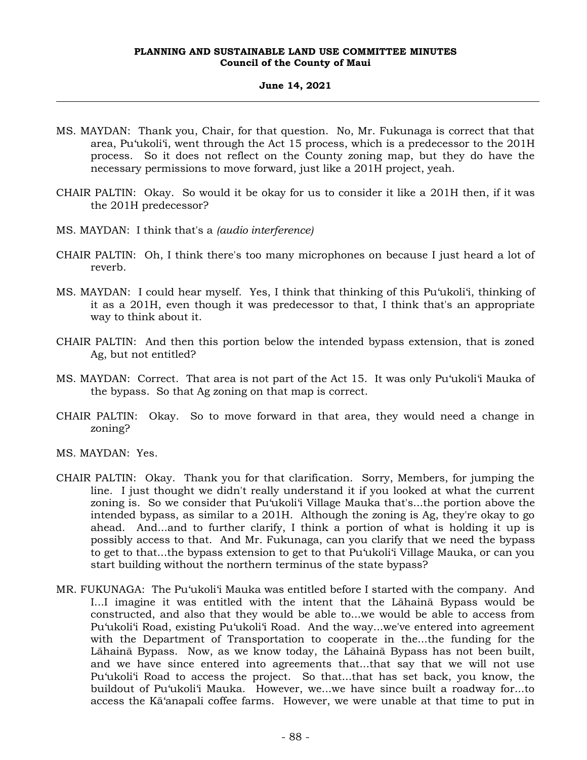# **June 14, 2021**

- MS. MAYDAN: Thank you, Chair, for that question. No, Mr. Fukunaga is correct that that area, Pu'ukoli'i, went through the Act 15 process, which is a predecessor to the 201H process. So it does not reflect on the County zoning map, but they do have the necessary permissions to move forward, just like a 201H project, yeah.
- CHAIR PALTIN: Okay. So would it be okay for us to consider it like a 201H then, if it was the 201H predecessor?
- MS. MAYDAN: I think that's a *(audio interference)*
- CHAIR PALTIN: Oh, I think there's too many microphones on because I just heard a lot of reverb.
- MS. MAYDAN: I could hear myself. Yes, I think that thinking of this Pu'ukoli'i, thinking of it as a 201H, even though it was predecessor to that, I think that's an appropriate way to think about it.
- CHAIR PALTIN: And then this portion below the intended bypass extension, that is zoned Ag, but not entitled?
- MS. MAYDAN: Correct. That area is not part of the Act 15. It was only Pu'ukoli'i Mauka of the bypass. So that Ag zoning on that map is correct.
- CHAIR PALTIN: Okay. So to move forward in that area, they would need a change in zoning?
- MS. MAYDAN: Yes.
- CHAIR PALTIN: Okay. Thank you for that clarification. Sorry, Members, for jumping the line. I just thought we didn't really understand it if you looked at what the current zoning is. So we consider that Pu'ukoli'i Village Mauka that's...the portion above the intended bypass, as similar to a 201H. Although the zoning is Ag, they're okay to go ahead. And...and to further clarify, I think a portion of what is holding it up is possibly access to that. And Mr. Fukunaga, can you clarify that we need the bypass to get to that...the bypass extension to get to that Pu'ukoli'i Village Mauka, or can you start building without the northern terminus of the state bypass?
- MR. FUKUNAGA: The Pu'ukoli'i Mauka was entitled before I started with the company. And I...I imagine it was entitled with the intent that the Lāhainā Bypass would be constructed, and also that they would be able to...we would be able to access from Pu'ukoli'i Road, existing Pu'ukoli'i Road. And the way...we've entered into agreement with the Department of Transportation to cooperate in the...the funding for the Lāhainā Bypass. Now, as we know today, the Lāhainā Bypass has not been built, and we have since entered into agreements that...that say that we will not use Pu'ukoli'i Road to access the project. So that...that has set back, you know, the buildout of Pu'ukoli'i Mauka. However, we...we have since built a roadway for...to access the Kā'anapali coffee farms. However, we were unable at that time to put in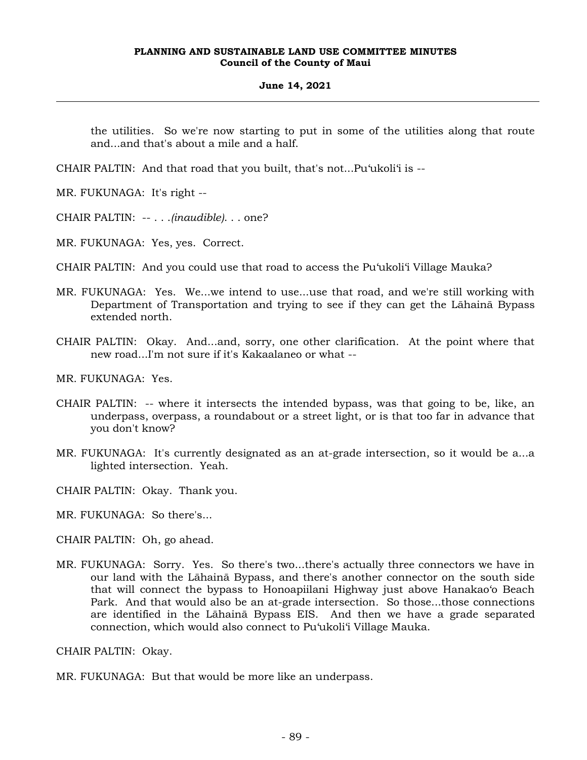# **June 14, 2021**

the utilities. So we're now starting to put in some of the utilities along that route and...and that's about a mile and a half.

CHAIR PALTIN: And that road that you built, that's not...Pu'ukoli'i is --

MR. FUKUNAGA: It's right --

CHAIR PALTIN: -- . . .*(inaudible)*. . . one?

MR. FUKUNAGA: Yes, yes. Correct.

- CHAIR PALTIN: And you could use that road to access the Pu'ukoli'i Village Mauka?
- MR. FUKUNAGA: Yes. We...we intend to use...use that road, and we're still working with Department of Transportation and trying to see if they can get the Lāhainā Bypass extended north.
- CHAIR PALTIN: Okay. And...and, sorry, one other clarification. At the point where that new road...I'm not sure if it's Kakaalaneo or what --

MR. FUKUNAGA: Yes.

- CHAIR PALTIN: -- where it intersects the intended bypass, was that going to be, like, an underpass, overpass, a roundabout or a street light, or is that too far in advance that you don't know?
- MR. FUKUNAGA: It's currently designated as an at-grade intersection, so it would be a...a lighted intersection. Yeah.

CHAIR PALTIN: Okay. Thank you.

MR. FUKUNAGA: So there's...

CHAIR PALTIN: Oh, go ahead.

MR. FUKUNAGA: Sorry. Yes. So there's two...there's actually three connectors we have in our land with the Lāhainā Bypass, and there's another connector on the south side that will connect the bypass to Honoapiilani Highway just above Hanakao'o Beach Park. And that would also be an at-grade intersection. So those...those connections are identified in the Lāhainā Bypass EIS. And then we have a grade separated connection, which would also connect to Pu'ukoli'i Village Mauka.

CHAIR PALTIN: Okay.

MR. FUKUNAGA: But that would be more like an underpass.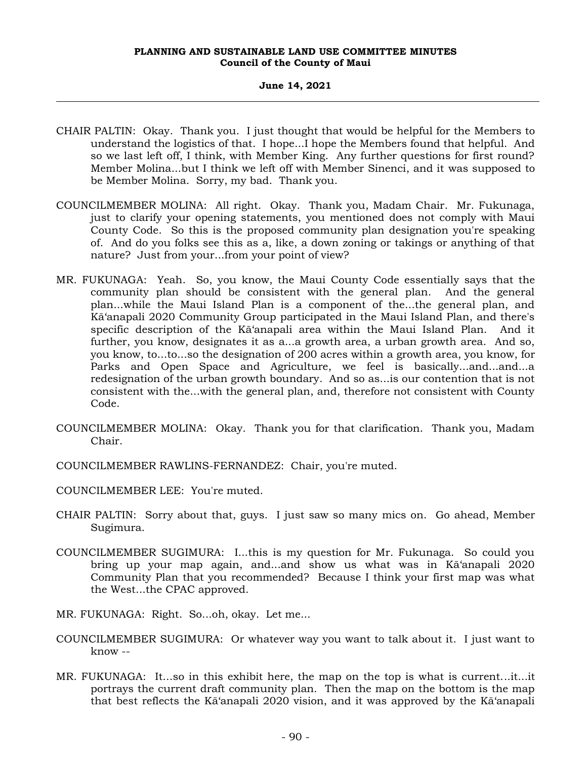#### **June 14, 2021**

- CHAIR PALTIN: Okay. Thank you. I just thought that would be helpful for the Members to understand the logistics of that. I hope...I hope the Members found that helpful. And so we last left off, I think, with Member King. Any further questions for first round? Member Molina...but I think we left off with Member Sinenci, and it was supposed to be Member Molina. Sorry, my bad. Thank you.
- COUNCILMEMBER MOLINA: All right. Okay. Thank you, Madam Chair. Mr. Fukunaga, just to clarify your opening statements, you mentioned does not comply with Maui County Code. So this is the proposed community plan designation you're speaking of. And do you folks see this as a, like, a down zoning or takings or anything of that nature? Just from your...from your point of view?
- MR. FUKUNAGA: Yeah. So, you know, the Maui County Code essentially says that the community plan should be consistent with the general plan. And the general plan...while the Maui Island Plan is a component of the...the general plan, and Kā'anapali 2020 Community Group participated in the Maui Island Plan, and there's specific description of the Kā'anapali area within the Maui Island Plan. And it further, you know, designates it as a...a growth area, a urban growth area. And so, you know, to...to...so the designation of 200 acres within a growth area, you know, for Parks and Open Space and Agriculture, we feel is basically...and...and...a redesignation of the urban growth boundary. And so as...is our contention that is not consistent with the...with the general plan, and, therefore not consistent with County Code.
- COUNCILMEMBER MOLINA: Okay. Thank you for that clarification. Thank you, Madam Chair.
- COUNCILMEMBER RAWLINS-FERNANDEZ: Chair, you're muted.
- COUNCILMEMBER LEE: You're muted.
- CHAIR PALTIN: Sorry about that, guys. I just saw so many mics on. Go ahead, Member Sugimura.
- COUNCILMEMBER SUGIMURA: I...this is my question for Mr. Fukunaga. So could you bring up your map again, and...and show us what was in Kā'anapali 2020 Community Plan that you recommended? Because I think your first map was what the West...the CPAC approved.
- MR. FUKUNAGA: Right. So...oh, okay. Let me...
- COUNCILMEMBER SUGIMURA: Or whatever way you want to talk about it. I just want to know --
- MR. FUKUNAGA: It...so in this exhibit here, the map on the top is what is current...it...it portrays the current draft community plan. Then the map on the bottom is the map that best reflects the Kā'anapali 2020 vision, and it was approved by the Kā'anapali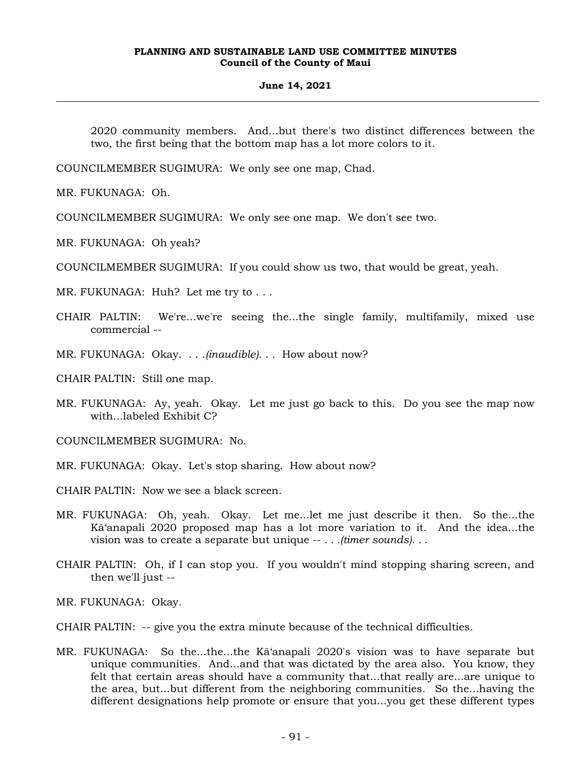#### **June 14, 2021**

2020 community members. And...but there's two distinct differences between the two, the first being that the bottom map has a lot more colors to it.

COUNCILMEMBER SUGIMURA: We only see one map, Chad.

MR. FUKUNAGA: Oh.

COUNCILMEMBER SUGIMURA: We only see one map. We don't see two.

MR. FUKUNAGA: Oh yeah?

COUNCILMEMBER SUGIMURA: If you could show us two, that would be great, yeah.

MR. FUKUNAGA: Huh? Let me try to . . .

CHAIR PALTIN: We're...we're seeing the...the single family, multifamily, mixed use commercial --

MR. FUKUNAGA: Okay. . . .*(inaudible)*. . . How about now?

CHAIR PALTIN: Still one map.

MR. FUKUNAGA: Ay, yeah. Okay. Let me just go back to this. Do you see the map now with...labeled Exhibit C?

COUNCILMEMBER SUGIMURA: No.

- MR. FUKUNAGA: Okay. Let's stop sharing. How about now?
- CHAIR PALTIN: Now we see a black screen.
- MR. FUKUNAGA: Oh, yeah. Okay. Let me...let me just describe it then. So the...the Kā'anapali 2020 proposed map has a lot more variation to it. And the idea...the vision was to create a separate but unique -- *. . .(timer sounds). . .*
- CHAIR PALTIN: Oh, if I can stop you. If you wouldn't mind stopping sharing screen, and then we'll just --

MR. FUKUNAGA: Okay.

CHAIR PALTIN: -- give you the extra minute because of the technical difficulties.

MR. FUKUNAGA: So the...the...the Kā'anapali 2020's vision was to have separate but unique communities. And...and that was dictated by the area also. You know, they felt that certain areas should have a community that...that really are...are unique to the area, but...but different from the neighboring communities. So the...having the different designations help promote or ensure that you...you get these different types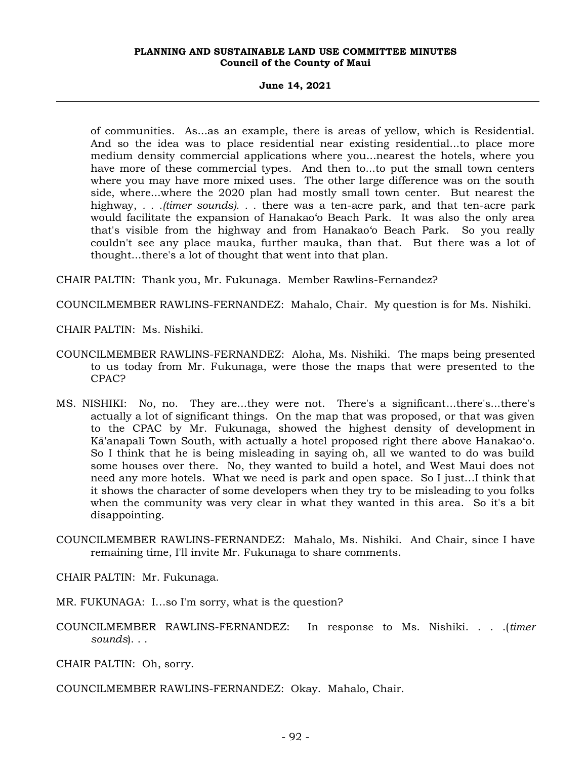**June 14, 2021**

of communities. As...as an example, there is areas of yellow, which is Residential. And so the idea was to place residential near existing residential...to place more medium density commercial applications where you...nearest the hotels, where you have more of these commercial types. And then to...to put the small town centers where you may have more mixed uses. The other large difference was on the south side, where...where the 2020 plan had mostly small town center. But nearest the highway, *. . .(timer sounds). . .* there was a ten-acre park, and that ten-acre park would facilitate the expansion of Hanakao'o Beach Park. It was also the only area that's visible from the highway and from Hanakao'o Beach Park. So you really couldn't see any place mauka, further mauka, than that. But there was a lot of thought...there's a lot of thought that went into that plan.

CHAIR PALTIN: Thank you, Mr. Fukunaga. Member Rawlins-Fernandez?

COUNCILMEMBER RAWLINS-FERNANDEZ: Mahalo, Chair. My question is for Ms. Nishiki.

CHAIR PALTIN: Ms. Nishiki.

- COUNCILMEMBER RAWLINS-FERNANDEZ: Aloha, Ms. Nishiki. The maps being presented to us today from Mr. Fukunaga, were those the maps that were presented to the CPAC?
- MS. NISHIKI: No, no. They are...they were not. There's a significant...there's...there's actually a lot of significant things. On the map that was proposed, or that was given to the CPAC by Mr. Fukunaga, showed the highest density of development in Kā'anapali Town South, with actually a hotel proposed right there above Hanakaoʻo. So I think that he is being misleading in saying oh, all we wanted to do was build some houses over there. No, they wanted to build a hotel, and West Maui does not need any more hotels. What we need is park and open space. So I just…I think that it shows the character of some developers when they try to be misleading to you folks when the community was very clear in what they wanted in this area. So it's a bit disappointing.
- COUNCILMEMBER RAWLINS-FERNANDEZ: Mahalo, Ms. Nishiki. And Chair, since I have remaining time, I'll invite Mr. Fukunaga to share comments.

CHAIR PALTIN: Mr. Fukunaga.

MR. FUKUNAGA: I…so I'm sorry, what is the question?

COUNCILMEMBER RAWLINS-FERNANDEZ: In response to Ms. Nishiki. . . .(*timer sounds*). . .

CHAIR PALTIN: Oh, sorry.

COUNCILMEMBER RAWLINS-FERNANDEZ: Okay. Mahalo, Chair.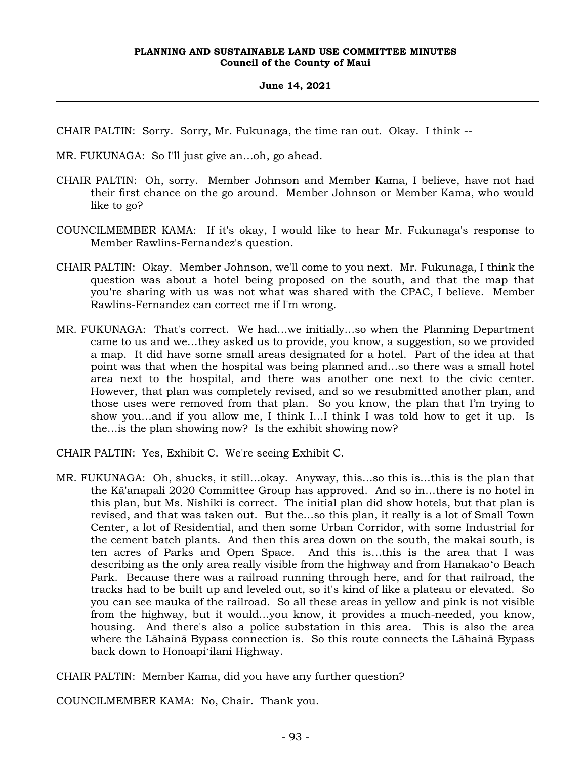# **June 14, 2021**

CHAIR PALTIN: Sorry. Sorry, Mr. Fukunaga, the time ran out. Okay. I think --

- MR. FUKUNAGA: So I'll just give an…oh, go ahead.
- CHAIR PALTIN: Oh, sorry. Member Johnson and Member Kama, I believe, have not had their first chance on the go around. Member Johnson or Member Kama, who would like to go?
- COUNCILMEMBER KAMA: If it's okay, I would like to hear Mr. Fukunaga's response to Member Rawlins-Fernandez's question.
- CHAIR PALTIN: Okay. Member Johnson, we'll come to you next. Mr. Fukunaga, I think the question was about a hotel being proposed on the south, and that the map that you're sharing with us was not what was shared with the CPAC, I believe. Member Rawlins-Fernandez can correct me if I'm wrong.
- MR. FUKUNAGA: That's correct. We had…we initially…so when the Planning Department came to us and we…they asked us to provide, you know, a suggestion, so we provided a map. It did have some small areas designated for a hotel. Part of the idea at that point was that when the hospital was being planned and…so there was a small hotel area next to the hospital, and there was another one next to the civic center. However, that plan was completely revised, and so we resubmitted another plan, and those uses were removed from that plan. So you know, the plan that I'm trying to show you…and if you allow me, I think I…I think I was told how to get it up. Is the…is the plan showing now? Is the exhibit showing now?

CHAIR PALTIN: Yes, Exhibit C. We're seeing Exhibit C.

MR. FUKUNAGA: Oh, shucks, it still…okay. Anyway, this…so this is…this is the plan that the Kā'anapali 2020 Committee Group has approved. And so in…there is no hotel in this plan, but Ms. Nishiki is correct. The initial plan did show hotels, but that plan is revised, and that was taken out. But the…so this plan, it really is a lot of Small Town Center, a lot of Residential, and then some Urban Corridor, with some Industrial for the cement batch plants. And then this area down on the south, the makai south, is ten acres of Parks and Open Space. And this is…this is the area that I was describing as the only area really visible from the highway and from Hanakaoʻo Beach Park. Because there was a railroad running through here, and for that railroad, the tracks had to be built up and leveled out, so it's kind of like a plateau or elevated. So you can see mauka of the railroad. So all these areas in yellow and pink is not visible from the highway, but it would…you know, it provides a much-needed, you know, housing. And there's also a police substation in this area. This is also the area where the Lāhainā Bypass connection is. So this route connects the Lāhainā Bypass back down to Honoapiʻilani Highway.

CHAIR PALTIN: Member Kama, did you have any further question?

COUNCILMEMBER KAMA: No, Chair. Thank you.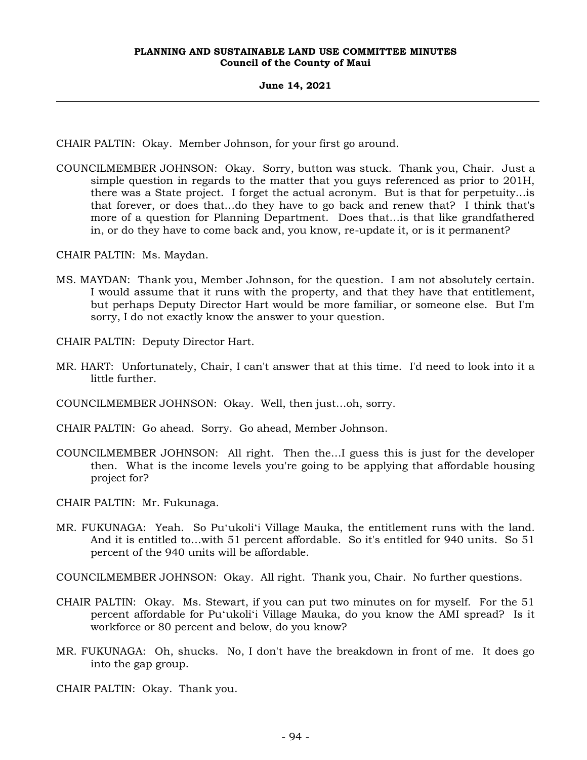# **June 14, 2021**

CHAIR PALTIN: Okay. Member Johnson, for your first go around.

COUNCILMEMBER JOHNSON: Okay. Sorry, button was stuck. Thank you, Chair. Just a simple question in regards to the matter that you guys referenced as prior to 201H, there was a State project. I forget the actual acronym. But is that for perpetuity…is that forever, or does that…do they have to go back and renew that? I think that's more of a question for Planning Department. Does that…is that like grandfathered in, or do they have to come back and, you know, re-update it, or is it permanent?

CHAIR PALTIN: Ms. Maydan.

MS. MAYDAN: Thank you, Member Johnson, for the question. I am not absolutely certain. I would assume that it runs with the property, and that they have that entitlement, but perhaps Deputy Director Hart would be more familiar, or someone else. But I'm sorry, I do not exactly know the answer to your question.

CHAIR PALTIN: Deputy Director Hart.

- MR. HART: Unfortunately, Chair, I can't answer that at this time. I'd need to look into it a little further.
- COUNCILMEMBER JOHNSON: Okay. Well, then just…oh, sorry.
- CHAIR PALTIN: Go ahead. Sorry. Go ahead, Member Johnson.
- COUNCILMEMBER JOHNSON: All right. Then the…I guess this is just for the developer then. What is the income levels you're going to be applying that affordable housing project for?

CHAIR PALTIN: Mr. Fukunaga.

MR. FUKUNAGA: Yeah. So Puʻukoliʻi Village Mauka, the entitlement runs with the land. And it is entitled to…with 51 percent affordable. So it's entitled for 940 units. So 51 percent of the 940 units will be affordable.

COUNCILMEMBER JOHNSON: Okay. All right. Thank you, Chair. No further questions.

- CHAIR PALTIN: Okay. Ms. Stewart, if you can put two minutes on for myself. For the 51 percent affordable for Puʻukoliʻi Village Mauka, do you know the AMI spread? Is it workforce or 80 percent and below, do you know?
- MR. FUKUNAGA: Oh, shucks. No, I don't have the breakdown in front of me. It does go into the gap group.

CHAIR PALTIN: Okay. Thank you.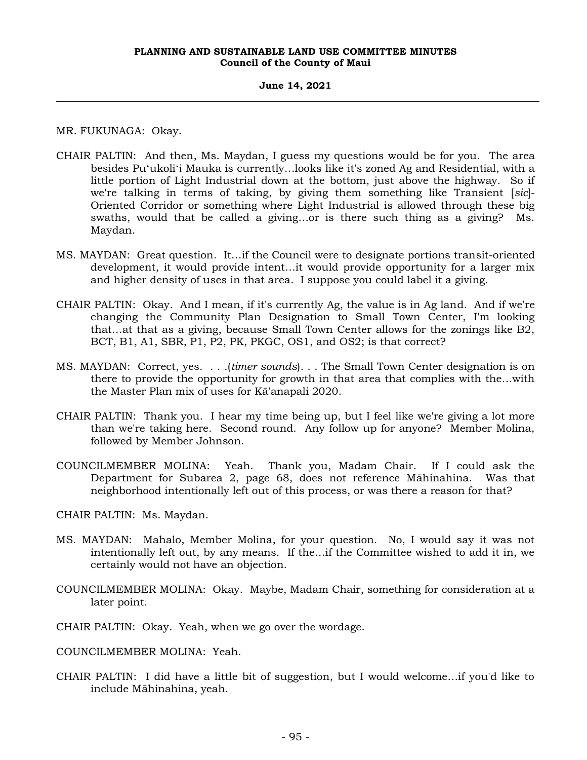#### **June 14, 2021**

MR. FUKUNAGA: Okay.

- CHAIR PALTIN: And then, Ms. Maydan, I guess my questions would be for you. The area besides Puʻukoliʻi Mauka is currently…looks like it's zoned Ag and Residential, with a little portion of Light Industrial down at the bottom, just above the highway. So if we're talking in terms of taking, by giving them something like Transient [*sic*]- Oriented Corridor or something where Light Industrial is allowed through these big swaths, would that be called a giving…or is there such thing as a giving? Ms. Maydan.
- MS. MAYDAN: Great question. It…if the Council were to designate portions transit-oriented development, it would provide intent…it would provide opportunity for a larger mix and higher density of uses in that area. I suppose you could label it a giving.
- CHAIR PALTIN: Okay. And I mean, if it's currently Ag, the value is in Ag land. And if we're changing the Community Plan Designation to Small Town Center, I'm looking that…at that as a giving, because Small Town Center allows for the zonings like B2, BCT, B1, A1, SBR, P1, P2, PK, PKGC, OS1, and OS2; is that correct?
- MS. MAYDAN: Correct, yes. . . .(*timer sounds*). . . The Small Town Center designation is on there to provide the opportunity for growth in that area that complies with the…with the Master Plan mix of uses for Kā'anapali 2020.
- CHAIR PALTIN: Thank you. I hear my time being up, but I feel like we're giving a lot more than we're taking here. Second round. Any follow up for anyone? Member Molina, followed by Member Johnson.
- COUNCILMEMBER MOLINA: Yeah. Thank you, Madam Chair. If I could ask the Department for Subarea 2, page 68, does not reference Māhinahina. Was that neighborhood intentionally left out of this process, or was there a reason for that?

CHAIR PALTIN: Ms. Maydan.

- MS. MAYDAN: Mahalo, Member Molina, for your question. No, I would say it was not intentionally left out, by any means. If the…if the Committee wished to add it in, we certainly would not have an objection.
- COUNCILMEMBER MOLINA: Okay. Maybe, Madam Chair, something for consideration at a later point.
- CHAIR PALTIN: Okay. Yeah, when we go over the wordage.

COUNCILMEMBER MOLINA: Yeah.

CHAIR PALTIN: I did have a little bit of suggestion, but I would welcome…if you'd like to include Māhinahina, yeah.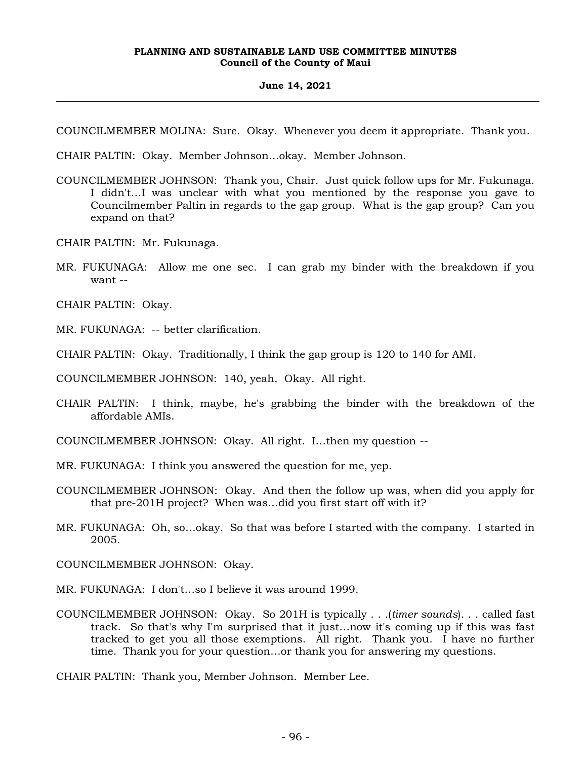#### **June 14, 2021**

COUNCILMEMBER MOLINA: Sure. Okay. Whenever you deem it appropriate. Thank you.

CHAIR PALTIN: Okay. Member Johnson…okay. Member Johnson.

- COUNCILMEMBER JOHNSON: Thank you, Chair. Just quick follow ups for Mr. Fukunaga. I didn't…I was unclear with what you mentioned by the response you gave to Councilmember Paltin in regards to the gap group. What is the gap group? Can you expand on that?
- CHAIR PALTIN: Mr. Fukunaga.
- MR. FUKUNAGA: Allow me one sec. I can grab my binder with the breakdown if you want --

CHAIR PALTIN: Okay.

MR. FUKUNAGA: -- better clarification.

CHAIR PALTIN: Okay. Traditionally, I think the gap group is 120 to 140 for AMI.

COUNCILMEMBER JOHNSON: 140, yeah. Okay. All right.

CHAIR PALTIN: I think, maybe, he's grabbing the binder with the breakdown of the affordable AMIs.

COUNCILMEMBER JOHNSON: Okay. All right. I…then my question --

- MR. FUKUNAGA: I think you answered the question for me, yep.
- COUNCILMEMBER JOHNSON: Okay. And then the follow up was, when did you apply for that pre-201H project? When was…did you first start off with it?
- MR. FUKUNAGA: Oh, so…okay. So that was before I started with the company. I started in 2005.

COUNCILMEMBER JOHNSON: Okay.

MR. FUKUNAGA: I don't…so I believe it was around 1999.

COUNCILMEMBER JOHNSON: Okay. So 201H is typically . . .(*timer sounds*). . . called fast track. So that's why I'm surprised that it just…now it's coming up if this was fast tracked to get you all those exemptions. All right. Thank you. I have no further time. Thank you for your question…or thank you for answering my questions.

CHAIR PALTIN: Thank you, Member Johnson. Member Lee.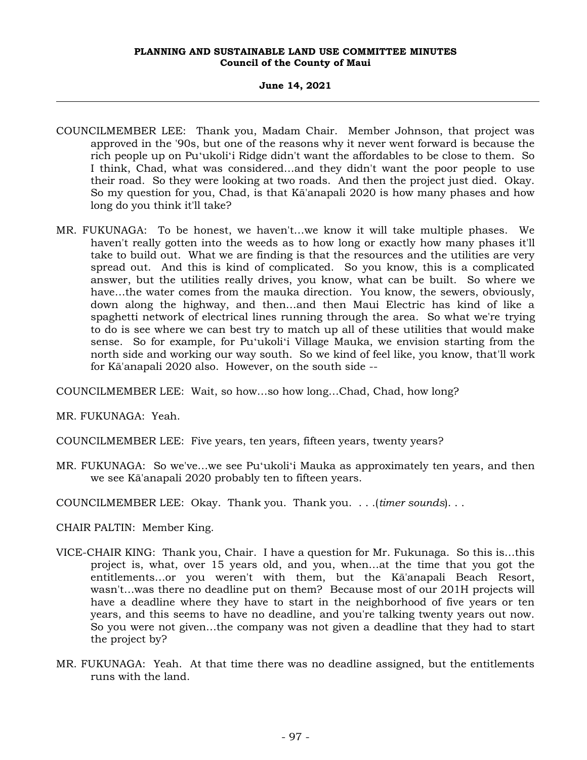# **June 14, 2021**

- COUNCILMEMBER LEE: Thank you, Madam Chair. Member Johnson, that project was approved in the '90s, but one of the reasons why it never went forward is because the rich people up on Puʻukoliʻi Ridge didn't want the affordables to be close to them. So I think, Chad, what was considered…and they didn't want the poor people to use their road. So they were looking at two roads. And then the project just died. Okay. So my question for you, Chad, is that Kā'anapali 2020 is how many phases and how long do you think it'll take?
- MR. FUKUNAGA: To be honest, we haven't…we know it will take multiple phases. We haven't really gotten into the weeds as to how long or exactly how many phases it'll take to build out. What we are finding is that the resources and the utilities are very spread out. And this is kind of complicated. So you know, this is a complicated answer, but the utilities really drives, you know, what can be built. So where we have…the water comes from the mauka direction. You know, the sewers, obviously, down along the highway, and then…and then Maui Electric has kind of like a spaghetti network of electrical lines running through the area. So what we're trying to do is see where we can best try to match up all of these utilities that would make sense. So for example, for Puʻukoliʻi Village Mauka, we envision starting from the north side and working our way south. So we kind of feel like, you know, that'll work for Kā'anapali 2020 also. However, on the south side --

COUNCILMEMBER LEE: Wait, so how…so how long…Chad, Chad, how long?

MR. FUKUNAGA: Yeah.

- COUNCILMEMBER LEE: Five years, ten years, fifteen years, twenty years?
- MR. FUKUNAGA: So we've…we see Puʻukoliʻi Mauka as approximately ten years, and then we see Kā'anapali 2020 probably ten to fifteen years.
- COUNCILMEMBER LEE: Okay. Thank you. Thank you. . . .(*timer sounds*). . .
- CHAIR PALTIN: Member King.
- VICE-CHAIR KING: Thank you, Chair. I have a question for Mr. Fukunaga. So this is…this project is, what, over 15 years old, and you, when…at the time that you got the entitlements…or you weren't with them, but the Kā'anapali Beach Resort, wasn't…was there no deadline put on them? Because most of our 201H projects will have a deadline where they have to start in the neighborhood of five years or ten years, and this seems to have no deadline, and you're talking twenty years out now. So you were not given…the company was not given a deadline that they had to start the project by?
- MR. FUKUNAGA: Yeah. At that time there was no deadline assigned, but the entitlements runs with the land.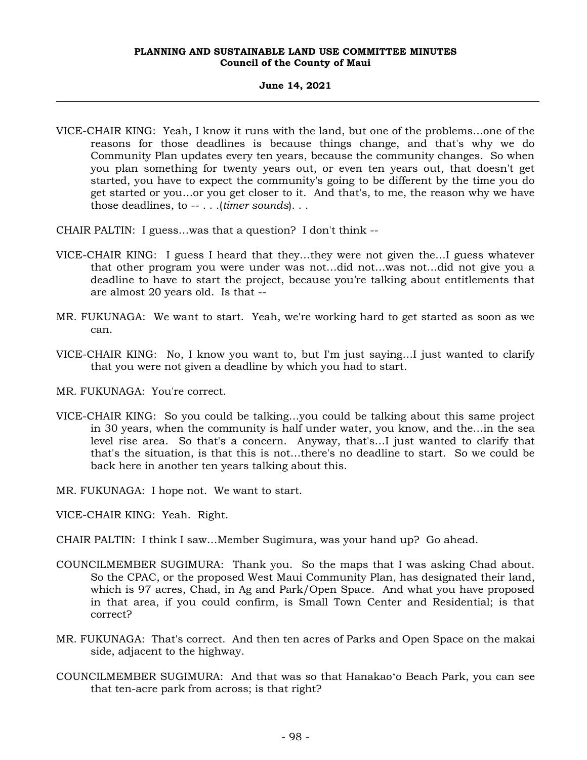# **June 14, 2021**

VICE-CHAIR KING: Yeah, I know it runs with the land, but one of the problems…one of the reasons for those deadlines is because things change, and that's why we do Community Plan updates every ten years, because the community changes. So when you plan something for twenty years out, or even ten years out, that doesn't get started, you have to expect the community's going to be different by the time you do get started or you…or you get closer to it. And that's, to me, the reason why we have those deadlines, to -- . . .(*timer sounds*). . .

CHAIR PALTIN: I guess…was that a question? I don't think --

- VICE-CHAIR KING: I guess I heard that they…they were not given the…I guess whatever that other program you were under was not…did not…was not…did not give you a deadline to have to start the project, because you're talking about entitlements that are almost 20 years old. Is that --
- MR. FUKUNAGA: We want to start. Yeah, we're working hard to get started as soon as we can.
- VICE-CHAIR KING: No, I know you want to, but I'm just saying…I just wanted to clarify that you were not given a deadline by which you had to start.

MR. FUKUNAGA: You're correct.

- VICE-CHAIR KING: So you could be talking…you could be talking about this same project in 30 years, when the community is half under water, you know, and the…in the sea level rise area. So that's a concern. Anyway, that's…I just wanted to clarify that that's the situation, is that this is not…there's no deadline to start. So we could be back here in another ten years talking about this.
- MR. FUKUNAGA: I hope not. We want to start.
- VICE-CHAIR KING: Yeah. Right.
- CHAIR PALTIN: I think I saw…Member Sugimura, was your hand up? Go ahead.
- COUNCILMEMBER SUGIMURA: Thank you. So the maps that I was asking Chad about. So the CPAC, or the proposed West Maui Community Plan, has designated their land, which is 97 acres, Chad, in Ag and Park/Open Space. And what you have proposed in that area, if you could confirm, is Small Town Center and Residential; is that correct?
- MR. FUKUNAGA: That's correct. And then ten acres of Parks and Open Space on the makai side, adjacent to the highway.
- COUNCILMEMBER SUGIMURA: And that was so that Hanakaoʻo Beach Park, you can see that ten-acre park from across; is that right?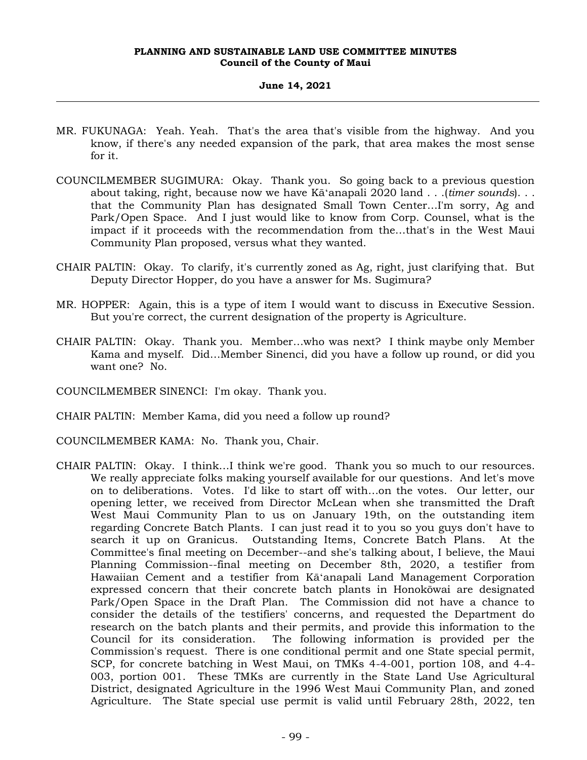# **June 14, 2021**

- MR. FUKUNAGA: Yeah. Yeah. That's the area that's visible from the highway. And you know, if there's any needed expansion of the park, that area makes the most sense for it.
- COUNCILMEMBER SUGIMURA: Okay. Thank you. So going back to a previous question about taking, right, because now we have Kāʻanapali 2020 land . . .(*timer sounds*). . . that the Community Plan has designated Small Town Center…I'm sorry, Ag and Park/Open Space. And I just would like to know from Corp. Counsel, what is the impact if it proceeds with the recommendation from the…that's in the West Maui Community Plan proposed, versus what they wanted.
- CHAIR PALTIN: Okay. To clarify, it's currently zoned as Ag, right, just clarifying that. But Deputy Director Hopper, do you have a answer for Ms. Sugimura?
- MR. HOPPER: Again, this is a type of item I would want to discuss in Executive Session. But you're correct, the current designation of the property is Agriculture.
- CHAIR PALTIN: Okay. Thank you. Member…who was next? I think maybe only Member Kama and myself. Did…Member Sinenci, did you have a follow up round, or did you want one? No.

COUNCILMEMBER SINENCI: I'm okay. Thank you.

CHAIR PALTIN: Member Kama, did you need a follow up round?

COUNCILMEMBER KAMA: No. Thank you, Chair.

CHAIR PALTIN: Okay. I think…I think we're good. Thank you so much to our resources. We really appreciate folks making yourself available for our questions. And let's move on to deliberations. Votes. I'd like to start off with…on the votes. Our letter, our opening letter, we received from Director McLean when she transmitted the Draft West Maui Community Plan to us on January 19th, on the outstanding item regarding Concrete Batch Plants. I can just read it to you so you guys don't have to search it up on Granicus. Outstanding Items, Concrete Batch Plans. At the Committee's final meeting on December--and she's talking about, I believe, the Maui Planning Commission--final meeting on December 8th, 2020, a testifier from Hawaiian Cement and a testifier from Kāʻanapali Land Management Corporation expressed concern that their concrete batch plants in Honokōwai are designated Park/Open Space in the Draft Plan. The Commission did not have a chance to consider the details of the testifiers' concerns, and requested the Department do research on the batch plants and their permits, and provide this information to the Council for its consideration. The following information is provided per the Commission's request. There is one conditional permit and one State special permit, SCP, for concrete batching in West Maui, on TMKs 4-4-001, portion 108, and 4-4- 003, portion 001. These TMKs are currently in the State Land Use Agricultural District, designated Agriculture in the 1996 West Maui Community Plan, and zoned Agriculture. The State special use permit is valid until February 28th, 2022, ten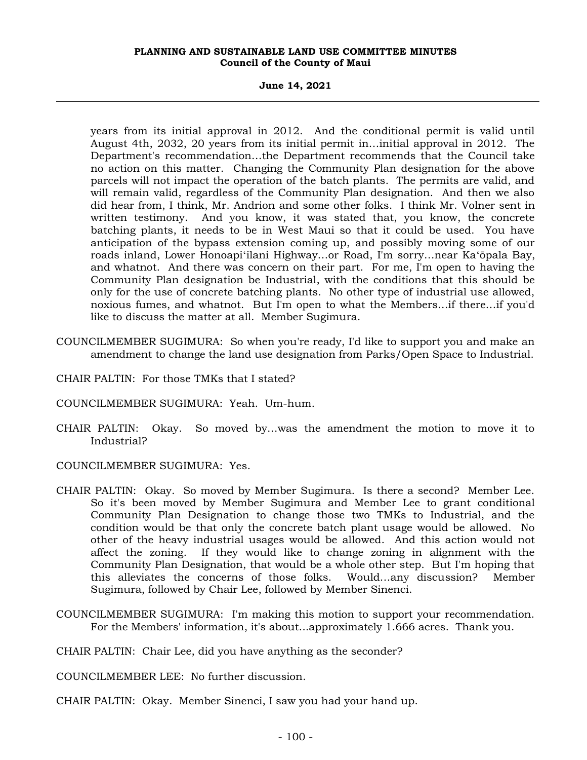# **June 14, 2021**

years from its initial approval in 2012. And the conditional permit is valid until August 4th, 2032, 20 years from its initial permit in…initial approval in 2012. The Department's recommendation…the Department recommends that the Council take no action on this matter. Changing the Community Plan designation for the above parcels will not impact the operation of the batch plants. The permits are valid, and will remain valid, regardless of the Community Plan designation. And then we also did hear from, I think, Mr. Andrion and some other folks. I think Mr. Volner sent in written testimony. And you know, it was stated that, you know, the concrete batching plants, it needs to be in West Maui so that it could be used. You have anticipation of the bypass extension coming up, and possibly moving some of our roads inland, Lower Honoapiʻilani Highway…or Road, I'm sorry…near Kaʻōpala Bay, and whatnot. And there was concern on their part. For me, I'm open to having the Community Plan designation be Industrial, with the conditions that this should be only for the use of concrete batching plants. No other type of industrial use allowed, noxious fumes, and whatnot. But I'm open to what the Members…if there…if you'd like to discuss the matter at all. Member Sugimura.

- COUNCILMEMBER SUGIMURA: So when you're ready, I'd like to support you and make an amendment to change the land use designation from Parks/Open Space to Industrial.
- CHAIR PALTIN: For those TMKs that I stated?
- COUNCILMEMBER SUGIMURA: Yeah. Um-hum.
- CHAIR PALTIN: Okay. So moved by…was the amendment the motion to move it to Industrial?

COUNCILMEMBER SUGIMURA: Yes.

- CHAIR PALTIN: Okay. So moved by Member Sugimura. Is there a second? Member Lee. So it's been moved by Member Sugimura and Member Lee to grant conditional Community Plan Designation to change those two TMKs to Industrial, and the condition would be that only the concrete batch plant usage would be allowed. No other of the heavy industrial usages would be allowed. And this action would not affect the zoning. If they would like to change zoning in alignment with the Community Plan Designation, that would be a whole other step. But I'm hoping that this alleviates the concerns of those folks. Would…any discussion? Member Sugimura, followed by Chair Lee, followed by Member Sinenci.
- COUNCILMEMBER SUGIMURA: I'm making this motion to support your recommendation. For the Members' information, it's about...approximately 1.666 acres. Thank you.

CHAIR PALTIN: Chair Lee, did you have anything as the seconder?

COUNCILMEMBER LEE: No further discussion.

CHAIR PALTIN: Okay. Member Sinenci, I saw you had your hand up.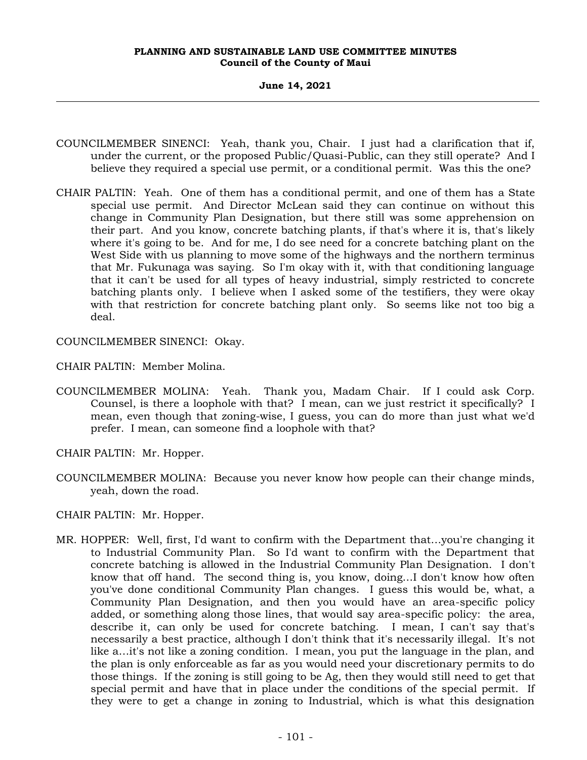# **June 14, 2021**

- COUNCILMEMBER SINENCI: Yeah, thank you, Chair. I just had a clarification that if, under the current, or the proposed Public/Quasi-Public, can they still operate? And I believe they required a special use permit, or a conditional permit. Was this the one?
- CHAIR PALTIN: Yeah. One of them has a conditional permit, and one of them has a State special use permit. And Director McLean said they can continue on without this change in Community Plan Designation, but there still was some apprehension on their part. And you know, concrete batching plants, if that's where it is, that's likely where it's going to be. And for me, I do see need for a concrete batching plant on the West Side with us planning to move some of the highways and the northern terminus that Mr. Fukunaga was saying. So I'm okay with it, with that conditioning language that it can't be used for all types of heavy industrial, simply restricted to concrete batching plants only. I believe when I asked some of the testifiers, they were okay with that restriction for concrete batching plant only. So seems like not too big a deal.

COUNCILMEMBER SINENCI: Okay.

CHAIR PALTIN: Member Molina.

COUNCILMEMBER MOLINA: Yeah. Thank you, Madam Chair. If I could ask Corp. Counsel, is there a loophole with that? I mean, can we just restrict it specifically? I mean, even though that zoning-wise, I guess, you can do more than just what we'd prefer. I mean, can someone find a loophole with that?

CHAIR PALTIN: Mr. Hopper.

COUNCILMEMBER MOLINA: Because you never know how people can their change minds, yeah, down the road.

CHAIR PALTIN: Mr. Hopper.

MR. HOPPER: Well, first, I'd want to confirm with the Department that…you're changing it to Industrial Community Plan. So I'd want to confirm with the Department that concrete batching is allowed in the Industrial Community Plan Designation. I don't know that off hand. The second thing is, you know, doing…I don't know how often you've done conditional Community Plan changes. I guess this would be, what, a Community Plan Designation, and then you would have an area-specific policy added, or something along those lines, that would say area-specific policy: the area, describe it, can only be used for concrete batching. I mean, I can't say that's necessarily a best practice, although I don't think that it's necessarily illegal. It's not like a…it's not like a zoning condition. I mean, you put the language in the plan, and the plan is only enforceable as far as you would need your discretionary permits to do those things. If the zoning is still going to be Ag, then they would still need to get that special permit and have that in place under the conditions of the special permit. If they were to get a change in zoning to Industrial, which is what this designation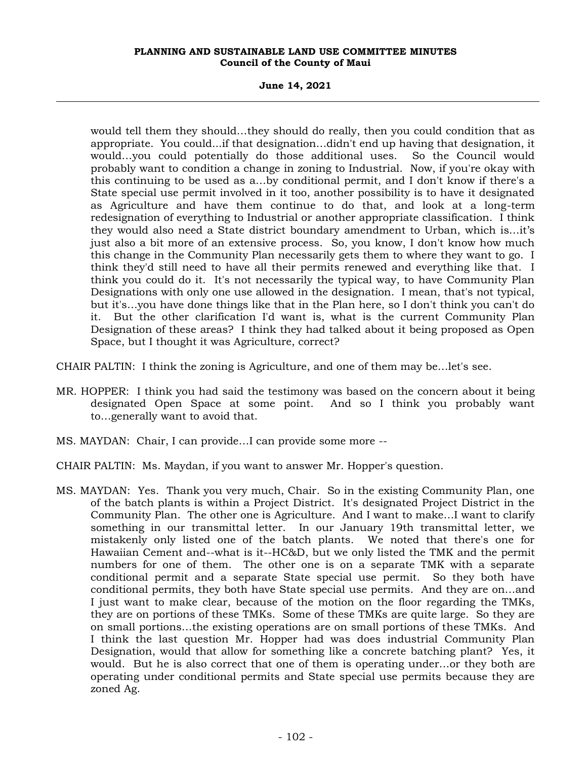**June 14, 2021**

would tell them they should…they should do really, then you could condition that as appropriate. You could...if that designation…didn't end up having that designation, it would…you could potentially do those additional uses. So the Council would probably want to condition a change in zoning to Industrial. Now, if you're okay with this continuing to be used as a…by conditional permit, and I don't know if there's a State special use permit involved in it too, another possibility is to have it designated as Agriculture and have them continue to do that, and look at a long-term redesignation of everything to Industrial or another appropriate classification. I think they would also need a State district boundary amendment to Urban, which is…it's just also a bit more of an extensive process. So, you know, I don't know how much this change in the Community Plan necessarily gets them to where they want to go. I think they'd still need to have all their permits renewed and everything like that. I think you could do it. It's not necessarily the typical way, to have Community Plan Designations with only one use allowed in the designation. I mean, that's not typical, but it's…you have done things like that in the Plan here, so I don't think you can't do it. But the other clarification I'd want is, what is the current Community Plan Designation of these areas? I think they had talked about it being proposed as Open Space, but I thought it was Agriculture, correct?

CHAIR PALTIN: I think the zoning is Agriculture, and one of them may be…let's see.

- MR. HOPPER: I think you had said the testimony was based on the concern about it being designated Open Space at some point. And so I think you probably want to…generally want to avoid that.
- MS. MAYDAN: Chair, I can provide…I can provide some more --
- CHAIR PALTIN: Ms. Maydan, if you want to answer Mr. Hopper's question.
- MS. MAYDAN: Yes. Thank you very much, Chair. So in the existing Community Plan, one of the batch plants is within a Project District. It's designated Project District in the Community Plan. The other one is Agriculture. And I want to make…I want to clarify something in our transmittal letter. In our January 19th transmittal letter, we mistakenly only listed one of the batch plants. We noted that there's one for Hawaiian Cement and--what is it--HC&D, but we only listed the TMK and the permit numbers for one of them. The other one is on a separate TMK with a separate conditional permit and a separate State special use permit. So they both have conditional permits, they both have State special use permits. And they are on…and I just want to make clear, because of the motion on the floor regarding the TMKs, they are on portions of these TMKs. Some of these TMKs are quite large. So they are on small portions…the existing operations are on small portions of these TMKs. And I think the last question Mr. Hopper had was does industrial Community Plan Designation, would that allow for something like a concrete batching plant? Yes, it would. But he is also correct that one of them is operating under…or they both are operating under conditional permits and State special use permits because they are zoned Ag.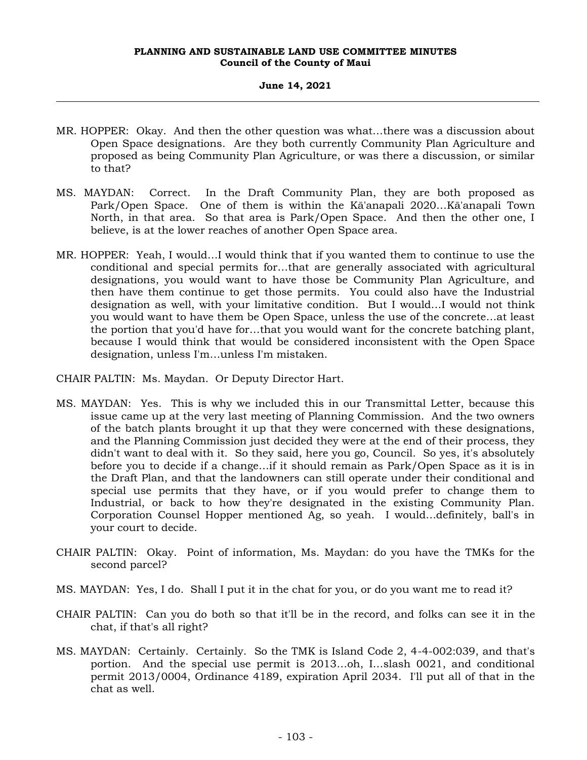# **June 14, 2021**

- MR. HOPPER: Okay. And then the other question was what…there was a discussion about Open Space designations. Are they both currently Community Plan Agriculture and proposed as being Community Plan Agriculture, or was there a discussion, or similar to that?
- MS. MAYDAN: Correct. In the Draft Community Plan, they are both proposed as Park/Open Space. One of them is within the Kā'anapali 2020…Kā'anapali Town North, in that area. So that area is Park/Open Space. And then the other one, I believe, is at the lower reaches of another Open Space area.
- MR. HOPPER: Yeah, I would…I would think that if you wanted them to continue to use the conditional and special permits for…that are generally associated with agricultural designations, you would want to have those be Community Plan Agriculture, and then have them continue to get those permits. You could also have the Industrial designation as well, with your limitative condition. But I would…I would not think you would want to have them be Open Space, unless the use of the concrete…at least the portion that you'd have for…that you would want for the concrete batching plant, because I would think that would be considered inconsistent with the Open Space designation, unless I'm…unless I'm mistaken.
- CHAIR PALTIN: Ms. Maydan. Or Deputy Director Hart.
- MS. MAYDAN: Yes. This is why we included this in our Transmittal Letter, because this issue came up at the very last meeting of Planning Commission. And the two owners of the batch plants brought it up that they were concerned with these designations, and the Planning Commission just decided they were at the end of their process, they didn't want to deal with it. So they said, here you go, Council. So yes, it's absolutely before you to decide if a change…if it should remain as Park/Open Space as it is in the Draft Plan, and that the landowners can still operate under their conditional and special use permits that they have, or if you would prefer to change them to Industrial, or back to how they're designated in the existing Community Plan. Corporation Counsel Hopper mentioned Ag, so yeah. I would…definitely, ball's in your court to decide.
- CHAIR PALTIN: Okay. Point of information, Ms. Maydan: do you have the TMKs for the second parcel?
- MS. MAYDAN: Yes, I do. Shall I put it in the chat for you, or do you want me to read it?
- CHAIR PALTIN: Can you do both so that it'll be in the record, and folks can see it in the chat, if that's all right?
- MS. MAYDAN: Certainly. Certainly. So the TMK is Island Code 2, 4-4-002:039, and that's portion. And the special use permit is 2013…oh, I…slash 0021, and conditional permit 2013/0004, Ordinance 4189, expiration April 2034. I'll put all of that in the chat as well.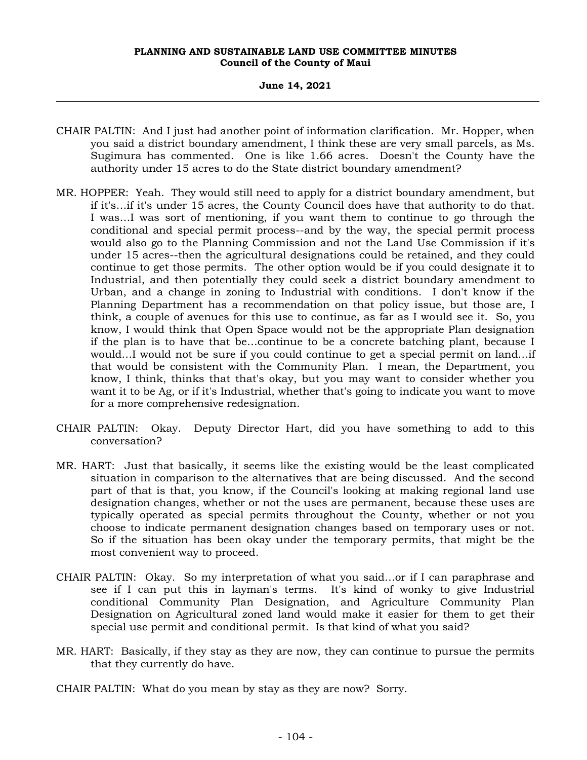# **June 14, 2021**

- CHAIR PALTIN: And I just had another point of information clarification. Mr. Hopper, when you said a district boundary amendment, I think these are very small parcels, as Ms. Sugimura has commented. One is like 1.66 acres. Doesn't the County have the authority under 15 acres to do the State district boundary amendment?
- MR. HOPPER: Yeah. They would still need to apply for a district boundary amendment, but if it's…if it's under 15 acres, the County Council does have that authority to do that. I was…I was sort of mentioning, if you want them to continue to go through the conditional and special permit process--and by the way, the special permit process would also go to the Planning Commission and not the Land Use Commission if it's under 15 acres--then the agricultural designations could be retained, and they could continue to get those permits. The other option would be if you could designate it to Industrial, and then potentially they could seek a district boundary amendment to Urban, and a change in zoning to Industrial with conditions. I don't know if the Planning Department has a recommendation on that policy issue, but those are, I think, a couple of avenues for this use to continue, as far as I would see it. So, you know, I would think that Open Space would not be the appropriate Plan designation if the plan is to have that be…continue to be a concrete batching plant, because I would…I would not be sure if you could continue to get a special permit on land…if that would be consistent with the Community Plan. I mean, the Department, you know, I think, thinks that that's okay, but you may want to consider whether you want it to be Ag, or if it's Industrial, whether that's going to indicate you want to move for a more comprehensive redesignation.
- CHAIR PALTIN: Okay. Deputy Director Hart, did you have something to add to this conversation?
- MR. HART: Just that basically, it seems like the existing would be the least complicated situation in comparison to the alternatives that are being discussed. And the second part of that is that, you know, if the Council's looking at making regional land use designation changes, whether or not the uses are permanent, because these uses are typically operated as special permits throughout the County, whether or not you choose to indicate permanent designation changes based on temporary uses or not. So if the situation has been okay under the temporary permits, that might be the most convenient way to proceed.
- CHAIR PALTIN: Okay. So my interpretation of what you said…or if I can paraphrase and see if I can put this in layman's terms. It's kind of wonky to give Industrial conditional Community Plan Designation, and Agriculture Community Plan Designation on Agricultural zoned land would make it easier for them to get their special use permit and conditional permit. Is that kind of what you said?
- MR. HART: Basically, if they stay as they are now, they can continue to pursue the permits that they currently do have.
- CHAIR PALTIN: What do you mean by stay as they are now? Sorry.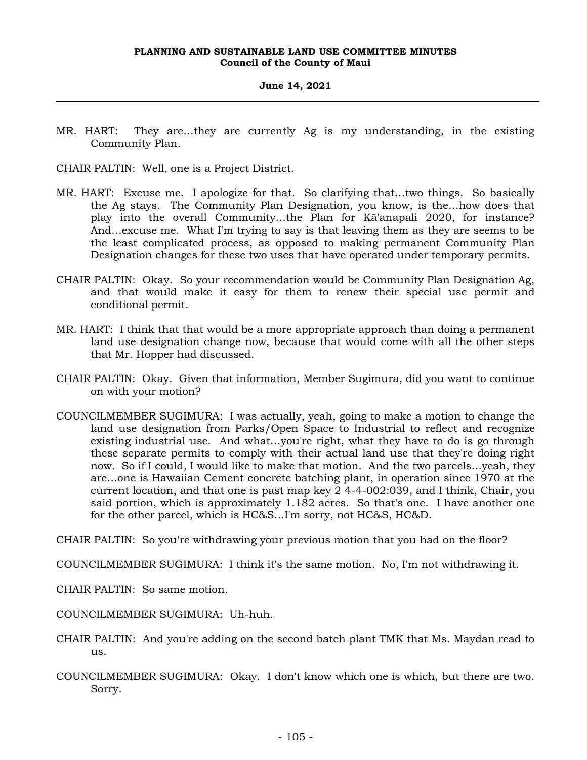# **June 14, 2021**

MR. HART: They are…they are currently Ag is my understanding, in the existing Community Plan.

CHAIR PALTIN: Well, one is a Project District.

- MR. HART: Excuse me. I apologize for that. So clarifying that…two things. So basically the Ag stays. The Community Plan Designation, you know, is the…how does that play into the overall Community…the Plan for Kā'anapali 2020, for instance? And…excuse me. What I'm trying to say is that leaving them as they are seems to be the least complicated process, as opposed to making permanent Community Plan Designation changes for these two uses that have operated under temporary permits.
- CHAIR PALTIN: Okay. So your recommendation would be Community Plan Designation Ag, and that would make it easy for them to renew their special use permit and conditional permit.
- MR. HART: I think that that would be a more appropriate approach than doing a permanent land use designation change now, because that would come with all the other steps that Mr. Hopper had discussed.
- CHAIR PALTIN: Okay. Given that information, Member Sugimura, did you want to continue on with your motion?
- COUNCILMEMBER SUGIMURA: I was actually, yeah, going to make a motion to change the land use designation from Parks/Open Space to Industrial to reflect and recognize existing industrial use. And what…you're right, what they have to do is go through these separate permits to comply with their actual land use that they're doing right now. So if I could, I would like to make that motion. And the two parcels…yeah, they are…one is Hawaiian Cement concrete batching plant, in operation since 1970 at the current location, and that one is past map key 2 4-4-002:039, and I think, Chair, you said portion, which is approximately 1.182 acres. So that's one. I have another one for the other parcel, which is HC&S…I'm sorry, not HC&S, HC&D.

CHAIR PALTIN: So you're withdrawing your previous motion that you had on the floor?

COUNCILMEMBER SUGIMURA: I think it's the same motion. No, I'm not withdrawing it.

CHAIR PALTIN: So same motion.

COUNCILMEMBER SUGIMURA: Uh-huh.

- CHAIR PALTIN: And you're adding on the second batch plant TMK that Ms. Maydan read to us.
- COUNCILMEMBER SUGIMURA: Okay. I don't know which one is which, but there are two. Sorry.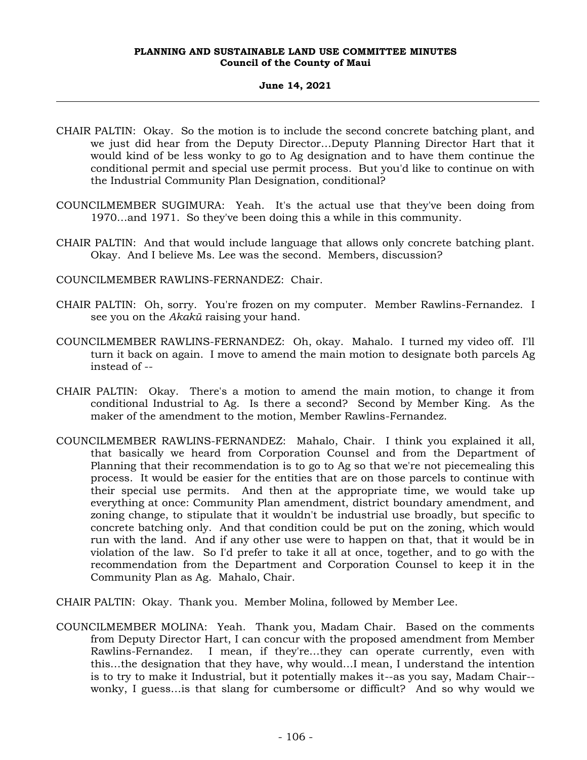# **June 14, 2021**

- CHAIR PALTIN: Okay. So the motion is to include the second concrete batching plant, and we just did hear from the Deputy Director…Deputy Planning Director Hart that it would kind of be less wonky to go to Ag designation and to have them continue the conditional permit and special use permit process. But you'd like to continue on with the Industrial Community Plan Designation, conditional?
- COUNCILMEMBER SUGIMURA: Yeah. It's the actual use that they've been doing from 1970…and 1971. So they've been doing this a while in this community.
- CHAIR PALTIN: And that would include language that allows only concrete batching plant. Okay. And I believe Ms. Lee was the second. Members, discussion?

COUNCILMEMBER RAWLINS-FERNANDEZ: Chair.

- CHAIR PALTIN: Oh, sorry. You're frozen on my computer. Member Rawlins-Fernandez. I see you on the *Akakū* raising your hand.
- COUNCILMEMBER RAWLINS-FERNANDEZ: Oh, okay. Mahalo. I turned my video off. I'll turn it back on again. I move to amend the main motion to designate both parcels Ag instead of --
- CHAIR PALTIN: Okay. There's a motion to amend the main motion, to change it from conditional Industrial to Ag. Is there a second? Second by Member King. As the maker of the amendment to the motion, Member Rawlins-Fernandez.
- COUNCILMEMBER RAWLINS-FERNANDEZ: Mahalo, Chair. I think you explained it all, that basically we heard from Corporation Counsel and from the Department of Planning that their recommendation is to go to Ag so that we're not piecemealing this process. It would be easier for the entities that are on those parcels to continue with their special use permits. And then at the appropriate time, we would take up everything at once: Community Plan amendment, district boundary amendment, and zoning change, to stipulate that it wouldn't be industrial use broadly, but specific to concrete batching only. And that condition could be put on the zoning, which would run with the land. And if any other use were to happen on that, that it would be in violation of the law. So I'd prefer to take it all at once, together, and to go with the recommendation from the Department and Corporation Counsel to keep it in the Community Plan as Ag. Mahalo, Chair.
- CHAIR PALTIN: Okay. Thank you. Member Molina, followed by Member Lee.
- COUNCILMEMBER MOLINA: Yeah. Thank you, Madam Chair. Based on the comments from Deputy Director Hart, I can concur with the proposed amendment from Member Rawlins-Fernandez. I mean, if they're…they can operate currently, even with this…the designation that they have, why would…I mean, I understand the intention is to try to make it Industrial, but it potentially makes it--as you say, Madam Chair- wonky, I guess…is that slang for cumbersome or difficult? And so why would we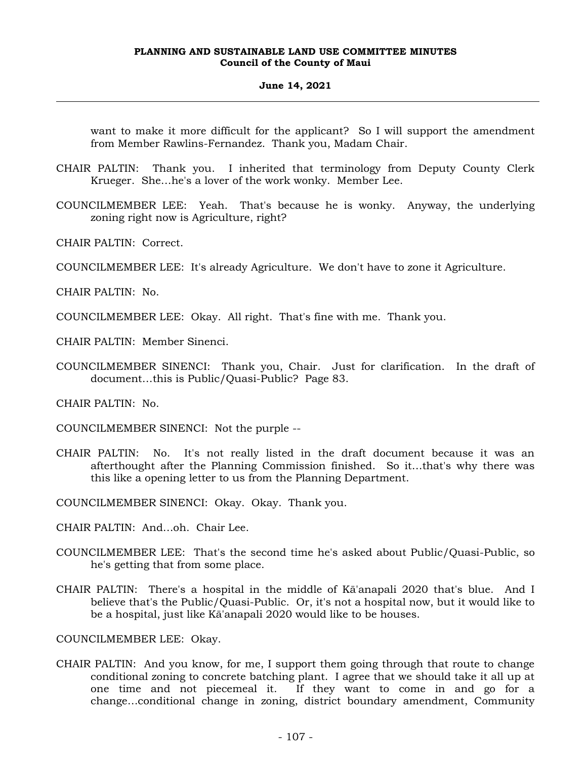# **June 14, 2021**

want to make it more difficult for the applicant? So I will support the amendment from Member Rawlins-Fernandez. Thank you, Madam Chair.

- CHAIR PALTIN: Thank you. I inherited that terminology from Deputy County Clerk Krueger. She…he's a lover of the work wonky. Member Lee.
- COUNCILMEMBER LEE: Yeah. That's because he is wonky. Anyway, the underlying zoning right now is Agriculture, right?
- CHAIR PALTIN: Correct.
- COUNCILMEMBER LEE: It's already Agriculture. We don't have to zone it Agriculture.

CHAIR PALTIN: No.

COUNCILMEMBER LEE: Okay. All right. That's fine with me. Thank you.

CHAIR PALTIN: Member Sinenci.

COUNCILMEMBER SINENCI: Thank you, Chair. Just for clarification. In the draft of document…this is Public/Quasi-Public? Page 83.

CHAIR PALTIN: No.

COUNCILMEMBER SINENCI: Not the purple --

CHAIR PALTIN: No. It's not really listed in the draft document because it was an afterthought after the Planning Commission finished. So it…that's why there was this like a opening letter to us from the Planning Department.

COUNCILMEMBER SINENCI: Okay. Okay. Thank you.

- CHAIR PALTIN: And…oh. Chair Lee.
- COUNCILMEMBER LEE: That's the second time he's asked about Public/Quasi-Public, so he's getting that from some place.
- CHAIR PALTIN: There's a hospital in the middle of Kā'anapali 2020 that's blue. And I believe that's the Public/Quasi-Public. Or, it's not a hospital now, but it would like to be a hospital, just like Kā'anapali 2020 would like to be houses.

COUNCILMEMBER LEE: Okay.

CHAIR PALTIN: And you know, for me, I support them going through that route to change conditional zoning to concrete batching plant. I agree that we should take it all up at one time and not piecemeal it. If they want to come in and go for a change…conditional change in zoning, district boundary amendment, Community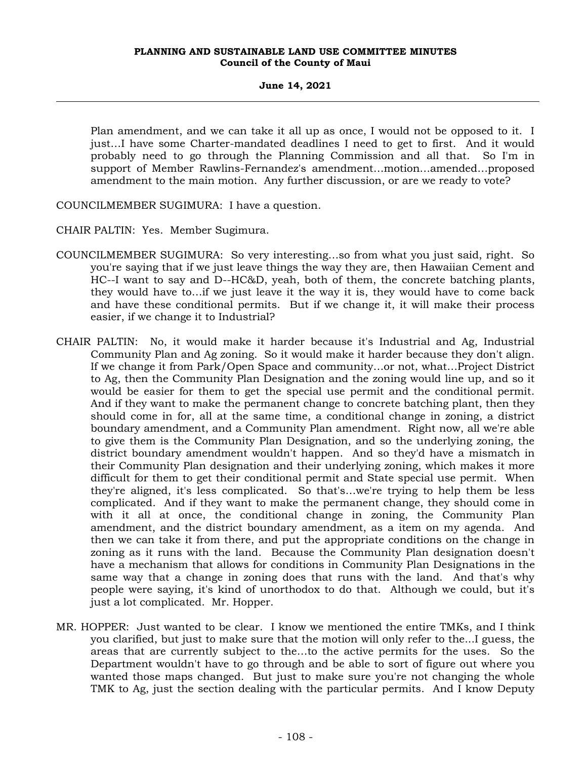# **June 14, 2021**

Plan amendment, and we can take it all up as once, I would not be opposed to it. I just…I have some Charter-mandated deadlines I need to get to first. And it would probably need to go through the Planning Commission and all that. So I'm in support of Member Rawlins-Fernandez's amendment…motion…amended…proposed amendment to the main motion. Any further discussion, or are we ready to vote?

COUNCILMEMBER SUGIMURA: I have a question.

CHAIR PALTIN: Yes. Member Sugimura.

- COUNCILMEMBER SUGIMURA: So very interesting…so from what you just said, right. So you're saying that if we just leave things the way they are, then Hawaiian Cement and HC--I want to say and D--HC&D, yeah, both of them, the concrete batching plants, they would have to…if we just leave it the way it is, they would have to come back and have these conditional permits. But if we change it, it will make their process easier, if we change it to Industrial?
- CHAIR PALTIN: No, it would make it harder because it's Industrial and Ag, Industrial Community Plan and Ag zoning. So it would make it harder because they don't align. If we change it from Park/Open Space and community…or not, what…Project District to Ag, then the Community Plan Designation and the zoning would line up, and so it would be easier for them to get the special use permit and the conditional permit. And if they want to make the permanent change to concrete batching plant, then they should come in for, all at the same time, a conditional change in zoning, a district boundary amendment, and a Community Plan amendment. Right now, all we're able to give them is the Community Plan Designation, and so the underlying zoning, the district boundary amendment wouldn't happen. And so they'd have a mismatch in their Community Plan designation and their underlying zoning, which makes it more difficult for them to get their conditional permit and State special use permit. When they're aligned, it's less complicated. So that's…we're trying to help them be less complicated. And if they want to make the permanent change, they should come in with it all at once, the conditional change in zoning, the Community Plan amendment, and the district boundary amendment, as a item on my agenda. And then we can take it from there, and put the appropriate conditions on the change in zoning as it runs with the land. Because the Community Plan designation doesn't have a mechanism that allows for conditions in Community Plan Designations in the same way that a change in zoning does that runs with the land. And that's why people were saying, it's kind of unorthodox to do that. Although we could, but it's just a lot complicated. Mr. Hopper.
- MR. HOPPER: Just wanted to be clear. I know we mentioned the entire TMKs, and I think you clarified, but just to make sure that the motion will only refer to the...I guess, the areas that are currently subject to the…to the active permits for the uses. So the Department wouldn't have to go through and be able to sort of figure out where you wanted those maps changed. But just to make sure you're not changing the whole TMK to Ag, just the section dealing with the particular permits. And I know Deputy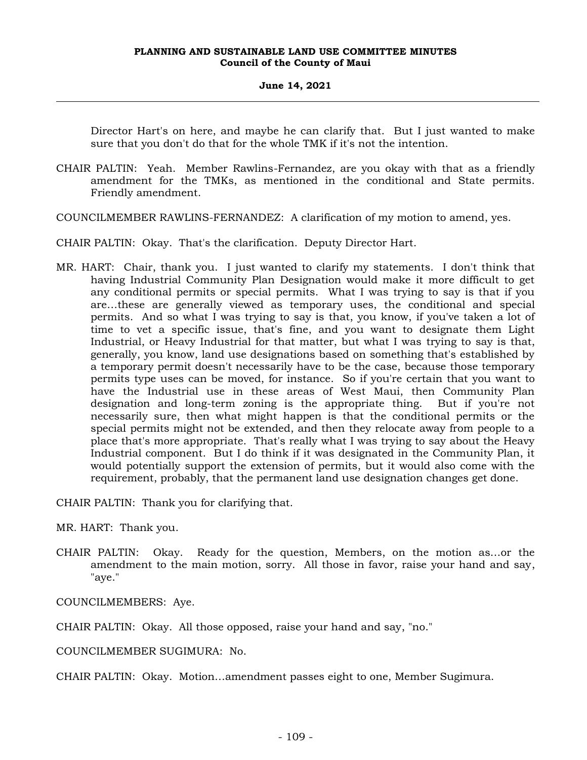Director Hart's on here, and maybe he can clarify that. But I just wanted to make sure that you don't do that for the whole TMK if it's not the intention.

CHAIR PALTIN: Yeah. Member Rawlins-Fernandez, are you okay with that as a friendly amendment for the TMKs, as mentioned in the conditional and State permits. Friendly amendment.

COUNCILMEMBER RAWLINS-FERNANDEZ: A clarification of my motion to amend, yes.

CHAIR PALTIN: Okay. That's the clarification. Deputy Director Hart.

MR. HART: Chair, thank you. I just wanted to clarify my statements. I don't think that having Industrial Community Plan Designation would make it more difficult to get any conditional permits or special permits. What I was trying to say is that if you are…these are generally viewed as temporary uses, the conditional and special permits. And so what I was trying to say is that, you know, if you've taken a lot of time to vet a specific issue, that's fine, and you want to designate them Light Industrial, or Heavy Industrial for that matter, but what I was trying to say is that, generally, you know, land use designations based on something that's established by a temporary permit doesn't necessarily have to be the case, because those temporary permits type uses can be moved, for instance. So if you're certain that you want to have the Industrial use in these areas of West Maui, then Community Plan designation and long-term zoning is the appropriate thing. But if you're not necessarily sure, then what might happen is that the conditional permits or the special permits might not be extended, and then they relocate away from people to a place that's more appropriate. That's really what I was trying to say about the Heavy Industrial component. But I do think if it was designated in the Community Plan, it would potentially support the extension of permits, but it would also come with the requirement, probably, that the permanent land use designation changes get done.

CHAIR PALTIN: Thank you for clarifying that.

MR. HART: Thank you.

CHAIR PALTIN: Okay. Ready for the question, Members, on the motion as…or the amendment to the main motion, sorry. All those in favor, raise your hand and say, "aye."

COUNCILMEMBERS: Aye.

CHAIR PALTIN: Okay. All those opposed, raise your hand and say, "no."

COUNCILMEMBER SUGIMURA: No.

CHAIR PALTIN: Okay. Motion…amendment passes eight to one, Member Sugimura.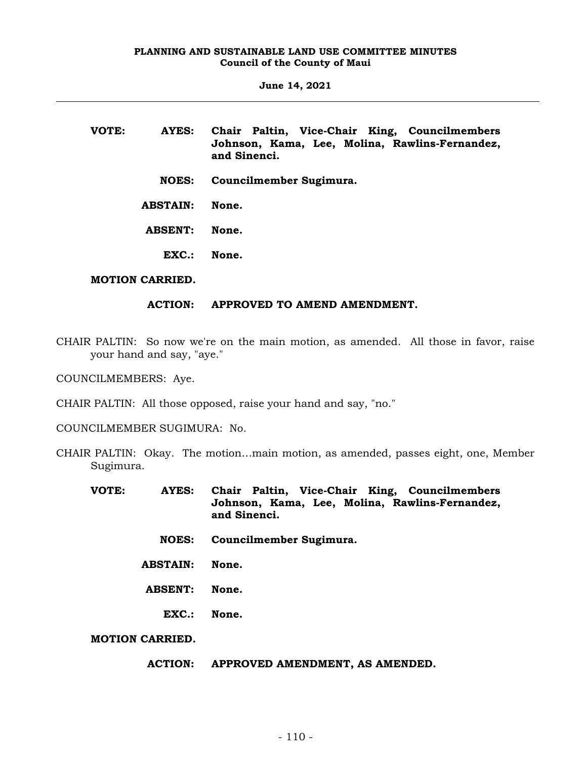**June 14, 2021**

| VOTE: | AYES:           | Chair Paltin, Vice-Chair King, Councilmembers<br>Johnson, Kama, Lee, Molina, Rawlins-Fernandez,<br>and Sinenci. |
|-------|-----------------|-----------------------------------------------------------------------------------------------------------------|
|       | <b>NOES:</b>    | Councilmember Sugimura.                                                                                         |
|       | <b>ABSTAIN:</b> | None.                                                                                                           |
|       | <b>ABSENT:</b>  | None.                                                                                                           |
|       | EXC.            | None.                                                                                                           |

# **MOTION CARRIED.**

### **ACTION: APPROVED TO AMEND AMENDMENT.**

CHAIR PALTIN: So now we're on the main motion, as amended. All those in favor, raise your hand and say, "aye."

COUNCILMEMBERS: Aye.

CHAIR PALTIN: All those opposed, raise your hand and say, "no."

COUNCILMEMBER SUGIMURA: No.

- CHAIR PALTIN: Okay. The motion…main motion, as amended, passes eight, one, Member Sugimura.
	- **VOTE: AYES: Chair Paltin, Vice-Chair King, Councilmembers Johnson, Kama, Lee, Molina, Rawlins-Fernandez, and Sinenci.**
		- **NOES: Councilmember Sugimura.**
		- **ABSTAIN: None.**
		- **ABSENT: None.**
			- **EXC.: None.**

**MOTION CARRIED.**

**ACTION: APPROVED AMENDMENT, AS AMENDED.**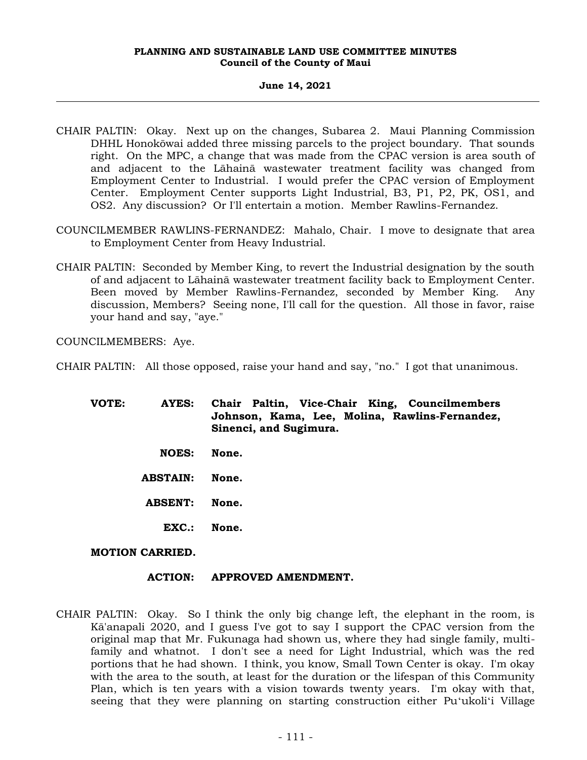# **June 14, 2021**

- CHAIR PALTIN: Okay. Next up on the changes, Subarea 2. Maui Planning Commission DHHL Honokōwai added three missing parcels to the project boundary. That sounds right. On the MPC, a change that was made from the CPAC version is area south of and adjacent to the Lāhainā wastewater treatment facility was changed from Employment Center to Industrial. I would prefer the CPAC version of Employment Center. Employment Center supports Light Industrial, B3, P1, P2, PK, OS1, and OS2. Any discussion? Or I'll entertain a motion. Member Rawlins-Fernandez.
- COUNCILMEMBER RAWLINS-FERNANDEZ: Mahalo, Chair. I move to designate that area to Employment Center from Heavy Industrial.
- CHAIR PALTIN: Seconded by Member King, to revert the Industrial designation by the south of and adjacent to Lāhainā wastewater treatment facility back to Employment Center. Been moved by Member Rawlins-Fernandez, seconded by Member King. Any discussion, Members? Seeing none, I'll call for the question. All those in favor, raise your hand and say, "aye."

COUNCILMEMBERS: Aye.

- CHAIR PALTIN: All those opposed, raise your hand and say, "no." I got that unanimous.
	- **VOTE: AYES: Chair Paltin, Vice-Chair King, Councilmembers Johnson, Kama, Lee, Molina, Rawlins-Fernandez, Sinenci, and Sugimura. NOES: None.**
		- **ABSTAIN: None.**
		- **ABSENT: None.**
			- **EXC.: None.**

### **MOTION CARRIED.**

# **ACTION: APPROVED AMENDMENT.**

CHAIR PALTIN: Okay. So I think the only big change left, the elephant in the room, is Kā'anapali 2020, and I guess I've got to say I support the CPAC version from the original map that Mr. Fukunaga had shown us, where they had single family, multifamily and whatnot. I don't see a need for Light Industrial, which was the red portions that he had shown. I think, you know, Small Town Center is okay. I'm okay with the area to the south, at least for the duration or the lifespan of this Community Plan, which is ten years with a vision towards twenty years. I'm okay with that, seeing that they were planning on starting construction either Puʻukoliʻi Village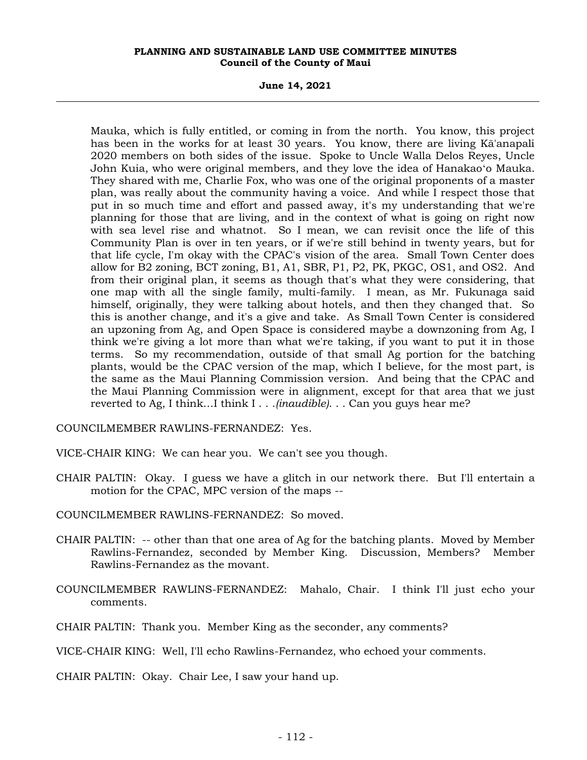**June 14, 2021**

Mauka, which is fully entitled, or coming in from the north. You know, this project has been in the works for at least 30 years. You know, there are living Kā'anapali 2020 members on both sides of the issue. Spoke to Uncle Walla Delos Reyes, Uncle John Kuia, who were original members, and they love the idea of Hanakaoʻo Mauka. They shared with me, Charlie Fox, who was one of the original proponents of a master plan, was really about the community having a voice. And while I respect those that put in so much time and effort and passed away, it's my understanding that we're planning for those that are living, and in the context of what is going on right now with sea level rise and whatnot. So I mean, we can revisit once the life of this Community Plan is over in ten years, or if we're still behind in twenty years, but for that life cycle, I'm okay with the CPAC's vision of the area. Small Town Center does allow for B2 zoning, BCT zoning, B1, A1, SBR, P1, P2, PK, PKGC, OS1, and OS2. And from their original plan, it seems as though that's what they were considering, that one map with all the single family, multi-family. I mean, as Mr. Fukunaga said himself, originally, they were talking about hotels, and then they changed that. So this is another change, and it's a give and take. As Small Town Center is considered an upzoning from Ag, and Open Space is considered maybe a downzoning from Ag, I think we're giving a lot more than what we're taking, if you want to put it in those terms. So my recommendation, outside of that small Ag portion for the batching plants, would be the CPAC version of the map, which I believe, for the most part, is the same as the Maui Planning Commission version. And being that the CPAC and the Maui Planning Commission were in alignment, except for that area that we just reverted to Ag, I think…I think I . . .*(inaudible)*. . . Can you guys hear me?

COUNCILMEMBER RAWLINS-FERNANDEZ: Yes.

VICE-CHAIR KING: We can hear you. We can't see you though.

CHAIR PALTIN: Okay. I guess we have a glitch in our network there. But I'll entertain a motion for the CPAC, MPC version of the maps --

COUNCILMEMBER RAWLINS-FERNANDEZ: So moved.

- CHAIR PALTIN: -- other than that one area of Ag for the batching plants. Moved by Member Rawlins-Fernandez, seconded by Member King. Discussion, Members? Member Rawlins-Fernandez as the movant.
- COUNCILMEMBER RAWLINS-FERNANDEZ: Mahalo, Chair. I think I'll just echo your comments.
- CHAIR PALTIN: Thank you. Member King as the seconder, any comments?

CHAIR PALTIN: Okay. Chair Lee, I saw your hand up.

VICE-CHAIR KING: Well, I'll echo Rawlins-Fernandez, who echoed your comments.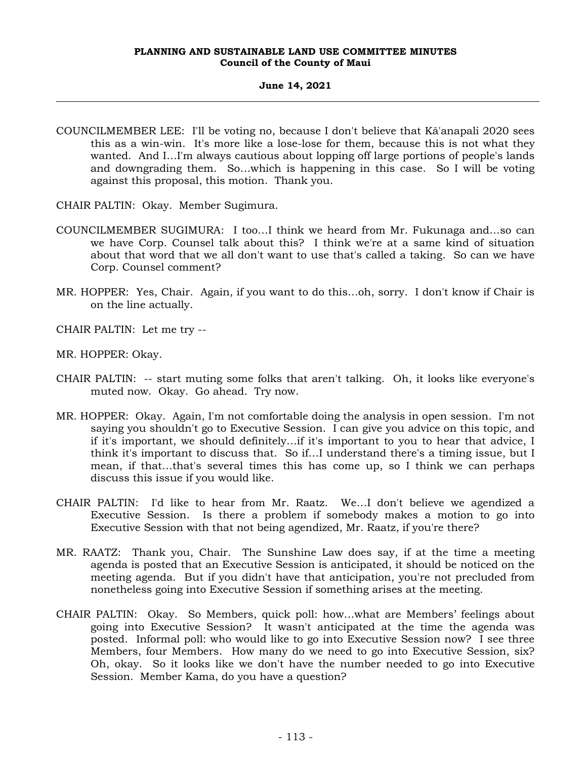### **June 14, 2021**

- COUNCILMEMBER LEE: I'll be voting no, because I don't believe that Kā'anapali 2020 sees this as a win-win. It's more like a lose-lose for them, because this is not what they wanted. And I…I'm always cautious about lopping off large portions of people's lands and downgrading them. So…which is happening in this case. So I will be voting against this proposal, this motion. Thank you.
- CHAIR PALTIN: Okay. Member Sugimura.
- COUNCILMEMBER SUGIMURA: I too…I think we heard from Mr. Fukunaga and…so can we have Corp. Counsel talk about this? I think we're at a same kind of situation about that word that we all don't want to use that's called a taking. So can we have Corp. Counsel comment?
- MR. HOPPER: Yes, Chair. Again, if you want to do this…oh, sorry. I don't know if Chair is on the line actually.
- CHAIR PALTIN: Let me try --
- MR. HOPPER: Okay.
- CHAIR PALTIN: -- start muting some folks that aren't talking. Oh, it looks like everyone's muted now. Okay. Go ahead. Try now.
- MR. HOPPER: Okay. Again, I'm not comfortable doing the analysis in open session. I'm not saying you shouldn't go to Executive Session. I can give you advice on this topic, and if it's important, we should definitely…if it's important to you to hear that advice, I think it's important to discuss that. So if…I understand there's a timing issue, but I mean, if that…that's several times this has come up, so I think we can perhaps discuss this issue if you would like.
- CHAIR PALTIN: I'd like to hear from Mr. Raatz. We…I don't believe we agendized a Executive Session. Is there a problem if somebody makes a motion to go into Executive Session with that not being agendized, Mr. Raatz, if you're there?
- MR. RAATZ: Thank you, Chair. The Sunshine Law does say, if at the time a meeting agenda is posted that an Executive Session is anticipated, it should be noticed on the meeting agenda. But if you didn't have that anticipation, you're not precluded from nonetheless going into Executive Session if something arises at the meeting.
- CHAIR PALTIN: Okay. So Members, quick poll: how…what are Members' feelings about going into Executive Session? It wasn't anticipated at the time the agenda was posted. Informal poll: who would like to go into Executive Session now? I see three Members, four Members. How many do we need to go into Executive Session, six? Oh, okay. So it looks like we don't have the number needed to go into Executive Session. Member Kama, do you have a question?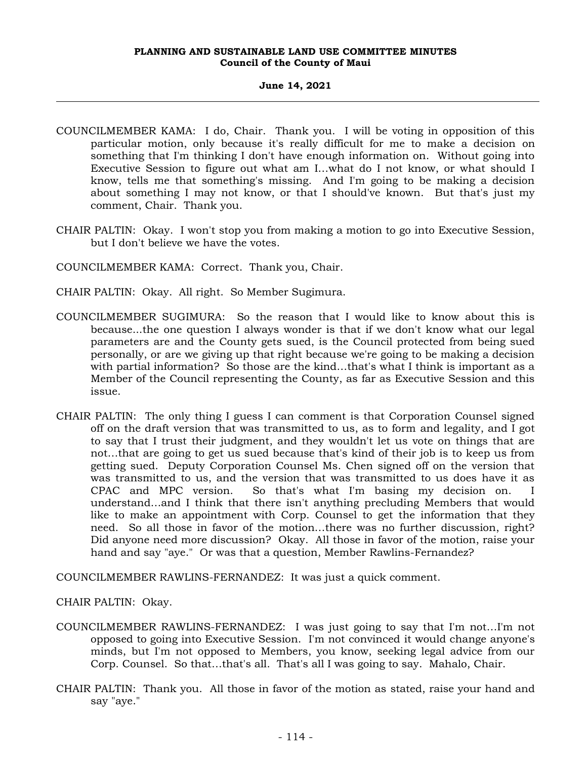# **June 14, 2021**

- COUNCILMEMBER KAMA: I do, Chair. Thank you. I will be voting in opposition of this particular motion, only because it's really difficult for me to make a decision on something that I'm thinking I don't have enough information on. Without going into Executive Session to figure out what am I…what do I not know, or what should I know, tells me that something's missing. And I'm going to be making a decision about something I may not know, or that I should've known. But that's just my comment, Chair. Thank you.
- CHAIR PALTIN: Okay. I won't stop you from making a motion to go into Executive Session, but I don't believe we have the votes.

COUNCILMEMBER KAMA: Correct. Thank you, Chair.

- CHAIR PALTIN: Okay. All right. So Member Sugimura.
- COUNCILMEMBER SUGIMURA: So the reason that I would like to know about this is because...the one question I always wonder is that if we don't know what our legal parameters are and the County gets sued, is the Council protected from being sued personally, or are we giving up that right because we're going to be making a decision with partial information? So those are the kind…that's what I think is important as a Member of the Council representing the County, as far as Executive Session and this issue.
- CHAIR PALTIN: The only thing I guess I can comment is that Corporation Counsel signed off on the draft version that was transmitted to us, as to form and legality, and I got to say that I trust their judgment, and they wouldn't let us vote on things that are not…that are going to get us sued because that's kind of their job is to keep us from getting sued. Deputy Corporation Counsel Ms. Chen signed off on the version that was transmitted to us, and the version that was transmitted to us does have it as CPAC and MPC version. So that's what I'm basing my decision on. I understand…and I think that there isn't anything precluding Members that would like to make an appointment with Corp. Counsel to get the information that they need. So all those in favor of the motion…there was no further discussion, right? Did anyone need more discussion? Okay. All those in favor of the motion, raise your hand and say "aye." Or was that a question, Member Rawlins-Fernandez?

COUNCILMEMBER RAWLINS-FERNANDEZ: It was just a quick comment.

CHAIR PALTIN: Okay.

- COUNCILMEMBER RAWLINS-FERNANDEZ: I was just going to say that I'm not…I'm not opposed to going into Executive Session. I'm not convinced it would change anyone's minds, but I'm not opposed to Members, you know, seeking legal advice from our Corp. Counsel. So that…that's all. That's all I was going to say. Mahalo, Chair.
- CHAIR PALTIN: Thank you. All those in favor of the motion as stated, raise your hand and say "aye."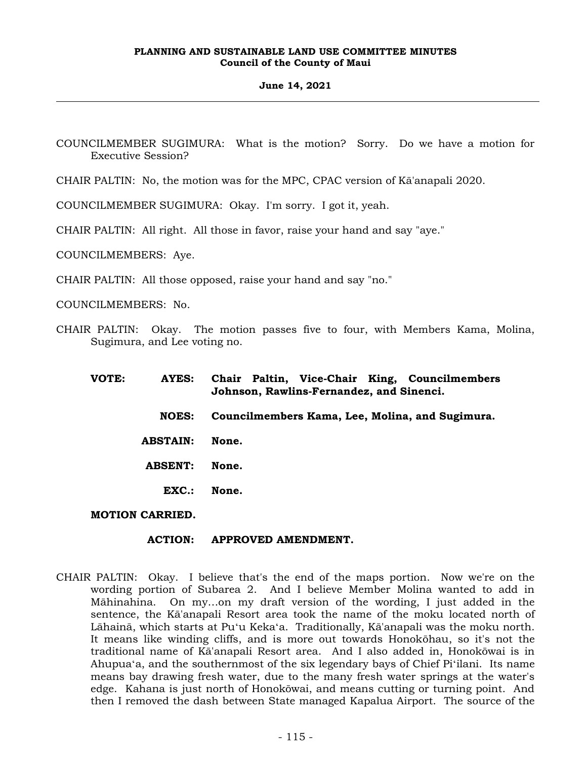### **June 14, 2021**

COUNCILMEMBER SUGIMURA: What is the motion? Sorry. Do we have a motion for Executive Session?

CHAIR PALTIN: No, the motion was for the MPC, CPAC version of Kā'anapali 2020.

COUNCILMEMBER SUGIMURA: Okay. I'm sorry. I got it, yeah.

CHAIR PALTIN: All right. All those in favor, raise your hand and say "aye."

COUNCILMEMBERS: Aye.

CHAIR PALTIN: All those opposed, raise your hand and say "no."

COUNCILMEMBERS: No.

CHAIR PALTIN: Okay. The motion passes five to four, with Members Kama, Molina, Sugimura, and Lee voting no.

| VOTE: | AYES:                  | Chair Paltin, Vice-Chair King, Councilmembers<br>Johnson, Rawlins-Fernandez, and Sinenci. |
|-------|------------------------|-------------------------------------------------------------------------------------------|
|       | <b>NOES:</b>           | Councilmembers Kama, Lee, Molina, and Sugimura.                                           |
|       | <b>ABSTAIN:</b>        | None.                                                                                     |
|       | <b>ABSENT:</b>         | None.                                                                                     |
|       | EXC.                   | None.                                                                                     |
|       | <b>MOTION CARRIED.</b> |                                                                                           |

### **ACTION: APPROVED AMENDMENT.**

CHAIR PALTIN: Okay. I believe that's the end of the maps portion. Now we're on the wording portion of Subarea 2. And I believe Member Molina wanted to add in Māhinahina. On my…on my draft version of the wording, I just added in the sentence, the Kā'anapali Resort area took the name of the moku located north of Lāhainā, which starts at Puʻu Kekaʻa. Traditionally, Kā'anapali was the moku north. It means like winding cliffs, and is more out towards Honokōhau, so it's not the traditional name of Kā'anapali Resort area. And I also added in, Honokōwai is in Ahupuaʻa, and the southernmost of the six legendary bays of Chief Piʻilani. Its name means bay drawing fresh water, due to the many fresh water springs at the water's edge. Kahana is just north of Honokōwai, and means cutting or turning point. And then I removed the dash between State managed Kapalua Airport. The source of the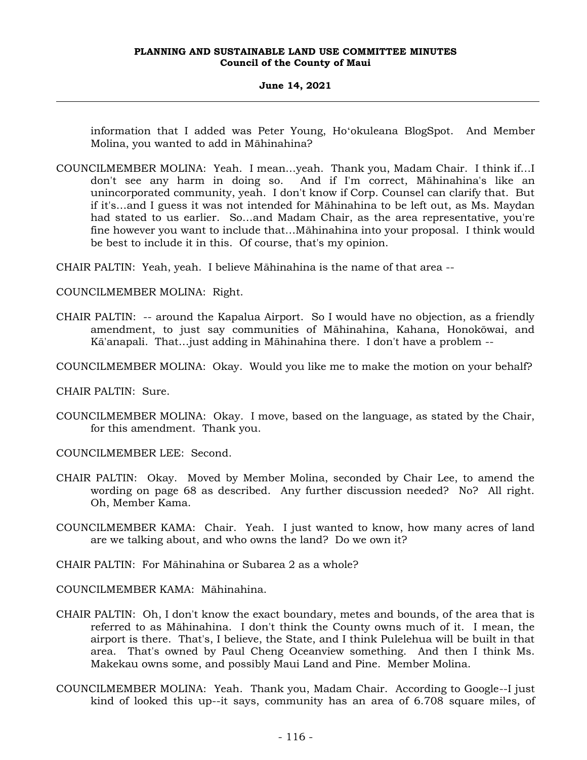### **June 14, 2021**

information that I added was Peter Young, Hoʻokuleana BlogSpot. And Member Molina, you wanted to add in Māhinahina?

COUNCILMEMBER MOLINA: Yeah. I mean…yeah. Thank you, Madam Chair. I think if…I don't see any harm in doing so. And if I'm correct, Māhinahina's like an unincorporated community, yeah. I don't know if Corp. Counsel can clarify that. But if it's…and I guess it was not intended for Māhinahina to be left out, as Ms. Maydan had stated to us earlier. So…and Madam Chair, as the area representative, you're fine however you want to include that…Māhinahina into your proposal. I think would be best to include it in this. Of course, that's my opinion.

CHAIR PALTIN: Yeah, yeah. I believe Māhinahina is the name of that area --

COUNCILMEMBER MOLINA: Right.

- CHAIR PALTIN: -- around the Kapalua Airport. So I would have no objection, as a friendly amendment, to just say communities of Māhinahina, Kahana, Honokōwai, and Kā'anapali. That…just adding in Māhinahina there. I don't have a problem --
- COUNCILMEMBER MOLINA: Okay. Would you like me to make the motion on your behalf?

CHAIR PALTIN: Sure.

COUNCILMEMBER MOLINA: Okay. I move, based on the language, as stated by the Chair, for this amendment. Thank you.

COUNCILMEMBER LEE: Second.

- CHAIR PALTIN: Okay. Moved by Member Molina, seconded by Chair Lee, to amend the wording on page 68 as described. Any further discussion needed? No? All right. Oh, Member Kama.
- COUNCILMEMBER KAMA: Chair. Yeah. I just wanted to know, how many acres of land are we talking about, and who owns the land? Do we own it?
- CHAIR PALTIN: For Māhinahina or Subarea 2 as a whole?

COUNCILMEMBER KAMA: Māhinahina.

- CHAIR PALTIN: Oh, I don't know the exact boundary, metes and bounds, of the area that is referred to as Māhinahina. I don't think the County owns much of it. I mean, the airport is there. That's, I believe, the State, and I think Pulelehua will be built in that area. That's owned by Paul Cheng Oceanview something. And then I think Ms. Makekau owns some, and possibly Maui Land and Pine. Member Molina.
- COUNCILMEMBER MOLINA: Yeah. Thank you, Madam Chair. According to Google--I just kind of looked this up--it says, community has an area of 6.708 square miles, of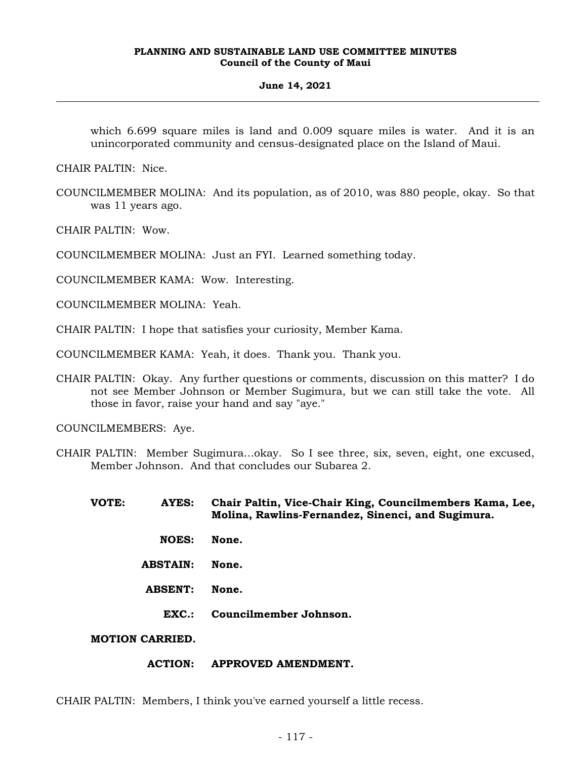### **June 14, 2021**

which 6.699 square miles is land and 0.009 square miles is water. And it is an unincorporated community and census-designated place on the Island of Maui.

CHAIR PALTIN: Nice.

COUNCILMEMBER MOLINA: And its population, as of 2010, was 880 people, okay. So that was 11 years ago.

CHAIR PALTIN: Wow.

COUNCILMEMBER MOLINA: Just an FYI. Learned something today.

COUNCILMEMBER KAMA: Wow. Interesting.

COUNCILMEMBER MOLINA: Yeah.

CHAIR PALTIN: I hope that satisfies your curiosity, Member Kama.

COUNCILMEMBER KAMA: Yeah, it does. Thank you. Thank you.

CHAIR PALTIN: Okay. Any further questions or comments, discussion on this matter? I do not see Member Johnson or Member Sugimura, but we can still take the vote. All those in favor, raise your hand and say "aye."

COUNCILMEMBERS: Aye.

CHAIR PALTIN: Member Sugimura…okay. So I see three, six, seven, eight, one excused, Member Johnson. And that concludes our Subarea 2.

**VOTE: AYES: Chair Paltin, Vice-Chair King, Councilmembers Kama, Lee, Molina, Rawlins-Fernandez, Sinenci, and Sugimura.**

- **NOES: None.**
- **ABSTAIN: None.**
- **ABSENT: None.**
	- **EXC.: Councilmember Johnson.**

**MOTION CARRIED.**

**ACTION: APPROVED AMENDMENT.**

CHAIR PALTIN: Members, I think you've earned yourself a little recess.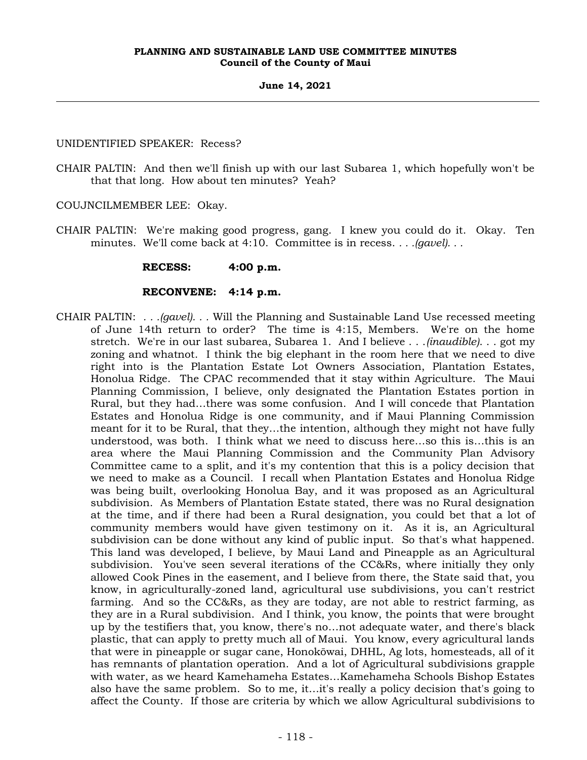# UNIDENTIFIED SPEAKER: Recess?

- CHAIR PALTIN: And then we'll finish up with our last Subarea 1, which hopefully won't be that that long. How about ten minutes? Yeah?
- COUJNCILMEMBER LEE: Okay.
- CHAIR PALTIN: We're making good progress, gang. I knew you could do it. Okay. Ten minutes. We'll come back at 4:10. Committee is in recess. *. . .(gavel). . .*

# **RECESS: 4:00 p.m.**

# **RECONVENE: 4:14 p.m.**

CHAIR PALTIN: *. . .(gavel). . .* Will the Planning and Sustainable Land Use recessed meeting of June 14th return to order? The time is 4:15, Members. We're on the home stretch. We're in our last subarea, Subarea 1. And I believe . . .*(inaudible)*. . . got my zoning and whatnot. I think the big elephant in the room here that we need to dive right into is the Plantation Estate Lot Owners Association, Plantation Estates, Honolua Ridge. The CPAC recommended that it stay within Agriculture. The Maui Planning Commission, I believe, only designated the Plantation Estates portion in Rural, but they had…there was some confusion. And I will concede that Plantation Estates and Honolua Ridge is one community, and if Maui Planning Commission meant for it to be Rural, that they…the intention, although they might not have fully understood, was both. I think what we need to discuss here…so this is…this is an area where the Maui Planning Commission and the Community Plan Advisory Committee came to a split, and it's my contention that this is a policy decision that we need to make as a Council. I recall when Plantation Estates and Honolua Ridge was being built, overlooking Honolua Bay, and it was proposed as an Agricultural subdivision. As Members of Plantation Estate stated, there was no Rural designation at the time, and if there had been a Rural designation, you could bet that a lot of community members would have given testimony on it. As it is, an Agricultural subdivision can be done without any kind of public input. So that's what happened. This land was developed, I believe, by Maui Land and Pineapple as an Agricultural subdivision. You've seen several iterations of the CC&Rs, where initially they only allowed Cook Pines in the easement, and I believe from there, the State said that, you know, in agriculturally-zoned land, agricultural use subdivisions, you can't restrict farming. And so the CC&Rs, as they are today, are not able to restrict farming, as they are in a Rural subdivision. And I think, you know, the points that were brought up by the testifiers that, you know, there's no…not adequate water, and there's black plastic, that can apply to pretty much all of Maui. You know, every agricultural lands that were in pineapple or sugar cane, Honokōwai, DHHL, Ag lots, homesteads, all of it has remnants of plantation operation. And a lot of Agricultural subdivisions grapple with water, as we heard Kamehameha Estates…Kamehameha Schools Bishop Estates also have the same problem. So to me, it…it's really a policy decision that's going to affect the County. If those are criteria by which we allow Agricultural subdivisions to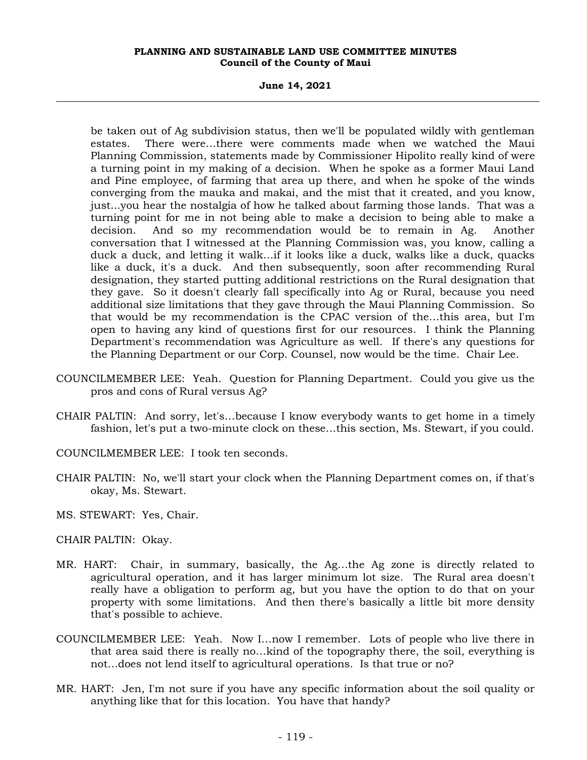**June 14, 2021**

be taken out of Ag subdivision status, then we'll be populated wildly with gentleman estates. There were…there were comments made when we watched the Maui Planning Commission, statements made by Commissioner Hipolito really kind of were a turning point in my making of a decision. When he spoke as a former Maui Land and Pine employee, of farming that area up there, and when he spoke of the winds converging from the mauka and makai, and the mist that it created, and you know, just...you hear the nostalgia of how he talked about farming those lands. That was a turning point for me in not being able to make a decision to being able to make a decision. And so my recommendation would be to remain in Ag. Another conversation that I witnessed at the Planning Commission was, you know, calling a duck a duck, and letting it walk…if it looks like a duck, walks like a duck, quacks like a duck, it's a duck. And then subsequently, soon after recommending Rural designation, they started putting additional restrictions on the Rural designation that they gave. So it doesn't clearly fall specifically into Ag or Rural, because you need additional size limitations that they gave through the Maui Planning Commission. So that would be my recommendation is the CPAC version of the…this area, but I'm open to having any kind of questions first for our resources. I think the Planning Department's recommendation was Agriculture as well. If there's any questions for the Planning Department or our Corp. Counsel, now would be the time. Chair Lee.

- COUNCILMEMBER LEE: Yeah. Question for Planning Department. Could you give us the pros and cons of Rural versus Ag?
- CHAIR PALTIN: And sorry, let's…because I know everybody wants to get home in a timely fashion, let's put a two-minute clock on these…this section, Ms. Stewart, if you could.
- COUNCILMEMBER LEE: I took ten seconds.
- CHAIR PALTIN: No, we'll start your clock when the Planning Department comes on, if that's okay, Ms. Stewart.
- MS. STEWART: Yes, Chair.
- CHAIR PALTIN: Okay.
- MR. HART: Chair, in summary, basically, the Ag…the Ag zone is directly related to agricultural operation, and it has larger minimum lot size. The Rural area doesn't really have a obligation to perform ag, but you have the option to do that on your property with some limitations. And then there's basically a little bit more density that's possible to achieve.
- COUNCILMEMBER LEE: Yeah. Now I…now I remember. Lots of people who live there in that area said there is really no…kind of the topography there, the soil, everything is not…does not lend itself to agricultural operations. Is that true or no?
- MR. HART: Jen, I'm not sure if you have any specific information about the soil quality or anything like that for this location. You have that handy?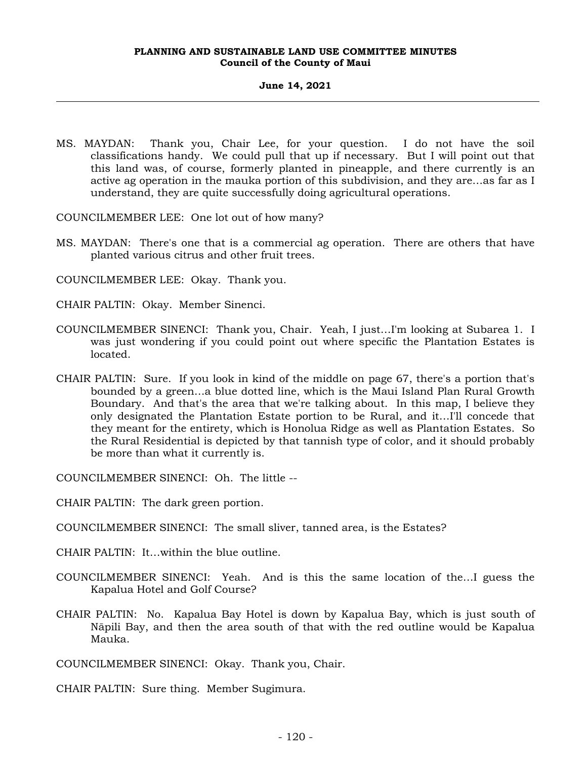MS. MAYDAN: Thank you, Chair Lee, for your question. I do not have the soil classifications handy. We could pull that up if necessary. But I will point out that this land was, of course, formerly planted in pineapple, and there currently is an active ag operation in the mauka portion of this subdivision, and they are…as far as I understand, they are quite successfully doing agricultural operations.

COUNCILMEMBER LEE: One lot out of how many?

MS. MAYDAN: There's one that is a commercial ag operation. There are others that have planted various citrus and other fruit trees.

COUNCILMEMBER LEE: Okay. Thank you.

- CHAIR PALTIN: Okay. Member Sinenci.
- COUNCILMEMBER SINENCI: Thank you, Chair. Yeah, I just…I'm looking at Subarea 1. I was just wondering if you could point out where specific the Plantation Estates is located.
- CHAIR PALTIN: Sure. If you look in kind of the middle on page 67, there's a portion that's bounded by a green…a blue dotted line, which is the Maui Island Plan Rural Growth Boundary. And that's the area that we're talking about. In this map, I believe they only designated the Plantation Estate portion to be Rural, and it…I'll concede that they meant for the entirety, which is Honolua Ridge as well as Plantation Estates. So the Rural Residential is depicted by that tannish type of color, and it should probably be more than what it currently is.

COUNCILMEMBER SINENCI: Oh. The little --

CHAIR PALTIN: The dark green portion.

- COUNCILMEMBER SINENCI: The small sliver, tanned area, is the Estates?
- CHAIR PALTIN: It…within the blue outline.
- COUNCILMEMBER SINENCI: Yeah. And is this the same location of the…I guess the Kapalua Hotel and Golf Course?
- CHAIR PALTIN: No. Kapalua Bay Hotel is down by Kapalua Bay, which is just south of Nāpili Bay, and then the area south of that with the red outline would be Kapalua Mauka.

COUNCILMEMBER SINENCI: Okay. Thank you, Chair.

CHAIR PALTIN: Sure thing. Member Sugimura.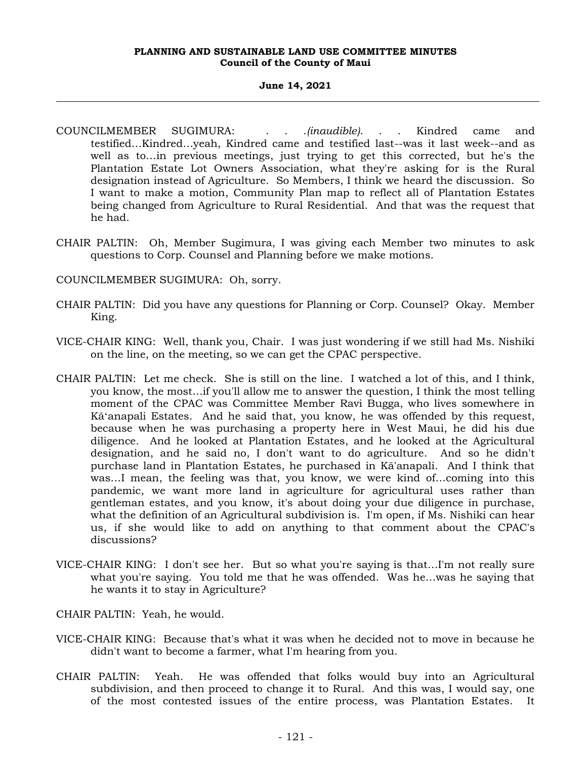## **June 14, 2021**

- COUNCILMEMBER SUGIMURA: . . .*(inaudible)*. . . Kindred came and testified…Kindred…yeah, Kindred came and testified last--was it last week--and as well as to…in previous meetings, just trying to get this corrected, but he's the Plantation Estate Lot Owners Association, what they're asking for is the Rural designation instead of Agriculture. So Members, I think we heard the discussion. So I want to make a motion, Community Plan map to reflect all of Plantation Estates being changed from Agriculture to Rural Residential. And that was the request that he had.
- CHAIR PALTIN: Oh, Member Sugimura, I was giving each Member two minutes to ask questions to Corp. Counsel and Planning before we make motions.
- COUNCILMEMBER SUGIMURA: Oh, sorry.
- CHAIR PALTIN: Did you have any questions for Planning or Corp. Counsel? Okay. Member King.
- VICE-CHAIR KING: Well, thank you, Chair. I was just wondering if we still had Ms. Nishiki on the line, on the meeting, so we can get the CPAC perspective.
- CHAIR PALTIN: Let me check. She is still on the line. I watched a lot of this, and I think, you know, the most…if you'll allow me to answer the question, I think the most telling moment of the CPAC was Committee Member Ravi Bugga, who lives somewhere in Kāʻanapali Estates. And he said that, you know, he was offended by this request, because when he was purchasing a property here in West Maui, he did his due diligence. And he looked at Plantation Estates, and he looked at the Agricultural designation, and he said no, I don't want to do agriculture. And so he didn't purchase land in Plantation Estates, he purchased in Kā'anapali. And I think that was…I mean, the feeling was that, you know, we were kind of…coming into this pandemic, we want more land in agriculture for agricultural uses rather than gentleman estates, and you know, it's about doing your due diligence in purchase, what the definition of an Agricultural subdivision is. I'm open, if Ms. Nishiki can hear us, if she would like to add on anything to that comment about the CPAC's discussions?
- VICE-CHAIR KING: I don't see her. But so what you're saying is that…I'm not really sure what you're saying. You told me that he was offended. Was he…was he saying that he wants it to stay in Agriculture?
- CHAIR PALTIN: Yeah, he would.
- VICE-CHAIR KING: Because that's what it was when he decided not to move in because he didn't want to become a farmer, what I'm hearing from you.
- CHAIR PALTIN: Yeah. He was offended that folks would buy into an Agricultural subdivision, and then proceed to change it to Rural. And this was, I would say, one of the most contested issues of the entire process, was Plantation Estates. It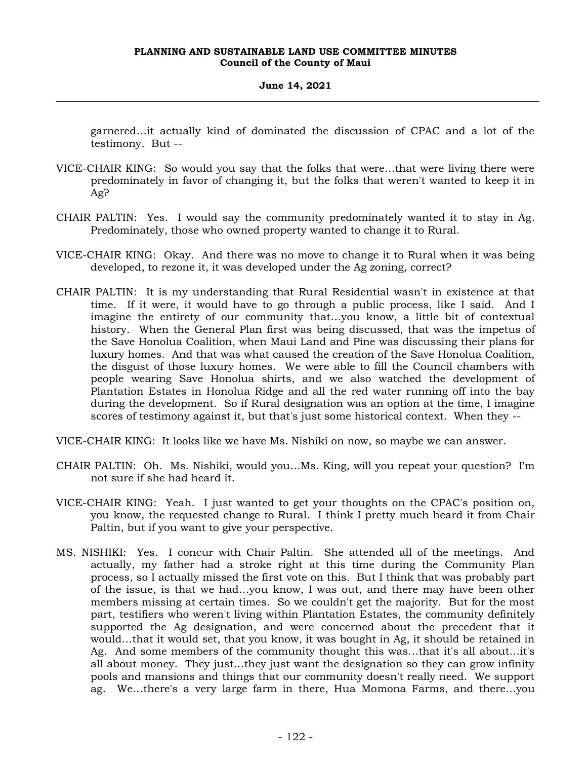garnered…it actually kind of dominated the discussion of CPAC and a lot of the testimony. But --

- VICE-CHAIR KING: So would you say that the folks that were…that were living there were predominately in favor of changing it, but the folks that weren't wanted to keep it in Ag?
- CHAIR PALTIN: Yes. I would say the community predominately wanted it to stay in Ag. Predominately, those who owned property wanted to change it to Rural.
- VICE-CHAIR KING: Okay. And there was no move to change it to Rural when it was being developed, to rezone it, it was developed under the Ag zoning, correct?
- CHAIR PALTIN: It is my understanding that Rural Residential wasn't in existence at that time. If it were, it would have to go through a public process, like I said. And I imagine the entirety of our community that…you know, a little bit of contextual history. When the General Plan first was being discussed, that was the impetus of the Save Honolua Coalition, when Maui Land and Pine was discussing their plans for luxury homes. And that was what caused the creation of the Save Honolua Coalition, the disgust of those luxury homes. We were able to fill the Council chambers with people wearing Save Honolua shirts, and we also watched the development of Plantation Estates in Honolua Ridge and all the red water running off into the bay during the development. So if Rural designation was an option at the time, I imagine scores of testimony against it, but that's just some historical context. When they --
- VICE-CHAIR KING: It looks like we have Ms. Nishiki on now, so maybe we can answer.
- CHAIR PALTIN: Oh. Ms. Nishiki, would you…Ms. King, will you repeat your question? I'm not sure if she had heard it.
- VICE-CHAIR KING: Yeah. I just wanted to get your thoughts on the CPAC's position on, you know, the requested change to Rural. I think I pretty much heard it from Chair Paltin, but if you want to give your perspective.
- MS. NISHIKI: Yes. I concur with Chair Paltin. She attended all of the meetings. And actually, my father had a stroke right at this time during the Community Plan process, so I actually missed the first vote on this. But I think that was probably part of the issue, is that we had…you know, I was out, and there may have been other members missing at certain times. So we couldn't get the majority. But for the most part, testifiers who weren't living within Plantation Estates, the community definitely supported the Ag designation, and were concerned about the precedent that it would…that it would set, that you know, it was bought in Ag, it should be retained in Ag. And some members of the community thought this was…that it's all about…it's all about money. They just…they just want the designation so they can grow infinity pools and mansions and things that our community doesn't really need. We support ag. We…there's a very large farm in there, Hua Momona Farms, and there…you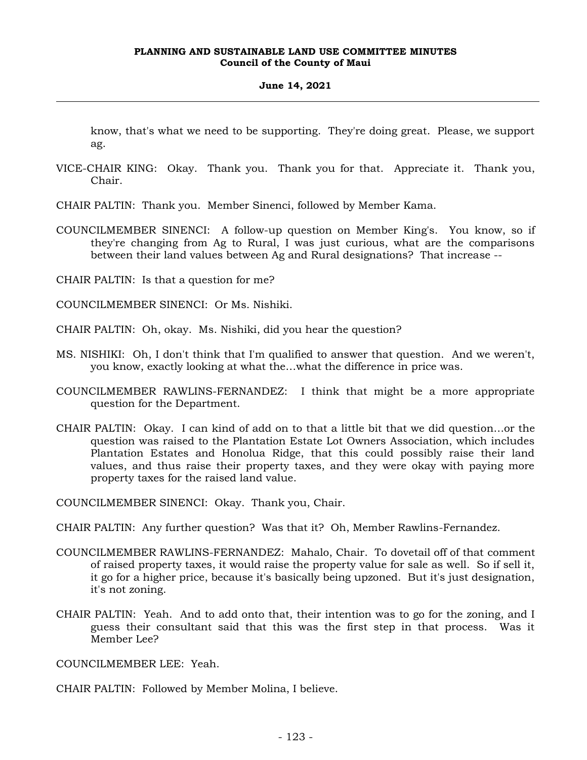## **June 14, 2021**

know, that's what we need to be supporting. They're doing great. Please, we support ag.

- VICE-CHAIR KING: Okay. Thank you. Thank you for that. Appreciate it. Thank you, Chair.
- CHAIR PALTIN: Thank you. Member Sinenci, followed by Member Kama.
- COUNCILMEMBER SINENCI: A follow-up question on Member King's. You know, so if they're changing from Ag to Rural, I was just curious, what are the comparisons between their land values between Ag and Rural designations? That increase --

CHAIR PALTIN: Is that a question for me?

COUNCILMEMBER SINENCI: Or Ms. Nishiki.

CHAIR PALTIN: Oh, okay. Ms. Nishiki, did you hear the question?

- MS. NISHIKI: Oh, I don't think that I'm qualified to answer that question. And we weren't, you know, exactly looking at what the…what the difference in price was.
- COUNCILMEMBER RAWLINS-FERNANDEZ: I think that might be a more appropriate question for the Department.
- CHAIR PALTIN: Okay. I can kind of add on to that a little bit that we did question…or the question was raised to the Plantation Estate Lot Owners Association, which includes Plantation Estates and Honolua Ridge, that this could possibly raise their land values, and thus raise their property taxes, and they were okay with paying more property taxes for the raised land value.

COUNCILMEMBER SINENCI: Okay. Thank you, Chair.

CHAIR PALTIN: Any further question? Was that it? Oh, Member Rawlins-Fernandez.

- COUNCILMEMBER RAWLINS-FERNANDEZ: Mahalo, Chair. To dovetail off of that comment of raised property taxes, it would raise the property value for sale as well. So if sell it, it go for a higher price, because it's basically being upzoned. But it's just designation, it's not zoning.
- CHAIR PALTIN: Yeah. And to add onto that, their intention was to go for the zoning, and I guess their consultant said that this was the first step in that process. Was it Member Lee?

COUNCILMEMBER LEE: Yeah.

CHAIR PALTIN: Followed by Member Molina, I believe.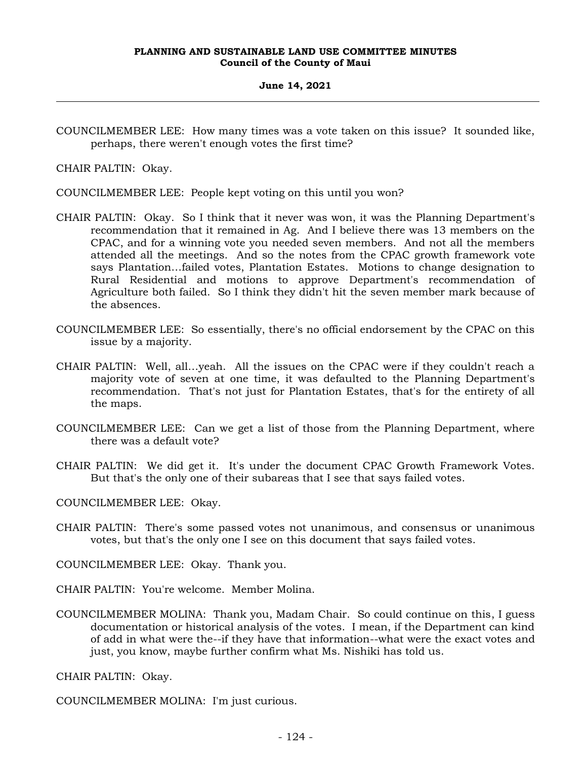COUNCILMEMBER LEE: How many times was a vote taken on this issue? It sounded like, perhaps, there weren't enough votes the first time?

CHAIR PALTIN: Okay.

COUNCILMEMBER LEE: People kept voting on this until you won?

- CHAIR PALTIN: Okay. So I think that it never was won, it was the Planning Department's recommendation that it remained in Ag. And I believe there was 13 members on the CPAC, and for a winning vote you needed seven members. And not all the members attended all the meetings. And so the notes from the CPAC growth framework vote says Plantation…failed votes, Plantation Estates. Motions to change designation to Rural Residential and motions to approve Department's recommendation of Agriculture both failed. So I think they didn't hit the seven member mark because of the absences.
- COUNCILMEMBER LEE: So essentially, there's no official endorsement by the CPAC on this issue by a majority.
- CHAIR PALTIN: Well, all…yeah. All the issues on the CPAC were if they couldn't reach a majority vote of seven at one time, it was defaulted to the Planning Department's recommendation. That's not just for Plantation Estates, that's for the entirety of all the maps.
- COUNCILMEMBER LEE: Can we get a list of those from the Planning Department, where there was a default vote?
- CHAIR PALTIN: We did get it. It's under the document CPAC Growth Framework Votes. But that's the only one of their subareas that I see that says failed votes.

COUNCILMEMBER LEE: Okay.

CHAIR PALTIN: There's some passed votes not unanimous, and consensus or unanimous votes, but that's the only one I see on this document that says failed votes.

COUNCILMEMBER LEE: Okay. Thank you.

CHAIR PALTIN: You're welcome. Member Molina.

COUNCILMEMBER MOLINA: Thank you, Madam Chair. So could continue on this, I guess documentation or historical analysis of the votes. I mean, if the Department can kind of add in what were the--if they have that information--what were the exact votes and just, you know, maybe further confirm what Ms. Nishiki has told us.

CHAIR PALTIN: Okay.

COUNCILMEMBER MOLINA: I'm just curious.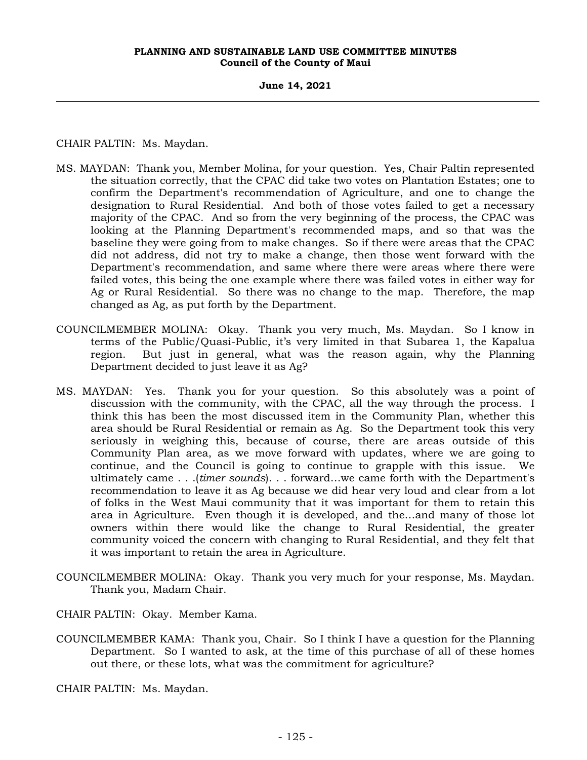**June 14, 2021**

CHAIR PALTIN: Ms. Maydan.

- MS. MAYDAN: Thank you, Member Molina, for your question. Yes, Chair Paltin represented the situation correctly, that the CPAC did take two votes on Plantation Estates; one to confirm the Department's recommendation of Agriculture, and one to change the designation to Rural Residential. And both of those votes failed to get a necessary majority of the CPAC. And so from the very beginning of the process, the CPAC was looking at the Planning Department's recommended maps, and so that was the baseline they were going from to make changes. So if there were areas that the CPAC did not address, did not try to make a change, then those went forward with the Department's recommendation, and same where there were areas where there were failed votes, this being the one example where there was failed votes in either way for Ag or Rural Residential. So there was no change to the map. Therefore, the map changed as Ag, as put forth by the Department.
- COUNCILMEMBER MOLINA: Okay. Thank you very much, Ms. Maydan. So I know in terms of the Public/Quasi-Public, it's very limited in that Subarea 1, the Kapalua region. But just in general, what was the reason again, why the Planning Department decided to just leave it as Ag?
- MS. MAYDAN: Yes. Thank you for your question. So this absolutely was a point of discussion with the community, with the CPAC, all the way through the process. I think this has been the most discussed item in the Community Plan, whether this area should be Rural Residential or remain as Ag. So the Department took this very seriously in weighing this, because of course, there are areas outside of this Community Plan area, as we move forward with updates, where we are going to continue, and the Council is going to continue to grapple with this issue. We ultimately came . . .(*timer sounds*). . . forward…we came forth with the Department's recommendation to leave it as Ag because we did hear very loud and clear from a lot of folks in the West Maui community that it was important for them to retain this area in Agriculture. Even though it is developed, and the…and many of those lot owners within there would like the change to Rural Residential, the greater community voiced the concern with changing to Rural Residential, and they felt that it was important to retain the area in Agriculture.
- COUNCILMEMBER MOLINA: Okay. Thank you very much for your response, Ms. Maydan. Thank you, Madam Chair.
- CHAIR PALTIN: Okay. Member Kama.
- COUNCILMEMBER KAMA: Thank you, Chair. So I think I have a question for the Planning Department. So I wanted to ask, at the time of this purchase of all of these homes out there, or these lots, what was the commitment for agriculture?

CHAIR PALTIN: Ms. Maydan.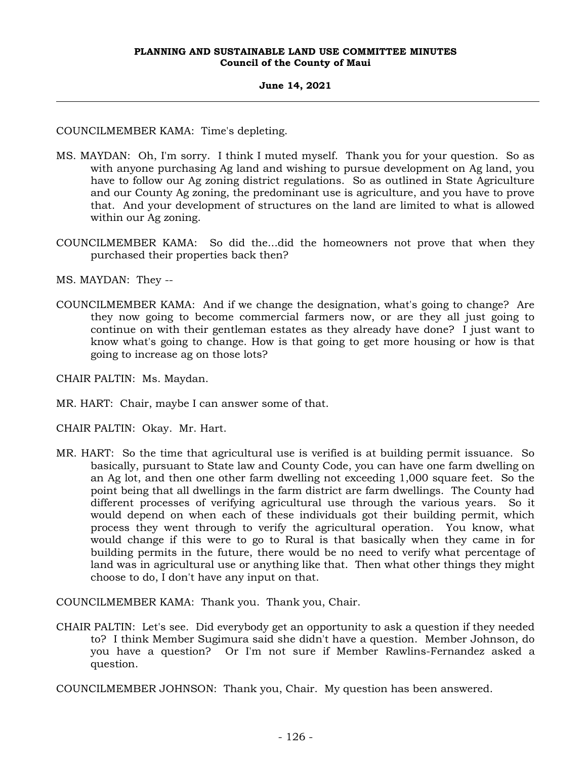# **June 14, 2021**

COUNCILMEMBER KAMA: Time's depleting.

- MS. MAYDAN: Oh, I'm sorry. I think I muted myself. Thank you for your question. So as with anyone purchasing Ag land and wishing to pursue development on Ag land, you have to follow our Ag zoning district regulations. So as outlined in State Agriculture and our County Ag zoning, the predominant use is agriculture, and you have to prove that. And your development of structures on the land are limited to what is allowed within our Ag zoning.
- COUNCILMEMBER KAMA: So did the...did the homeowners not prove that when they purchased their properties back then?

MS. MAYDAN: They --

COUNCILMEMBER KAMA: And if we change the designation, what's going to change? Are they now going to become commercial farmers now, or are they all just going to continue on with their gentleman estates as they already have done? I just want to know what's going to change. How is that going to get more housing or how is that going to increase ag on those lots?

CHAIR PALTIN: Ms. Maydan.

MR. HART: Chair, maybe I can answer some of that.

CHAIR PALTIN: Okay. Mr. Hart.

MR. HART: So the time that agricultural use is verified is at building permit issuance. So basically, pursuant to State law and County Code, you can have one farm dwelling on an Ag lot, and then one other farm dwelling not exceeding 1,000 square feet. So the point being that all dwellings in the farm district are farm dwellings. The County had different processes of verifying agricultural use through the various years. So it would depend on when each of these individuals got their building permit, which process they went through to verify the agricultural operation. You know, what would change if this were to go to Rural is that basically when they came in for building permits in the future, there would be no need to verify what percentage of land was in agricultural use or anything like that. Then what other things they might choose to do, I don't have any input on that.

COUNCILMEMBER KAMA: Thank you. Thank you, Chair.

CHAIR PALTIN: Let's see. Did everybody get an opportunity to ask a question if they needed to? I think Member Sugimura said she didn't have a question. Member Johnson, do you have a question? Or I'm not sure if Member Rawlins-Fernandez asked a question.

COUNCILMEMBER JOHNSON: Thank you, Chair. My question has been answered.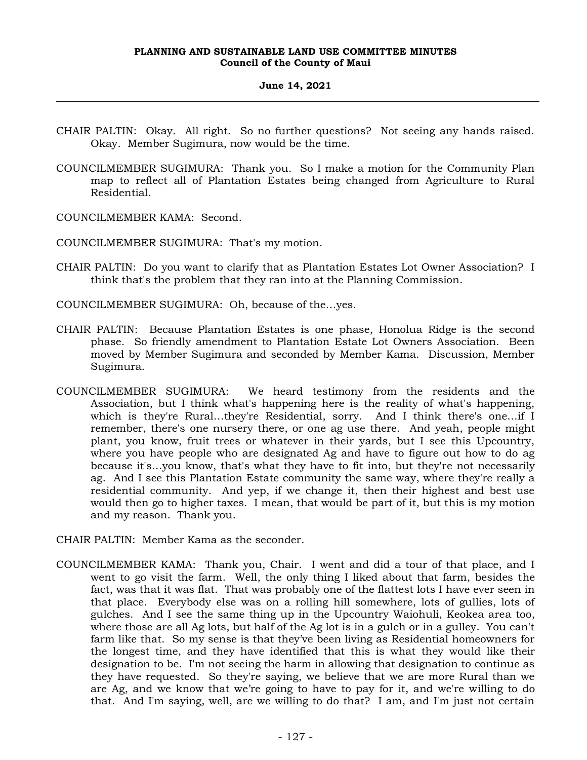- CHAIR PALTIN: Okay. All right. So no further questions? Not seeing any hands raised. Okay. Member Sugimura, now would be the time.
- COUNCILMEMBER SUGIMURA: Thank you. So I make a motion for the Community Plan map to reflect all of Plantation Estates being changed from Agriculture to Rural Residential.

COUNCILMEMBER KAMA: Second.

COUNCILMEMBER SUGIMURA: That's my motion.

CHAIR PALTIN: Do you want to clarify that as Plantation Estates Lot Owner Association? I think that's the problem that they ran into at the Planning Commission.

COUNCILMEMBER SUGIMURA: Oh, because of the…yes.

- CHAIR PALTIN: Because Plantation Estates is one phase, Honolua Ridge is the second phase. So friendly amendment to Plantation Estate Lot Owners Association. Been moved by Member Sugimura and seconded by Member Kama. Discussion, Member Sugimura.
- COUNCILMEMBER SUGIMURA: We heard testimony from the residents and the Association, but I think what's happening here is the reality of what's happening, which is they're Rural…they're Residential, sorry. And I think there's one…if I remember, there's one nursery there, or one ag use there. And yeah, people might plant, you know, fruit trees or whatever in their yards, but I see this Upcountry, where you have people who are designated Ag and have to figure out how to do ag because it's…you know, that's what they have to fit into, but they're not necessarily ag. And I see this Plantation Estate community the same way, where they're really a residential community. And yep, if we change it, then their highest and best use would then go to higher taxes. I mean, that would be part of it, but this is my motion and my reason. Thank you.
- CHAIR PALTIN: Member Kama as the seconder.
- COUNCILMEMBER KAMA: Thank you, Chair. I went and did a tour of that place, and I went to go visit the farm. Well, the only thing I liked about that farm, besides the fact, was that it was flat. That was probably one of the flattest lots I have ever seen in that place. Everybody else was on a rolling hill somewhere, lots of gullies, lots of gulches. And I see the same thing up in the Upcountry Waiohuli, Keokea area too, where those are all Ag lots, but half of the Ag lot is in a gulch or in a gulley. You can't farm like that. So my sense is that they've been living as Residential homeowners for the longest time, and they have identified that this is what they would like their designation to be. I'm not seeing the harm in allowing that designation to continue as they have requested. So they're saying, we believe that we are more Rural than we are Ag, and we know that we're going to have to pay for it, and we're willing to do that. And I'm saying, well, are we willing to do that? I am, and I'm just not certain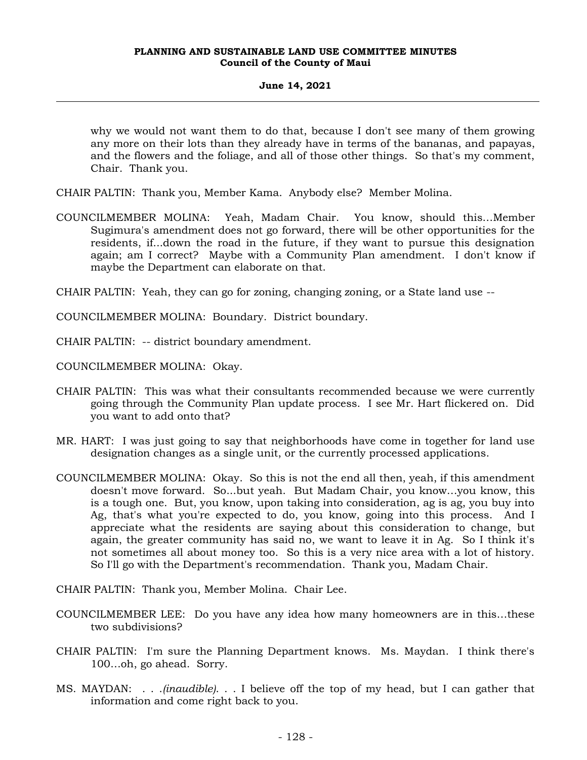## **June 14, 2021**

why we would not want them to do that, because I don't see many of them growing any more on their lots than they already have in terms of the bananas, and papayas, and the flowers and the foliage, and all of those other things. So that's my comment, Chair. Thank you.

- CHAIR PALTIN: Thank you, Member Kama. Anybody else? Member Molina.
- COUNCILMEMBER MOLINA: Yeah, Madam Chair. You know, should this…Member Sugimura's amendment does not go forward, there will be other opportunities for the residents, if...down the road in the future, if they want to pursue this designation again; am I correct? Maybe with a Community Plan amendment. I don't know if maybe the Department can elaborate on that.

CHAIR PALTIN: Yeah, they can go for zoning, changing zoning, or a State land use --

COUNCILMEMBER MOLINA: Boundary. District boundary.

CHAIR PALTIN: -- district boundary amendment.

COUNCILMEMBER MOLINA: Okay.

- CHAIR PALTIN: This was what their consultants recommended because we were currently going through the Community Plan update process. I see Mr. Hart flickered on. Did you want to add onto that?
- MR. HART: I was just going to say that neighborhoods have come in together for land use designation changes as a single unit, or the currently processed applications.
- COUNCILMEMBER MOLINA: Okay. So this is not the end all then, yeah, if this amendment doesn't move forward. So...but yeah. But Madam Chair, you know…you know, this is a tough one. But, you know, upon taking into consideration, ag is ag, you buy into Ag, that's what you're expected to do, you know, going into this process. And I appreciate what the residents are saying about this consideration to change, but again, the greater community has said no, we want to leave it in Ag. So I think it's not sometimes all about money too. So this is a very nice area with a lot of history. So I'll go with the Department's recommendation. Thank you, Madam Chair.

CHAIR PALTIN: Thank you, Member Molina. Chair Lee.

- COUNCILMEMBER LEE: Do you have any idea how many homeowners are in this…these two subdivisions?
- CHAIR PALTIN: I'm sure the Planning Department knows. Ms. Maydan. I think there's 100…oh, go ahead. Sorry.
- MS. MAYDAN: . . .*(inaudible)*. . . I believe off the top of my head, but I can gather that information and come right back to you.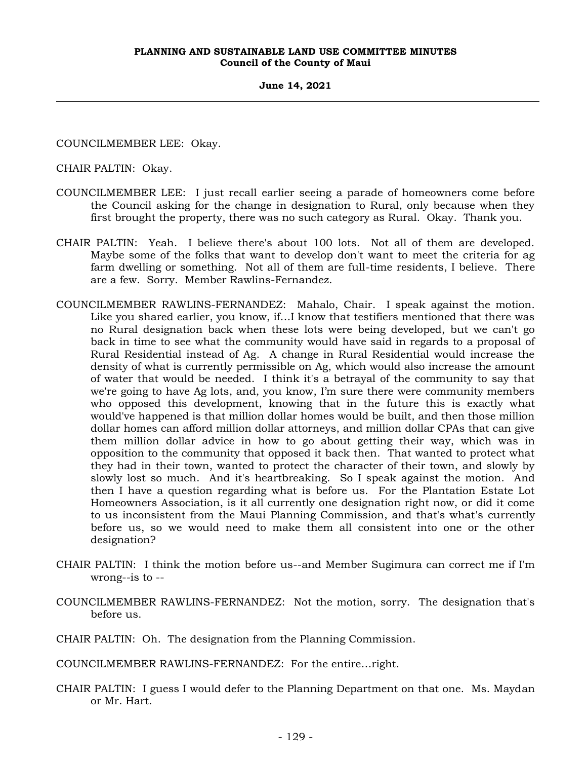#### **June 14, 2021**

COUNCILMEMBER LEE: Okay.

CHAIR PALTIN: Okay.

- COUNCILMEMBER LEE: I just recall earlier seeing a parade of homeowners come before the Council asking for the change in designation to Rural, only because when they first brought the property, there was no such category as Rural. Okay. Thank you.
- CHAIR PALTIN: Yeah. I believe there's about 100 lots. Not all of them are developed. Maybe some of the folks that want to develop don't want to meet the criteria for ag farm dwelling or something. Not all of them are full-time residents, I believe. There are a few. Sorry. Member Rawlins-Fernandez.
- COUNCILMEMBER RAWLINS-FERNANDEZ: Mahalo, Chair. I speak against the motion. Like you shared earlier, you know, if…I know that testifiers mentioned that there was no Rural designation back when these lots were being developed, but we can't go back in time to see what the community would have said in regards to a proposal of Rural Residential instead of Ag. A change in Rural Residential would increase the density of what is currently permissible on Ag, which would also increase the amount of water that would be needed. I think it's a betrayal of the community to say that we're going to have Ag lots, and, you know, I'm sure there were community members who opposed this development, knowing that in the future this is exactly what would've happened is that million dollar homes would be built, and then those million dollar homes can afford million dollar attorneys, and million dollar CPAs that can give them million dollar advice in how to go about getting their way, which was in opposition to the community that opposed it back then. That wanted to protect what they had in their town, wanted to protect the character of their town, and slowly by slowly lost so much. And it's heartbreaking. So I speak against the motion. And then I have a question regarding what is before us. For the Plantation Estate Lot Homeowners Association, is it all currently one designation right now, or did it come to us inconsistent from the Maui Planning Commission, and that's what's currently before us, so we would need to make them all consistent into one or the other designation?
- CHAIR PALTIN: I think the motion before us--and Member Sugimura can correct me if I'm wrong--is to --
- COUNCILMEMBER RAWLINS-FERNANDEZ: Not the motion, sorry. The designation that's before us.

CHAIR PALTIN: Oh. The designation from the Planning Commission.

COUNCILMEMBER RAWLINS-FERNANDEZ: For the entire…right.

CHAIR PALTIN: I guess I would defer to the Planning Department on that one. Ms. Maydan or Mr. Hart.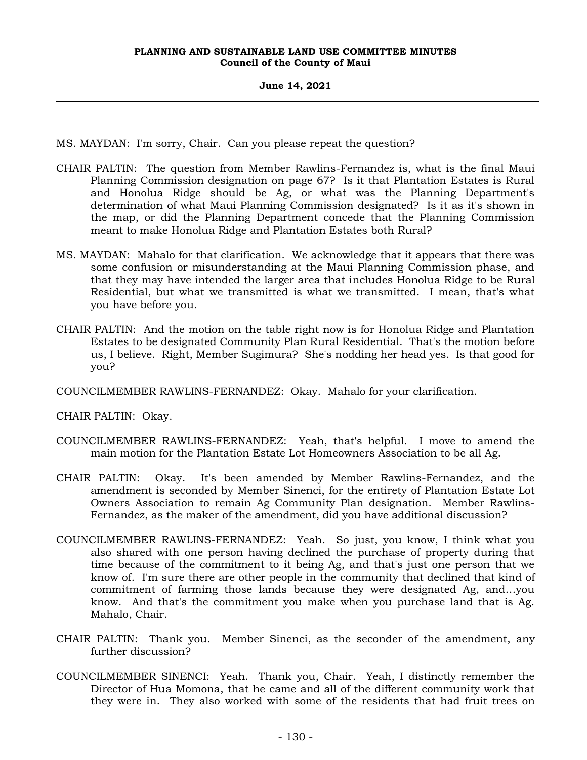MS. MAYDAN: I'm sorry, Chair. Can you please repeat the question?

- CHAIR PALTIN: The question from Member Rawlins-Fernandez is, what is the final Maui Planning Commission designation on page 67? Is it that Plantation Estates is Rural and Honolua Ridge should be Ag, or what was the Planning Department's determination of what Maui Planning Commission designated? Is it as it's shown in the map, or did the Planning Department concede that the Planning Commission meant to make Honolua Ridge and Plantation Estates both Rural?
- MS. MAYDAN: Mahalo for that clarification. We acknowledge that it appears that there was some confusion or misunderstanding at the Maui Planning Commission phase, and that they may have intended the larger area that includes Honolua Ridge to be Rural Residential, but what we transmitted is what we transmitted. I mean, that's what you have before you.
- CHAIR PALTIN: And the motion on the table right now is for Honolua Ridge and Plantation Estates to be designated Community Plan Rural Residential. That's the motion before us, I believe. Right, Member Sugimura? She's nodding her head yes. Is that good for you?

COUNCILMEMBER RAWLINS-FERNANDEZ: Okay. Mahalo for your clarification.

CHAIR PALTIN: Okay.

- COUNCILMEMBER RAWLINS-FERNANDEZ: Yeah, that's helpful. I move to amend the main motion for the Plantation Estate Lot Homeowners Association to be all Ag.
- CHAIR PALTIN: Okay. It's been amended by Member Rawlins-Fernandez, and the amendment is seconded by Member Sinenci, for the entirety of Plantation Estate Lot Owners Association to remain Ag Community Plan designation. Member Rawlins-Fernandez, as the maker of the amendment, did you have additional discussion?
- COUNCILMEMBER RAWLINS-FERNANDEZ: Yeah. So just, you know, I think what you also shared with one person having declined the purchase of property during that time because of the commitment to it being Ag, and that's just one person that we know of. I'm sure there are other people in the community that declined that kind of commitment of farming those lands because they were designated Ag, and…you know. And that's the commitment you make when you purchase land that is Ag. Mahalo, Chair.
- CHAIR PALTIN: Thank you. Member Sinenci, as the seconder of the amendment, any further discussion?
- COUNCILMEMBER SINENCI: Yeah. Thank you, Chair. Yeah, I distinctly remember the Director of Hua Momona, that he came and all of the different community work that they were in. They also worked with some of the residents that had fruit trees on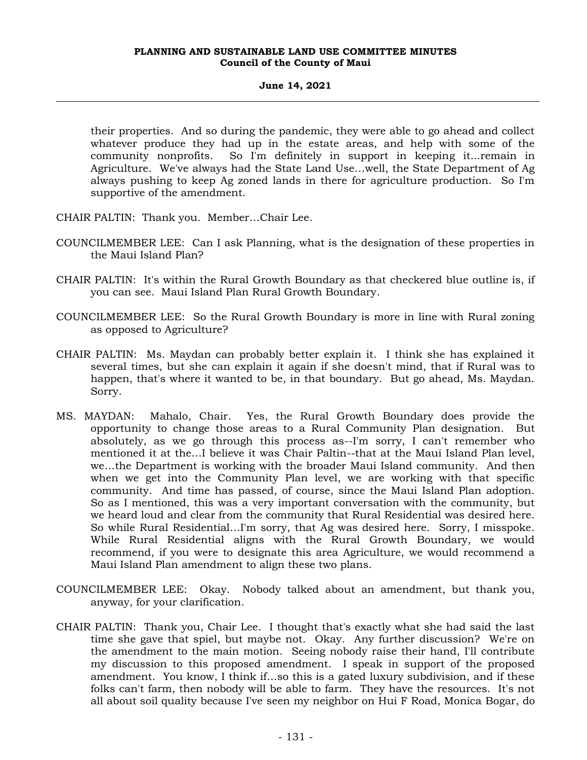# **June 14, 2021**

their properties. And so during the pandemic, they were able to go ahead and collect whatever produce they had up in the estate areas, and help with some of the community nonprofits. So I'm definitely in support in keeping it...remain in Agriculture. We've always had the State Land Use…well, the State Department of Ag always pushing to keep Ag zoned lands in there for agriculture production. So I'm supportive of the amendment.

- CHAIR PALTIN: Thank you. Member…Chair Lee.
- COUNCILMEMBER LEE: Can I ask Planning, what is the designation of these properties in the Maui Island Plan?
- CHAIR PALTIN: It's within the Rural Growth Boundary as that checkered blue outline is, if you can see. Maui Island Plan Rural Growth Boundary.
- COUNCILMEMBER LEE: So the Rural Growth Boundary is more in line with Rural zoning as opposed to Agriculture?
- CHAIR PALTIN: Ms. Maydan can probably better explain it. I think she has explained it several times, but she can explain it again if she doesn't mind, that if Rural was to happen, that's where it wanted to be, in that boundary. But go ahead, Ms. Maydan. Sorry.
- MS. MAYDAN: Mahalo, Chair. Yes, the Rural Growth Boundary does provide the opportunity to change those areas to a Rural Community Plan designation. But absolutely, as we go through this process as--I'm sorry, I can't remember who mentioned it at the…I believe it was Chair Paltin--that at the Maui Island Plan level, we…the Department is working with the broader Maui Island community. And then when we get into the Community Plan level, we are working with that specific community. And time has passed, of course, since the Maui Island Plan adoption. So as I mentioned, this was a very important conversation with the community, but we heard loud and clear from the community that Rural Residential was desired here. So while Rural Residential…I'm sorry, that Ag was desired here. Sorry, I misspoke. While Rural Residential aligns with the Rural Growth Boundary, we would recommend, if you were to designate this area Agriculture, we would recommend a Maui Island Plan amendment to align these two plans.
- COUNCILMEMBER LEE: Okay. Nobody talked about an amendment, but thank you, anyway, for your clarification.
- CHAIR PALTIN: Thank you, Chair Lee. I thought that's exactly what she had said the last time she gave that spiel, but maybe not. Okay. Any further discussion? We're on the amendment to the main motion. Seeing nobody raise their hand, I'll contribute my discussion to this proposed amendment. I speak in support of the proposed amendment. You know, I think if…so this is a gated luxury subdivision, and if these folks can't farm, then nobody will be able to farm. They have the resources. It's not all about soil quality because I've seen my neighbor on Hui F Road, Monica Bogar, do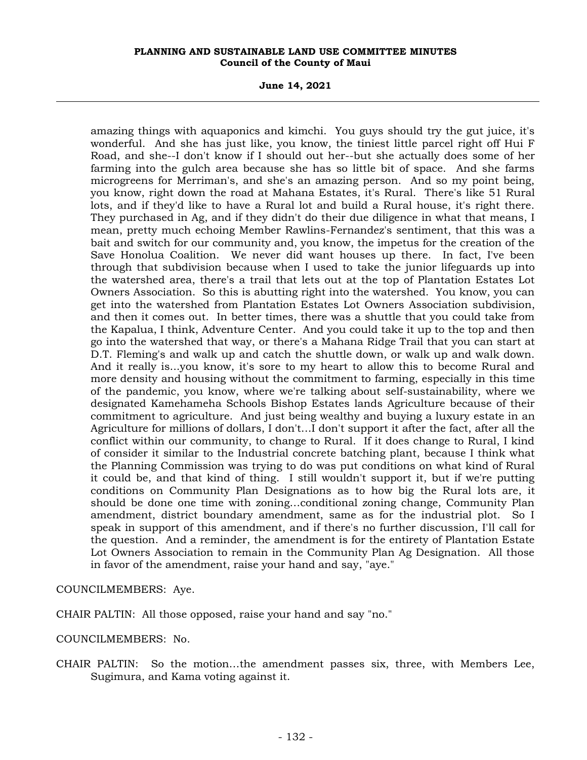**June 14, 2021**

amazing things with aquaponics and kimchi. You guys should try the gut juice, it's wonderful. And she has just like, you know, the tiniest little parcel right off Hui F Road, and she--I don't know if I should out her--but she actually does some of her farming into the gulch area because she has so little bit of space. And she farms microgreens for Merriman's, and she's an amazing person. And so my point being, you know, right down the road at Mahana Estates, it's Rural. There's like 51 Rural lots, and if they'd like to have a Rural lot and build a Rural house, it's right there. They purchased in Ag, and if they didn't do their due diligence in what that means, I mean, pretty much echoing Member Rawlins-Fernandez's sentiment, that this was a bait and switch for our community and, you know, the impetus for the creation of the Save Honolua Coalition. We never did want houses up there. In fact, I've been through that subdivision because when I used to take the junior lifeguards up into the watershed area, there's a trail that lets out at the top of Plantation Estates Lot Owners Association. So this is abutting right into the watershed. You know, you can get into the watershed from Plantation Estates Lot Owners Association subdivision, and then it comes out. In better times, there was a shuttle that you could take from the Kapalua, I think, Adventure Center. And you could take it up to the top and then go into the watershed that way, or there's a Mahana Ridge Trail that you can start at D.T. Fleming's and walk up and catch the shuttle down, or walk up and walk down. And it really is...you know, it's sore to my heart to allow this to become Rural and more density and housing without the commitment to farming, especially in this time of the pandemic, you know, where we're talking about self-sustainability, where we designated Kamehameha Schools Bishop Estates lands Agriculture because of their commitment to agriculture. And just being wealthy and buying a luxury estate in an Agriculture for millions of dollars, I don't…I don't support it after the fact, after all the conflict within our community, to change to Rural. If it does change to Rural, I kind of consider it similar to the Industrial concrete batching plant, because I think what the Planning Commission was trying to do was put conditions on what kind of Rural it could be, and that kind of thing. I still wouldn't support it, but if we're putting conditions on Community Plan Designations as to how big the Rural lots are, it should be done one time with zoning…conditional zoning change, Community Plan amendment, district boundary amendment, same as for the industrial plot. So I speak in support of this amendment, and if there's no further discussion, I'll call for the question. And a reminder, the amendment is for the entirety of Plantation Estate Lot Owners Association to remain in the Community Plan Ag Designation. All those in favor of the amendment, raise your hand and say, "aye."

COUNCILMEMBERS: Aye.

CHAIR PALTIN: All those opposed, raise your hand and say "no."

COUNCILMEMBERS: No.

CHAIR PALTIN: So the motion…the amendment passes six, three, with Members Lee, Sugimura, and Kama voting against it.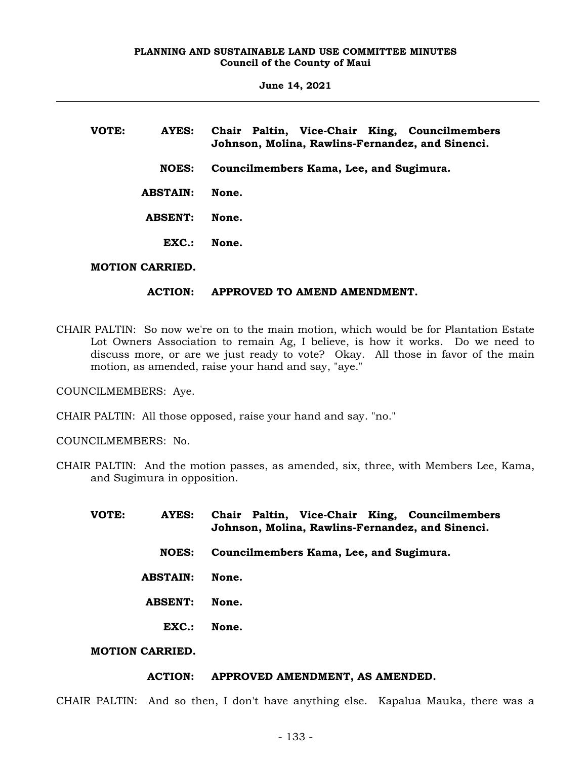**June 14, 2021**

| VOTE: | AYES:                  | Chair Paltin, Vice-Chair King, Councilmembers<br>Johnson, Molina, Rawlins-Fernandez, and Sinenci. |
|-------|------------------------|---------------------------------------------------------------------------------------------------|
|       | <b>NOES:</b>           | Councilmembers Kama, Lee, and Sugimura.                                                           |
|       | <b>ABSTAIN:</b>        | None.                                                                                             |
|       | <b>ABSENT:</b>         | None.                                                                                             |
|       | EXC.                   | None.                                                                                             |
|       | <b>MOTION CARRIED.</b> |                                                                                                   |

# **ACTION: APPROVED TO AMEND AMENDMENT.**

CHAIR PALTIN: So now we're on to the main motion, which would be for Plantation Estate Lot Owners Association to remain Ag, I believe, is how it works. Do we need to discuss more, or are we just ready to vote? Okay. All those in favor of the main motion, as amended, raise your hand and say, "aye."

COUNCILMEMBERS: Aye.

CHAIR PALTIN: All those opposed, raise your hand and say. "no."

COUNCILMEMBERS: No.

CHAIR PALTIN: And the motion passes, as amended, six, three, with Members Lee, Kama, and Sugimura in opposition.

| VOTE: | <b>AYES:</b>           | Chair Paltin, Vice-Chair King, Councilmembers<br>Johnson, Molina, Rawlins-Fernandez, and Sinenci. |  |  |
|-------|------------------------|---------------------------------------------------------------------------------------------------|--|--|
|       | <b>NOES:</b>           | Councilmembers Kama, Lee, and Sugimura.                                                           |  |  |
|       | <b>ABSTAIN:</b>        | None.                                                                                             |  |  |
|       | <b>ABSENT:</b>         | None.                                                                                             |  |  |
|       | EXC.                   | None.                                                                                             |  |  |
|       | <b>MOTION CARRIED.</b> |                                                                                                   |  |  |

### **ACTION: APPROVED AMENDMENT, AS AMENDED.**

CHAIR PALTIN: And so then, I don't have anything else. Kapalua Mauka, there was a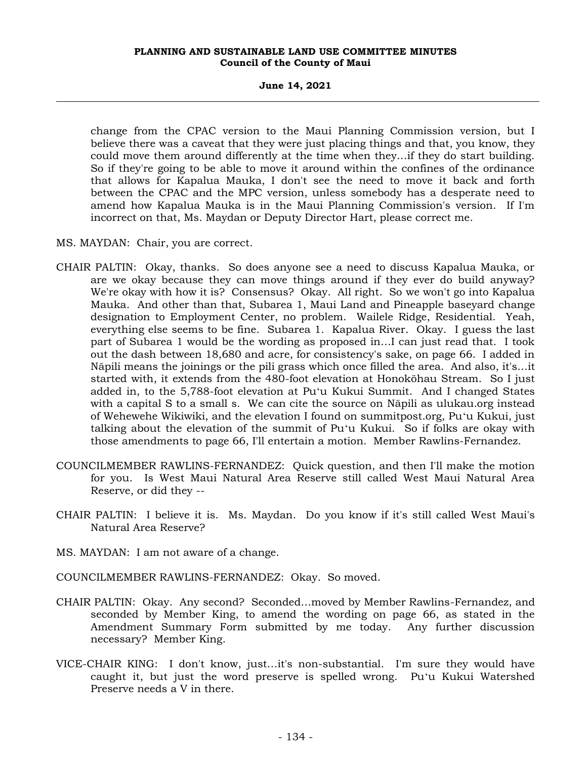**June 14, 2021**

change from the CPAC version to the Maui Planning Commission version, but I believe there was a caveat that they were just placing things and that, you know, they could move them around differently at the time when they…if they do start building. So if they're going to be able to move it around within the confines of the ordinance that allows for Kapalua Mauka, I don't see the need to move it back and forth between the CPAC and the MPC version, unless somebody has a desperate need to amend how Kapalua Mauka is in the Maui Planning Commission's version. If I'm incorrect on that, Ms. Maydan or Deputy Director Hart, please correct me.

MS. MAYDAN: Chair, you are correct.

- CHAIR PALTIN: Okay, thanks. So does anyone see a need to discuss Kapalua Mauka, or are we okay because they can move things around if they ever do build anyway? We're okay with how it is? Consensus? Okay. All right. So we won't go into Kapalua Mauka. And other than that, Subarea 1, Maui Land and Pineapple baseyard change designation to Employment Center, no problem. Wailele Ridge, Residential. Yeah, everything else seems to be fine. Subarea 1. Kapalua River. Okay. I guess the last part of Subarea 1 would be the wording as proposed in…I can just read that. I took out the dash between 18,680 and acre, for consistency's sake, on page 66. I added in Nāpili means the joinings or the pili grass which once filled the area. And also, it's…it started with, it extends from the 480-foot elevation at Honokōhau Stream. So I just added in, to the 5,788-foot elevation at Puʻu Kukui Summit. And I changed States with a capital S to a small s. We can cite the source on Nāpili as ulukau.org instead of Wehewehe Wikiwiki, and the elevation I found on summitpost.org, Puʻu Kukui, just talking about the elevation of the summit of Puʻu Kukui. So if folks are okay with those amendments to page 66, I'll entertain a motion. Member Rawlins-Fernandez.
- COUNCILMEMBER RAWLINS-FERNANDEZ: Quick question, and then I'll make the motion for you. Is West Maui Natural Area Reserve still called West Maui Natural Area Reserve, or did they --
- CHAIR PALTIN: I believe it is. Ms. Maydan. Do you know if it's still called West Maui's Natural Area Reserve?
- MS. MAYDAN: I am not aware of a change.
- COUNCILMEMBER RAWLINS-FERNANDEZ: Okay. So moved.
- CHAIR PALTIN: Okay. Any second? Seconded…moved by Member Rawlins-Fernandez, and seconded by Member King, to amend the wording on page 66, as stated in the Amendment Summary Form submitted by me today. Any further discussion necessary? Member King.
- VICE-CHAIR KING: I don't know, just…it's non-substantial. I'm sure they would have caught it, but just the word preserve is spelled wrong. Puʻu Kukui Watershed Preserve needs a V in there.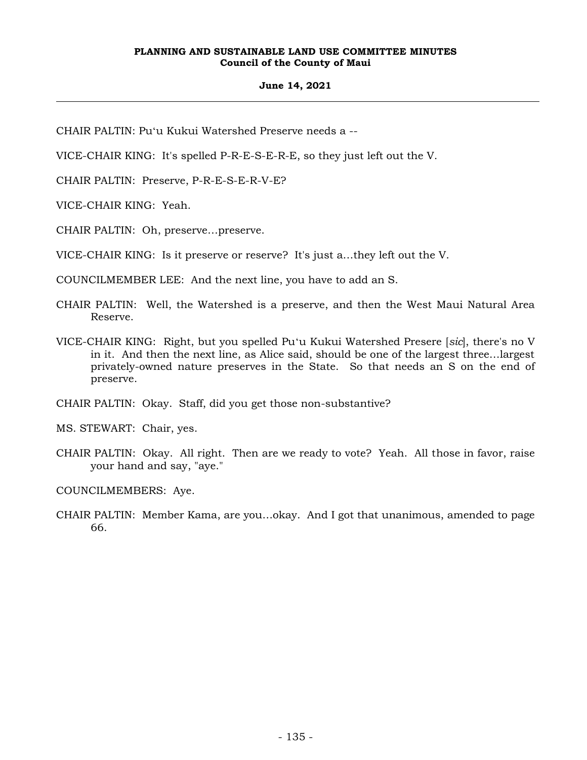# **June 14, 2021**

CHAIR PALTIN: Puʻu Kukui Watershed Preserve needs a --

VICE-CHAIR KING: It's spelled P-R-E-S-E-R-E, so they just left out the V.

CHAIR PALTIN: Preserve, P-R-E-S-E-R-V-E?

VICE-CHAIR KING: Yeah.

CHAIR PALTIN: Oh, preserve…preserve.

VICE-CHAIR KING: Is it preserve or reserve? It's just a…they left out the V.

COUNCILMEMBER LEE: And the next line, you have to add an S.

- CHAIR PALTIN: Well, the Watershed is a preserve, and then the West Maui Natural Area Reserve.
- VICE-CHAIR KING: Right, but you spelled Puʻu Kukui Watershed Presere [*sic*], there's no V in it. And then the next line, as Alice said, should be one of the largest three…largest privately-owned nature preserves in the State. So that needs an S on the end of preserve.

CHAIR PALTIN: Okay. Staff, did you get those non-substantive?

MS. STEWART: Chair, yes.

CHAIR PALTIN: Okay. All right. Then are we ready to vote? Yeah. All those in favor, raise your hand and say, "aye."

COUNCILMEMBERS: Aye.

CHAIR PALTIN: Member Kama, are you…okay. And I got that unanimous, amended to page 66.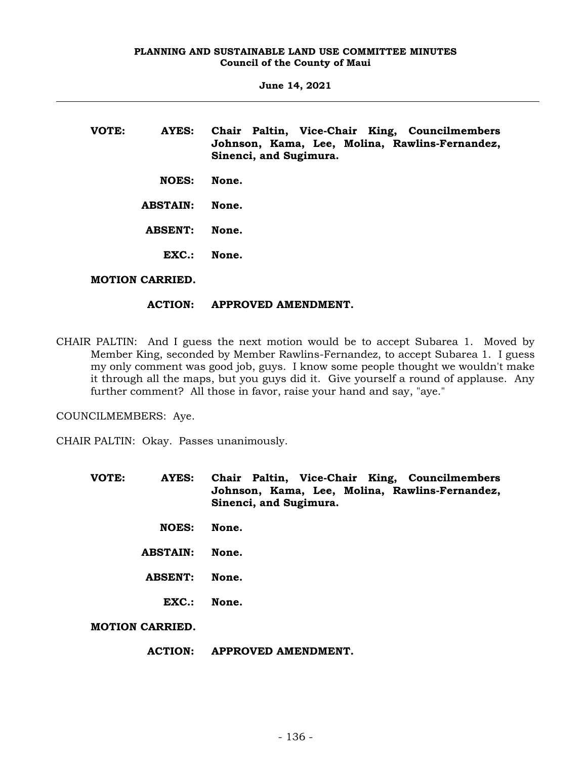| VOTE: | AYES:           | Chair Paltin, Vice-Chair King, Councilmembers<br>Johnson, Kama, Lee, Molina, Rawlins-Fernandez,<br>Sinenci, and Sugimura. |
|-------|-----------------|---------------------------------------------------------------------------------------------------------------------------|
|       | <b>NOES:</b>    | None.                                                                                                                     |
|       | <b>ABSTAIN:</b> | None.                                                                                                                     |
|       | <b>ABSENT:</b>  | None.                                                                                                                     |
|       | EXC.            | None.                                                                                                                     |
|       |                 |                                                                                                                           |

# **MOTION CARRIED.**

# **ACTION: APPROVED AMENDMENT.**

CHAIR PALTIN: And I guess the next motion would be to accept Subarea 1. Moved by Member King, seconded by Member Rawlins-Fernandez, to accept Subarea 1. I guess my only comment was good job, guys. I know some people thought we wouldn't make it through all the maps, but you guys did it. Give yourself a round of applause. Any further comment? All those in favor, raise your hand and say, "aye."

COUNCILMEMBERS: Aye.

CHAIR PALTIN: Okay. Passes unanimously.

- **VOTE: AYES: Chair Paltin, Vice-Chair King, Councilmembers Johnson, Kama, Lee, Molina, Rawlins-Fernandez, Sinenci, and Sugimura.**
	- **NOES: None.**
	- **ABSTAIN: None.**
	- **ABSENT: None.**
		- **EXC.: None.**

**MOTION CARRIED.**

### **ACTION: APPROVED AMENDMENT.**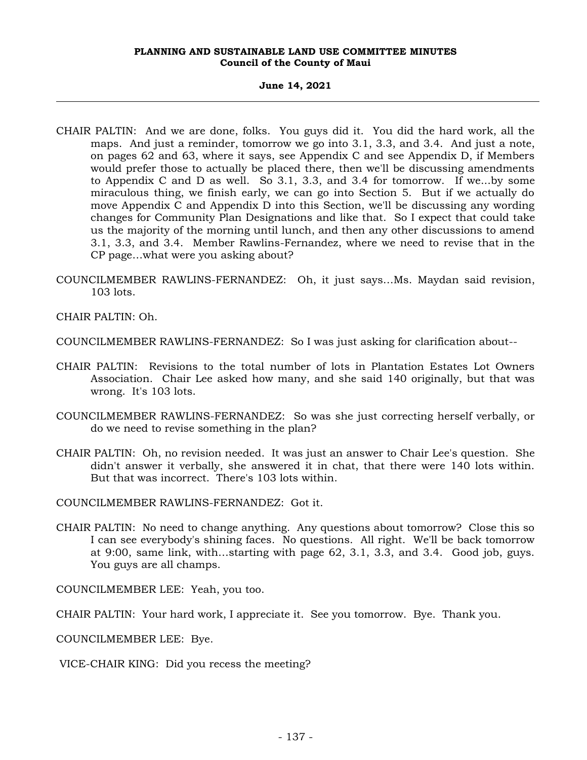#### **June 14, 2021**

- CHAIR PALTIN: And we are done, folks. You guys did it. You did the hard work, all the maps. And just a reminder, tomorrow we go into 3.1, 3.3, and 3.4. And just a note, on pages 62 and 63, where it says, see Appendix C and see Appendix D, if Members would prefer those to actually be placed there, then we'll be discussing amendments to Appendix C and D as well. So 3.1, 3.3, and 3.4 for tomorrow. If we...by some miraculous thing, we finish early, we can go into Section 5. But if we actually do move Appendix C and Appendix D into this Section, we'll be discussing any wording changes for Community Plan Designations and like that. So I expect that could take us the majority of the morning until lunch, and then any other discussions to amend 3.1, 3.3, and 3.4. Member Rawlins-Fernandez, where we need to revise that in the CP page…what were you asking about?
- COUNCILMEMBER RAWLINS-FERNANDEZ: Oh, it just says…Ms. Maydan said revision, 103 lots.

CHAIR PALTIN: Oh.

COUNCILMEMBER RAWLINS-FERNANDEZ: So I was just asking for clarification about--

- CHAIR PALTIN: Revisions to the total number of lots in Plantation Estates Lot Owners Association. Chair Lee asked how many, and she said 140 originally, but that was wrong. It's 103 lots.
- COUNCILMEMBER RAWLINS-FERNANDEZ: So was she just correcting herself verbally, or do we need to revise something in the plan?
- CHAIR PALTIN: Oh, no revision needed. It was just an answer to Chair Lee's question. She didn't answer it verbally, she answered it in chat, that there were 140 lots within. But that was incorrect. There's 103 lots within.

COUNCILMEMBER RAWLINS-FERNANDEZ: Got it.

CHAIR PALTIN: No need to change anything. Any questions about tomorrow? Close this so I can see everybody's shining faces. No questions. All right. We'll be back tomorrow at 9:00, same link, with…starting with page 62, 3.1, 3.3, and 3.4. Good job, guys. You guys are all champs.

COUNCILMEMBER LEE: Yeah, you too.

CHAIR PALTIN: Your hard work, I appreciate it. See you tomorrow. Bye. Thank you.

COUNCILMEMBER LEE: Bye.

VICE-CHAIR KING: Did you recess the meeting?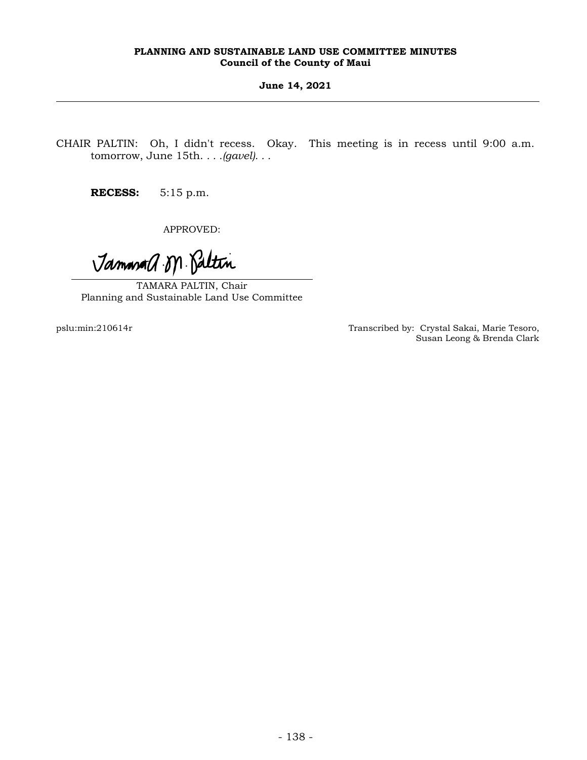# **June 14, 2021**

CHAIR PALTIN: Oh, I didn't recess. Okay. This meeting is in recess until 9:00 a.m. tomorrow, June 15th. *. . .(gavel). . .*

**RECESS:** 5:15 p.m.

APPROVED:

Jammand.M. Paltin

TAMARA PALTIN, Chair Planning and Sustainable Land Use Committee

pslu:min:210614r Transcribed by: Crystal Sakai, Marie Tesoro, Susan Leong & Brenda Clark